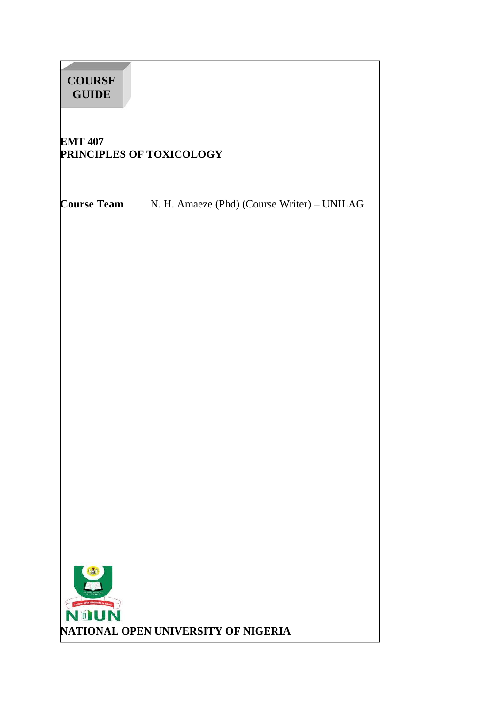# **COURSE GUIDE**

# **EMT 407 PRINCIPLES OF TOXICOLOGY**

**Course Team** N. H. Amaeze (Phd) (Course Writer) – UNILAG

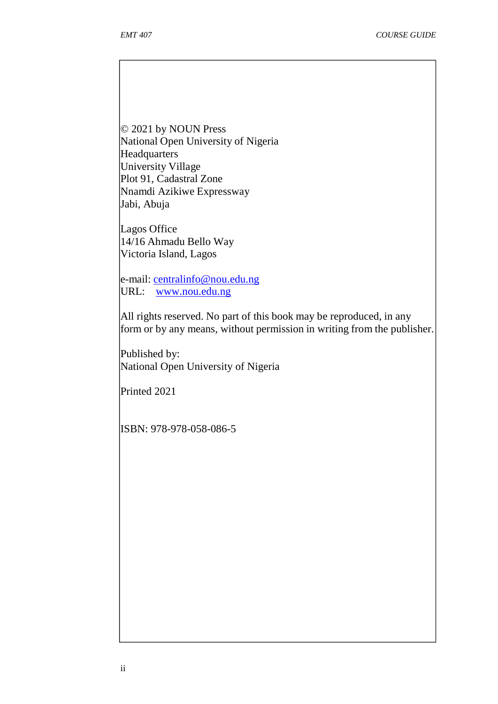© 2021 by NOUN Press National Open University of Nigeria Headquarters University Village Plot 91, Cadastral Zone Nnamdi Azikiwe Expressway Jabi, Abuja

Lagos Office 14/16 Ahmadu Bello Way Victoria Island, Lagos

e-mail: centralinfo@nou.edu.ng URL: www.nou.edu.ng

All rights reserved. No part of this book may be reproduced, in any form or by any means, without permission in writing from the publisher.

Published by: National Open University of Nigeria

Printed 2021

ISBN: 978-978-058-086-5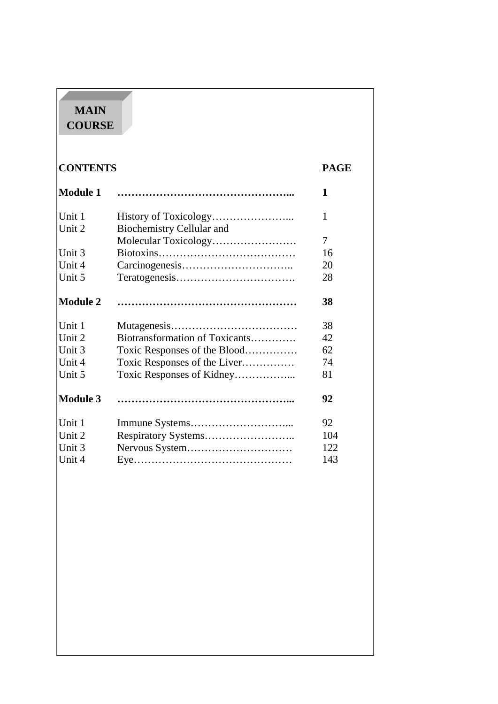# **MAIN COURSE**

| <b>CONTENTS</b> |                                  | <b>PAGE</b> |
|-----------------|----------------------------------|-------------|
| <b>Module 1</b> |                                  | 1           |
| Unit 1          |                                  | 1           |
| Unit 2          | <b>Biochemistry Cellular and</b> |             |
|                 |                                  | $\tau$      |
| Unit 3          |                                  | 16          |
| Unit 4          |                                  | 20          |
| Unit 5          |                                  | 28          |
| <b>Module 2</b> |                                  | 38          |
| Unit 1          |                                  | 38          |
| Unit 2          | Biotransformation of Toxicants   | 42          |
| Unit 3          | Toxic Responses of the Blood     | 62          |
| Unit 4          | Toxic Responses of the Liver     | 74          |
| Unit 5          | Toxic Responses of Kidney        | 81          |
| <b>Module 3</b> |                                  | 92          |
| Unit 1          |                                  | 92          |
| Unit 2          |                                  | 104         |
| Unit 3          |                                  | 122         |
|                 |                                  | 143         |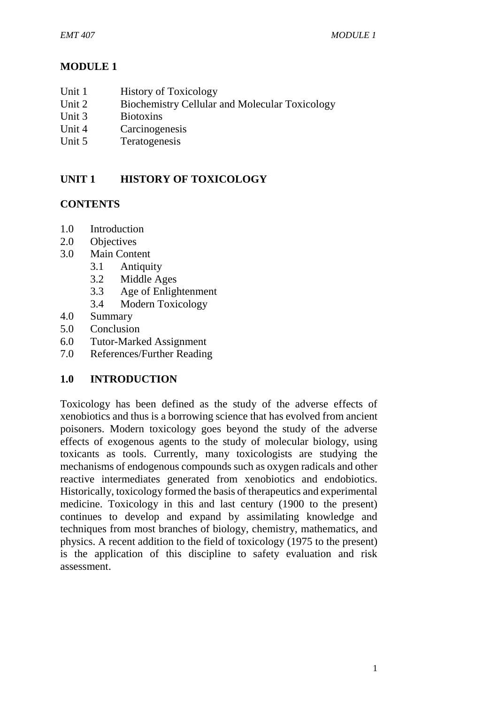# **MODULE 1**

- Unit 1 History of Toxicology
- Unit 2 Biochemistry Cellular and Molecular Toxicology
- Unit 3 Biotoxins
- Unit 4 Carcinogenesis
- Unit 5 Teratogenesis

# **UNIT 1 HISTORY OF TOXICOLOGY**

# **CONTENTS**

- 1.0 Introduction
- 2.0 Objectives
- 3.0 Main Content
	- 3.1 Antiquity
	- 3.2 Middle Ages
	- 3.3 Age of Enlightenment
	- 3.4 Modern Toxicology
- 4.0 Summary
- 5.0 Conclusion
- 6.0 Tutor-Marked Assignment
- 7.0 References/Further Reading

# **1.0 INTRODUCTION**

Toxicology has been defined as the study of the adverse effects of xenobiotics and thus is a borrowing science that has evolved from ancient poisoners. Modern toxicology goes beyond the study of the adverse effects of exogenous agents to the study of molecular biology, using toxicants as tools. Currently, many toxicologists are studying the mechanisms of endogenous compounds such as oxygen radicals and other reactive intermediates generated from xenobiotics and endobiotics. Historically, toxicology formed the basis of therapeutics and experimental medicine. Toxicology in this and last century (1900 to the present) continues to develop and expand by assimilating knowledge and techniques from most branches of biology, chemistry, mathematics, and physics. A recent addition to the field of toxicology (1975 to the present) is the application of this discipline to safety evaluation and risk assessment.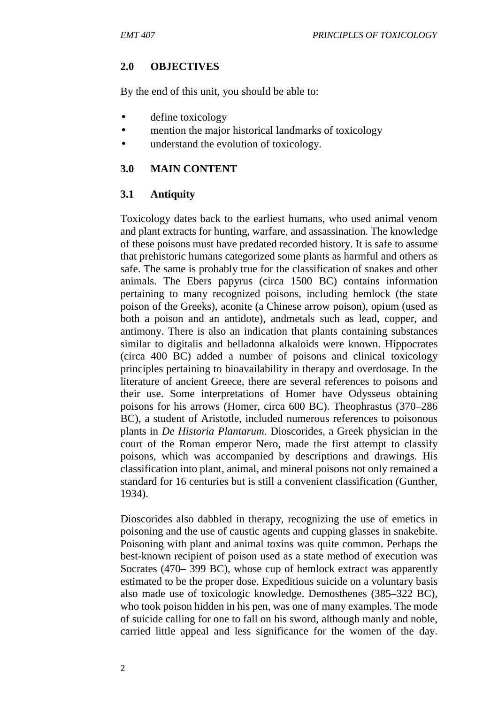### **2.0 OBJECTIVES**

By the end of this unit, you should be able to:

- define toxicology
- mention the major historical landmarks of toxicology
- understand the evolution of toxicology.

### **3.0 MAIN CONTENT**

### **3.1 Antiquity**

Toxicology dates back to the earliest humans, who used animal venom and plant extracts for hunting, warfare, and assassination. The knowledge of these poisons must have predated recorded history. It is safe to assume that prehistoric humans categorized some plants as harmful and others as safe. The same is probably true for the classification of snakes and other animals. The Ebers papyrus (circa 1500 BC) contains information pertaining to many recognized poisons, including hemlock (the state poison of the Greeks), aconite (a Chinese arrow poison), opium (used as both a poison and an antidote), andmetals such as lead, copper, and antimony. There is also an indication that plants containing substances similar to digitalis and belladonna alkaloids were known. Hippocrates (circa 400 BC) added a number of poisons and clinical toxicology principles pertaining to bioavailability in therapy and overdosage. In the literature of ancient Greece, there are several references to poisons and their use. Some interpretations of Homer have Odysseus obtaining poisons for his arrows (Homer, circa 600 BC). Theophrastus (370–286 BC), a student of Aristotle, included numerous references to poisonous plants in *De Historia Plantarum*. Dioscorides, a Greek physician in the court of the Roman emperor Nero, made the first attempt to classify poisons, which was accompanied by descriptions and drawings. His classification into plant, animal, and mineral poisons not only remained a standard for 16 centuries but is still a convenient classification (Gunther, 1934).

Dioscorides also dabbled in therapy, recognizing the use of emetics in poisoning and the use of caustic agents and cupping glasses in snakebite. Poisoning with plant and animal toxins was quite common. Perhaps the best-known recipient of poison used as a state method of execution was Socrates (470– 399 BC), whose cup of hemlock extract was apparently estimated to be the proper dose. Expeditious suicide on a voluntary basis also made use of toxicologic knowledge. Demosthenes (385–322 BC), who took poison hidden in his pen, was one of many examples. The mode of suicide calling for one to fall on his sword, although manly and noble, carried little appeal and less significance for the women of the day.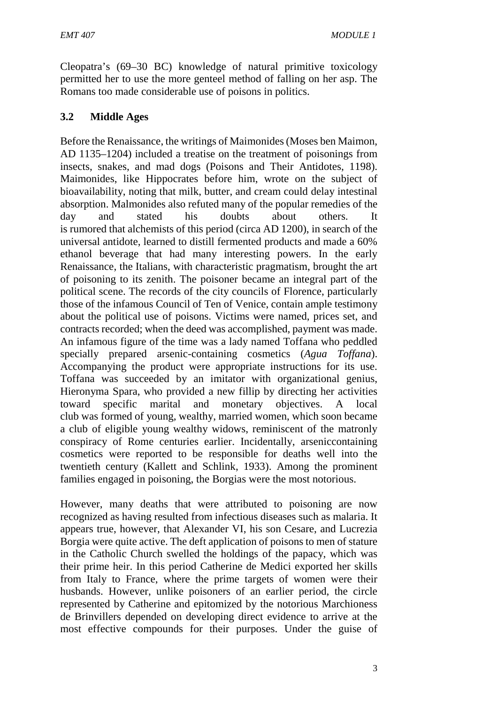Cleopatra's (69–30 BC) knowledge of natural primitive toxicology permitted her to use the more genteel method of falling on her asp. The Romans too made considerable use of poisons in politics.

### **3.2 Middle Ages**

Before the Renaissance, the writings of Maimonides (Moses ben Maimon, AD 1135–1204) included a treatise on the treatment of poisonings from insects, snakes, and mad dogs (Poisons and Their Antidotes, 1198). Maimonides, like Hippocrates before him, wrote on the subject of bioavailability, noting that milk, butter, and cream could delay intestinal absorption. Malmonides also refuted many of the popular remedies of the day and stated his doubts about others. It is rumored that alchemists of this period (circa AD 1200), in search of the universal antidote, learned to distill fermented products and made a 60% ethanol beverage that had many interesting powers. In the early Renaissance, the Italians, with characteristic pragmatism, brought the art of poisoning to its zenith. The poisoner became an integral part of the political scene. The records of the city councils of Florence, particularly those of the infamous Council of Ten of Venice, contain ample testimony about the political use of poisons. Victims were named, prices set, and contracts recorded; when the deed was accomplished, payment was made. An infamous figure of the time was a lady named Toffana who peddled specially prepared arsenic-containing cosmetics (*Agua Toffana*). Accompanying the product were appropriate instructions for its use. Toffana was succeeded by an imitator with organizational genius, Hieronyma Spara, who provided a new fillip by directing her activities toward specific marital and monetary objectives. A local club was formed of young, wealthy, married women, which soon became a club of eligible young wealthy widows, reminiscent of the matronly conspiracy of Rome centuries earlier. Incidentally, arseniccontaining cosmetics were reported to be responsible for deaths well into the twentieth century (Kallett and Schlink, 1933). Among the prominent families engaged in poisoning, the Borgias were the most notorious.

However, many deaths that were attributed to poisoning are now recognized as having resulted from infectious diseases such as malaria. It appears true, however, that Alexander VI, his son Cesare, and Lucrezia Borgia were quite active. The deft application of poisons to men of stature in the Catholic Church swelled the holdings of the papacy, which was their prime heir. In this period Catherine de Medici exported her skills from Italy to France, where the prime targets of women were their husbands. However, unlike poisoners of an earlier period, the circle represented by Catherine and epitomized by the notorious Marchioness de Brinvillers depended on developing direct evidence to arrive at the most effective compounds for their purposes. Under the guise of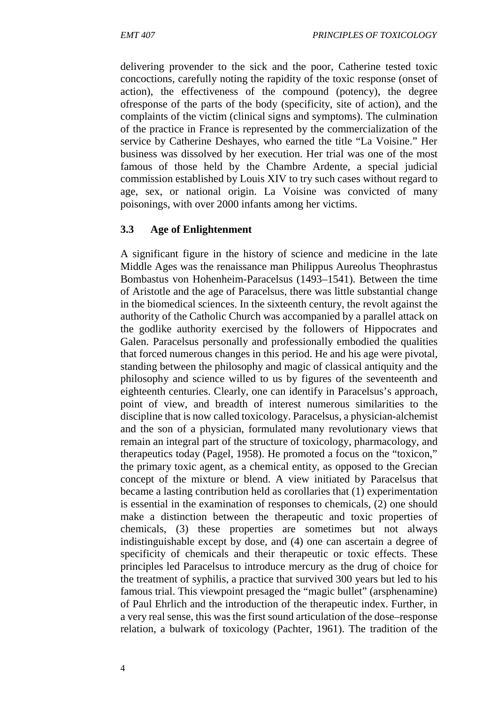delivering provender to the sick and the poor, Catherine tested toxic concoctions, carefully noting the rapidity of the toxic response (onset of action), the effectiveness of the compound (potency), the degree ofresponse of the parts of the body (specificity, site of action), and the complaints of the victim (clinical signs and symptoms). The culmination of the practice in France is represented by the commercialization of the service by Catherine Deshayes, who earned the title "La Voisine." Her business was dissolved by her execution. Her trial was one of the most famous of those held by the Chambre Ardente, a special judicial commission established by Louis XIV to try such cases without regard to age, sex, or national origin. La Voisine was convicted of many poisonings, with over 2000 infants among her victims.

#### **3.3 Age of Enlightenment**

A significant figure in the history of science and medicine in the late Middle Ages was the renaissance man Philippus Aureolus Theophrastus Bombastus von Hohenheim-Paracelsus (1493–1541). Between the time of Aristotle and the age of Paracelsus, there was little substantial change in the biomedical sciences. In the sixteenth century, the revolt against the authority of the Catholic Church was accompanied by a parallel attack on the godlike authority exercised by the followers of Hippocrates and Galen. Paracelsus personally and professionally embodied the qualities that forced numerous changes in this period. He and his age were pivotal, standing between the philosophy and magic of classical antiquity and the philosophy and science willed to us by figures of the seventeenth and eighteenth centuries. Clearly, one can identify in Paracelsus's approach, point of view, and breadth of interest numerous similarities to the discipline that is now called toxicology. Paracelsus, a physician-alchemist and the son of a physician, formulated many revolutionary views that remain an integral part of the structure of toxicology, pharmacology, and therapeutics today (Pagel, 1958). He promoted a focus on the "toxicon," the primary toxic agent, as a chemical entity, as opposed to the Grecian concept of the mixture or blend. A view initiated by Paracelsus that became a lasting contribution held as corollaries that (1) experimentation is essential in the examination of responses to chemicals, (2) one should make a distinction between the therapeutic and toxic properties of chemicals, (3) these properties are sometimes but not always indistinguishable except by dose, and (4) one can ascertain a degree of specificity of chemicals and their therapeutic or toxic effects. These principles led Paracelsus to introduce mercury as the drug of choice for the treatment of syphilis, a practice that survived 300 years but led to his famous trial. This viewpoint presaged the "magic bullet" (arsphenamine) of Paul Ehrlich and the introduction of the therapeutic index. Further, in a very real sense, this was the first sound articulation of the dose–response relation, a bulwark of toxicology (Pachter, 1961). The tradition of the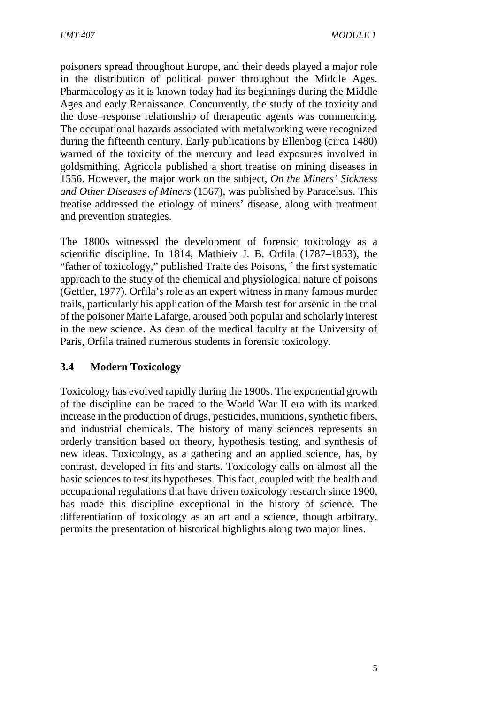poisoners spread throughout Europe, and their deeds played a major role in the distribution of political power throughout the Middle Ages. Pharmacology as it is known today had its beginnings during the Middle Ages and early Renaissance. Concurrently, the study of the toxicity and the dose–response relationship of therapeutic agents was commencing. The occupational hazards associated with metalworking were recognized during the fifteenth century. Early publications by Ellenbog (circa 1480) warned of the toxicity of the mercury and lead exposures involved in goldsmithing. Agricola published a short treatise on mining diseases in 1556. However, the major work on the subject, *On the Miners' Sickness and Other Diseases of Miners* (1567), was published by Paracelsus. This treatise addressed the etiology of miners' disease, along with treatment and prevention strategies.

The 1800s witnessed the development of forensic toxicology as a scientific discipline. In 1814, Mathieiv J. B. Orfila (1787–1853), the "father of toxicology," published Traite des Poisons, ´ the first systematic approach to the study of the chemical and physiological nature of poisons (Gettler, 1977). Orfila's role as an expert witness in many famous murder trails, particularly his application of the Marsh test for arsenic in the trial of the poisoner Marie Lafarge, aroused both popular and scholarly interest in the new science. As dean of the medical faculty at the University of Paris, Orfila trained numerous students in forensic toxicology.

### **3.4 Modern Toxicology**

Toxicology has evolved rapidly during the 1900s. The exponential growth of the discipline can be traced to the World War II era with its marked increase in the production of drugs, pesticides, munitions, synthetic fibers, and industrial chemicals. The history of many sciences represents an orderly transition based on theory, hypothesis testing, and synthesis of new ideas. Toxicology, as a gathering and an applied science, has, by contrast, developed in fits and starts. Toxicology calls on almost all the basic sciences to test its hypotheses. This fact, coupled with the health and occupational regulations that have driven toxicology research since 1900, has made this discipline exceptional in the history of science. The differentiation of toxicology as an art and a science, though arbitrary, permits the presentation of historical highlights along two major lines.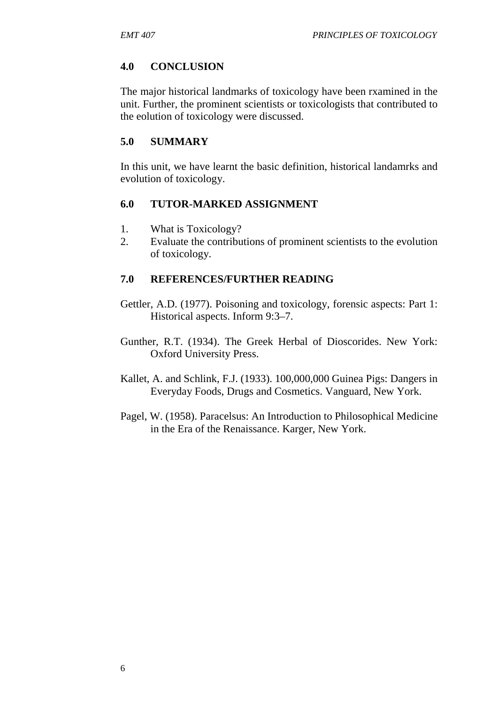### **4.0 CONCLUSION**

The major historical landmarks of toxicology have been rxamined in the unit. Further, the prominent scientists or toxicologists that contributed to the eolution of toxicology were discussed.

### **5.0 SUMMARY**

In this unit, we have learnt the basic definition, historical landamrks and evolution of toxicology.

### **6.0 TUTOR-MARKED ASSIGNMENT**

- 1. What is Toxicology?
- 2. Evaluate the contributions of prominent scientists to the evolution of toxicology.

#### **7.0 REFERENCES/FURTHER READING**

- Gettler, A.D. (1977). Poisoning and toxicology, forensic aspects: Part 1: Historical aspects. Inform 9:3–7.
- Gunther, R.T. (1934). The Greek Herbal of Dioscorides. New York: Oxford University Press.
- Kallet, A. and Schlink, F.J. (1933). 100,000,000 Guinea Pigs: Dangers in Everyday Foods, Drugs and Cosmetics. Vanguard, New York.
- Pagel, W. (1958). Paracelsus: An Introduction to Philosophical Medicine in the Era of the Renaissance. Karger, New York.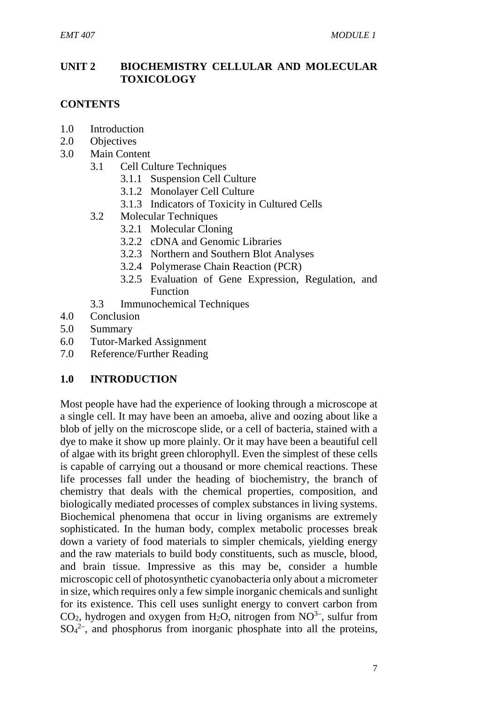### **UNIT 2 BIOCHEMISTRY CELLULAR AND MOLECULAR TOXICOLOGY**

### **CONTENTS**

- 1.0 Introduction
- 2.0 Objectives
- 3.0 Main Content
	- 3.1 Cell Culture Techniques
		- 3.1.1 Suspension Cell Culture
		- 3.1.2 Monolayer Cell Culture
		- 3.1.3 Indicators of Toxicity in Cultured Cells
	- 3.2 Molecular Techniques
		- 3.2.1 Molecular Cloning
		- 3.2.2 cDNA and Genomic Libraries
		- 3.2.3 Northern and Southern Blot Analyses
		- 3.2.4 Polymerase Chain Reaction (PCR)
		- 3.2.5 Evaluation of Gene Expression, Regulation, and Function
	- 3.3 Immunochemical Techniques
- 4.0 Conclusion
- 5.0 Summary
- 6.0 Tutor-Marked Assignment
- 7.0 Reference/Further Reading

### **1.0 INTRODUCTION**

Most people have had the experience of looking through a microscope at a single cell. It may have been an amoeba, alive and oozing about like a blob of jelly on the microscope slide, or a cell of bacteria, stained with a dye to make it show up more plainly. Or it may have been a beautiful cell of algae with its bright green chlorophyll. Even the simplest of these cells is capable of carrying out a thousand or more chemical reactions. These life processes fall under the heading of biochemistry, the branch of chemistry that deals with the chemical properties, composition, and biologically mediated processes of complex substances in living systems. Biochemical phenomena that occur in living organisms are extremely sophisticated. In the human body, complex metabolic processes break down a variety of food materials to simpler chemicals, yielding energy and the raw materials to build body constituents, such as muscle, blood, and brain tissue. Impressive as this may be, consider a humble microscopic cell of photosynthetic cyanobacteria only about a micrometer in size, which requires only a few simple inorganic chemicals and sunlight for its existence. This cell uses sunlight energy to convert carbon from  $CO<sub>2</sub>$ , hydrogen and oxygen from H<sub>2</sub>O, nitrogen from NO<sup>3–</sup>, sulfur from  $SO<sub>4</sub><sup>2</sup>$ , and phosphorus from inorganic phosphate into all the proteins,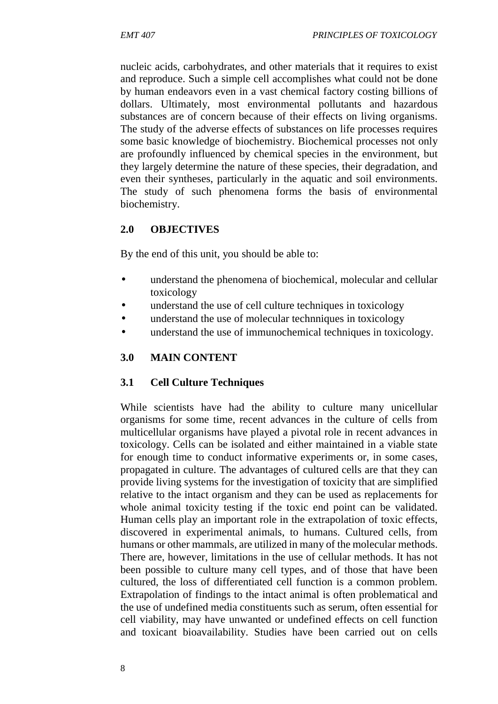nucleic acids, carbohydrates, and other materials that it requires to exist and reproduce. Such a simple cell accomplishes what could not be done by human endeavors even in a vast chemical factory costing billions of dollars. Ultimately, most environmental pollutants and hazardous substances are of concern because of their effects on living organisms. The study of the adverse effects of substances on life processes requires some basic knowledge of biochemistry. Biochemical processes not only are profoundly influenced by chemical species in the environment, but they largely determine the nature of these species, their degradation, and even their syntheses, particularly in the aquatic and soil environments. The study of such phenomena forms the basis of environmental biochemistry.

### **2.0 OBJECTIVES**

By the end of this unit, you should be able to:

- understand the phenomena of biochemical, molecular and cellular toxicology
- understand the use of cell culture techniques in toxicology
- understand the use of molecular technniques in toxicology
- understand the use of immunochemical techniques in toxicology.

### **3.0 MAIN CONTENT**

### **3.1 Cell Culture Techniques**

While scientists have had the ability to culture many unicellular organisms for some time, recent advances in the culture of cells from multicellular organisms have played a pivotal role in recent advances in toxicology. Cells can be isolated and either maintained in a viable state for enough time to conduct informative experiments or, in some cases, propagated in culture. The advantages of cultured cells are that they can provide living systems for the investigation of toxicity that are simplified relative to the intact organism and they can be used as replacements for whole animal toxicity testing if the toxic end point can be validated. Human cells play an important role in the extrapolation of toxic effects, discovered in experimental animals, to humans. Cultured cells, from humans or other mammals, are utilized in many of the molecular methods. There are, however, limitations in the use of cellular methods. It has not been possible to culture many cell types, and of those that have been cultured, the loss of differentiated cell function is a common problem. Extrapolation of findings to the intact animal is often problematical and the use of undefined media constituents such as serum, often essential for cell viability, may have unwanted or undefined effects on cell function and toxicant bioavailability. Studies have been carried out on cells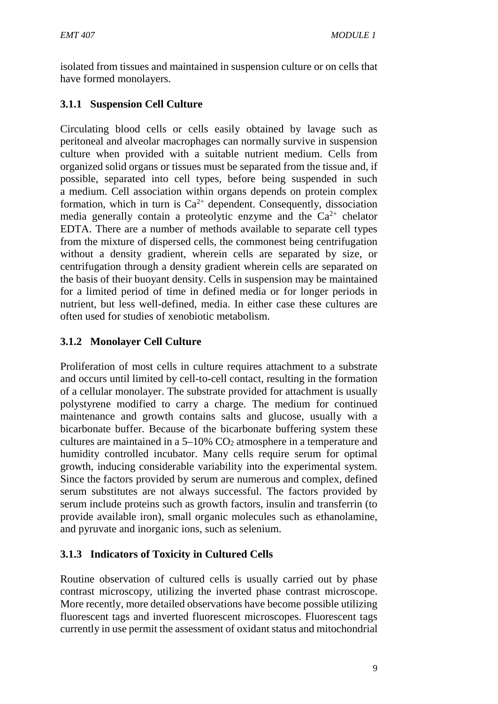isolated from tissues and maintained in suspension culture or on cells that have formed monolayers.

## **3.1.1 Suspension Cell Culture**

Circulating blood cells or cells easily obtained by lavage such as peritoneal and alveolar macrophages can normally survive in suspension culture when provided with a suitable nutrient medium. Cells from organized solid organs or tissues must be separated from the tissue and, if possible, separated into cell types, before being suspended in such a medium. Cell association within organs depends on protein complex formation, which in turn is  $Ca^{2+}$  dependent. Consequently, dissociation media generally contain a proteolytic enzyme and the  $Ca^{2+}$  chelator EDTA. There are a number of methods available to separate cell types from the mixture of dispersed cells, the commonest being centrifugation without a density gradient, wherein cells are separated by size, or centrifugation through a density gradient wherein cells are separated on the basis of their buoyant density. Cells in suspension may be maintained for a limited period of time in defined media or for longer periods in nutrient, but less well-defined, media. In either case these cultures are often used for studies of xenobiotic metabolism.

### **3.1.2 Monolayer Cell Culture**

Proliferation of most cells in culture requires attachment to a substrate and occurs until limited by cell-to-cell contact, resulting in the formation of a cellular monolayer. The substrate provided for attachment is usually polystyrene modified to carry a charge. The medium for continued maintenance and growth contains salts and glucose, usually with a bicarbonate buffer. Because of the bicarbonate buffering system these cultures are maintained in a  $5-10\%$  CO<sub>2</sub> atmosphere in a temperature and humidity controlled incubator. Many cells require serum for optimal growth, inducing considerable variability into the experimental system. Since the factors provided by serum are numerous and complex, defined serum substitutes are not always successful. The factors provided by serum include proteins such as growth factors, insulin and transferrin (to provide available iron), small organic molecules such as ethanolamine, and pyruvate and inorganic ions, such as selenium.

# **3.1.3 Indicators of Toxicity in Cultured Cells**

Routine observation of cultured cells is usually carried out by phase contrast microscopy, utilizing the inverted phase contrast microscope. More recently, more detailed observations have become possible utilizing fluorescent tags and inverted fluorescent microscopes. Fluorescent tags currently in use permit the assessment of oxidant status and mitochondrial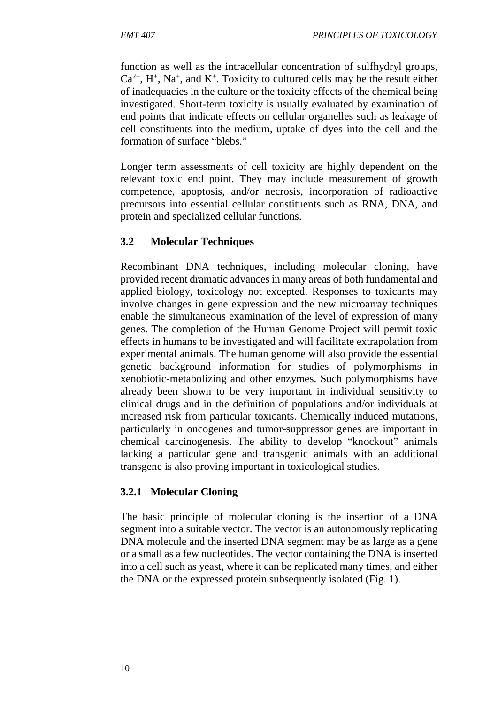function as well as the intracellular concentration of sulfhydryl groups,  $Ca^{2+}$ , H<sup>+</sup>, Na<sup>+</sup>, and K<sup>+</sup>. Toxicity to cultured cells may be the result either of inadequacies in the culture or the toxicity effects of the chemical being investigated. Short-term toxicity is usually evaluated by examination of end points that indicate effects on cellular organelles such as leakage of cell constituents into the medium, uptake of dyes into the cell and the formation of surface "blebs."

Longer term assessments of cell toxicity are highly dependent on the relevant toxic end point. They may include measurement of growth competence, apoptosis, and/or necrosis, incorporation of radioactive precursors into essential cellular constituents such as RNA, DNA, and protein and specialized cellular functions.

### **3.2 Molecular Techniques**

Recombinant DNA techniques, including molecular cloning, have provided recent dramatic advances in many areas of both fundamental and applied biology, toxicology not excepted. Responses to toxicants may involve changes in gene expression and the new microarray techniques enable the simultaneous examination of the level of expression of many genes. The completion of the Human Genome Project will permit toxic effects in humans to be investigated and will facilitate extrapolation from experimental animals. The human genome will also provide the essential genetic background information for studies of polymorphisms in xenobiotic-metabolizing and other enzymes. Such polymorphisms have already been shown to be very important in individual sensitivity to clinical drugs and in the definition of populations and/or individuals at increased risk from particular toxicants. Chemically induced mutations, particularly in oncogenes and tumor-suppressor genes are important in chemical carcinogenesis. The ability to develop "knockout" animals lacking a particular gene and transgenic animals with an additional transgene is also proving important in toxicological studies.

#### **3.2.1 Molecular Cloning**

The basic principle of molecular cloning is the insertion of a DNA segment into a suitable vector. The vector is an autonomously replicating DNA molecule and the inserted DNA segment may be as large as a gene or a small as a few nucleotides. The vector containing the DNA is inserted into a cell such as yeast, where it can be replicated many times, and either the DNA or the expressed protein subsequently isolated (Fig. 1).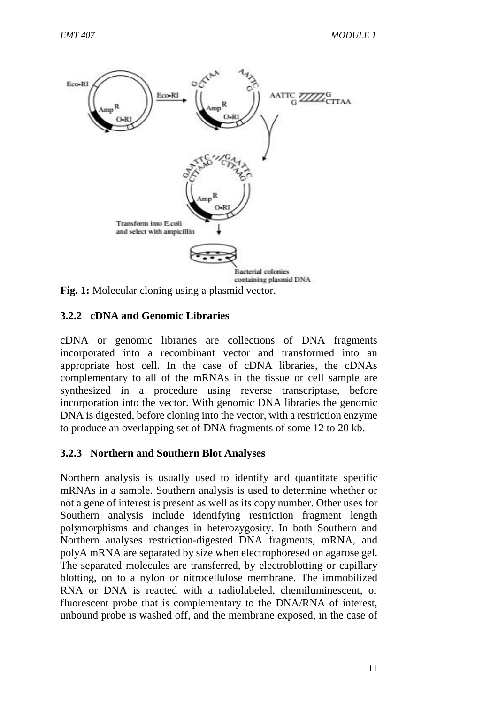

**Fig. 1:** Molecular cloning using a plasmid vector.

#### **3.2.2 cDNA and Genomic Libraries**

cDNA or genomic libraries are collections of DNA fragments incorporated into a recombinant vector and transformed into an appropriate host cell. In the case of cDNA libraries, the cDNAs complementary to all of the mRNAs in the tissue or cell sample are synthesized in a procedure using reverse transcriptase, before incorporation into the vector. With genomic DNA libraries the genomic DNA is digested, before cloning into the vector, with a restriction enzyme to produce an overlapping set of DNA fragments of some 12 to 20 kb.

#### **3.2.3 Northern and Southern Blot Analyses**

Northern analysis is usually used to identify and quantitate specific mRNAs in a sample. Southern analysis is used to determine whether or not a gene of interest is present as well as its copy number. Other uses for Southern analysis include identifying restriction fragment length polymorphisms and changes in heterozygosity. In both Southern and Northern analyses restriction-digested DNA fragments, mRNA, and polyA mRNA are separated by size when electrophoresed on agarose gel. The separated molecules are transferred, by electroblotting or capillary blotting, on to a nylon or nitrocellulose membrane. The immobilized RNA or DNA is reacted with a radiolabeled, chemiluminescent, or fluorescent probe that is complementary to the DNA/RNA of interest, unbound probe is washed off, and the membrane exposed, in the case of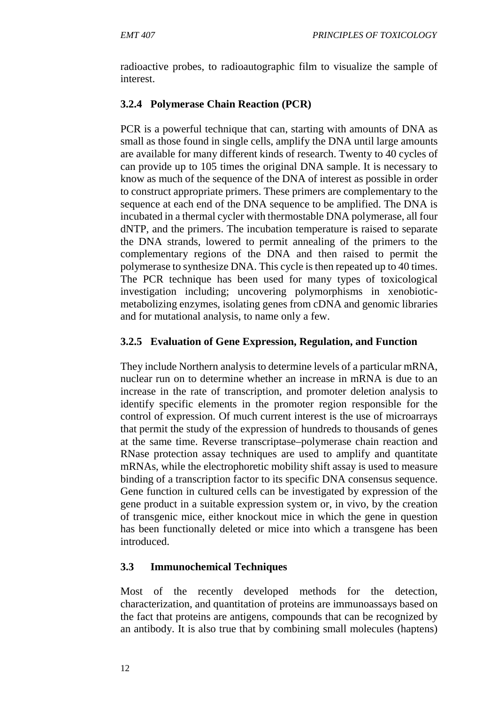radioactive probes, to radioautographic film to visualize the sample of interest.

## **3.2.4 Polymerase Chain Reaction (PCR)**

PCR is a powerful technique that can, starting with amounts of DNA as small as those found in single cells, amplify the DNA until large amounts are available for many different kinds of research. Twenty to 40 cycles of can provide up to 105 times the original DNA sample. It is necessary to know as much of the sequence of the DNA of interest as possible in order to construct appropriate primers. These primers are complementary to the sequence at each end of the DNA sequence to be amplified. The DNA is incubated in a thermal cycler with thermostable DNA polymerase, all four dNTP, and the primers. The incubation temperature is raised to separate the DNA strands, lowered to permit annealing of the primers to the complementary regions of the DNA and then raised to permit the polymerase to synthesize DNA. This cycle is then repeated up to 40 times. The PCR technique has been used for many types of toxicological investigation including; uncovering polymorphisms in xenobiotic metabolizing enzymes, isolating genes from cDNA and genomic libraries and for mutational analysis, to name only a few.

### **3.2.5 Evaluation of Gene Expression, Regulation, and Function**

They include Northern analysis to determine levels of a particular mRNA, nuclear run on to determine whether an increase in mRNA is due to an increase in the rate of transcription, and promoter deletion analysis to identify specific elements in the promoter region responsible for the control of expression. Of much current interest is the use of microarrays that permit the study of the expression of hundreds to thousands of genes at the same time. Reverse transcriptase–polymerase chain reaction and RNase protection assay techniques are used to amplify and quantitate mRNAs, while the electrophoretic mobility shift assay is used to measure binding of a transcription factor to its specific DNA consensus sequence. Gene function in cultured cells can be investigated by expression of the gene product in a suitable expression system or, in vivo, by the creation of transgenic mice, either knockout mice in which the gene in question has been functionally deleted or mice into which a transgene has been introduced.

### **3.3 Immunochemical Techniques**

Most of the recently developed methods for the detection, characterization, and quantitation of proteins are immunoassays based on the fact that proteins are antigens, compounds that can be recognized by an antibody. It is also true that by combining small molecules (haptens)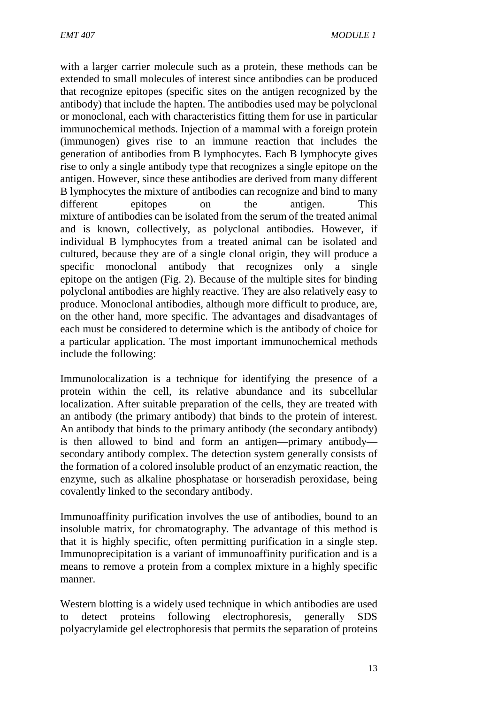with a larger carrier molecule such as a protein, these methods can be extended to small molecules of interest since antibodies can be produced that recognize epitopes (specific sites on the antigen recognized by the antibody) that include the hapten. The antibodies used may be polyclonal or monoclonal, each with characteristics fitting them for use in particular immunochemical methods. Injection of a mammal with a foreign protein (immunogen) gives rise to an immune reaction that includes the generation of antibodies from B lymphocytes. Each B lymphocyte gives rise to only a single antibody type that recognizes a single epitope on the antigen. However, since these antibodies are derived from many different B lymphocytes the mixture of antibodies can recognize and bind to many different epitopes on the antigen. This mixture of antibodies can be isolated from the serum of the treated animal and is known, collectively, as polyclonal antibodies. However, if individual B lymphocytes from a treated animal can be isolated and cultured, because they are of a single clonal origin, they will produce a specific monoclonal antibody that recognizes only a single epitope on the antigen (Fig. 2). Because of the multiple sites for binding polyclonal antibodies are highly reactive. They are also relatively easy to produce. Monoclonal antibodies, although more difficult to produce, are, on the other hand, more specific. The advantages and disadvantages of each must be considered to determine which is the antibody of choice for a particular application. The most important immunochemical methods include the following:

Immunolocalization is a technique for identifying the presence of a protein within the cell, its relative abundance and its subcellular localization. After suitable preparation of the cells, they are treated with an antibody (the primary antibody) that binds to the protein of interest. An antibody that binds to the primary antibody (the secondary antibody) is then allowed to bind and form an antigen—primary antibody secondary antibody complex. The detection system generally consists of the formation of a colored insoluble product of an enzymatic reaction, the enzyme, such as alkaline phosphatase or horseradish peroxidase, being covalently linked to the secondary antibody.

Immunoaffinity purification involves the use of antibodies, bound to an insoluble matrix, for chromatography. The advantage of this method is that it is highly specific, often permitting purification in a single step. Immunoprecipitation is a variant of immunoaffinity purification and is a means to remove a protein from a complex mixture in a highly specific manner.

Western blotting is a widely used technique in which antibodies are used to detect proteins following electrophoresis, generally SDS polyacrylamide gel electrophoresis that permits the separation of proteins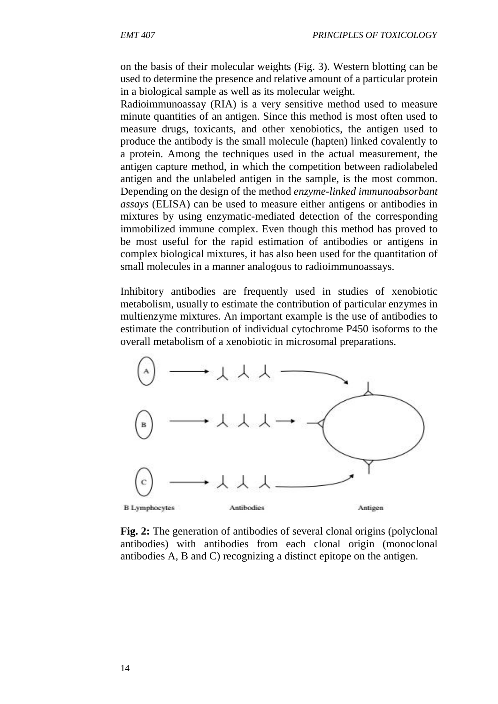on the basis of their molecular weights (Fig. 3). Western blotting can be used to determine the presence and relative amount of a particular protein in a biological sample as well as its molecular weight.

Radioimmunoassay (RIA) is a very sensitive method used to measure minute quantities of an antigen. Since this method is most often used to measure drugs, toxicants, and other xenobiotics, the antigen used to produce the antibody is the small molecule (hapten) linked covalently to a protein. Among the techniques used in the actual measurement, the antigen capture method, in which the competition between radiolabeled antigen and the unlabeled antigen in the sample, is the most common. Depending on the design of the method *enzyme-linked immunoabsorbant assays* (ELISA) can be used to measure either antigens or antibodies in mixtures by using enzymatic-mediated detection of the corresponding immobilized immune complex. Even though this method has proved to be most useful for the rapid estimation of antibodies or antigens in complex biological mixtures, it has also been used for the quantitation of small molecules in a manner analogous to radioimmunoassays.

Inhibitory antibodies are frequently used in studies of xenobiotic metabolism, usually to estimate the contribution of particular enzymes in multienzyme mixtures. An important example is the use of antibodies to estimate the contribution of individual cytochrome P450 isoforms to the overall metabolism of a xenobiotic in microsomal preparations.



**Fig. 2:** The generation of antibodies of several clonal origins (polyclonal antibodies) with antibodies from each clonal origin (monoclonal antibodies A, B and C) recognizing a distinct epitope on the antigen.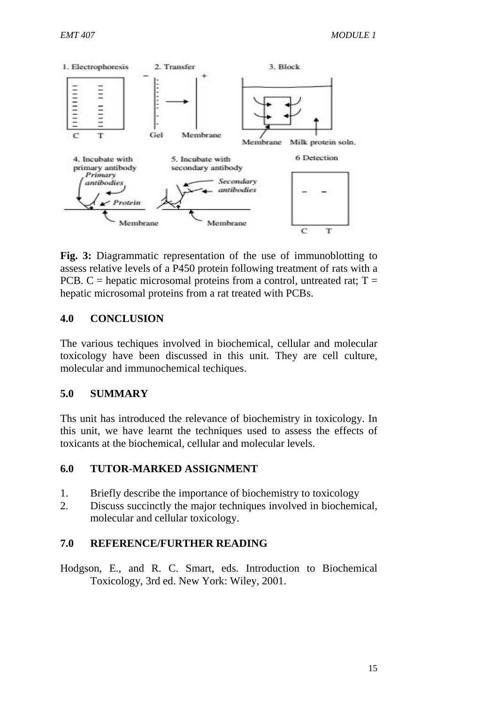

**Fig. 3:** Diagrammatic representation of the use of immunoblotting to assess relative levels of a P450 protein following treatment of rats with a PCB. C = hepatic microsomal proteins from a control, untreated rat;  $T =$ hepatic microsomal proteins from a rat treated with PCBs.

#### **4.0 CONCLUSION**

The various techiques involved in biochemical, cellular and molecular toxicology have been discussed in this unit. They are cell culture, molecular and immunochemical techiques.

#### **5.0 SUMMARY**

Ths unit has introduced the relevance of biochemistry in toxicology. In this unit, we have learnt the techniques used to assess the effects of toxicants at the biochemical, cellular and molecular levels.

#### **6.0 TUTOR-MARKED ASSIGNMENT**

- 1. Briefly describe the importance of biochemistry to toxicology
- 2. Discuss succinctly the major techniques involved in biochemical, molecular and cellular toxicology.

#### **7.0 REFERENCE/FURTHER READING**

Hodgson, E., and R. C. Smart, eds. Introduction to Biochemical Toxicology, 3rd ed. New York: Wiley, 2001.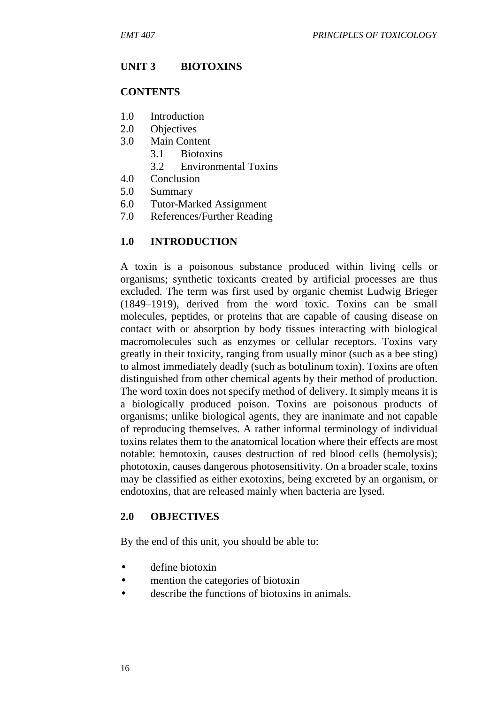### **UNIT 3 BIOTOXINS**

#### **CONTENTS**

- 1.0 Introduction
- 2.0 Objectives
- 3.0 Main Content
	- 3.1 Biotoxins
	- 3.2 Environmental Toxins
- 4.0 Conclusion
- 5.0 Summary
- 6.0 Tutor-Marked Assignment
- 7.0 References/Further Reading

#### **1.0 INTRODUCTION**

A toxin is a poisonous substance produced within living cells or organisms; synthetic toxicants created by artificial processes are thus excluded. The term was first used by organic chemist Ludwig Brieger (1849–1919), derived from the word toxic. Toxins can be small molecules, peptides, or proteins that are capable of causing disease on contact with or absorption by body tissues interacting with biological macromolecules such as enzymes or cellular receptors. Toxins vary greatly in their toxicity, ranging from usually minor (such as a bee sting) to almost immediately deadly (such as botulinum toxin). Toxins are often distinguished from other chemical agents by their method of production. The word toxin does not specify method of delivery. It simply means it is a biologically produced poison. Toxins are poisonous products of organisms; unlike biological agents, they are inanimate and not capable of reproducing themselves. A rather informal terminology of individual toxins relates them to the anatomical location where their effects are most notable: hemotoxin, causes destruction of red blood cells (hemolysis); phototoxin, causes dangerous photosensitivity. On a broader scale, toxins may be classified as either exotoxins, being excreted by an organism, or endotoxins, that are released mainly when bacteria are lysed.

#### **2.0 OBJECTIVES**

By the end of this unit, you should be able to:

- define biotoxin
- mention the categories of biotoxin
- describe the functions of biotoxins in animals.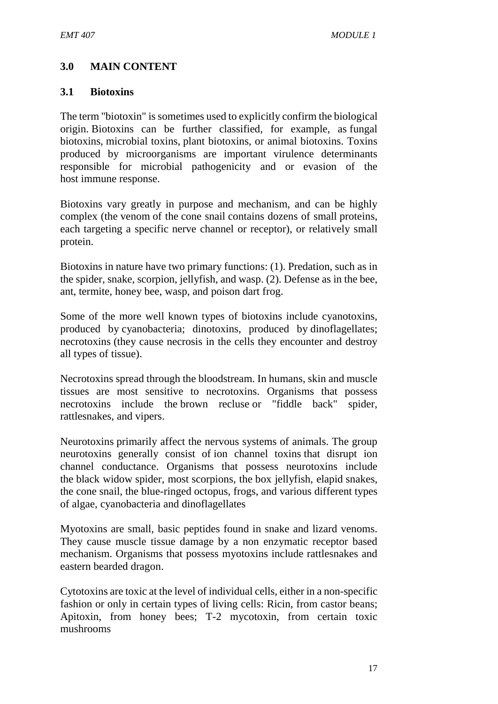## **3.0 MAIN CONTENT**

#### **3.1 Biotoxins**

The term "biotoxin" is sometimes used to explicitly confirm the biological origin. Biotoxins can be further classified, for example, as fungal biotoxins, microbial toxins, plant biotoxins, or animal biotoxins. Toxins produced by microorganisms are important virulence determinants responsible for microbial pathogenicity and or evasion of the host immune response.

Biotoxins vary greatly in purpose and mechanism, and can be highly complex (the venom of the cone snail contains dozens of small proteins, each targeting a specific nerve channel or receptor), or relatively small protein.

Biotoxins in nature have two primary functions: (1). Predation, such as in the spider, snake, scorpion, jellyfish, and wasp. (2). Defense as in the bee, ant, termite, honey bee, wasp, and poison dart frog.

Some of the more well known types of biotoxins include cyanotoxins, produced by cyanobacteria; dinotoxins, produced by dinoflagellates; necrotoxins (they cause necrosis in the cells they encounter and destroy all types of tissue).

Necrotoxins spread through the bloodstream. In humans, skin and muscle tissues are most sensitive to necrotoxins. Organisms that possess necrotoxins include the brown recluse or "fiddle back" spider, rattlesnakes, and vipers.

Neurotoxins primarily affect the nervous systems of animals. The group neurotoxins generally consist of ion channel toxins that disrupt ion channel conductance. Organisms that possess neurotoxins include the black widow spider, most scorpions, the box jellyfish, elapid snakes, the cone snail, the blue-ringed octopus, frogs, and various different types of algae, cyanobacteria and dinoflagellates

Myotoxins are small, basic peptides found in snake and lizard venoms. They cause muscle tissue damage by a non enzymatic receptor based mechanism. Organisms that possess myotoxins include rattlesnakes and eastern bearded dragon.

Cytotoxins are toxic at the level of individual cells, either in a non-specific fashion or only in certain types of living cells: Ricin, from castor beans; Apitoxin, from honey bees; T-2 mycotoxin, from certain toxic mushrooms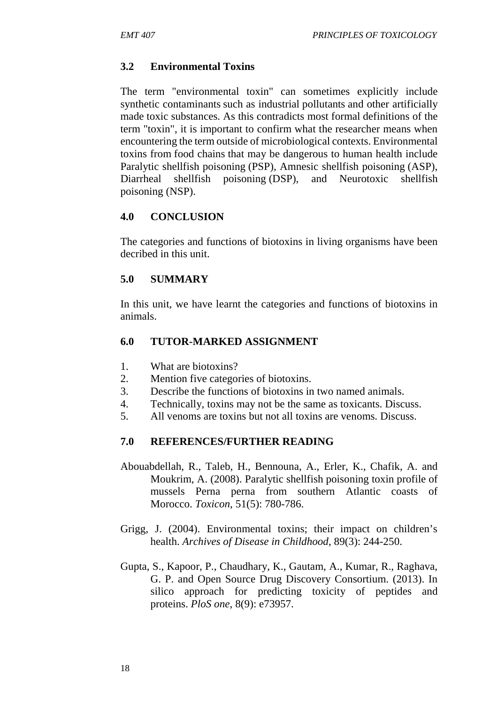### **3.2 Environmental Toxins**

The term "environmental toxin" can sometimes explicitly include synthetic contaminants such as industrial pollutants and other artificially made toxic substances. As this contradicts most formal definitions of the term "toxin", it is important to confirm what the researcher means when encountering the term outside of microbiological contexts. Environmental toxins from food chains that may be dangerous to human health include Paralytic shellfish poisoning (PSP), Amnesic shellfish poisoning (ASP), Diarrheal shellfish poisoning (DSP), and Neurotoxic shellfish poisoning (NSP).

#### **4.0 CONCLUSION**

The categories and functions of biotoxins in living organisms have been decribed in this unit.

### **5.0 SUMMARY**

In this unit, we have learnt the categories and functions of biotoxins in animals.

### **6.0 TUTOR-MARKED ASSIGNMENT**

- 1. What are biotoxins?
- 2. Mention five categories of biotoxins.
- 3. Describe the functions of biotoxins in two named animals.
- 4. Technically, toxins may not be the same as toxicants. Discuss.
- 5. All venoms are toxins but not all toxins are venoms. Discuss.

#### **7.0 REFERENCES/FURTHER READING**

- Abouabdellah, R., Taleb, H., Bennouna, A., Erler, K., Chafik, A. and Moukrim, A. (2008). Paralytic shellfish poisoning toxin profile of mussels Perna perna from southern Atlantic coasts of Morocco. *Toxicon*, 51(5): 780-786.
- Grigg, J. (2004). Environmental toxins; their impact on children's health. *Archives of Disease in Childhood*, 89(3): 244-250.
- Gupta, S., Kapoor, P., Chaudhary, K., Gautam, A., Kumar, R., Raghava, G. P. and Open Source Drug Discovery Consortium. (2013). In silico approach for predicting toxicity of peptides and proteins. *PloS one*, 8(9): e73957.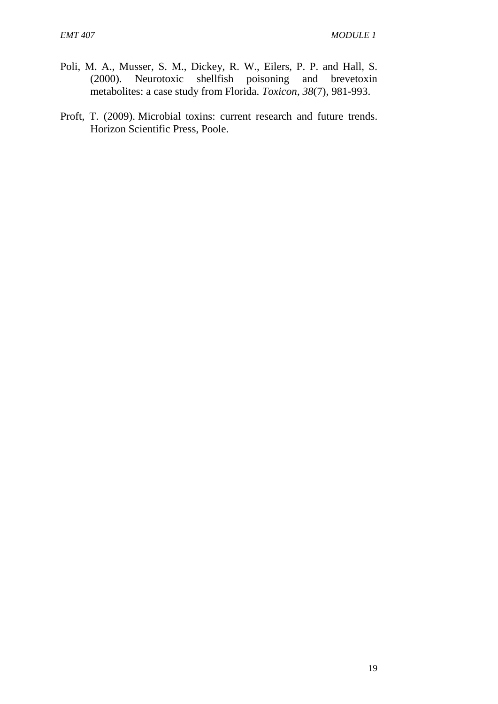- Poli, M. A., Musser, S. M., Dickey, R. W., Eilers, P. P. and Hall, S. (2000). Neurotoxic shellfish poisoning and brevetoxin (2000). Neurotoxic shellfish poisoning and brevetoxin metabolites: a case study from Florida. *Toxicon*, *38*(7), 981-993.
- Proft, T. (2009). Microbial toxins: current research and future trends. Horizon Scientific Press, Poole.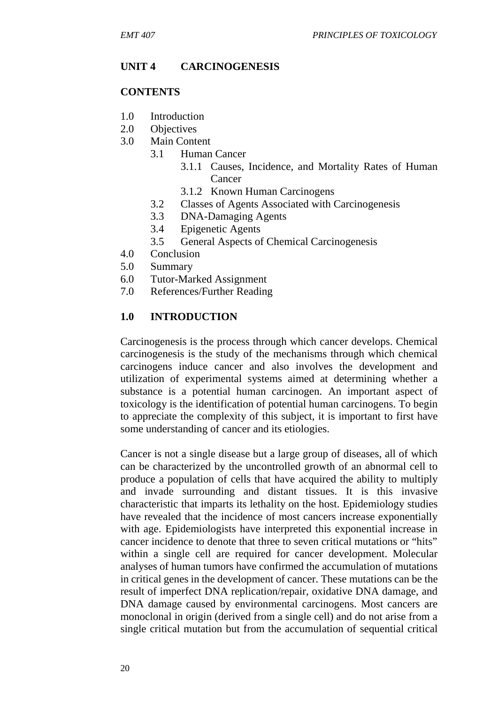#### **UNIT 4 CARCINOGENESIS**

#### **CONTENTS**

- 1.0 Introduction
- 2.0 Objectives
- 3.0 Main Content
	- 3.1 Human Cancer
		- 3.1.1 Causes, Incidence, and Mortality Rates of Human Cancer
		- 3.1.2 Known Human Carcinogens
		- 3.2 Classes of Agents Associated with Carcinogenesis
		- 3.3 DNA-Damaging Agents
	- 3.4 Epigenetic Agents
	- 3.5 General Aspects of Chemical Carcinogenesis
- 4.0 Conclusion
- 5.0 Summary
- 6.0 Tutor-Marked Assignment
- 7.0 References/Further Reading

#### **1.0 INTRODUCTION**

Carcinogenesis is the process through which cancer develops. Chemical carcinogenesis is the study of the mechanisms through which chemical carcinogens induce cancer and also involves the development and utilization of experimental systems aimed at determining whether a substance is a potential human carcinogen. An important aspect of toxicology is the identification of potential human carcinogens. To begin to appreciate the complexity of this subject, it is important to first have some understanding of cancer and its etiologies.

Cancer is not a single disease but a large group of diseases, all of which can be characterized by the uncontrolled growth of an abnormal cell to produce a population of cells that have acquired the ability to multiply and invade surrounding and distant tissues. It is this invasive characteristic that imparts its lethality on the host. Epidemiology studies have revealed that the incidence of most cancers increase exponentially with age. Epidemiologists have interpreted this exponential increase in cancer incidence to denote that three to seven critical mutations or "hits" within a single cell are required for cancer development. Molecular analyses of human tumors have confirmed the accumulation of mutations in critical genes in the development of cancer. These mutations can be the result of imperfect DNA replication/repair, oxidative DNA damage, and DNA damage caused by environmental carcinogens. Most cancers are monoclonal in origin (derived from a single cell) and do not arise from a single critical mutation but from the accumulation of sequential critical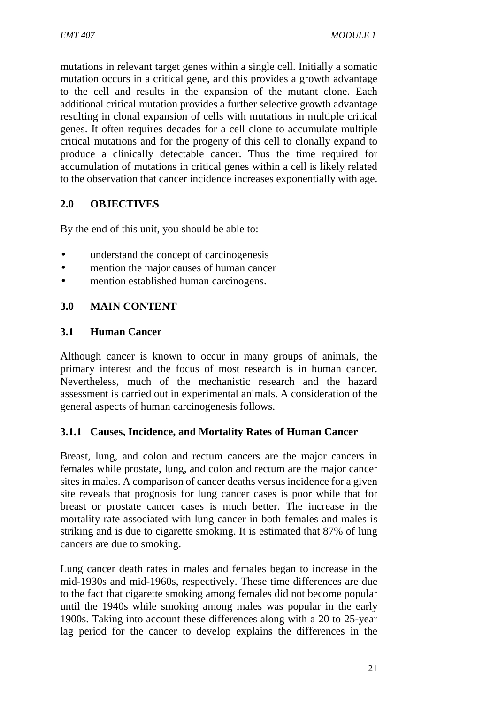mutations in relevant target genes within a single cell. Initially a somatic mutation occurs in a critical gene, and this provides a growth advantage to the cell and results in the expansion of the mutant clone. Each additional critical mutation provides a further selective growth advantage resulting in clonal expansion of cells with mutations in multiple critical genes. It often requires decades for a cell clone to accumulate multiple critical mutations and for the progeny of this cell to clonally expand to produce a clinically detectable cancer. Thus the time required for accumulation of mutations in critical genes within a cell is likely related to the observation that cancer incidence increases exponentially with age.

### **2.0 OBJECTIVES**

By the end of this unit, you should be able to:

- understand the concept of carcinogenesis
- mention the major causes of human cancer
- mention established human carcinogens.

### **3.0 MAIN CONTENT**

#### **3.1 Human Cancer**

Although cancer is known to occur in many groups of animals, the primary interest and the focus of most research is in human cancer. Nevertheless, much of the mechanistic research and the hazard assessment is carried out in experimental animals. A consideration of the general aspects of human carcinogenesis follows.

### **3.1.1 Causes, Incidence, and Mortality Rates of Human Cancer**

Breast, lung, and colon and rectum cancers are the major cancers in females while prostate, lung, and colon and rectum are the major cancer sites in males. A comparison of cancer deaths versus incidence for a given site reveals that prognosis for lung cancer cases is poor while that for breast or prostate cancer cases is much better. The increase in the mortality rate associated with lung cancer in both females and males is striking and is due to cigarette smoking. It is estimated that 87% of lung cancers are due to smoking.

Lung cancer death rates in males and females began to increase in the mid-1930s and mid-1960s, respectively. These time differences are due to the fact that cigarette smoking among females did not become popular until the 1940s while smoking among males was popular in the early 1900s. Taking into account these differences along with a 20 to 25-year lag period for the cancer to develop explains the differences in the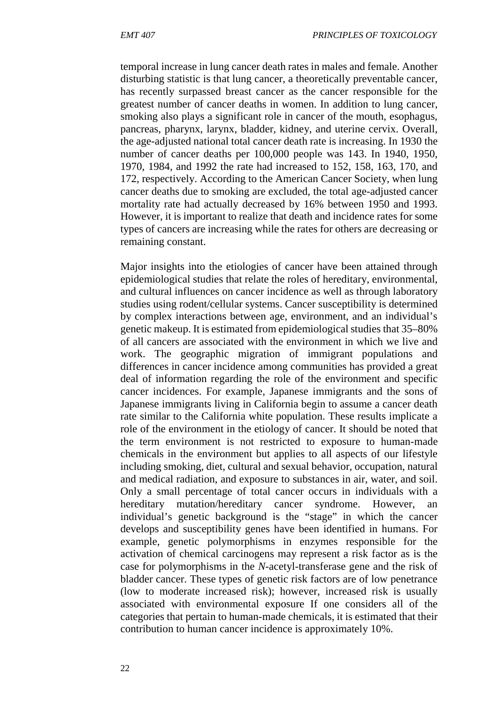temporal increase in lung cancer death rates in males and female. Another disturbing statistic is that lung cancer, a theoretically preventable cancer, has recently surpassed breast cancer as the cancer responsible for the greatest number of cancer deaths in women. In addition to lung cancer, smoking also plays a significant role in cancer of the mouth, esophagus, pancreas, pharynx, larynx, bladder, kidney, and uterine cervix. Overall, the age-adjusted national total cancer death rate is increasing. In 1930 the number of cancer deaths per 100,000 people was 143. In 1940, 1950, 1970, 1984, and 1992 the rate had increased to 152, 158, 163, 170, and 172, respectively. According to the American Cancer Society, when lung cancer deaths due to smoking are excluded, the total age-adjusted cancer mortality rate had actually decreased by 16% between 1950 and 1993. However, it is important to realize that death and incidence rates for some types of cancers are increasing while the rates for others are decreasing or remaining constant.

Major insights into the etiologies of cancer have been attained through epidemiological studies that relate the roles of hereditary, environmental, and cultural influences on cancer incidence as well as through laboratory studies using rodent/cellular systems. Cancer susceptibility is determined by complex interactions between age, environment, and an individual's genetic makeup. It is estimated from epidemiological studies that 35–80% of all cancers are associated with the environment in which we live and work. The geographic migration of immigrant populations and differences in cancer incidence among communities has provided a great deal of information regarding the role of the environment and specific cancer incidences. For example, Japanese immigrants and the sons of Japanese immigrants living in California begin to assume a cancer death rate similar to the California white population. These results implicate a role of the environment in the etiology of cancer. It should be noted that the term environment is not restricted to exposure to human-made chemicals in the environment but applies to all aspects of our lifestyle including smoking, diet, cultural and sexual behavior, occupation, natural and medical radiation, and exposure to substances in air, water, and soil. Only a small percentage of total cancer occurs in individuals with a hereditary mutation/hereditary cancer syndrome. However, an individual's genetic background is the "stage" in which the cancer develops and susceptibility genes have been identified in humans. For example, genetic polymorphisms in enzymes responsible for the activation of chemical carcinogens may represent a risk factor as is the case for polymorphisms in the *N*-acetyl-transferase gene and the risk of bladder cancer. These types of genetic risk factors are of low penetrance (low to moderate increased risk); however, increased risk is usually associated with environmental exposure If one considers all of the categories that pertain to human-made chemicals, it is estimated that their contribution to human cancer incidence is approximately 10%.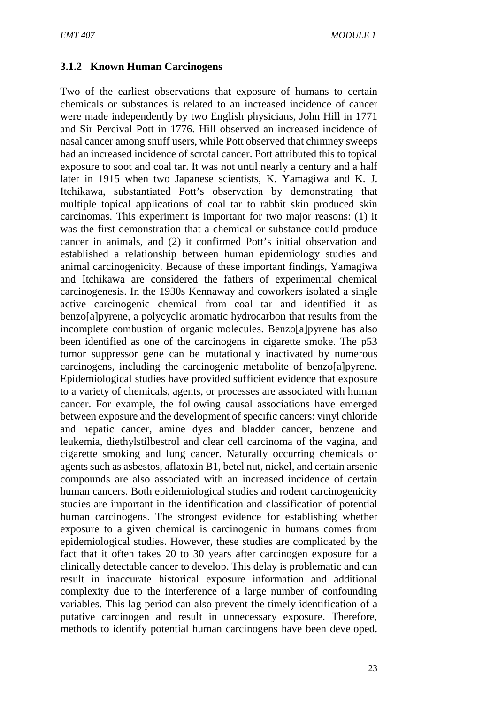#### **3.1.2 Known Human Carcinogens**

Two of the earliest observations that exposure of humans to certain chemicals or substances is related to an increased incidence of cancer were made independently by two English physicians, John Hill in 1771 and Sir Percival Pott in 1776. Hill observed an increased incidence of nasal cancer among snuff users, while Pott observed that chimney sweeps had an increased incidence of scrotal cancer. Pott attributed this to topical exposure to soot and coal tar. It was not until nearly a century and a half later in 1915 when two Japanese scientists, K. Yamagiwa and K. J. Itchikawa, substantiated Pott's observation by demonstrating that multiple topical applications of coal tar to rabbit skin produced skin carcinomas. This experiment is important for two major reasons: (1) it was the first demonstration that a chemical or substance could produce cancer in animals, and (2) it confirmed Pott's initial observation and established a relationship between human epidemiology studies and animal carcinogenicity. Because of these important findings, Yamagiwa and Itchikawa are considered the fathers of experimental chemical carcinogenesis. In the 1930s Kennaway and coworkers isolated a single active carcinogenic chemical from coal tar and identified it as benzo[a]pyrene, a polycyclic aromatic hydrocarbon that results from the incomplete combustion of organic molecules. Benzo[a]pyrene has also been identified as one of the carcinogens in cigarette smoke. The p53 tumor suppressor gene can be mutationally inactivated by numerous carcinogens, including the carcinogenic metabolite of benzo[a]pyrene. Epidemiological studies have provided sufficient evidence that exposure to a variety of chemicals, agents, or processes are associated with human cancer. For example, the following causal associations have emerged between exposure and the development of specific cancers: vinyl chloride and hepatic cancer, amine dyes and bladder cancer, benzene and leukemia, diethylstilbestrol and clear cell carcinoma of the vagina, and cigarette smoking and lung cancer. Naturally occurring chemicals or agents such as asbestos, aflatoxin B1, betel nut, nickel, and certain arsenic compounds are also associated with an increased incidence of certain human cancers. Both epidemiological studies and rodent carcinogenicity studies are important in the identification and classification of potential human carcinogens. The strongest evidence for establishing whether exposure to a given chemical is carcinogenic in humans comes from epidemiological studies. However, these studies are complicated by the fact that it often takes 20 to 30 years after carcinogen exposure for a clinically detectable cancer to develop. This delay is problematic and can result in inaccurate historical exposure information and additional complexity due to the interference of a large number of confounding variables. This lag period can also prevent the timely identification of a putative carcinogen and result in unnecessary exposure. Therefore, methods to identify potential human carcinogens have been developed.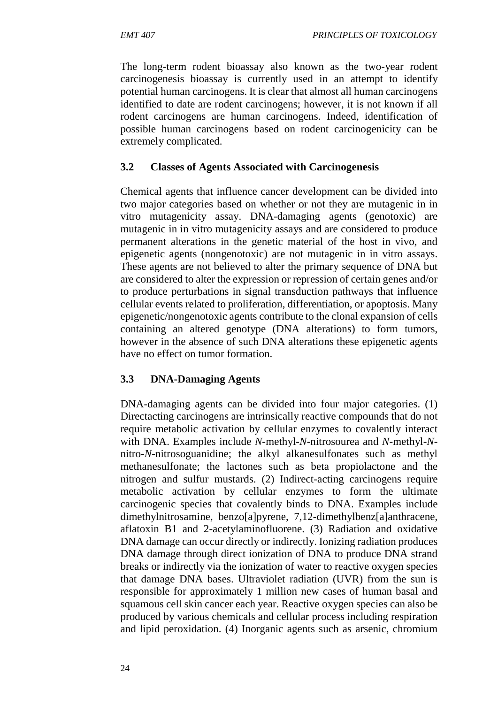The long-term rodent bioassay also known as the two-year rodent carcinogenesis bioassay is currently used in an attempt to identify potential human carcinogens. It is clear that almost all human carcinogens identified to date are rodent carcinogens; however, it is not known if all rodent carcinogens are human carcinogens. Indeed, identification of possible human carcinogens based on rodent carcinogenicity can be extremely complicated.

#### **3.2 Classes of Agents Associated with Carcinogenesis**

Chemical agents that influence cancer development can be divided into two major categories based on whether or not they are mutagenic in in vitro mutagenicity assay. DNA-damaging agents (genotoxic) are mutagenic in in vitro mutagenicity assays and are considered to produce permanent alterations in the genetic material of the host in vivo, and epigenetic agents (nongenotoxic) are not mutagenic in in vitro assays. These agents are not believed to alter the primary sequence of DNA but are considered to alter the expression or repression of certain genes and/or to produce perturbations in signal transduction pathways that influence cellular events related to proliferation, differentiation, or apoptosis. Many epigenetic/nongenotoxic agents contribute to the clonal expansion of cells containing an altered genotype (DNA alterations) to form tumors, however in the absence of such DNA alterations these epigenetic agents have no effect on tumor formation.

### **3.3 DNA-Damaging Agents**

DNA-damaging agents can be divided into four major categories. (1) Directacting carcinogens are intrinsically reactive compounds that do not require metabolic activation by cellular enzymes to covalently interact with DNA. Examples include *N*-methyl-*N*-nitrosourea and *N*-methyl-*N* nitro-*N*-nitrosoguanidine; the alkyl alkanesulfonates such as methyl methanesulfonate; the lactones such as beta propiolactone and the nitrogen and sulfur mustards. (2) Indirect-acting carcinogens require metabolic activation by cellular enzymes to form the ultimate carcinogenic species that covalently binds to DNA. Examples include dimethylnitrosamine, benzo[a]pyrene, 7,12-dimethylbenz[a]anthracene, aflatoxin B1 and 2-acetylaminofluorene. (3) Radiation and oxidative DNA damage can occur directly or indirectly. Ionizing radiation produces DNA damage through direct ionization of DNA to produce DNA strand breaks or indirectly via the ionization of water to reactive oxygen species that damage DNA bases. Ultraviolet radiation (UVR) from the sun is responsible for approximately 1 million new cases of human basal and squamous cell skin cancer each year. Reactive oxygen species can also be produced by various chemicals and cellular process including respiration and lipid peroxidation. (4) Inorganic agents such as arsenic, chromium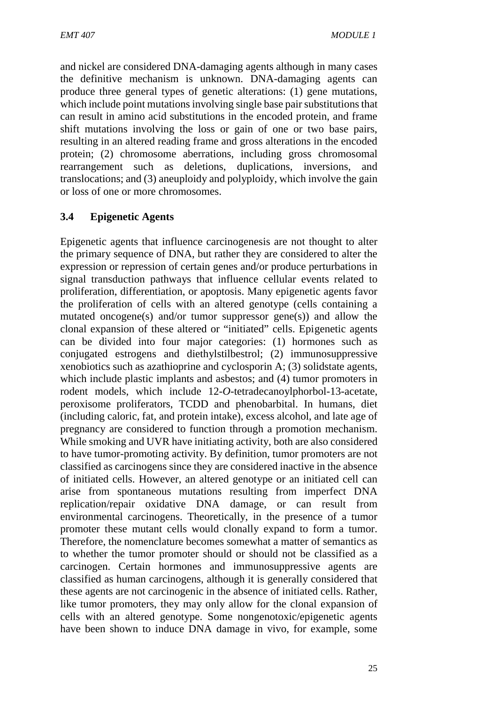and nickel are considered DNA-damaging agents although in many cases the definitive mechanism is unknown. DNA-damaging agents can produce three general types of genetic alterations: (1) gene mutations, which include point mutations involving single base pair substitutions that can result in amino acid substitutions in the encoded protein, and frame shift mutations involving the loss or gain of one or two base pairs, resulting in an altered reading frame and gross alterations in the encoded protein; (2) chromosome aberrations, including gross chromosomal rearrangement such as deletions, duplications, inversions, and translocations; and (3) aneuploidy and polyploidy, which involve the gain or loss of one or more chromosomes.

### **3.4 Epigenetic Agents**

Epigenetic agents that influence carcinogenesis are not thought to alter the primary sequence of DNA, but rather they are considered to alter the expression or repression of certain genes and/or produce perturbations in signal transduction pathways that influence cellular events related to proliferation, differentiation, or apoptosis. Many epigenetic agents favor the proliferation of cells with an altered genotype (cells containing a mutated oncogene(s) and/or tumor suppressor gene(s)) and allow the clonal expansion of these altered or "initiated" cells. Epigenetic agents can be divided into four major categories: (1) hormones such as conjugated estrogens and diethylstilbestrol; (2) immunosuppressive xenobiotics such as azathioprine and cyclosporin A; (3) solidstate agents, which include plastic implants and asbestos; and (4) tumor promoters in rodent models, which include 12-*O*-tetradecanoylphorbol-13-acetate, peroxisome proliferators, TCDD and phenobarbital. In humans, diet (including caloric, fat, and protein intake), excess alcohol, and late age of pregnancy are considered to function through a promotion mechanism. While smoking and UVR have initiating activity, both are also considered to have tumor-promoting activity. By definition, tumor promoters are not classified as carcinogens since they are considered inactive in the absence of initiated cells. However, an altered genotype or an initiated cell can arise from spontaneous mutations resulting from imperfect DNA replication/repair oxidative DNA damage, or can result from environmental carcinogens. Theoretically, in the presence of a tumor promoter these mutant cells would clonally expand to form a tumor. Therefore, the nomenclature becomes somewhat a matter of semantics as to whether the tumor promoter should or should not be classified as a carcinogen. Certain hormones and immunosuppressive agents are classified as human carcinogens, although it is generally considered that these agents are not carcinogenic in the absence of initiated cells. Rather, like tumor promoters, they may only allow for the clonal expansion of cells with an altered genotype. Some nongenotoxic/epigenetic agents have been shown to induce DNA damage in vivo, for example, some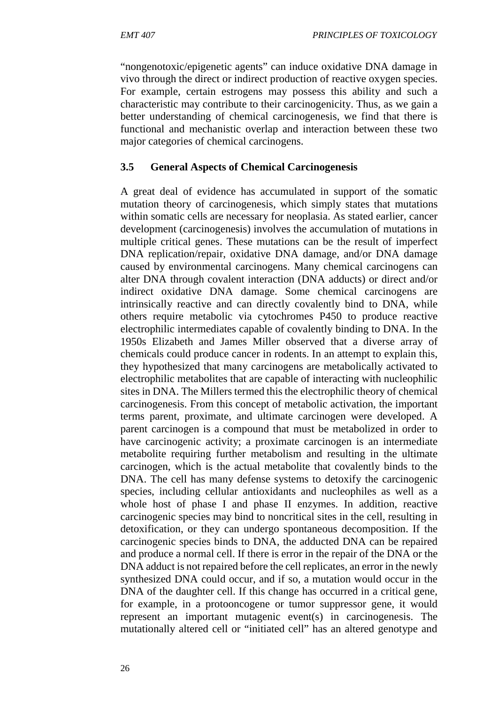"nongenotoxic/epigenetic agents" can induce oxidative DNA damage in vivo through the direct or indirect production of reactive oxygen species. For example, certain estrogens may possess this ability and such a characteristic may contribute to their carcinogenicity. Thus, as we gain a better understanding of chemical carcinogenesis, we find that there is functional and mechanistic overlap and interaction between these two major categories of chemical carcinogens.

### **3.5 General Aspects of Chemical Carcinogenesis**

A great deal of evidence has accumulated in support of the somatic mutation theory of carcinogenesis, which simply states that mutations within somatic cells are necessary for neoplasia. As stated earlier, cancer development (carcinogenesis) involves the accumulation of mutations in multiple critical genes. These mutations can be the result of imperfect DNA replication/repair, oxidative DNA damage, and/or DNA damage caused by environmental carcinogens. Many chemical carcinogens can alter DNA through covalent interaction (DNA adducts) or direct and/or indirect oxidative DNA damage. Some chemical carcinogens are intrinsically reactive and can directly covalently bind to DNA, while others require metabolic via cytochromes P450 to produce reactive electrophilic intermediates capable of covalently binding to DNA. In the 1950s Elizabeth and James Miller observed that a diverse array of chemicals could produce cancer in rodents. In an attempt to explain this, they hypothesized that many carcinogens are metabolically activated to electrophilic metabolites that are capable of interacting with nucleophilic sites in DNA. The Millers termed this the electrophilic theory of chemical carcinogenesis. From this concept of metabolic activation, the important terms parent, proximate, and ultimate carcinogen were developed. A parent carcinogen is a compound that must be metabolized in order to have carcinogenic activity; a proximate carcinogen is an intermediate metabolite requiring further metabolism and resulting in the ultimate carcinogen, which is the actual metabolite that covalently binds to the DNA. The cell has many defense systems to detoxify the carcinogenic species, including cellular antioxidants and nucleophiles as well as a whole host of phase I and phase II enzymes. In addition, reactive carcinogenic species may bind to noncritical sites in the cell, resulting in detoxification, or they can undergo spontaneous decomposition. If the carcinogenic species binds to DNA, the adducted DNA can be repaired and produce a normal cell. If there is error in the repair of the DNA or the DNA adduct is not repaired before the cell replicates, an error in the newly synthesized DNA could occur, and if so, a mutation would occur in the DNA of the daughter cell. If this change has occurred in a critical gene, for example, in a protooncogene or tumor suppressor gene, it would represent an important mutagenic event(s) in carcinogenesis. The mutationally altered cell or "initiated cell" has an altered genotype and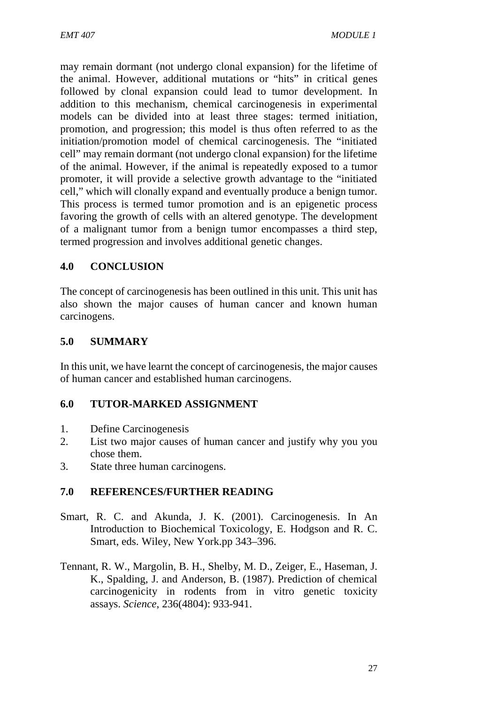may remain dormant (not undergo clonal expansion) for the lifetime of the animal. However, additional mutations or "hits" in critical genes followed by clonal expansion could lead to tumor development. In addition to this mechanism, chemical carcinogenesis in experimental models can be divided into at least three stages: termed initiation, promotion, and progression; this model is thus often referred to as the initiation/promotion model of chemical carcinogenesis. The "initiated cell" may remain dormant (not undergo clonal expansion) for the lifetime of the animal. However, if the animal is repeatedly exposed to a tumor promoter, it will provide a selective growth advantage to the "initiated cell," which will clonally expand and eventually produce a benign tumor. This process is termed tumor promotion and is an epigenetic process favoring the growth of cells with an altered genotype. The development of a malignant tumor from a benign tumor encompasses a third step, termed progression and involves additional genetic changes.

### **4.0 CONCLUSION**

The concept of carcinogenesis has been outlined in this unit. This unit has also shown the major causes of human cancer and known human carcinogens.

### **5.0 SUMMARY**

In this unit, we have learnt the concept of carcinogenesis, the major causes of human cancer and established human carcinogens.

#### **6.0 TUTOR-MARKED ASSIGNMENT**

- 1. Define Carcinogenesis
- 2. List two major causes of human cancer and justify why you you chose them.
- 3. State three human carcinogens.

### **7.0 REFERENCES/FURTHER READING**

- Smart, R. C. and Akunda, J. K. (2001). Carcinogenesis. In An Introduction to Biochemical Toxicology, E. Hodgson and R. C. Smart, eds. Wiley, New York.pp 343–396.
- Tennant, R. W., Margolin, B. H., Shelby, M. D., Zeiger, E., Haseman, J. K., Spalding, J. and Anderson, B. (1987). Prediction of chemical carcinogenicity in rodents from in vitro genetic toxicity assays. *Science*, 236(4804): 933-941.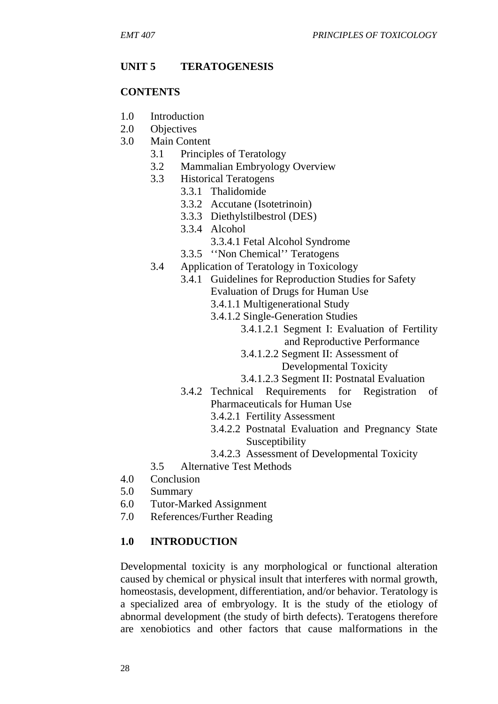### **UNIT 5 TERATOGENESIS**

#### **CONTENTS**

- 1.0 Introduction
- 2.0 Objectives
- 3.0 Main Content
	- 3.1 Principles of Teratology
	- 3.2 Mammalian Embryology Overview
	- 3.3 Historical Teratogens
		- 3.3.1 Thalidomide
		- 3.3.2 Accutane (Isotetrinoin)
		- 3.3.3 Diethylstilbestrol (DES)
		- 3.3.4 Alcohol
			- 3.3.4.1 Fetal Alcohol Syndrome
		- 3.3.5 ''Non Chemical'' Teratogens
	- 3.4 Application of Teratology in Toxicology
		- 3.4.1 Guidelines for Reproduction Studies for Safety
			- Evaluation of Drugs for Human Use
			- 3.4.1.1 Multigenerational Study
			- 3.4.1.2 Single-Generation Studies
				- 3.4.1.2.1 Segment I: Evaluation of Fertility and Reproductive Performance
				- 3.4.1.2.2 Segment II: Assessment of Developmental Toxicity
				- 3.4.1.2.3 Segment II: Postnatal Evaluation
		- 3.4.2 Technical Requirements for Registration of Pharmaceuticals for Human Use
			- 3.4.2.1 Fertility Assessment
			- 3.4.2.2 Postnatal Evaluation and Pregnancy State Susceptibility
			- 3.4.2.3 Assessment of Developmental Toxicity
	- 3.5 Alternative Test Methods
- 4.0 Conclusion
- 5.0 Summary
- 6.0 Tutor-Marked Assignment
- 7.0 References/Further Reading

#### **1.0 INTRODUCTION**

Developmental toxicity is any morphological or functional alteration caused by chemical or physical insult that interferes with normal growth, homeostasis, development, differentiation, and/or behavior. Teratology is a specialized area of embryology. It is the study of the etiology of abnormal development (the study of birth defects). Teratogens therefore are xenobiotics and other factors that cause malformations in the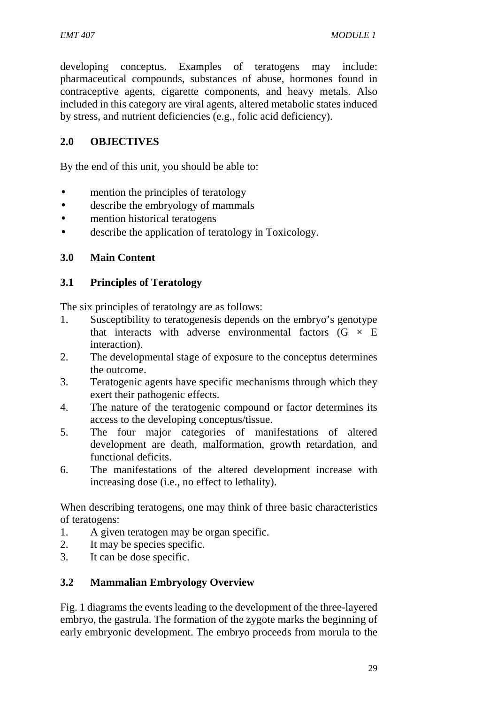developing conceptus. Examples of teratogens may include: pharmaceutical compounds, substances of abuse, hormones found in contraceptive agents, cigarette components, and heavy metals. Also included in this category are viral agents, altered metabolic states induced by stress, and nutrient deficiencies (e.g., folic acid deficiency).

### **2.0 OBJECTIVES**

By the end of this unit, you should be able to:

- mention the principles of teratology
- describe the embryology of mammals
- mention historical teratogens
- describe the application of teratology in Toxicology.

### **3.0 Main Content**

### **3.1 Principles of Teratology**

The six principles of teratology are as follows:

- 1. Susceptibility to teratogenesis depends on the embryo's genotype that interacts with adverse environmental factors  $(G \times E)$ interaction).
- 2. The developmental stage of exposure to the conceptus determines the outcome.
- 3. Teratogenic agents have specific mechanisms through which they exert their pathogenic effects.
- 4. The nature of the teratogenic compound or factor determines its access to the developing conceptus/tissue.
- 5. The four major categories of manifestations of altered development are death, malformation, growth retardation, and functional deficits.
- 6. The manifestations of the altered development increase with increasing dose (i.e., no effect to lethality).

When describing teratogens, one may think of three basic characteristics of teratogens:

- 1. A given teratogen may be organ specific.
- 2. It may be species specific.
- 3. It can be dose specific.

### **3.2 Mammalian Embryology Overview**

Fig. 1 diagrams the events leading to the development of the three-layered embryo, the gastrula. The formation of the zygote marks the beginning of early embryonic development. The embryo proceeds from morula to the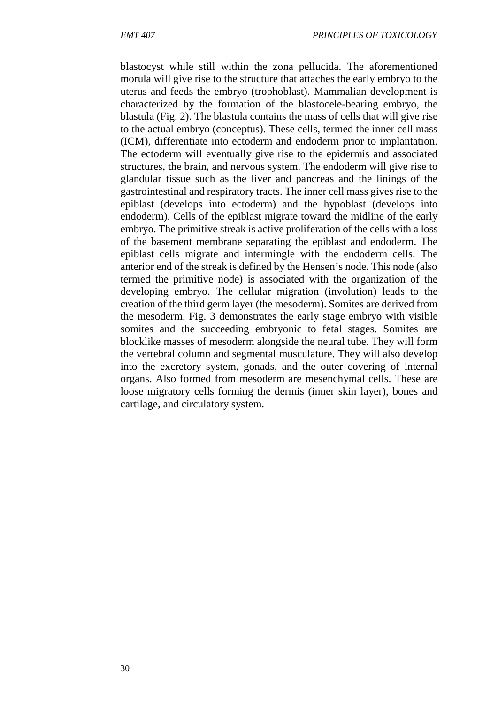blastocyst while still within the zona pellucida. The aforementioned morula will give rise to the structure that attaches the early embryo to the uterus and feeds the embryo (trophoblast). Mammalian development is characterized by the formation of the blastocele-bearing embryo, the blastula (Fig. 2). The blastula contains the mass of cells that will give rise to the actual embryo (conceptus). These cells, termed the inner cell mass (ICM), differentiate into ectoderm and endoderm prior to implantation. The ectoderm will eventually give rise to the epidermis and associated structures, the brain, and nervous system. The endoderm will give rise to glandular tissue such as the liver and pancreas and the linings of the gastrointestinal and respiratory tracts. The inner cell mass gives rise to the epiblast (develops into ectoderm) and the hypoblast (develops into endoderm). Cells of the epiblast migrate toward the midline of the early embryo. The primitive streak is active proliferation of the cells with a loss of the basement membrane separating the epiblast and endoderm. The epiblast cells migrate and intermingle with the endoderm cells. The anterior end of the streak is defined by the Hensen's node. This node (also termed the primitive node) is associated with the organization of the developing embryo. The cellular migration (involution) leads to the creation of the third germ layer (the mesoderm). Somites are derived from the mesoderm. Fig. 3 demonstrates the early stage embryo with visible somites and the succeeding embryonic to fetal stages. Somites are blocklike masses of mesoderm alongside the neural tube. They will form the vertebral column and segmental musculature. They will also develop into the excretory system, gonads, and the outer covering of internal organs. Also formed from mesoderm are mesenchymal cells. These are loose migratory cells forming the dermis (inner skin layer), bones and cartilage, and circulatory system.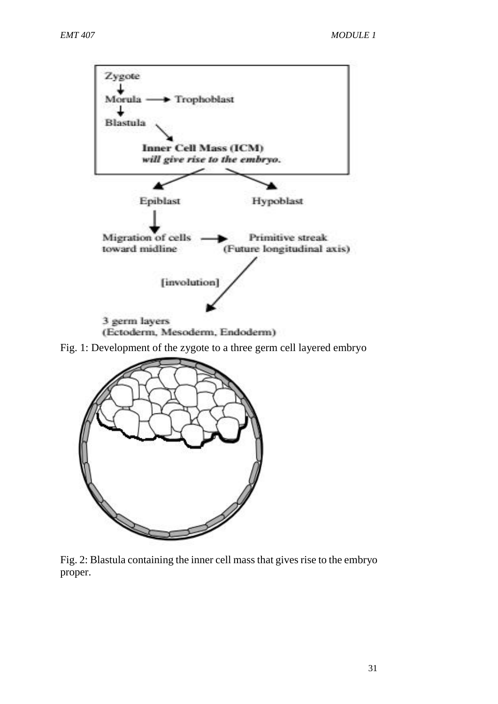

Fig. 1: Development of the zygote to a three germ cell layered embryo



Fig. 2: Blastula containing the inner cell mass that gives rise to the embryo proper.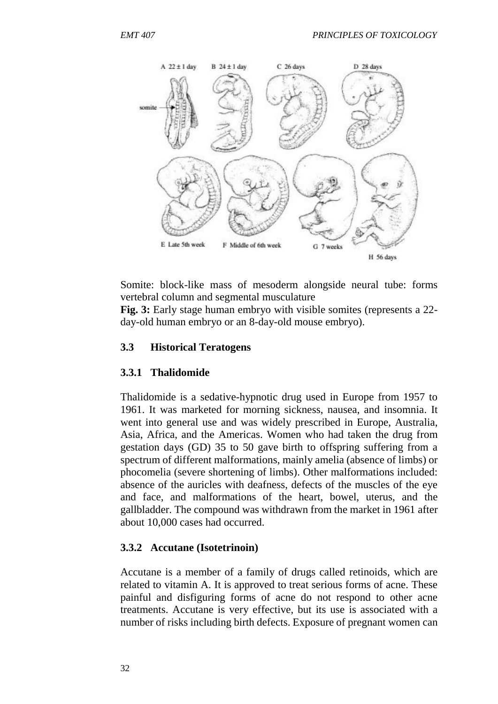

Somite: block-like mass of mesoderm alongside neural tube: forms vertebral column and segmental musculature

**Fig. 3:** Early stage human embryo with visible somites (represents a 22 day-old human embryo or an 8-day-old mouse embryo).

#### **3.3 Historical Teratogens**

#### **3.3.1 Thalidomide**

Thalidomide is a sedative-hypnotic drug used in Europe from 1957 to 1961. It was marketed for morning sickness, nausea, and insomnia. It went into general use and was widely prescribed in Europe, Australia, Asia, Africa, and the Americas. Women who had taken the drug from gestation days (GD) 35 to 50 gave birth to offspring suffering from a spectrum of different malformations, mainly amelia (absence of limbs) or phocomelia (severe shortening of limbs). Other malformations included: absence of the auricles with deafness, defects of the muscles of the eye and face, and malformations of the heart, bowel, uterus, and the gallbladder. The compound was withdrawn from the market in 1961 after about 10,000 cases had occurred.

#### **3.3.2 Accutane (Isotetrinoin)**

Accutane is a member of a family of drugs called retinoids, which are related to vitamin A. It is approved to treat serious forms of acne. These painful and disfiguring forms of acne do not respond to other acne treatments. Accutane is very effective, but its use is associated with a number of risks including birth defects. Exposure of pregnant women can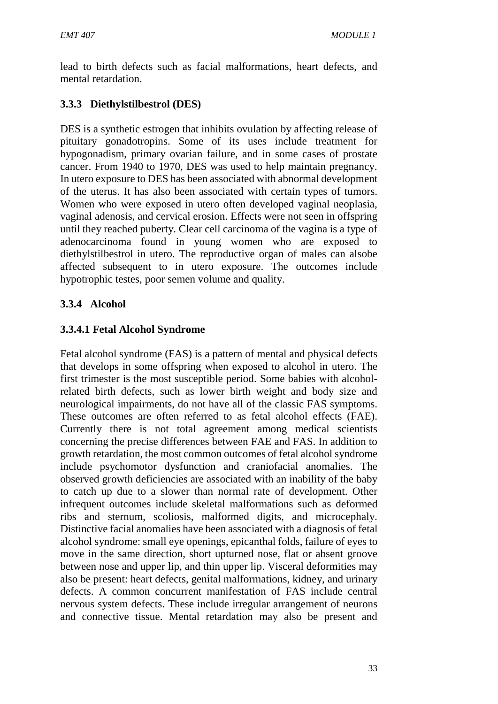lead to birth defects such as facial malformations, heart defects, and mental retardation.

# **3.3.3 Diethylstilbestrol (DES)**

DES is a synthetic estrogen that inhibits ovulation by affecting release of pituitary gonadotropins. Some of its uses include treatment for hypogonadism, primary ovarian failure, and in some cases of prostate cancer. From 1940 to 1970, DES was used to help maintain pregnancy. In utero exposure to DES has been associated with abnormal development of the uterus. It has also been associated with certain types of tumors. Women who were exposed in utero often developed vaginal neoplasia, vaginal adenosis, and cervical erosion. Effects were not seen in offspring until they reached puberty. Clear cell carcinoma of the vagina is a type of adenocarcinoma found in young women who are exposed to diethylstilbestrol in utero. The reproductive organ of males can alsobe affected subsequent to in utero exposure. The outcomes include hypotrophic testes, poor semen volume and quality.

### **3.3.4 Alcohol**

### **3.3.4.1 Fetal Alcohol Syndrome**

Fetal alcohol syndrome (FAS) is a pattern of mental and physical defects that develops in some offspring when exposed to alcohol in utero. The first trimester is the most susceptible period. Some babies with alcoholrelated birth defects, such as lower birth weight and body size and neurological impairments, do not have all of the classic FAS symptoms. These outcomes are often referred to as fetal alcohol effects (FAE). Currently there is not total agreement among medical scientists concerning the precise differences between FAE and FAS. In addition to growth retardation, the most common outcomes of fetal alcohol syndrome include psychomotor dysfunction and craniofacial anomalies. The observed growth deficiencies are associated with an inability of the baby to catch up due to a slower than normal rate of development. Other infrequent outcomes include skeletal malformations such as deformed ribs and sternum, scoliosis, malformed digits, and microcephaly. Distinctive facial anomalies have been associated with a diagnosis of fetal alcohol syndrome: small eye openings, epicanthal folds, failure of eyes to move in the same direction, short upturned nose, flat or absent groove between nose and upper lip, and thin upper lip. Visceral deformities may also be present: heart defects, genital malformations, kidney, and urinary defects. A common concurrent manifestation of FAS include central nervous system defects. These include irregular arrangement of neurons and connective tissue. Mental retardation may also be present and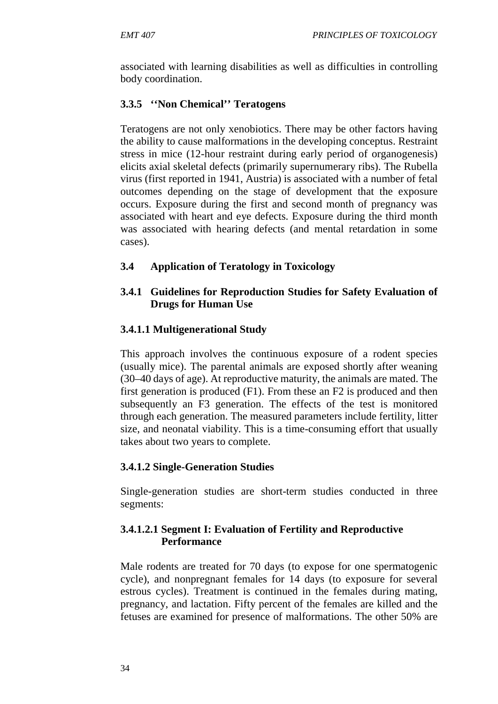associated with learning disabilities as well as difficulties in controlling body coordination.

# **3.3.5 ''Non Chemical'' Teratogens**

Teratogens are not only xenobiotics. There may be other factors having the ability to cause malformations in the developing conceptus. Restraint stress in mice (12-hour restraint during early period of organogenesis) elicits axial skeletal defects (primarily supernumerary ribs). The Rubella virus (first reported in 1941, Austria) is associated with a number of fetal outcomes depending on the stage of development that the exposure occurs. Exposure during the first and second month of pregnancy was associated with heart and eye defects. Exposure during the third month was associated with hearing defects (and mental retardation in some cases).

# **3.4 Application of Teratology in Toxicology**

## **3.4.1 Guidelines for Reproduction Studies for Safety Evaluation of Drugs for Human Use**

# **3.4.1.1 Multigenerational Study**

This approach involves the continuous exposure of a rodent species (usually mice). The parental animals are exposed shortly after weaning (30–40 days of age). At reproductive maturity, the animals are mated. The first generation is produced (F1). From these an F2 is produced and then subsequently an F3 generation. The effects of the test is monitored through each generation. The measured parameters include fertility, litter size, and neonatal viability. This is a time-consuming effort that usually takes about two years to complete.

# **3.4.1.2 Single-Generation Studies**

Single-generation studies are short-term studies conducted in three segments:

# **3.4.1.2.1 Segment I: Evaluation of Fertility and Reproductive Performance**

Male rodents are treated for 70 days (to expose for one spermatogenic cycle), and nonpregnant females for 14 days (to exposure for several estrous cycles). Treatment is continued in the females during mating, pregnancy, and lactation. Fifty percent of the females are killed and the fetuses are examined for presence of malformations. The other 50% are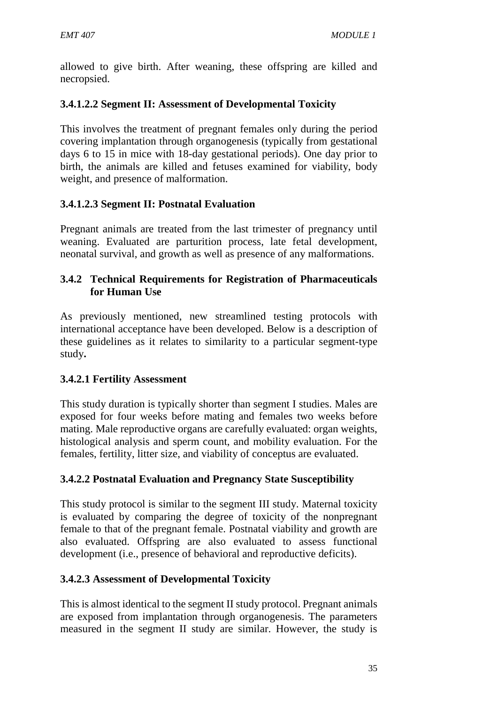allowed to give birth. After weaning, these offspring are killed and necropsied.

# **3.4.1.2.2 Segment II: Assessment of Developmental Toxicity**

This involves the treatment of pregnant females only during the period covering implantation through organogenesis (typically from gestational days 6 to 15 in mice with 18-day gestational periods). One day prior to birth, the animals are killed and fetuses examined for viability, body weight, and presence of malformation.

# **3.4.1.2.3 Segment II: Postnatal Evaluation**

Pregnant animals are treated from the last trimester of pregnancy until weaning. Evaluated are parturition process, late fetal development, neonatal survival, and growth as well as presence of any malformations.

## **3.4.2 Technical Requirements for Registration of Pharmaceuticals for Human Use**

As previously mentioned, new streamlined testing protocols with international acceptance have been developed. Below is a description of these guidelines as it relates to similarity to a particular segment-type study**.**

# **3.4.2.1 Fertility Assessment**

This study duration is typically shorter than segment I studies. Males are exposed for four weeks before mating and females two weeks before mating. Male reproductive organs are carefully evaluated: organ weights, histological analysis and sperm count, and mobility evaluation. For the females, fertility, litter size, and viability of conceptus are evaluated.

# **3.4.2.2 Postnatal Evaluation and Pregnancy State Susceptibility**

This study protocol is similar to the segment III study. Maternal toxicity is evaluated by comparing the degree of toxicity of the nonpregnant female to that of the pregnant female. Postnatal viability and growth are also evaluated. Offspring are also evaluated to assess functional development (i.e., presence of behavioral and reproductive deficits).

# **3.4.2.3 Assessment of Developmental Toxicity**

This is almost identical to the segment II study protocol. Pregnant animals are exposed from implantation through organogenesis. The parameters measured in the segment II study are similar. However, the study is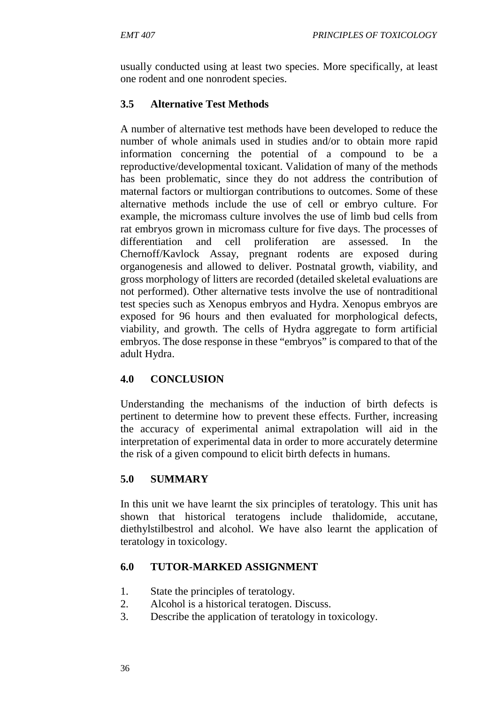usually conducted using at least two species. More specifically, at least one rodent and one nonrodent species.

# **3.5 Alternative Test Methods**

A number of alternative test methods have been developed to reduce the number of whole animals used in studies and/or to obtain more rapid information concerning the potential of a compound to be a reproductive/developmental toxicant. Validation of many of the methods has been problematic, since they do not address the contribution of maternal factors or multiorgan contributions to outcomes. Some of these alternative methods include the use of cell or embryo culture. For example, the micromass culture involves the use of limb bud cells from rat embryos grown in micromass culture for five days. The processes of differentiation and cell proliferation are assessed. In the Chernoff/Kavlock Assay, pregnant rodents are exposed during organogenesis and allowed to deliver. Postnatal growth, viability, and gross morphology of litters are recorded (detailed skeletal evaluations are not performed). Other alternative tests involve the use of nontraditional test species such as Xenopus embryos and Hydra. Xenopus embryos are exposed for 96 hours and then evaluated for morphological defects, viability, and growth. The cells of Hydra aggregate to form artificial embryos. The dose response in these "embryos" is compared to that of the adult Hydra.

# **4.0 CONCLUSION**

Understanding the mechanisms of the induction of birth defects is pertinent to determine how to prevent these effects. Further, increasing the accuracy of experimental animal extrapolation will aid in the interpretation of experimental data in order to more accurately determine the risk of a given compound to elicit birth defects in humans.

# **5.0 SUMMARY**

In this unit we have learnt the six principles of teratology. This unit has shown that historical teratogens include thalidomide, accutane, diethylstilbestrol and alcohol. We have also learnt the application of teratology in toxicology.

# **6.0 TUTOR-MARKED ASSIGNMENT**

- 1. State the principles of teratology.
- 2. Alcohol is a historical teratogen. Discuss.
- 3. Describe the application of teratology in toxicology.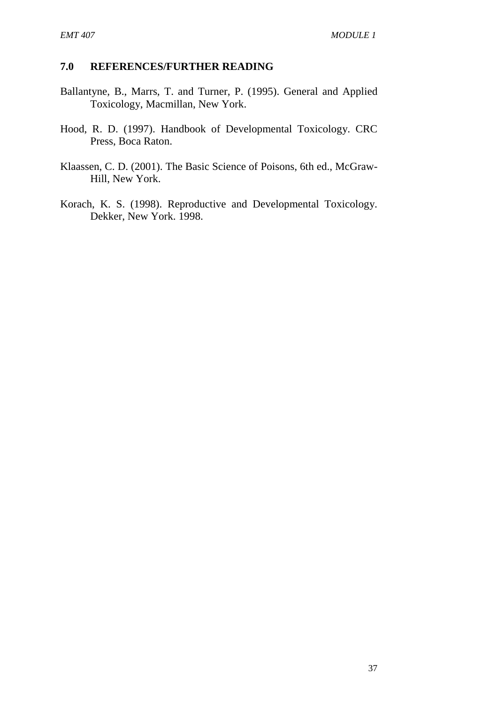## **7.0 REFERENCES/FURTHER READING**

- Ballantyne, B., Marrs, T. and Turner, P. (1995). General and Applied Toxicology, Macmillan, New York.
- Hood, R. D. (1997). Handbook of Developmental Toxicology. CRC Press, Boca Raton.
- Klaassen, C. D. (2001). The Basic Science of Poisons, 6th ed., McGraw- Hill, New York.
- Korach, K. S. (1998). Reproductive and Developmental Toxicology. Dekker, New York. 1998.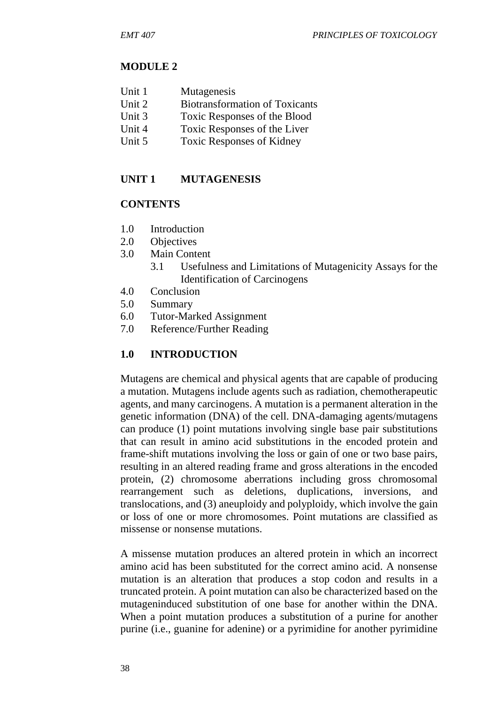## **MODULE 2**

| Unit 1<br>Mutagenesis |  |
|-----------------------|--|
|-----------------------|--|

- Unit 2 Biotransformation of Toxicants
- Unit 3 Toxic Responses of the Blood
- Unit 4 Toxic Responses of the Liver
- Unit 5 Toxic Responses of Kidney

# **UNIT 1 MUTAGENESIS**

## **CONTENTS**

- 1.0 Introduction
- 2.0 Objectives
- 3.0 Main Content
	- 3.1 Usefulness and Limitations of Mutagenicity Assays for the Identification of Carcinogens
- 4.0 Conclusion
- 5.0 Summary
- 6.0 Tutor-Marked Assignment
- 7.0 Reference/Further Reading

# **1.0 INTRODUCTION**

Mutagens are chemical and physical agents that are capable of producing a mutation. Mutagens include agents such as radiation, chemotherapeutic agents, and many carcinogens. A mutation is a permanent alteration in the genetic information (DNA) of the cell. DNA-damaging agents/mutagens can produce (1) point mutations involving single base pair substitutions that can result in amino acid substitutions in the encoded protein and frame-shift mutations involving the loss or gain of one or two base pairs, resulting in an altered reading frame and gross alterations in the encoded protein, (2) chromosome aberrations including gross chromosomal rearrangement such as deletions, duplications, inversions, and translocations, and (3) aneuploidy and polyploidy, which involve the gain or loss of one or more chromosomes. Point mutations are classified as missense or nonsense mutations.

A missense mutation produces an altered protein in which an incorrect amino acid has been substituted for the correct amino acid. A nonsense mutation is an alteration that produces a stop codon and results in a truncated protein. A point mutation can also be characterized based on the mutageninduced substitution of one base for another within the DNA. When a point mutation produces a substitution of a purine for another purine (i.e., guanine for adenine) or a pyrimidine for another pyrimidine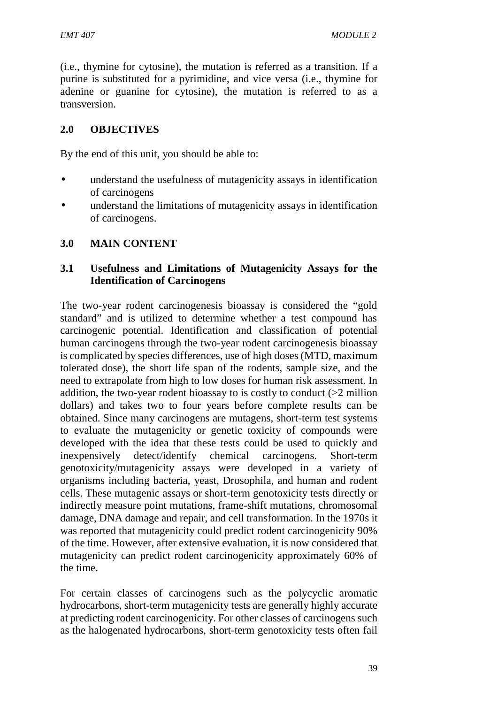(i.e., thymine for cytosine), the mutation is referred as a transition. If a purine is substituted for a pyrimidine, and vice versa (i.e., thymine for adenine or guanine for cytosine), the mutation is referred to as a transversion.

### **2.0 OBJECTIVES**

By the end of this unit, you should be able to:

- understand the usefulness of mutagenicity assays in identification of carcinogens
- understand the limitations of mutagenicity assays in identification of carcinogens.

## **3.0 MAIN CONTENT**

## **3.1 Usefulness and Limitations of Mutagenicity Assays for the Identification of Carcinogens**

The two-year rodent carcinogenesis bioassay is considered the "gold standard" and is utilized to determine whether a test compound has carcinogenic potential. Identification and classification of potential human carcinogens through the two-year rodent carcinogenesis bioassay is complicated by species differences, use of high doses (MTD, maximum tolerated dose), the short life span of the rodents, sample size, and the need to extrapolate from high to low doses for human risk assessment. In addition, the two-year rodent bioassay to is costly to conduct  $(>= 2$  million dollars) and takes two to four years before complete results can be obtained. Since many carcinogens are mutagens, short-term test systems to evaluate the mutagenicity or genetic toxicity of compounds were developed with the idea that these tests could be used to quickly and inexpensively detect/identify chemical carcinogens. Short-term genotoxicity/mutagenicity assays were developed in a variety of organisms including bacteria, yeast, Drosophila, and human and rodent cells. These mutagenic assays or short-term genotoxicity tests directly or indirectly measure point mutations, frame-shift mutations, chromosomal damage, DNA damage and repair, and cell transformation. In the 1970s it was reported that mutagenicity could predict rodent carcinogenicity 90% of the time. However, after extensive evaluation, it is now considered that mutagenicity can predict rodent carcinogenicity approximately 60% of the time.

For certain classes of carcinogens such as the polycyclic aromatic hydrocarbons, short-term mutagenicity tests are generally highly accurate at predicting rodent carcinogenicity. For other classes of carcinogens such as the halogenated hydrocarbons, short-term genotoxicity tests often fail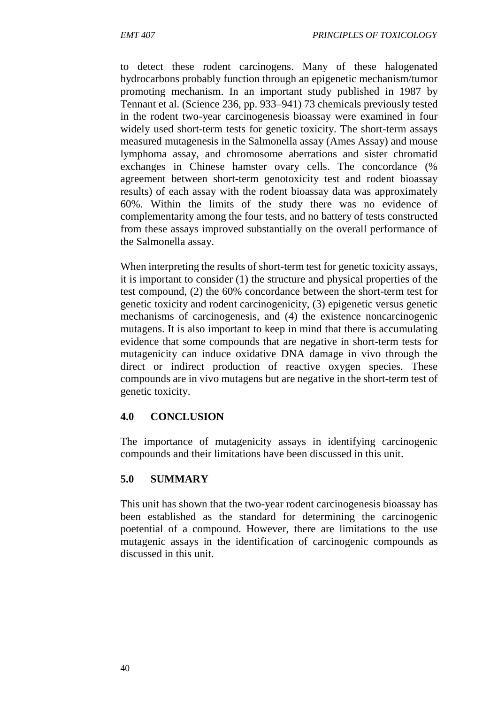to detect these rodent carcinogens. Many of these halogenated hydrocarbons probably function through an epigenetic mechanism/tumor promoting mechanism. In an important study published in 1987 by Tennant et al. (Science 236, pp. 933–941) 73 chemicals previously tested in the rodent two-year carcinogenesis bioassay were examined in four widely used short-term tests for genetic toxicity. The short-term assays measured mutagenesis in the Salmonella assay (Ames Assay) and mouse lymphoma assay, and chromosome aberrations and sister chromatid exchanges in Chinese hamster ovary cells. The concordance (% agreement between short-term genotoxicity test and rodent bioassay results) of each assay with the rodent bioassay data was approximately 60%. Within the limits of the study there was no evidence of complementarity among the four tests, and no battery of tests constructed from these assays improved substantially on the overall performance of the Salmonella assay.

When interpreting the results of short-term test for genetic toxicity assays, it is important to consider (1) the structure and physical properties of the test compound, (2) the 60% concordance between the short-term test for genetic toxicity and rodent carcinogenicity, (3) epigenetic versus genetic mechanisms of carcinogenesis, and (4) the existence noncarcinogenic mutagens. It is also important to keep in mind that there is accumulating evidence that some compounds that are negative in short-term tests for mutagenicity can induce oxidative DNA damage in vivo through the direct or indirect production of reactive oxygen species. These compounds are in vivo mutagens but are negative in the short-term test of genetic toxicity.

## **4.0 CONCLUSION**

The importance of mutagenicity assays in identifying carcinogenic compounds and their limitations have been discussed in this unit.

## **5.0 SUMMARY**

This unit has shown that the two-year rodent carcinogenesis bioassay has been established as the standard for determining the carcinogenic poetential of a compound. However, there are limitations to the use mutagenic assays in the identification of carcinogenic compounds as discussed in this unit.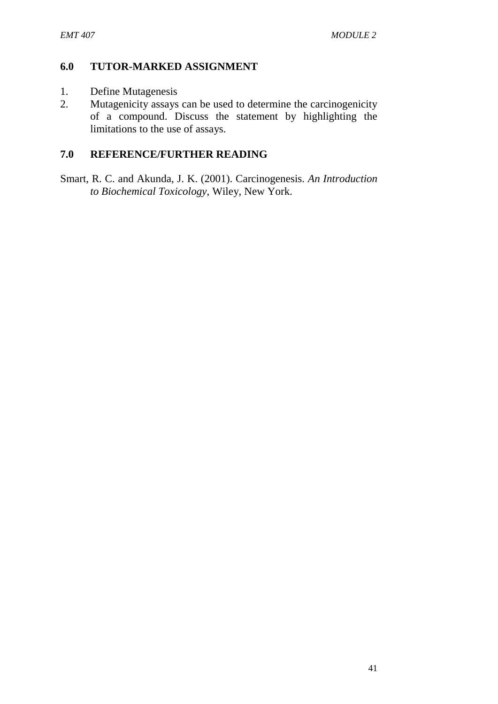## **6.0 TUTOR-MARKED ASSIGNMENT**

- 1. Define Mutagenesis
- 2. Mutagenicity assays can be used to determine the carcinogenicity of a compound. Discuss the statement by highlighting the limitations to the use of assays.

## **7.0 REFERENCE/FURTHER READING**

Smart, R. C. and Akunda, J. K. (2001). Carcinogenesis. *An Introduction to Biochemical Toxicology*, Wiley, New York.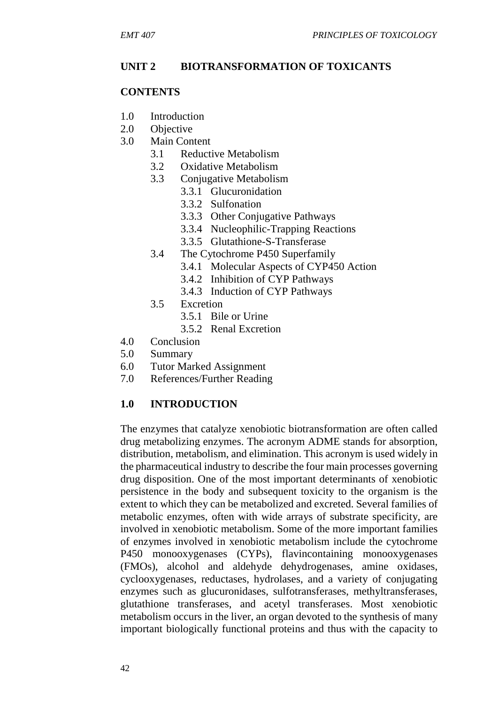# **UNIT 2 BIOTRANSFORMATION OF TOXICANTS**

#### **CONTENTS**

- 1.0 Introduction
- 2.0 Objective
- 3.0 Main Content
	- 3.1 Reductive Metabolism
	- 3.2 Oxidative Metabolism
	- 3.3 Conjugative Metabolism
		- 3.3.1 Glucuronidation
		- 3.3.2 Sulfonation
		- 3.3.3 Other Conjugative Pathways
		- 3.3.4 Nucleophilic-Trapping Reactions
		- 3.3.5 Glutathione-S-Transferase
	- 3.4 The Cytochrome P450 Superfamily
		- 3.4.1 Molecular Aspects of CYP450 Action
		- 3.4.2 Inhibition of CYP Pathways
		- 3.4.3 Induction of CYP Pathways
	- 3.5 Excretion
		- 3.5.1 Bile or Urine
		- 3.5.2 Renal Excretion
- 4.0 Conclusion
- 5.0 Summary
- 6.0 Tutor Marked Assignment
- 7.0 References/Further Reading

# **1.0 INTRODUCTION**

The enzymes that catalyze xenobiotic biotransformation are often called drug metabolizing enzymes. The acronym ADME stands for absorption, distribution, metabolism, and elimination. This acronym is used widely in the pharmaceutical industry to describe the four main processes governing drug disposition. One of the most important determinants of xenobiotic persistence in the body and subsequent toxicity to the organism is the extent to which they can be metabolized and excreted. Several families of metabolic enzymes, often with wide arrays of substrate specificity, are involved in xenobiotic metabolism. Some of the more important families of enzymes involved in xenobiotic metabolism include the cytochrome P450 monooxygenases (CYPs), flavincontaining monooxygenases (FMOs), alcohol and aldehyde dehydrogenases, amine oxidases, cyclooxygenases, reductases, hydrolases, and a variety of conjugating enzymes such as glucuronidases, sulfotransferases, methyltransferases, glutathione transferases, and acetyl transferases. Most xenobiotic metabolism occurs in the liver, an organ devoted to the synthesis of many important biologically functional proteins and thus with the capacity to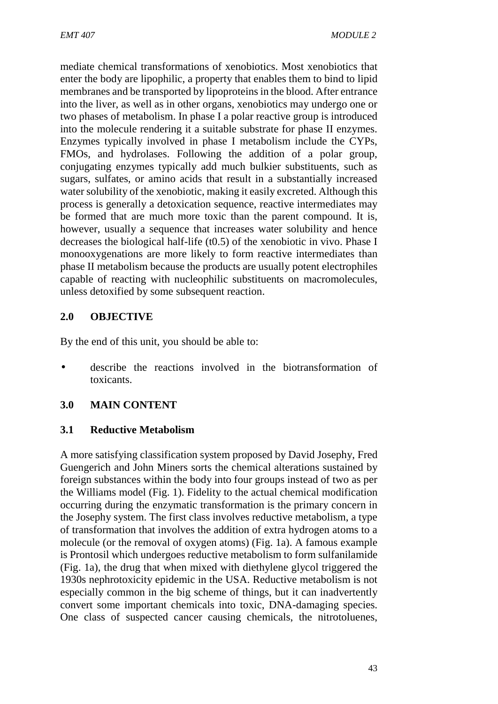mediate chemical transformations of xenobiotics. Most xenobiotics that enter the body are lipophilic, a property that enables them to bind to lipid membranes and be transported by lipoproteins in the blood. After entrance into the liver, as well as in other organs, xenobiotics may undergo one or two phases of metabolism. In phase I a polar reactive group is introduced into the molecule rendering it a suitable substrate for phase II enzymes. Enzymes typically involved in phase I metabolism include the CYPs, FMOs, and hydrolases. Following the addition of a polar group, conjugating enzymes typically add much bulkier substituents, such as sugars, sulfates, or amino acids that result in a substantially increased water solubility of the xenobiotic, making it easily excreted. Although this process is generally a detoxication sequence, reactive intermediates may be formed that are much more toxic than the parent compound. It is, however, usually a sequence that increases water solubility and hence decreases the biological half-life (t0.5) of the xenobiotic in vivo. Phase I monooxygenations are more likely to form reactive intermediates than phase II metabolism because the products are usually potent electrophiles capable of reacting with nucleophilic substituents on macromolecules, unless detoxified by some subsequent reaction.

# **2.0 OBJECTIVE**

By the end of this unit, you should be able to:

 describe the reactions involved in the biotransformation of toxicants.

# **3.0 MAIN CONTENT**

# **3.1 Reductive Metabolism**

A more satisfying classification system proposed by David Josephy, Fred Guengerich and John Miners sorts the chemical alterations sustained by foreign substances within the body into four groups instead of two as per the Williams model (Fig. 1). Fidelity to the actual chemical modification occurring during the enzymatic transformation is the primary concern in the Josephy system. The first class involves reductive metabolism, a type of transformation that involves the addition of extra hydrogen atoms to a molecule (or the removal of oxygen atoms) (Fig. 1a). A famous example is Prontosil which undergoes reductive metabolism to form sulfanilamide (Fig. 1a), the drug that when mixed with diethylene glycol triggered the 1930s nephrotoxicity epidemic in the USA. Reductive metabolism is not especially common in the big scheme of things, but it can inadvertently convert some important chemicals into toxic, DNA-damaging species. One class of suspected cancer causing chemicals, the nitrotoluenes,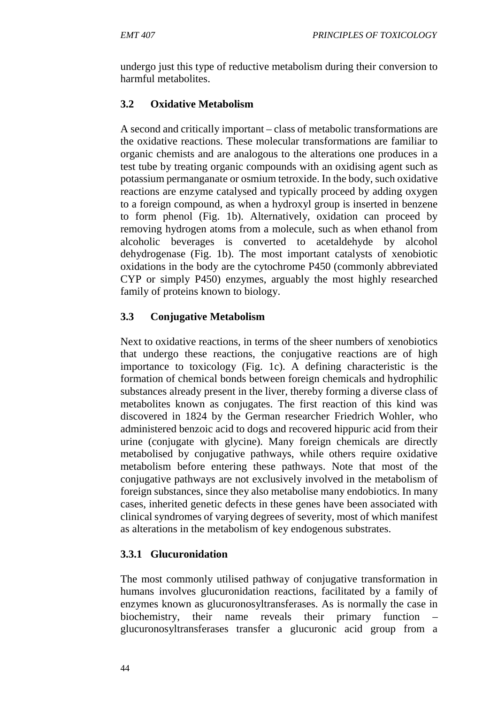undergo just this type of reductive metabolism during their conversion to harmful metabolites.

# **3.2 Oxidative Metabolism**

A second and critically important – class of metabolic transformations are the oxidative reactions. These molecular transformations are familiar to organic chemists and are analogous to the alterations one produces in a test tube by treating organic compounds with an oxidising agent such as potassium permanganate or osmium tetroxide. In the body, such oxidative reactions are enzyme catalysed and typically proceed by adding oxygen to a foreign compound, as when a hydroxyl group is inserted in benzene to form phenol (Fig. 1b). Alternatively, oxidation can proceed by removing hydrogen atoms from a molecule, such as when ethanol from alcoholic beverages is converted to acetaldehyde by alcohol dehydrogenase (Fig. 1b). The most important catalysts of xenobiotic oxidations in the body are the cytochrome P450 (commonly abbreviated CYP or simply P450) enzymes, arguably the most highly researched family of proteins known to biology.

# **3.3 Conjugative Metabolism**

Next to oxidative reactions, in terms of the sheer numbers of xenobiotics that undergo these reactions, the conjugative reactions are of high importance to toxicology (Fig. 1c). A defining characteristic is the formation of chemical bonds between foreign chemicals and hydrophilic substances already present in the liver, thereby forming a diverse class of metabolites known as conjugates. The first reaction of this kind was discovered in 1824 by the German researcher Friedrich Wohler, who administered benzoic acid to dogs and recovered hippuric acid from their urine (conjugate with glycine). Many foreign chemicals are directly metabolised by conjugative pathways, while others require oxidative metabolism before entering these pathways. Note that most of the conjugative pathways are not exclusively involved in the metabolism of foreign substances, since they also metabolise many endobiotics. In many cases, inherited genetic defects in these genes have been associated with clinical syndromes of varying degrees of severity, most of which manifest as alterations in the metabolism of key endogenous substrates.

# **3.3.1 Glucuronidation**

The most commonly utilised pathway of conjugative transformation in humans involves glucuronidation reactions, facilitated by a family of enzymes known as glucuronosyltransferases. As is normally the case in biochemistry, their name reveals their primary function – glucuronosyltransferases transfer a glucuronic acid group from a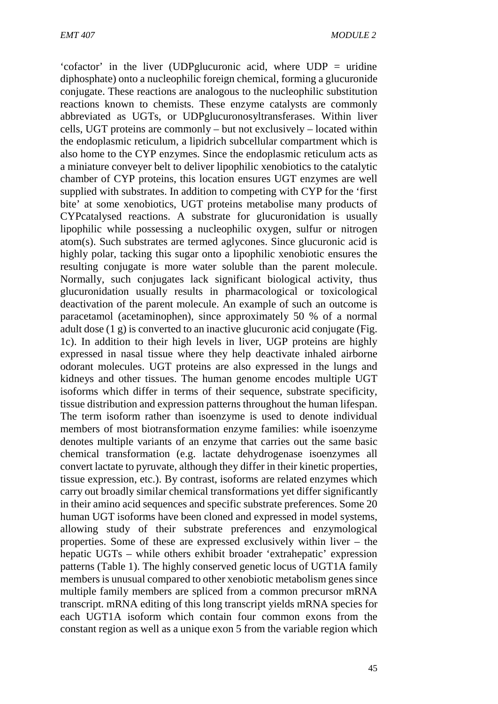'cofactor' in the liver (UDPglucuronic acid, where UDP = uridine diphosphate) onto a nucleophilic foreign chemical, forming a glucuronide conjugate. These reactions are analogous to the nucleophilic substitution reactions known to chemists. These enzyme catalysts are commonly abbreviated as UGTs, or UDPglucuronosyltransferases. Within liver cells, UGT proteins are commonly – but not exclusively – located within the endoplasmic reticulum, a lipidrich subcellular compartment which is also home to the CYP enzymes. Since the endoplasmic reticulum acts as a miniature conveyer belt to deliver lipophilic xenobiotics to the catalytic chamber of CYP proteins, this location ensures UGT enzymes are well supplied with substrates. In addition to competing with CYP for the 'first bite' at some xenobiotics, UGT proteins metabolise many products of CYPcatalysed reactions. A substrate for glucuronidation is usually lipophilic while possessing a nucleophilic oxygen, sulfur or nitrogen atom(s). Such substrates are termed aglycones. Since glucuronic acid is highly polar, tacking this sugar onto a lipophilic xenobiotic ensures the resulting conjugate is more water soluble than the parent molecule. Normally, such conjugates lack significant biological activity, thus glucuronidation usually results in pharmacological or toxicological deactivation of the parent molecule. An example of such an outcome is paracetamol (acetaminophen), since approximately 50 % of a normal adult dose (1 g) is converted to an inactive glucuronic acid conjugate (Fig. 1c). In addition to their high levels in liver, UGP proteins are highly expressed in nasal tissue where they help deactivate inhaled airborne odorant molecules. UGT proteins are also expressed in the lungs and kidneys and other tissues. The human genome encodes multiple UGT isoforms which differ in terms of their sequence, substrate specificity, tissue distribution and expression patterns throughout the human lifespan. The term isoform rather than isoenzyme is used to denote individual members of most biotransformation enzyme families: while isoenzyme denotes multiple variants of an enzyme that carries out the same basic chemical transformation (e.g. lactate dehydrogenase isoenzymes all convert lactate to pyruvate, although they differ in their kinetic properties, tissue expression, etc.). By contrast, isoforms are related enzymes which carry out broadly similar chemical transformations yet differ significantly in their amino acid sequences and specific substrate preferences. Some 20 human UGT isoforms have been cloned and expressed in model systems, allowing study of their substrate preferences and enzymological properties. Some of these are expressed exclusively within liver – the hepatic UGTs – while others exhibit broader 'extrahepatic' expression patterns (Table 1). The highly conserved genetic locus of UGT1A family members is unusual compared to other xenobiotic metabolism genes since multiple family members are spliced from a common precursor mRNA transcript. mRNA editing of this long transcript yields mRNA species for each UGT1A isoform which contain four common exons from the constant region as well as a unique exon 5 from the variable region which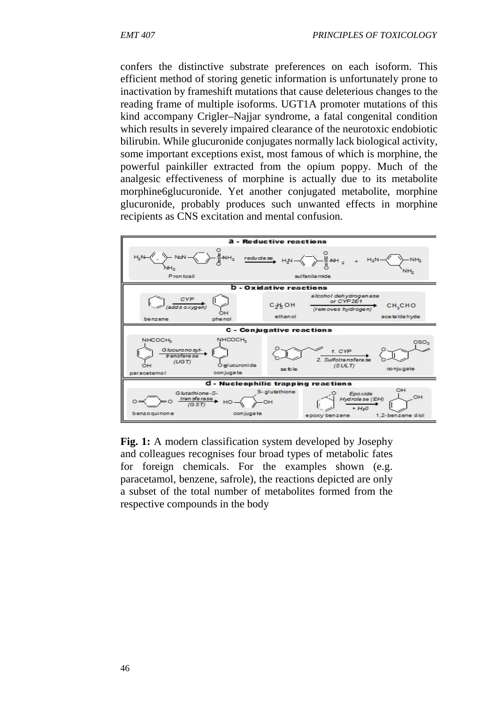confers the distinctive substrate preferences on each isoform. This efficient method of storing genetic information is unfortunately prone to inactivation by frameshift mutations that cause deleterious changes to the reading frame of multiple isoforms. UGT1A promoter mutations of this kind accompany Crigler–Najjar syndrome, a fatal congenital condition which results in severely impaired clearance of the neurotoxic endobiotic bilirubin. While glucuronide conjugates normally lack biological activity, some important exceptions exist, most famous of which is morphine, the powerful painkiller extracted from the opium poppy. Much of the analgesic effectiveness of morphine is actually due to its metabolite morphine6glucuronide. Yet another conjugated metabolite, morphine glucuronide, probably produces such unwanted effects in morphine recipients as CNS excitation and mental confusion.



**Fig. 1:** A modern classification system developed by Josephy and colleagues recognises four broad types of metabolic fates for foreign chemicals. For the examples shown (e.g. paracetamol, benzene, safrole), the reactions depicted are only a subset of the total number of metabolites formed from the respective compounds in the body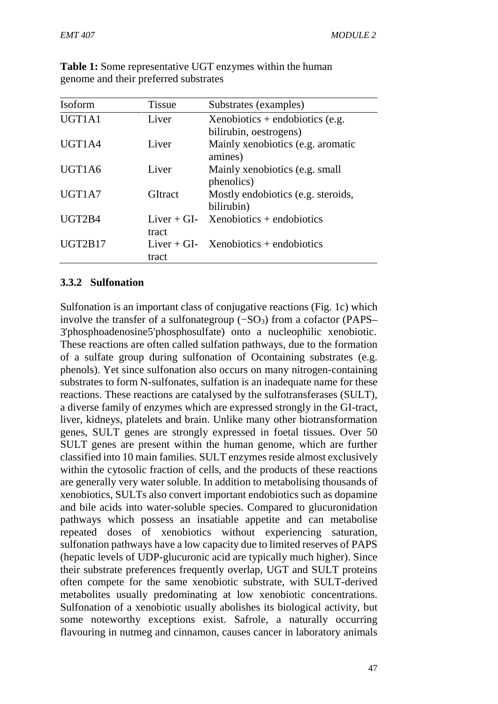| <b>Isoform</b>                   | <b>Tissue</b>  | Substrates (examples)                            |
|----------------------------------|----------------|--------------------------------------------------|
| UGT1A1                           | Liver          | Xenobiotics $+$ endobiotics (e.g.                |
|                                  |                | bilirubin, oestrogens)                           |
| UGT1A4                           | Liver          | Mainly xenobiotics (e.g. aromatic<br>amines)     |
| UGT1A6                           | Liver          | Mainly xenobiotics (e.g. small<br>phenolics)     |
| UGT1A7                           | <b>GItract</b> | Mostly endobiotics (e.g. steroids,<br>bilirubin) |
| UGT <sub>2</sub> B <sub>4</sub>  | tract          | Liver + GI- Xenobiotics + endobiotics            |
| UGT <sub>2</sub> B <sub>17</sub> | tract          | Liver + $GI-$ Xenobiotics + endobiotics          |

**Table 1:** Some representative UGT enzymes within the human genome and their preferred substrates

#### **3.3.2 Sulfonation**

Sulfonation is an important class of conjugative reactions (Fig. 1c) which involve the transfer of a sulfonategroup  $(-SO_3)$  from a cofactor (PAPS– 3′phosphoadenosine5′phosphosulfate) onto a nucleophilic xenobiotic. These reactions are often called sulfation pathways, due to the formation of a sulfate group during sulfonation of Ocontaining substrates (e.g. phenols). Yet since sulfonation also occurs on many nitrogen-containing substrates to form N-sulfonates, sulfation is an inadequate name for these reactions. These reactions are catalysed by the sulfotransferases (SULT), a diverse family of enzymes which are expressed strongly in the GI-tract, liver, kidneys, platelets and brain. Unlike many other biotransformation genes, SULT genes are strongly expressed in foetal tissues. Over 50 SULT genes are present within the human genome, which are further classified into 10 main families. SULT enzymes reside almost exclusively within the cytosolic fraction of cells, and the products of these reactions are generally very water soluble. In addition to metabolising thousands of xenobiotics, SULTs also convert important endobiotics such as dopamine and bile acids into water-soluble species. Compared to glucuronidation pathways which possess an insatiable appetite and can metabolise repeated doses of xenobiotics without experiencing saturation, sulfonation pathways have a low capacity due to limited reserves of PAPS (hepatic levels of UDP-glucuronic acid are typically much higher). Since their substrate preferences frequently overlap, UGT and SULT proteins often compete for the same xenobiotic substrate, with SULT-derived metabolites usually predominating at low xenobiotic concentrations. Sulfonation of a xenobiotic usually abolishes its biological activity, but some noteworthy exceptions exist. Safrole, a naturally occurring flavouring in nutmeg and cinnamon, causes cancer in laboratory animals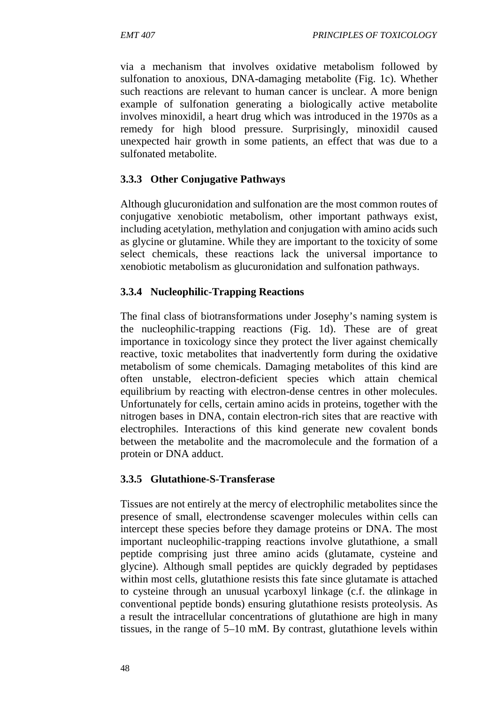via a mechanism that involves oxidative metabolism followed by sulfonation to anoxious, DNA-damaging metabolite (Fig. 1c). Whether such reactions are relevant to human cancer is unclear. A more benign example of sulfonation generating a biologically active metabolite involves minoxidil, a heart drug which was introduced in the 1970s as a remedy for high blood pressure. Surprisingly, minoxidil caused unexpected hair growth in some patients, an effect that was due to a sulfonated metabolite.

# **3.3.3 Other Conjugative Pathways**

Although glucuronidation and sulfonation are the most common routes of conjugative xenobiotic metabolism, other important pathways exist, including acetylation, methylation and conjugation with amino acids such as glycine or glutamine. While they are important to the toxicity of some select chemicals, these reactions lack the universal importance to xenobiotic metabolism as glucuronidation and sulfonation pathways.

## **3.3.4 Nucleophilic-Trapping Reactions**

The final class of biotransformations under Josephy's naming system is the nucleophilic-trapping reactions (Fig. 1d). These are of great importance in toxicology since they protect the liver against chemically reactive, toxic metabolites that inadvertently form during the oxidative metabolism of some chemicals. Damaging metabolites of this kind are often unstable, electron-deficient species which attain chemical equilibrium by reacting with electron-dense centres in other molecules. Unfortunately for cells, certain amino acids in proteins, together with the nitrogen bases in DNA, contain electron-rich sites that are reactive with electrophiles. Interactions of this kind generate new covalent bonds between the metabolite and the macromolecule and the formation of a protein or DNA adduct.

## **3.3.5 Glutathione-S-Transferase**

Tissues are not entirely at the mercy of electrophilic metabolites since the presence of small, electrondense scavenger molecules within cells can intercept these species before they damage proteins or DNA. The most important nucleophilic-trapping reactions involve glutathione, a small peptide comprising just three amino acids (glutamate, cysteine and glycine). Although small peptides are quickly degraded by peptidases within most cells, glutathione resists this fate since glutamate is attached to cysteine through an unusual carboxyl linkage (c.f. the linkage in conventional peptide bonds) ensuring glutathione resists proteolysis. As a result the intracellular concentrations of glutathione are high in many tissues, in the range of 5–10 mM. By contrast, glutathione levels within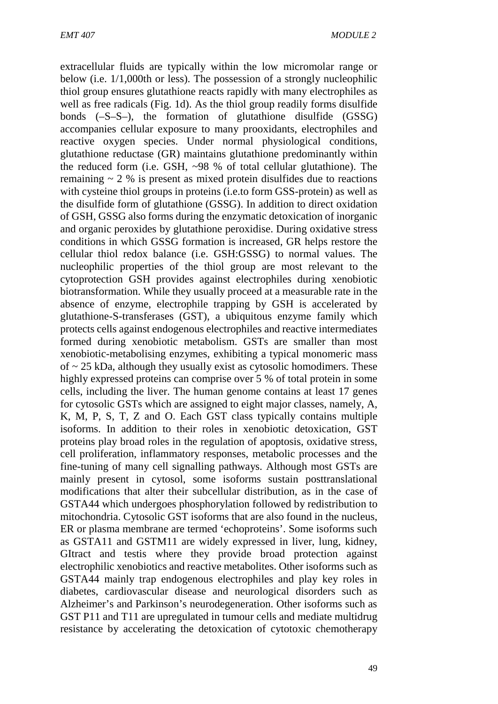extracellular fluids are typically within the low micromolar range or below (i.e. 1/1,000th or less). The possession of a strongly nucleophilic thiol group ensures glutathione reacts rapidly with many electrophiles as well as free radicals (Fig. 1d). As the thiol group readily forms disulfide bonds (–S–S–), the formation of glutathione disulfide (GSSG) accompanies cellular exposure to many prooxidants, electrophiles and reactive oxygen species. Under normal physiological conditions, glutathione reductase (GR) maintains glutathione predominantly within the reduced form (i.e. GSH, ~98 % of total cellular glutathione). The remaining  $\sim$  2 % is present as mixed protein disulfides due to reactions with cysteine thiol groups in proteins (i.e.to form GSS-protein) as well as the disulfide form of glutathione (GSSG). In addition to direct oxidation of GSH, GSSG also forms during the enzymatic detoxication of inorganic and organic peroxides by glutathione peroxidise. During oxidative stress conditions in which GSSG formation is increased, GR helps restore the cellular thiol redox balance (i.e. GSH:GSSG) to normal values. The nucleophilic properties of the thiol group are most relevant to the cytoprotection GSH provides against electrophiles during xenobiotic biotransformation. While they usually proceed at a measurable rate in the absence of enzyme, electrophile trapping by GSH is accelerated by glutathione-S-transferases (GST), a ubiquitous enzyme family which protects cells against endogenous electrophiles and reactive intermediates formed during xenobiotic metabolism. GSTs are smaller than most xenobiotic-metabolising enzymes, exhibiting a typical monomeric mass of  $\sim$  25 kDa, although they usually exist as cytosolic homodimers. These highly expressed proteins can comprise over 5 % of total protein in some cells, including the liver. The human genome contains at least 17 genes for cytosolic GSTs which are assigned to eight major classes, namely, A, K, M, P, S, T, Z and O. Each GST class typically contains multiple isoforms. In addition to their roles in xenobiotic detoxication, GST proteins play broad roles in the regulation of apoptosis, oxidative stress, cell proliferation, inflammatory responses, metabolic processes and the fine-tuning of many cell signalling pathways. Although most GSTs are mainly present in cytosol, some isoforms sustain posttranslational modifications that alter their subcellular distribution, as in the case of GSTA44 which undergoes phosphorylation followed by redistribution to mitochondria. Cytosolic GST isoforms that are also found in the nucleus, ER or plasma membrane are termed 'echoproteins'. Some isoforms such as GSTA11 and GSTM11 are widely expressed in liver, lung, kidney, GItract and testis where they provide broad protection against electrophilic xenobiotics and reactive metabolites. Other isoforms such as GSTA44 mainly trap endogenous electrophiles and play key roles in diabetes, cardiovascular disease and neurological disorders such as Alzheimer's and Parkinson's neurodegeneration. Other isoforms such as GST P11 and T11 are upregulated in tumour cells and mediate multidrug resistance by accelerating the detoxication of cytotoxic chemotherapy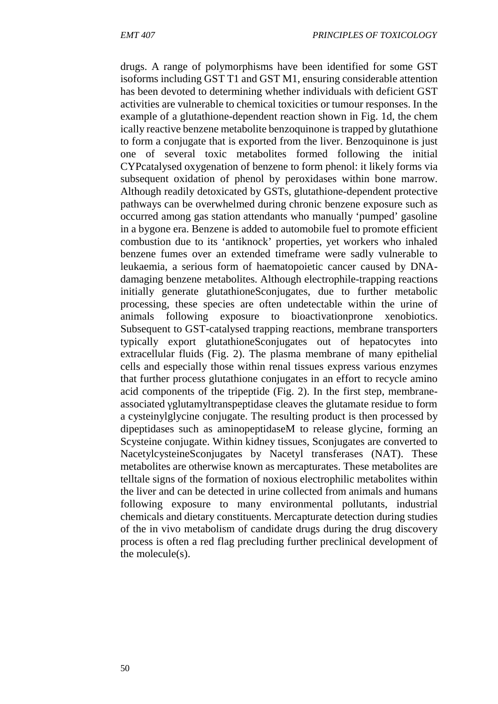drugs. A range of polymorphisms have been identified for some GST isoforms including GST T1 and GST M1, ensuring considerable attention has been devoted to determining whether individuals with deficient GST activities are vulnerable to chemical toxicities or tumour responses. In the example of a glutathione-dependent reaction shown in Fig. 1d, the chem ically reactive benzene metabolite benzoquinone is trapped by glutathione to form a conjugate that is exported from the liver. Benzoquinone is just one of several toxic metabolites formed following the initial CYPcatalysed oxygenation of benzene to form phenol: it likely forms via subsequent oxidation of phenol by peroxidases within bone marrow. Although readily detoxicated by GSTs, glutathione-dependent protective pathways can be overwhelmed during chronic benzene exposure such as occurred among gas station attendants who manually 'pumped' gasoline in a bygone era. Benzene is added to automobile fuel to promote efficient combustion due to its 'antiknock' properties, yet workers who inhaled benzene fumes over an extended timeframe were sadly vulnerable to leukaemia, a serious form of haematopoietic cancer caused by DNA damaging benzene metabolites. Although electrophile-trapping reactions initially generate glutathioneSconjugates, due to further metabolic processing, these species are often undetectable within the urine of animals following exposure to bioactivationprone xenobiotics. Subsequent to GST-catalysed trapping reactions, membrane transporters typically export glutathioneSconjugates out of hepatocytes into extracellular fluids (Fig. 2). The plasma membrane of many epithelial cells and especially those within renal tissues express various enzymes that further process glutathione conjugates in an effort to recycle amino acid components of the tripeptide (Fig. 2). In the first step, membrane associated glutamyltranspeptidase cleaves the glutamate residue to form a cysteinylglycine conjugate. The resulting product is then processed by dipeptidases such as aminopeptidaseM to release glycine, forming an Scysteine conjugate. Within kidney tissues, Sconjugates are converted to NacetylcysteineSconjugates by Nacetyl transferases (NAT). These metabolites are otherwise known as mercapturates. These metabolites are telltale signs of the formation of noxious electrophilic metabolites within the liver and can be detected in urine collected from animals and humans following exposure to many environmental pollutants, industrial chemicals and dietary constituents. Mercapturate detection during studies of the in vivo metabolism of candidate drugs during the drug discovery process is often a red flag precluding further preclinical development of the molecule(s).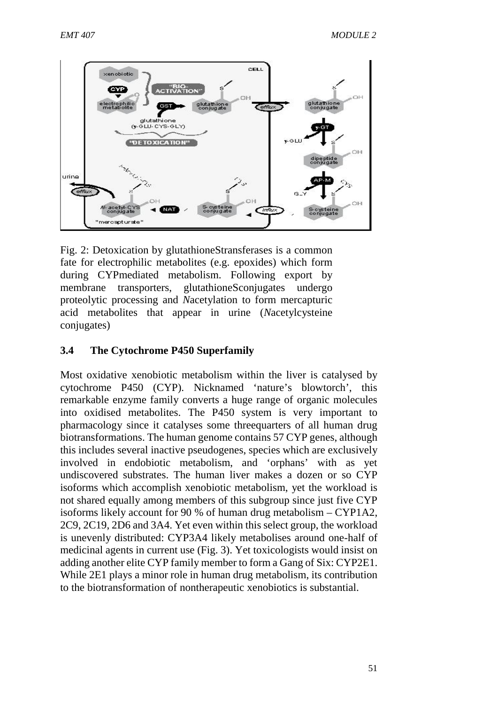

Fig. 2: Detoxication by glutathioneStransferases is a common fate for electrophilic metabolites (e.g. epoxides) which form during CYPmediated metabolism. Following export by membrane transporters, glutathioneSconjugates undergo proteolytic processing and *N*acetylation to form mercapturic acid metabolites that appear in urine (*N*acetylcysteine conjugates)

## **3.4 The Cytochrome P450 Superfamily**

Most oxidative xenobiotic metabolism within the liver is catalysed by cytochrome P450 (CYP). Nicknamed 'nature's blowtorch', this remarkable enzyme family converts a huge range of organic molecules into oxidised metabolites. The P450 system is very important to pharmacology since it catalyses some threequarters of all human drug biotransformations. The human genome contains 57 CYP genes, although this includes several inactive pseudogenes, species which are exclusively involved in endobiotic metabolism, and 'orphans' with as yet undiscovered substrates. The human liver makes a dozen or so CYP isoforms which accomplish xenobiotic metabolism, yet the workload is not shared equally among members of this subgroup since just five CYP isoforms likely account for 90 % of human drug metabolism – CYP1A2, 2C9, 2C19, 2D6 and 3A4. Yet even within this select group, the workload is unevenly distributed: CYP3A4 likely metabolises around one-half of medicinal agents in current use (Fig. 3). Yet toxicologists would insist on adding another elite CYP family member to form a Gang of Six: CYP2E1. While 2E1 plays a minor role in human drug metabolism, its contribution to the biotransformation of nontherapeutic xenobiotics is substantial.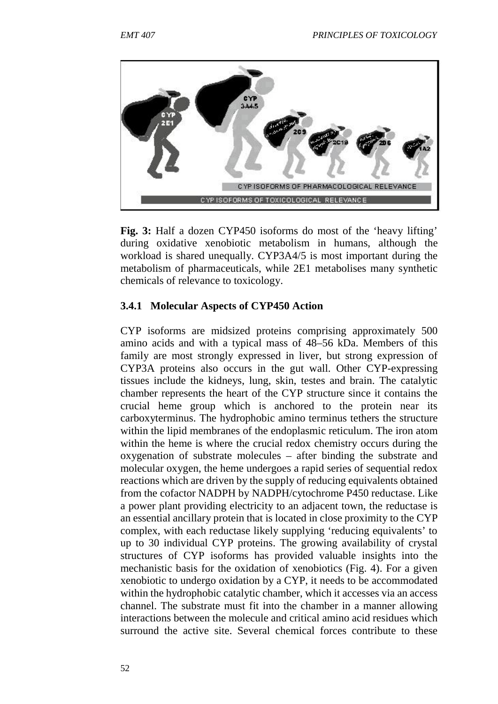

**Fig. 3:** Half a dozen CYP450 isoforms do most of the 'heavy lifting' during oxidative xenobiotic metabolism in humans, although the workload is shared unequally. CYP3A4/5 is most important during the metabolism of pharmaceuticals, while 2E1 metabolises many synthetic chemicals of relevance to toxicology.

## **3.4.1 Molecular Aspects of CYP450 Action**

CYP isoforms are midsized proteins comprising approximately 500 amino acids and with a typical mass of 48–56 kDa. Members of this family are most strongly expressed in liver, but strong expression of CYP3A proteins also occurs in the gut wall. Other CYP-expressing tissues include the kidneys, lung, skin, testes and brain. The catalytic chamber represents the heart of the CYP structure since it contains the crucial heme group which is anchored to the protein near its carboxyterminus. The hydrophobic amino terminus tethers the structure within the lipid membranes of the endoplasmic reticulum. The iron atom within the heme is where the crucial redox chemistry occurs during the oxygenation of substrate molecules – after binding the substrate and molecular oxygen, the heme undergoes a rapid series of sequential redox reactions which are driven by the supply of reducing equivalents obtained from the cofactor NADPH by NADPH/cytochrome P450 reductase. Like a power plant providing electricity to an adjacent town, the reductase is an essential ancillary protein that is located in close proximity to the CYP complex, with each reductase likely supplying 'reducing equivalents' to up to 30 individual CYP proteins. The growing availability of crystal structures of CYP isoforms has provided valuable insights into the mechanistic basis for the oxidation of xenobiotics (Fig. 4). For a given xenobiotic to undergo oxidation by a CYP, it needs to be accommodated within the hydrophobic catalytic chamber, which it accesses via an access channel. The substrate must fit into the chamber in a manner allowing interactions between the molecule and critical amino acid residues which surround the active site. Several chemical forces contribute to these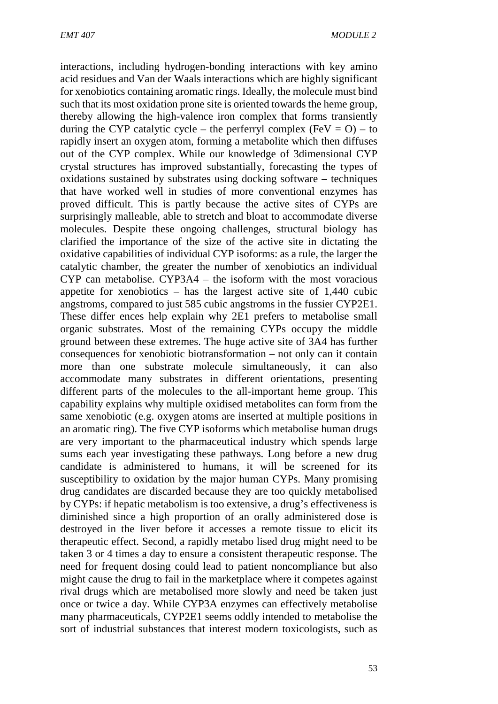interactions, including hydrogen-bonding interactions with key amino acid residues and Van der Waals interactions which are highly significant for xenobiotics containing aromatic rings. Ideally, the molecule must bind such that its most oxidation prone site is oriented towards the heme group, thereby allowing the high-valence iron complex that forms transiently during the CYP catalytic cycle – the perferryl complex (FeV =  $O$ ) – to rapidly insert an oxygen atom, forming a metabolite which then diffuses out of the CYP complex. While our knowledge of 3dimensional CYP crystal structures has improved substantially, forecasting the types of oxidations sustained by substrates using docking software – techniques that have worked well in studies of more conventional enzymes has proved difficult. This is partly because the active sites of CYPs are surprisingly malleable, able to stretch and bloat to accommodate diverse molecules. Despite these ongoing challenges, structural biology has clarified the importance of the size of the active site in dictating the oxidative capabilities of individual CYP isoforms: as a rule, the larger the catalytic chamber, the greater the number of xenobiotics an individual CYP can metabolise. CYP3A4 – the isoform with the most voracious appetite for xenobiotics – has the largest active site of 1,440 cubic angstroms, compared to just 585 cubic angstroms in the fussier CYP2E1. These differ ences help explain why 2E1 prefers to metabolise small organic substrates. Most of the remaining CYPs occupy the middle ground between these extremes. The huge active site of 3A4 has further consequences for xenobiotic biotransformation – not only can it contain more than one substrate molecule simultaneously, it can also accommodate many substrates in different orientations, presenting different parts of the molecules to the all-important heme group. This capability explains why multiple oxidised metabolites can form from the same xenobiotic (e.g. oxygen atoms are inserted at multiple positions in an aromatic ring). The five CYP isoforms which metabolise human drugs are very important to the pharmaceutical industry which spends large sums each year investigating these pathways. Long before a new drug candidate is administered to humans, it will be screened for its susceptibility to oxidation by the major human CYPs. Many promising drug candidates are discarded because they are too quickly metabolised by CYPs: if hepatic metabolism is too extensive, a drug's effectiveness is diminished since a high proportion of an orally administered dose is destroyed in the liver before it accesses a remote tissue to elicit its therapeutic effect. Second, a rapidly metabo lised drug might need to be taken 3 or 4 times a day to ensure a consistent therapeutic response. The need for frequent dosing could lead to patient noncompliance but also might cause the drug to fail in the marketplace where it competes against rival drugs which are metabolised more slowly and need be taken just once or twice a day. While CYP3A enzymes can effectively metabolise many pharmaceuticals, CYP2E1 seems oddly intended to metabolise the sort of industrial substances that interest modern toxicologists, such as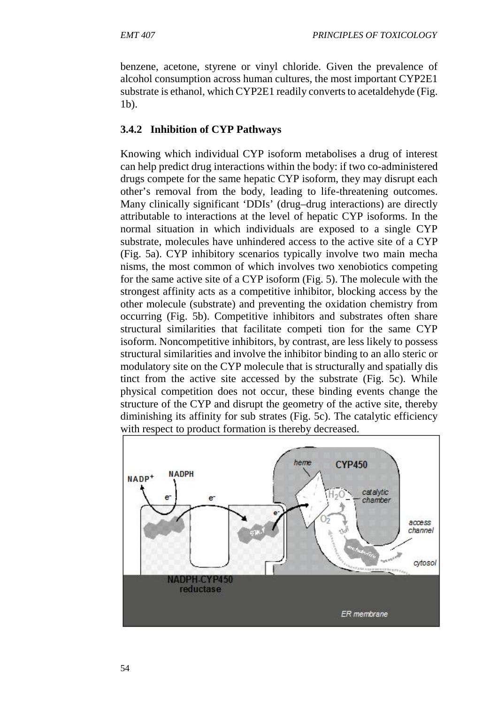benzene, acetone, styrene or vinyl chloride. Given the prevalence of alcohol consumption across human cultures, the most important CYP2E1 substrate is ethanol, which CYP2E1 readily converts to acetaldehyde (Fig. 1b).

## **3.4.2 Inhibition of CYP Pathways**

Knowing which individual CYP isoform metabolises a drug of interest can help predict drug interactions within the body: if two co-administered drugs compete for the same hepatic CYP isoform, they may disrupt each other's removal from the body, leading to life-threatening outcomes. Many clinically significant 'DDIs' (drug–drug interactions) are directly attributable to interactions at the level of hepatic CYP isoforms. In the normal situation in which individuals are exposed to a single CYP substrate, molecules have unhindered access to the active site of a CYP (Fig. 5a). CYP inhibitory scenarios typically involve two main mecha nisms, the most common of which involves two xenobiotics competing for the same active site of a CYP isoform (Fig. 5). The molecule with the strongest affinity acts as a competitive inhibitor, blocking access by the other molecule (substrate) and preventing the oxidation chemistry from occurring (Fig. 5b). Competitive inhibitors and substrates often share structural similarities that facilitate competi tion for the same CYP isoform. Noncompetitive inhibitors, by contrast, are less likely to possess structural similarities and involve the inhibitor binding to an allo steric or modulatory site on the CYP molecule that is structurally and spatially dis tinct from the active site accessed by the substrate (Fig. 5c). While physical competition does not occur, these binding events change the structure of the CYP and disrupt the geometry of the active site, thereby diminishing its affinity for sub strates (Fig. 5c). The catalytic efficiency with respect to product formation is thereby decreased.

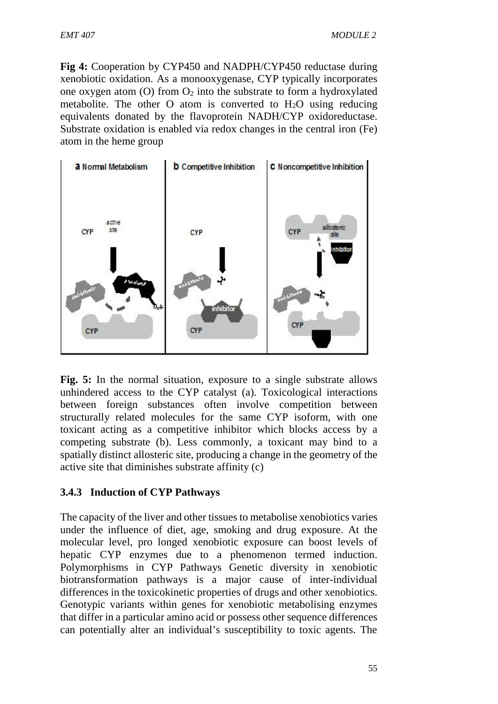**Fig 4:** Cooperation by CYP450 and NADPH/CYP450 reductase during xenobiotic oxidation. As a monooxygenase, CYP typically incorporates one oxygen atom  $(O)$  from  $O_2$  into the substrate to form a hydroxylated metabolite. The other O atom is converted to  $H_2O$  using reducing equivalents donated by the flavoprotein NADH/CYP oxidoreductase. Substrate oxidation is enabled via redox changes in the central iron (Fe) atom in the heme group



**Fig. 5:** In the normal situation, exposure to a single substrate allows unhindered access to the CYP catalyst (a). Toxicological interactions between foreign substances often involve competition between structurally related molecules for the same CYP isoform, with one toxicant acting as a competitive inhibitor which blocks access by a competing substrate (b). Less commonly, a toxicant may bind to a spatially distinct allosteric site, producing a change in the geometry of the active site that diminishes substrate affinity (c)

# **3.4.3 Induction of CYP Pathways**

The capacity of the liver and other tissues to metabolise xenobiotics varies under the influence of diet, age, smoking and drug exposure. At the molecular level, pro longed xenobiotic exposure can boost levels of hepatic CYP enzymes due to a phenomenon termed induction. Polymorphisms in CYP Pathways Genetic diversity in xenobiotic biotransformation pathways is a major cause of inter-individual differences in the toxicokinetic properties of drugs and other xenobiotics. Genotypic variants within genes for xenobiotic metabolising enzymes that differ in a particular amino acid or possess other sequence differences can potentially alter an individual's susceptibility to toxic agents. The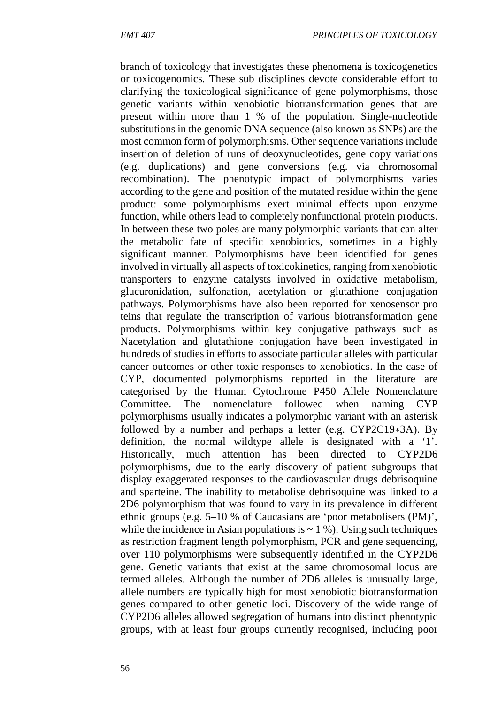branch of toxicology that investigates these phenomena is toxicogenetics or toxicogenomics. These sub disciplines devote considerable effort to clarifying the toxicological significance of gene polymorphisms, those genetic variants within xenobiotic biotransformation genes that are present within more than 1 % of the population. Single-nucleotide substitutions in the genomic DNA sequence (also known as SNPs) are the most common form of polymorphisms. Other sequence variations include insertion of deletion of runs of deoxynucleotides, gene copy variations (e.g. duplications) and gene conversions (e.g. via chromosomal recombination). The phenotypic impact of polymorphisms varies according to the gene and position of the mutated residue within the gene product: some polymorphisms exert minimal effects upon enzyme function, while others lead to completely nonfunctional protein products. In between these two poles are many polymorphic variants that can alter the metabolic fate of specific xenobiotics, sometimes in a highly significant manner. Polymorphisms have been identified for genes involved in virtually all aspects of toxicokinetics, ranging from xenobiotic transporters to enzyme catalysts involved in oxidative metabolism, glucuronidation, sulfonation, acetylation or glutathione conjugation pathways. Polymorphisms have also been reported for xenosensor pro teins that regulate the transcription of various biotransformation gene products. Polymorphisms within key conjugative pathways such as Nacetylation and glutathione conjugation have been investigated in hundreds of studies in efforts to associate particular alleles with particular cancer outcomes or other toxic responses to xenobiotics. In the case of CYP, documented polymorphisms reported in the literature are categorised by the Human Cytochrome P450 Allele Nomenclature Committee. The nomenclature followed when naming CYP polymorphisms usually indicates a polymorphic variant with an asterisk followed by a number and perhaps a letter (e.g. CYP2C19∗3A). By definition, the normal wildtype allele is designated with a '1'. Historically, much attention has been directed to CYP2D6 polymorphisms, due to the early discovery of patient subgroups that display exaggerated responses to the cardiovascular drugs debrisoquine and sparteine. The inability to metabolise debrisoquine was linked to a 2D6 polymorphism that was found to vary in its prevalence in different ethnic groups (e.g. 5–10 % of Caucasians are 'poor metabolisers (PM)', while the incidence in Asian populations is  $\sim 1$  %). Using such techniques as restriction fragment length polymorphism, PCR and gene sequencing, over 110 polymorphisms were subsequently identified in the CYP2D6 gene. Genetic variants that exist at the same chromosomal locus are termed alleles. Although the number of 2D6 alleles is unusually large, allele numbers are typically high for most xenobiotic biotransformation genes compared to other genetic loci. Discovery of the wide range of CYP2D6 alleles allowed segregation of humans into distinct phenotypic groups, with at least four groups currently recognised, including poor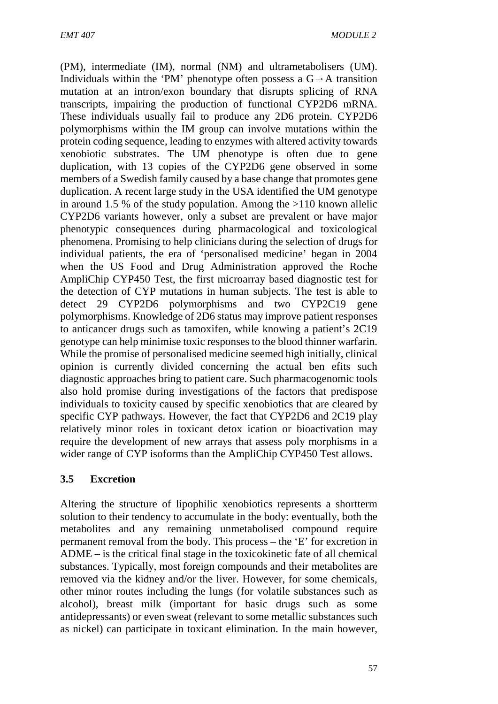(PM), intermediate (IM), normal (NM) and ultrametabolisers (UM). Individuals within the 'PM' phenotype often possess a G A transition mutation at an intron/exon boundary that disrupts splicing of RNA transcripts, impairing the production of functional CYP2D6 mRNA. These individuals usually fail to produce any 2D6 protein. CYP2D6 polymorphisms within the IM group can involve mutations within the protein coding sequence, leading to enzymes with altered activity towards xenobiotic substrates. The UM phenotype is often due to gene duplication, with 13 copies of the CYP2D6 gene observed in some members of a Swedish family caused by a base change that promotes gene duplication. A recent large study in the USA identified the UM genotype in around 1.5 % of the study population. Among the  $>110$  known allelic CYP2D6 variants however, only a subset are prevalent or have major phenotypic consequences during pharmacological and toxicological phenomena. Promising to help clinicians during the selection of drugs for individual patients, the era of 'personalised medicine' began in 2004 when the US Food and Drug Administration approved the Roche AmpliChip CYP450 Test, the first microarray based diagnostic test for the detection of CYP mutations in human subjects. The test is able to detect 29 CYP2D6 polymorphisms and two CYP2C19 gene polymorphisms. Knowledge of 2D6 status may improve patient responses to anticancer drugs such as tamoxifen, while knowing a patient's 2C19 genotype can help minimise toxic responses to the blood thinner warfarin. While the promise of personalised medicine seemed high initially, clinical opinion is currently divided concerning the actual ben efits such diagnostic approaches bring to patient care. Such pharmacogenomic tools also hold promise during investigations of the factors that predispose individuals to toxicity caused by specific xenobiotics that are cleared by specific CYP pathways. However, the fact that CYP2D6 and 2C19 play relatively minor roles in toxicant detox ication or bioactivation may require the development of new arrays that assess poly morphisms in a wider range of CYP isoforms than the AmpliChip CYP450 Test allows.

# **3.5 Excretion**

Altering the structure of lipophilic xenobiotics represents a shortterm solution to their tendency to accumulate in the body: eventually, both the metabolites and any remaining unmetabolised compound require permanent removal from the body. This process – the 'E' for excretion in ADME – is the critical final stage in the toxicokinetic fate of all chemical substances. Typically, most foreign compounds and their metabolites are removed via the kidney and/or the liver. However, for some chemicals, other minor routes including the lungs (for volatile substances such as alcohol), breast milk (important for basic drugs such as some antidepressants) or even sweat (relevant to some metallic substances such as nickel) can participate in toxicant elimination. In the main however,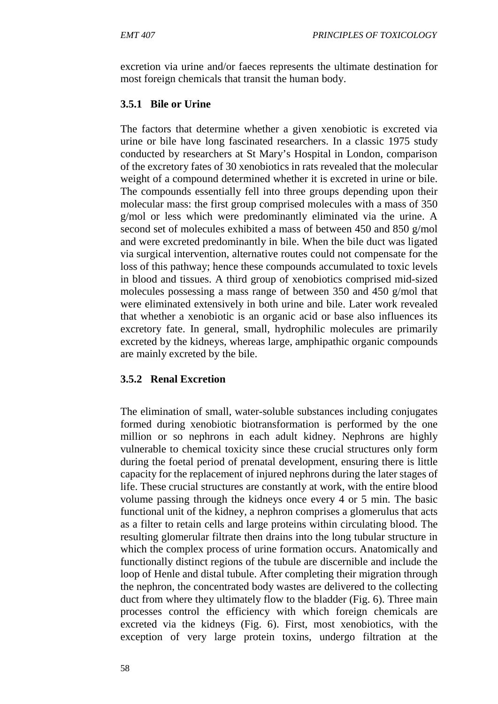excretion via urine and/or faeces represents the ultimate destination for most foreign chemicals that transit the human body.

#### **3.5.1 Bile or Urine**

The factors that determine whether a given xenobiotic is excreted via urine or bile have long fascinated researchers. In a classic 1975 study conducted by researchers at St Mary's Hospital in London, comparison of the excretory fates of 30 xenobiotics in rats revealed that the molecular weight of a compound determined whether it is excreted in urine or bile. The compounds essentially fell into three groups depending upon their molecular mass: the first group comprised molecules with a mass of 350 g/mol or less which were predominantly eliminated via the urine. A second set of molecules exhibited a mass of between 450 and 850 g/mol and were excreted predominantly in bile. When the bile duct was ligated via surgical intervention, alternative routes could not compensate for the loss of this pathway; hence these compounds accumulated to toxic levels in blood and tissues. A third group of xenobiotics comprised mid-sized molecules possessing a mass range of between 350 and 450 g/mol that were eliminated extensively in both urine and bile. Later work revealed that whether a xenobiotic is an organic acid or base also influences its excretory fate. In general, small, hydrophilic molecules are primarily excreted by the kidneys, whereas large, amphipathic organic compounds are mainly excreted by the bile.

#### **3.5.2 Renal Excretion**

The elimination of small, water-soluble substances including conjugates formed during xenobiotic biotransformation is performed by the one million or so nephrons in each adult kidney. Nephrons are highly vulnerable to chemical toxicity since these crucial structures only form during the foetal period of prenatal development, ensuring there is little capacity for the replacement of injured nephrons during the later stages of life. These crucial structures are constantly at work, with the entire blood volume passing through the kidneys once every 4 or 5 min. The basic functional unit of the kidney, a nephron comprises a glomerulus that acts as a filter to retain cells and large proteins within circulating blood. The resulting glomerular filtrate then drains into the long tubular structure in which the complex process of urine formation occurs. Anatomically and functionally distinct regions of the tubule are discernible and include the loop of Henle and distal tubule. After completing their migration through the nephron, the concentrated body wastes are delivered to the collecting duct from where they ultimately flow to the bladder (Fig. 6). Three main processes control the efficiency with which foreign chemicals are excreted via the kidneys (Fig. 6). First, most xenobiotics, with the exception of very large protein toxins, undergo filtration at the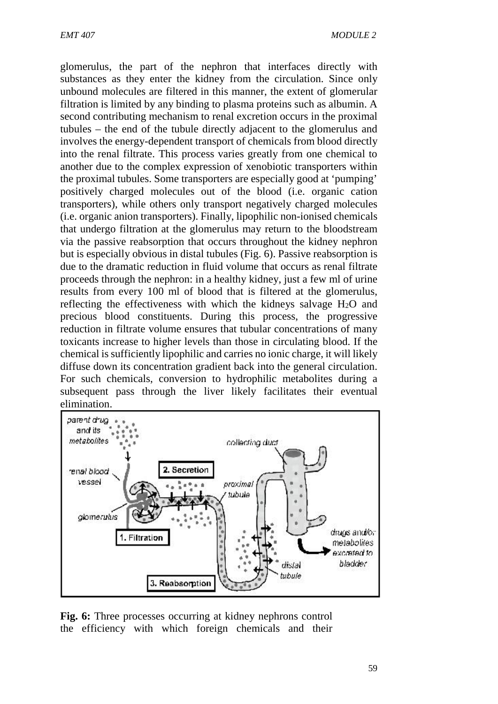glomerulus, the part of the nephron that interfaces directly with substances as they enter the kidney from the circulation. Since only unbound molecules are filtered in this manner, the extent of glomerular filtration is limited by any binding to plasma proteins such as albumin. A second contributing mechanism to renal excretion occurs in the proximal tubules – the end of the tubule directly adjacent to the glomerulus and involves the energy-dependent transport of chemicals from blood directly into the renal filtrate. This process varies greatly from one chemical to another due to the complex expression of xenobiotic transporters within the proximal tubules. Some transporters are especially good at 'pumping' positively charged molecules out of the blood (i.e. organic cation transporters), while others only transport negatively charged molecules (i.e. organic anion transporters). Finally, lipophilic non-ionised chemicals that undergo filtration at the glomerulus may return to the bloodstream via the passive reabsorption that occurs throughout the kidney nephron but is especially obvious in distal tubules (Fig. 6). Passive reabsorption is due to the dramatic reduction in fluid volume that occurs as renal filtrate proceeds through the nephron: in a healthy kidney, just a few ml of urine results from every 100 ml of blood that is filtered at the glomerulus, reflecting the effectiveness with which the kidneys salvage  $H_2O$  and precious blood constituents. During this process, the progressive reduction in filtrate volume ensures that tubular concentrations of many toxicants increase to higher levels than those in circulating blood. If the chemical is sufficiently lipophilic and carries no ionic charge, it will likely diffuse down its concentration gradient back into the general circulation. For such chemicals, conversion to hydrophilic metabolites during a subsequent pass through the liver likely facilitates their eventual elimination.



**Fig. 6:** Three processes occurring at kidney nephrons control the efficiency with which foreign chemicals and their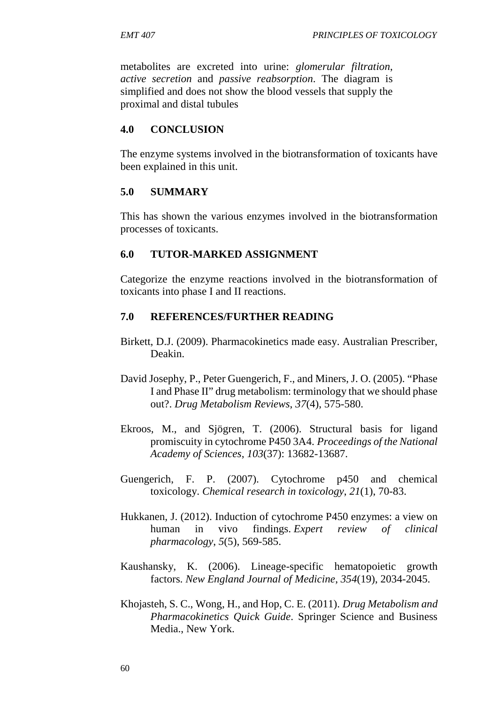metabolites are excreted into urine: *glomerular filtration*, *active secretion* and *passive reabsorption*. The diagram is simplified and does not show the blood vessels that supply the proximal and distal tubules

## **4.0 CONCLUSION**

The enzyme systems involved in the biotransformation of toxicants have been explained in this unit.

#### **5.0 SUMMARY**

This has shown the various enzymes involved in the biotransformation processes of toxicants.

#### **6.0 TUTOR-MARKED ASSIGNMENT**

Categorize the enzyme reactions involved in the biotransformation of toxicants into phase I and II reactions.

#### **7.0 REFERENCES/FURTHER READING**

- Birkett, D.J. (2009). Pharmacokinetics made easy. Australian Prescriber, Deakin.
- David Josephy, P., Peter Guengerich, F., and Miners, J. O. (2005). "Phase I and Phase II" drug metabolism: terminology that we should phase out?. *Drug Metabolism Reviews*, *37*(4), 575-580.
- Ekroos, M., and Sjögren, T. (2006). Structural basis for ligand promiscuity in cytochrome P450 3A4. *Proceedings of the National Academy of Sciences*, *103*(37): 13682-13687.
- Guengerich, F. P. (2007). Cytochrome p450 and chemical toxicology. *Chemical research in toxicology*, *21*(1), 70-83.
- Hukkanen, J. (2012). Induction of cytochrome P450 enzymes: a view on human in vivo findings. *Expert review of clinical pharmacology*, *5*(5), 569-585.
- Kaushansky, K. (2006). Lineage-specific hematopoietic growth factors. *New England Journal of Medicine*, *354*(19), 2034-2045.
- Khojasteh, S. C., Wong, H., and Hop, C. E. (2011). *Drug Metabolism and Pharmacokinetics Quick Guide*. Springer Science and Business Media., New York.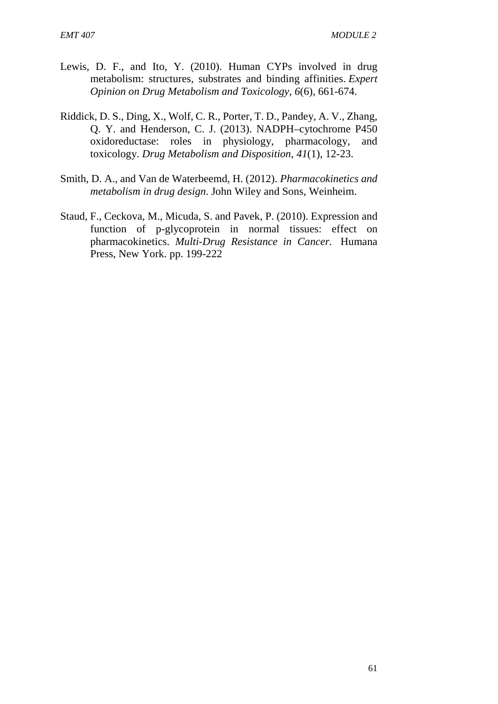- Lewis, D. F., and Ito, Y. (2010). Human CYPs involved in drug metabolism: structures, substrates and binding affinities. *Expert Opinion on Drug Metabolism and Toxicology*, *6*(6), 661-674.
- Riddick, D. S., Ding, X., Wolf, C. R., Porter, T. D., Pandey, A. V., Zhang, Q. Y. and Henderson, C. J. (2013). NADPH–cytochrome P450 oxidoreductase: roles in physiology, pharmacology, and toxicology. *Drug Metabolism and Disposition*, *41*(1), 12-23.
- Smith, D. A., and Van de Waterbeemd, H. (2012). *Pharmacokinetics and metabolism in drug design*. John Wiley and Sons, Weinheim.
- Staud, F., Ceckova, M., Micuda, S. and Pavek, P. (2010). Expression and function of p-glycoprotein in normal tissues: effect on pharmacokinetics. *Multi-Drug Resistance in Cancer.* Humana Press, New York. pp. 199-222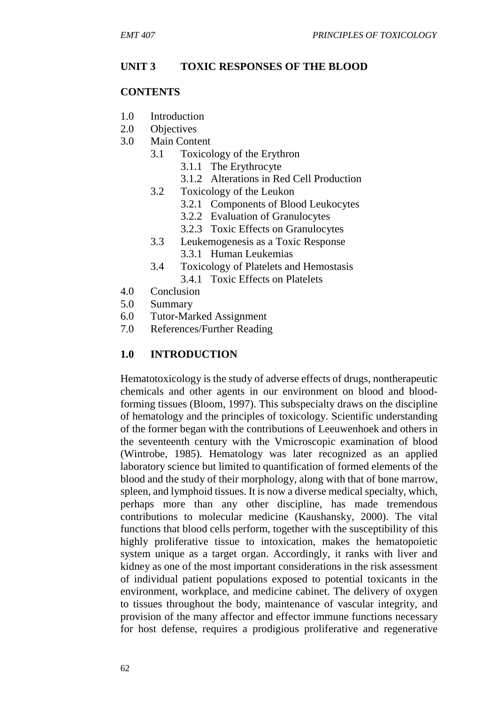### **UNIT 3 TOXIC RESPONSES OF THE BLOOD**

#### **CONTENTS**

- 1.0 Introduction
- 2.0 Objectives
- 3.0 Main Content
	- 3.1 Toxicology of the Erythron
		- 3.1.1 The Erythrocyte
		- 3.1.2 Alterations in Red Cell Production
	- 3.2 Toxicology of the Leukon
		- 3.2.1 Components of Blood Leukocytes
		- 3.2.2 Evaluation of Granulocytes
		- 3.2.3 Toxic Effects on Granulocytes
	- 3.3 Leukemogenesis as a Toxic Response
		- 3.3.1 Human Leukemias
	- 3.4 Toxicology of Platelets and Hemostasis 3.4.1 Toxic Effects on Platelets
- 4.0 Conclusion
- 5.0 Summary
- 6.0 Tutor-Marked Assignment
- 7.0 References/Further Reading

## **1.0 INTRODUCTION**

Hematotoxicology is the study of adverse effects of drugs, nontherapeutic chemicals and other agents in our environment on blood and bloodforming tissues (Bloom, 1997). This subspecialty draws on the discipline of hematology and the principles of toxicology. Scientific understanding of the former began with the contributions of Leeuwenhoek and others in the seventeenth century with the Vmicroscopic examination of blood (Wintrobe, 1985). Hematology was later recognized as an applied laboratory science but limited to quantification of formed elements of the blood and the study of their morphology, along with that of bone marrow, spleen, and lymphoid tissues. It is now a diverse medical specialty, which, perhaps more than any other discipline, has made tremendous contributions to molecular medicine (Kaushansky, 2000). The vital functions that blood cells perform, together with the susceptibility of this highly proliferative tissue to intoxication, makes the hematopoietic system unique as a target organ. Accordingly, it ranks with liver and kidney as one of the most important considerations in the risk assessment of individual patient populations exposed to potential toxicants in the environment, workplace, and medicine cabinet. The delivery of oxygen to tissues throughout the body, maintenance of vascular integrity, and provision of the many affector and effector immune functions necessary for host defense, requires a prodigious proliferative and regenerative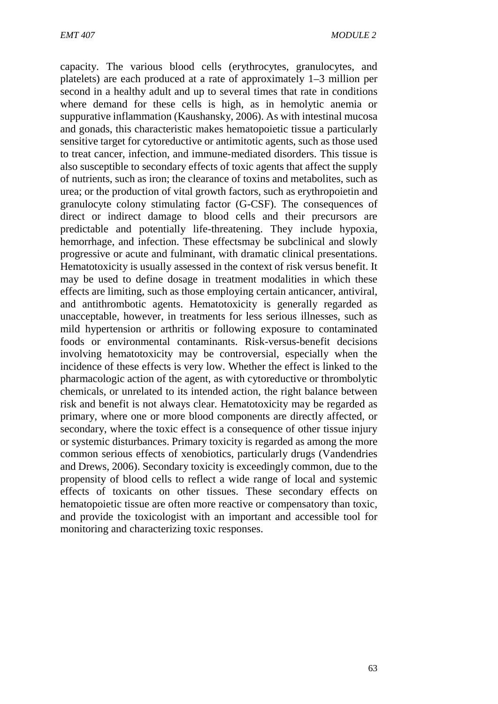capacity. The various blood cells (erythrocytes, granulocytes, and platelets) are each produced at a rate of approximately 1–3 million per second in a healthy adult and up to several times that rate in conditions where demand for these cells is high, as in hemolytic anemia or suppurative inflammation (Kaushansky, 2006). As with intestinal mucosa and gonads, this characteristic makes hematopoietic tissue a particularly sensitive target for cytoreductive or antimitotic agents, such as those used to treat cancer, infection, and immune-mediated disorders. This tissue is also susceptible to secondary effects of toxic agents that affect the supply of nutrients, such as iron; the clearance of toxins and metabolites, such as urea; or the production of vital growth factors, such as erythropoietin and granulocyte colony stimulating factor (G-CSF). The consequences of direct or indirect damage to blood cells and their precursors are predictable and potentially life-threatening. They include hypoxia, hemorrhage, and infection. These effectsmay be subclinical and slowly progressive or acute and fulminant, with dramatic clinical presentations. Hematotoxicity is usually assessed in the context of risk versus benefit. It may be used to define dosage in treatment modalities in which these effects are limiting, such as those employing certain anticancer, antiviral, and antithrombotic agents. Hematotoxicity is generally regarded as unacceptable, however, in treatments for less serious illnesses, such as mild hypertension or arthritis or following exposure to contaminated foods or environmental contaminants. Risk-versus-benefit decisions involving hematotoxicity may be controversial, especially when the incidence of these effects is very low. Whether the effect is linked to the pharmacologic action of the agent, as with cytoreductive or thrombolytic chemicals, or unrelated to its intended action, the right balance between risk and benefit is not always clear. Hematotoxicity may be regarded as primary, where one or more blood components are directly affected, or secondary, where the toxic effect is a consequence of other tissue injury or systemic disturbances. Primary toxicity is regarded as among the more common serious effects of xenobiotics, particularly drugs (Vandendries and Drews, 2006). Secondary toxicity is exceedingly common, due to the propensity of blood cells to reflect a wide range of local and systemic effects of toxicants on other tissues. These secondary effects on hematopoietic tissue are often more reactive or compensatory than toxic, and provide the toxicologist with an important and accessible tool for monitoring and characterizing toxic responses.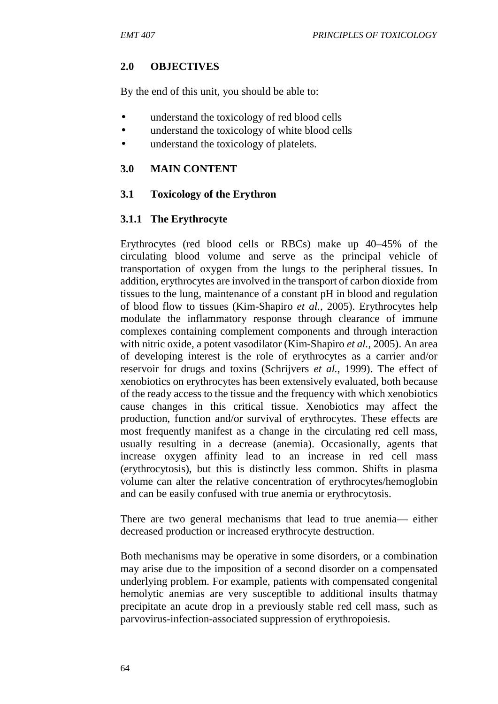## **2.0 OBJECTIVES**

By the end of this unit, you should be able to:

- understand the toxicology of red blood cells
- understand the toxicology of white blood cells
- understand the toxicology of platelets.

### **3.0 MAIN CONTENT**

## **3.1 Toxicology of the Erythron**

## **3.1.1 The Erythrocyte**

Erythrocytes (red blood cells or RBCs) make up 40–45% of the circulating blood volume and serve as the principal vehicle of transportation of oxygen from the lungs to the peripheral tissues. In addition, erythrocytes are involved in the transport of carbon dioxide from tissues to the lung, maintenance of a constant pH in blood and regulation of blood flow to tissues (Kim-Shapiro *et al.*, 2005). Erythrocytes help modulate the inflammatory response through clearance of immune complexes containing complement components and through interaction with nitric oxide, a potent vasodilator (Kim-Shapiro *et al.*, 2005). An area of developing interest is the role of erythrocytes as a carrier and/or reservoir for drugs and toxins (Schrijvers *et al.*, 1999). The effect of xenobiotics on erythrocytes has been extensively evaluated, both because of the ready access to the tissue and the frequency with which xenobiotics cause changes in this critical tissue. Xenobiotics may affect the production, function and/or survival of erythrocytes. These effects are most frequently manifest as a change in the circulating red cell mass, usually resulting in a decrease (anemia). Occasionally, agents that increase oxygen affinity lead to an increase in red cell mass (erythrocytosis), but this is distinctly less common. Shifts in plasma volume can alter the relative concentration of erythrocytes/hemoglobin and can be easily confused with true anemia or erythrocytosis.

There are two general mechanisms that lead to true anemia— either decreased production or increased erythrocyte destruction.

Both mechanisms may be operative in some disorders, or a combination may arise due to the imposition of a second disorder on a compensated underlying problem. For example, patients with compensated congenital hemolytic anemias are very susceptible to additional insults thatmay precipitate an acute drop in a previously stable red cell mass, such as parvovirus-infection-associated suppression of erythropoiesis.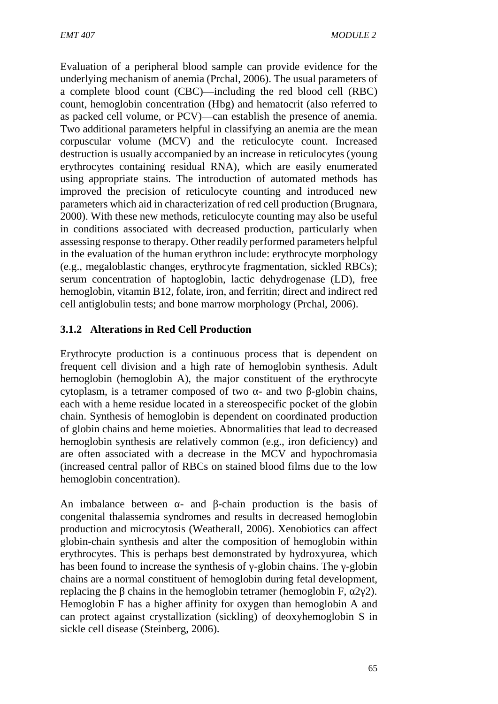Evaluation of a peripheral blood sample can provide evidence for the underlying mechanism of anemia (Prchal, 2006). The usual parameters of a complete blood count (CBC)—including the red blood cell (RBC) count, hemoglobin concentration (Hbg) and hematocrit (also referred to as packed cell volume, or PCV)—can establish the presence of anemia. Two additional parameters helpful in classifying an anemia are the mean corpuscular volume (MCV) and the reticulocyte count. Increased destruction is usually accompanied by an increase in reticulocytes (young erythrocytes containing residual RNA), which are easily enumerated using appropriate stains. The introduction of automated methods has improved the precision of reticulocyte counting and introduced new parameters which aid in characterization of red cell production (Brugnara, 2000). With these new methods, reticulocyte counting may also be useful in conditions associated with decreased production, particularly when assessing response to therapy. Other readily performed parameters helpful in the evaluation of the human erythron include: erythrocyte morphology (e.g., megaloblastic changes, erythrocyte fragmentation, sickled RBCs); serum concentration of haptoglobin, lactic dehydrogenase (LD), free hemoglobin, vitamin B12, folate, iron, and ferritin; direct and indirect red cell antiglobulin tests; and bone marrow morphology (Prchal, 2006).

# **3.1.2 Alterations in Red Cell Production**

Erythrocyte production is a continuous process that is dependent on frequent cell division and a high rate of hemoglobin synthesis. Adult hemoglobin (hemoglobin A), the major constituent of the erythrocyte cytoplasm, is a tetramer composed of two - and two - globin chains, each with a heme residue located in a stereospecific pocket of the globin chain. Synthesis of hemoglobin is dependent on coordinated production of globin chains and heme moieties. Abnormalities that lead to decreased hemoglobin synthesis are relatively common (e.g., iron deficiency) and are often associated with a decrease in the MCV and hypochromasia (increased central pallor of RBCs on stained blood films due to the low hemoglobin concentration).

An imbalance between - and -chain production is the basis of congenital thalassemia syndromes and results in decreased hemoglobin production and microcytosis (Weatherall, 2006). Xenobiotics can affect globin-chain synthesis and alter the composition of hemoglobin within erythrocytes. This is perhaps best demonstrated by hydroxyurea, which has been found to increase the synthesis of -globin chains. The -globin chains are a normal constituent of hemoglobin during fetal development, replacing the chains in the hemoglobin tetramer (hemoglobin F, 2 2). Hemoglobin F has a higher affinity for oxygen than hemoglobin A and can protect against crystallization (sickling) of deoxyhemoglobin S in sickle cell disease (Steinberg, 2006).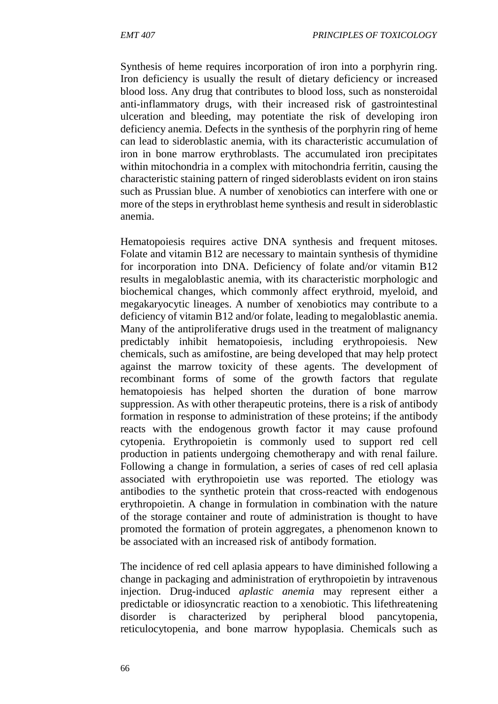Synthesis of heme requires incorporation of iron into a porphyrin ring. Iron deficiency is usually the result of dietary deficiency or increased blood loss. Any drug that contributes to blood loss, such as nonsteroidal anti-inflammatory drugs, with their increased risk of gastrointestinal ulceration and bleeding, may potentiate the risk of developing iron deficiency anemia. Defects in the synthesis of the porphyrin ring of heme can lead to sideroblastic anemia, with its characteristic accumulation of iron in bone marrow erythroblasts. The accumulated iron precipitates within mitochondria in a complex with mitochondria ferritin, causing the characteristic staining pattern of ringed sideroblasts evident on iron stains such as Prussian blue. A number of xenobiotics can interfere with one or more of the steps in erythroblast heme synthesis and result in sideroblastic anemia.

Hematopoiesis requires active DNA synthesis and frequent mitoses. Folate and vitamin B12 are necessary to maintain synthesis of thymidine for incorporation into DNA. Deficiency of folate and/or vitamin B12 results in megaloblastic anemia, with its characteristic morphologic and biochemical changes, which commonly affect erythroid, myeloid, and megakaryocytic lineages. A number of xenobiotics may contribute to a deficiency of vitamin B12 and/or folate, leading to megaloblastic anemia. Many of the antiproliferative drugs used in the treatment of malignancy predictably inhibit hematopoiesis, including erythropoiesis. New chemicals, such as amifostine, are being developed that may help protect against the marrow toxicity of these agents. The development of recombinant forms of some of the growth factors that regulate hematopoiesis has helped shorten the duration of bone marrow suppression. As with other therapeutic proteins, there is a risk of antibody formation in response to administration of these proteins; if the antibody reacts with the endogenous growth factor it may cause profound cytopenia. Erythropoietin is commonly used to support red cell production in patients undergoing chemotherapy and with renal failure. Following a change in formulation, a series of cases of red cell aplasia associated with erythropoietin use was reported. The etiology was antibodies to the synthetic protein that cross-reacted with endogenous erythropoietin. A change in formulation in combination with the nature of the storage container and route of administration is thought to have promoted the formation of protein aggregates, a phenomenon known to be associated with an increased risk of antibody formation.

The incidence of red cell aplasia appears to have diminished following a change in packaging and administration of erythropoietin by intravenous injection. Drug-induced *aplastic anemia* may represent either a predictable or idiosyncratic reaction to a xenobiotic. This lifethreatening disorder is characterized by peripheral blood pancytopenia, reticulocytopenia, and bone marrow hypoplasia. Chemicals such as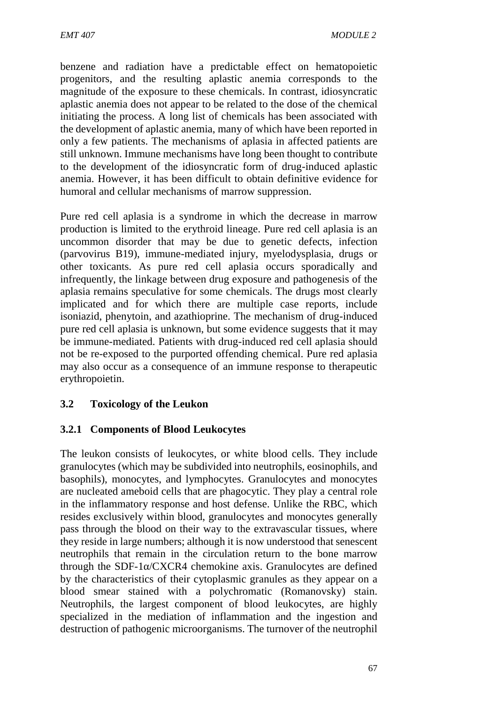benzene and radiation have a predictable effect on hematopoietic progenitors, and the resulting aplastic anemia corresponds to the magnitude of the exposure to these chemicals. In contrast, idiosyncratic aplastic anemia does not appear to be related to the dose of the chemical initiating the process. A long list of chemicals has been associated with the development of aplastic anemia, many of which have been reported in only a few patients. The mechanisms of aplasia in affected patients are still unknown. Immune mechanisms have long been thought to contribute to the development of the idiosyncratic form of drug-induced aplastic anemia. However, it has been difficult to obtain definitive evidence for humoral and cellular mechanisms of marrow suppression.

Pure red cell aplasia is a syndrome in which the decrease in marrow production is limited to the erythroid lineage. Pure red cell aplasia is an uncommon disorder that may be due to genetic defects, infection (parvovirus B19), immune-mediated injury, myelodysplasia, drugs or other toxicants. As pure red cell aplasia occurs sporadically and infrequently, the linkage between drug exposure and pathogenesis of the aplasia remains speculative for some chemicals. The drugs most clearly implicated and for which there are multiple case reports, include isoniazid, phenytoin, and azathioprine. The mechanism of drug-induced pure red cell aplasia is unknown, but some evidence suggests that it may be immune-mediated. Patients with drug-induced red cell aplasia should not be re-exposed to the purported offending chemical. Pure red aplasia may also occur as a consequence of an immune response to therapeutic erythropoietin.

# **3.2 Toxicology of the Leukon**

# **3.2.1 Components of Blood Leukocytes**

The leukon consists of leukocytes, or white blood cells. They include granulocytes (which may be subdivided into neutrophils, eosinophils, and basophils), monocytes, and lymphocytes. Granulocytes and monocytes are nucleated ameboid cells that are phagocytic. They play a central role in the inflammatory response and host defense. Unlike the RBC, which resides exclusively within blood, granulocytes and monocytes generally pass through the blood on their way to the extravascular tissues, where they reside in large numbers; although it is now understood that senescent neutrophils that remain in the circulation return to the bone marrow through the SDF-1 /CXCR4 chemokine axis. Granulocytes are defined by the characteristics of their cytoplasmic granules as they appear on a blood smear stained with a polychromatic (Romanovsky) stain. Neutrophils, the largest component of blood leukocytes, are highly specialized in the mediation of inflammation and the ingestion and destruction of pathogenic microorganisms. The turnover of the neutrophil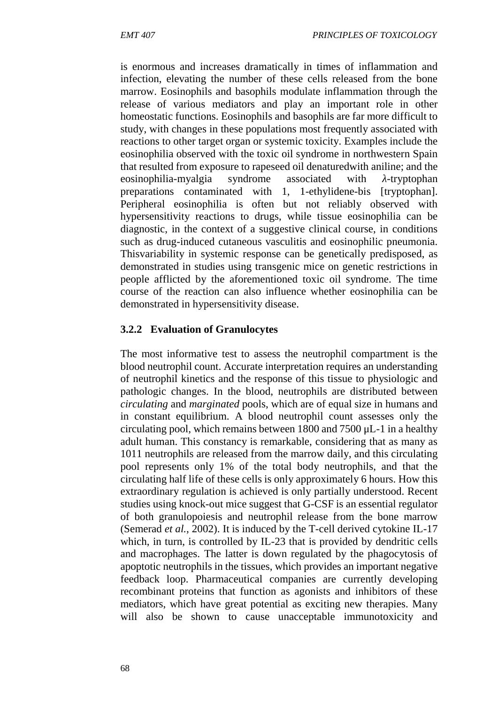is enormous and increases dramatically in times of inflammation and infection, elevating the number of these cells released from the bone marrow. Eosinophils and basophils modulate inflammation through the release of various mediators and play an important role in other homeostatic functions. Eosinophils and basophils are far more difficult to study, with changes in these populations most frequently associated with reactions to other target organ or systemic toxicity. Examples include the eosinophilia observed with the toxic oil syndrome in northwestern Spain that resulted from exposure to rapeseed oil denaturedwith aniline; and the eosinophilia-myalgia syndrome associated with -tryptophan preparations contaminated with 1, 1-ethylidene-bis [tryptophan]. Peripheral eosinophilia is often but not reliably observed with hypersensitivity reactions to drugs, while tissue eosinophilia can be diagnostic, in the context of a suggestive clinical course, in conditions such as drug-induced cutaneous vasculitis and eosinophilic pneumonia. Thisvariability in systemic response can be genetically predisposed, as demonstrated in studies using transgenic mice on genetic restrictions in people afflicted by the aforementioned toxic oil syndrome. The time course of the reaction can also influence whether eosinophilia can be demonstrated in hypersensitivity disease.

#### **3.2.2 Evaluation of Granulocytes**

The most informative test to assess the neutrophil compartment is the blood neutrophil count. Accurate interpretation requires an understanding of neutrophil kinetics and the response of this tissue to physiologic and pathologic changes. In the blood, neutrophils are distributed between *circulating* and *marginated* pools, which are of equal size in humans and in constant equilibrium. A blood neutrophil count assesses only the circulating pool, which remains between 1800 and 7500 μL-1 in a healthy adult human. This constancy is remarkable, considering that as many as 1011 neutrophils are released from the marrow daily, and this circulating pool represents only 1% of the total body neutrophils, and that the circulating half life of these cells is only approximately 6 hours. How this extraordinary regulation is achieved is only partially understood. Recent studies using knock-out mice suggest that G-CSF is an essential regulator of both granulopoiesis and neutrophil release from the bone marrow (Semerad *et al.*, 2002). It is induced by the T-cell derived cytokine IL-17 which, in turn, is controlled by IL-23 that is provided by dendritic cells and macrophages. The latter is down regulated by the phagocytosis of apoptotic neutrophils in the tissues, which provides an important negative feedback loop. Pharmaceutical companies are currently developing recombinant proteins that function as agonists and inhibitors of these mediators, which have great potential as exciting new therapies. Many will also be shown to cause unacceptable immunotoxicity and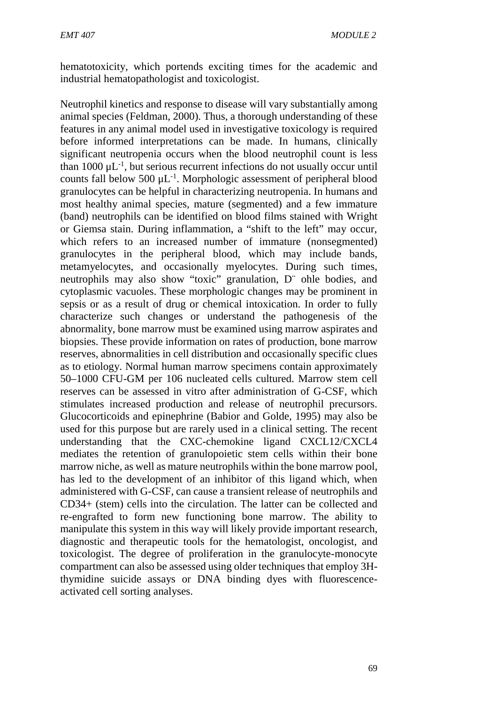hematotoxicity, which portends exciting times for the academic and industrial hematopathologist and toxicologist.

Neutrophil kinetics and response to disease will vary substantially among animal species (Feldman, 2000). Thus, a thorough understanding of these features in any animal model used in investigative toxicology is required before informed interpretations can be made. In humans, clinically significant neutropenia occurs when the blood neutrophil count is less than  $1000 \mu L^{-1}$ , but serious recurrent infections do not usually occur until counts fall below  $500 \mu L^{-1}$ . Morphologic assessment of peripheral blood granulocytes can be helpful in characterizing neutropenia. In humans and most healthy animal species, mature (segmented) and a few immature (band) neutrophils can be identified on blood films stained with Wright or Giemsa stain. During inflammation, a "shift to the left" may occur, which refers to an increased number of immature (nonsegmented) granulocytes in the peripheral blood, which may include bands, metamyelocytes, and occasionally myelocytes. During such times, neutrophils may also show "toxic" granulation, D¨ ohle bodies, and cytoplasmic vacuoles. These morphologic changes may be prominent in sepsis or as a result of drug or chemical intoxication. In order to fully characterize such changes or understand the pathogenesis of the abnormality, bone marrow must be examined using marrow aspirates and biopsies. These provide information on rates of production, bone marrow reserves, abnormalities in cell distribution and occasionally specific clues as to etiology. Normal human marrow specimens contain approximately 50–1000 CFU-GM per 106 nucleated cells cultured. Marrow stem cell reserves can be assessed in vitro after administration of G-CSF, which stimulates increased production and release of neutrophil precursors. Glucocorticoids and epinephrine (Babior and Golde, 1995) may also be used for this purpose but are rarely used in a clinical setting. The recent understanding that the CXC-chemokine ligand CXCL12/CXCL4 mediates the retention of granulopoietic stem cells within their bone marrow niche, as well as mature neutrophils within the bone marrow pool, has led to the development of an inhibitor of this ligand which, when administered with G-CSF, can cause a transient release of neutrophils and CD34+ (stem) cells into the circulation. The latter can be collected and re-engrafted to form new functioning bone marrow. The ability to manipulate this system in this way will likely provide important research, diagnostic and therapeutic tools for the hematologist, oncologist, and toxicologist. The degree of proliferation in the granulocyte-monocyte compartment can also be assessed using older techniques that employ 3Hthymidine suicide assays or DNA binding dyes with fluorescence activated cell sorting analyses.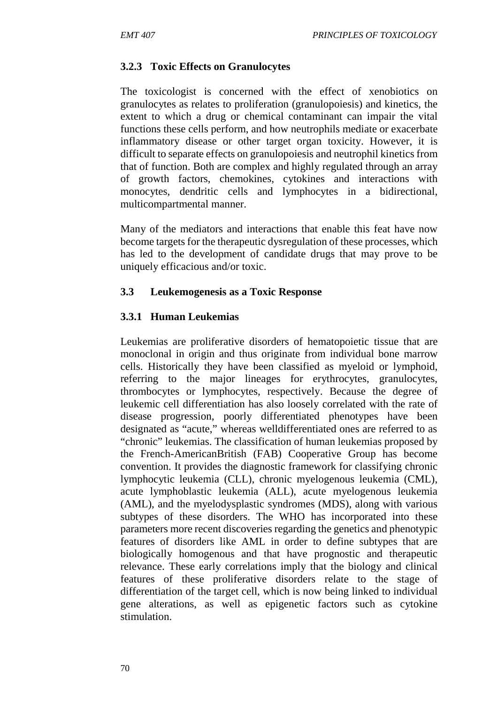### **3.2.3 Toxic Effects on Granulocytes**

The toxicologist is concerned with the effect of xenobiotics on granulocytes as relates to proliferation (granulopoiesis) and kinetics, the extent to which a drug or chemical contaminant can impair the vital functions these cells perform, and how neutrophils mediate or exacerbate inflammatory disease or other target organ toxicity. However, it is difficult to separate effects on granulopoiesis and neutrophil kinetics from that of function. Both are complex and highly regulated through an array of growth factors, chemokines, cytokines and interactions with monocytes, dendritic cells and lymphocytes in a bidirectional, multicompartmental manner.

Many of the mediators and interactions that enable this feat have now become targets for the therapeutic dysregulation of these processes, which has led to the development of candidate drugs that may prove to be uniquely efficacious and/or toxic.

### **3.3 Leukemogenesis as a Toxic Response**

### **3.3.1 Human Leukemias**

Leukemias are proliferative disorders of hematopoietic tissue that are monoclonal in origin and thus originate from individual bone marrow cells. Historically they have been classified as myeloid or lymphoid, referring to the major lineages for erythrocytes, granulocytes, thrombocytes or lymphocytes, respectively. Because the degree of leukemic cell differentiation has also loosely correlated with the rate of disease progression, poorly differentiated phenotypes have been designated as "acute," whereas welldifferentiated ones are referred to as "chronic" leukemias. The classification of human leukemias proposed by the French-AmericanBritish (FAB) Cooperative Group has become convention. It provides the diagnostic framework for classifying chronic lymphocytic leukemia (CLL), chronic myelogenous leukemia (CML), acute lymphoblastic leukemia (ALL), acute myelogenous leukemia (AML), and the myelodysplastic syndromes (MDS), along with various subtypes of these disorders. The WHO has incorporated into these parameters more recent discoveries regarding the genetics and phenotypic features of disorders like AML in order to define subtypes that are biologically homogenous and that have prognostic and therapeutic relevance. These early correlations imply that the biology and clinical features of these proliferative disorders relate to the stage of differentiation of the target cell, which is now being linked to individual gene alterations, as well as epigenetic factors such as cytokine stimulation.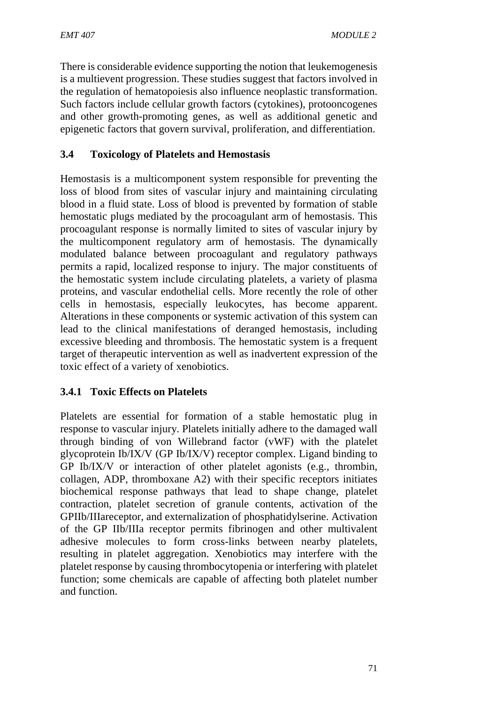There is considerable evidence supporting the notion that leukemogenesis is a multievent progression. These studies suggest that factors involved in the regulation of hematopoiesis also influence neoplastic transformation. Such factors include cellular growth factors (cytokines), protooncogenes and other growth-promoting genes, as well as additional genetic and epigenetic factors that govern survival, proliferation, and differentiation.

### **3.4 Toxicology of Platelets and Hemostasis**

Hemostasis is a multicomponent system responsible for preventing the loss of blood from sites of vascular injury and maintaining circulating blood in a fluid state. Loss of blood is prevented by formation of stable hemostatic plugs mediated by the procoagulant arm of hemostasis. This procoagulant response is normally limited to sites of vascular injury by the multicomponent regulatory arm of hemostasis. The dynamically modulated balance between procoagulant and regulatory pathways permits a rapid, localized response to injury. The major constituents of the hemostatic system include circulating platelets, a variety of plasma proteins, and vascular endothelial cells. More recently the role of other cells in hemostasis, especially leukocytes, has become apparent. Alterations in these components or systemic activation of this system can lead to the clinical manifestations of deranged hemostasis, including excessive bleeding and thrombosis. The hemostatic system is a frequent target of therapeutic intervention as well as inadvertent expression of the toxic effect of a variety of xenobiotics.

### **3.4.1 Toxic Effects on Platelets**

Platelets are essential for formation of a stable hemostatic plug in response to vascular injury. Platelets initially adhere to the damaged wall through binding of von Willebrand factor (vWF) with the platelet glycoprotein Ib/IX/V (GP Ib/IX/V) receptor complex. Ligand binding to GP Ib/IX/V or interaction of other platelet agonists (e.g., thrombin, collagen, ADP, thromboxane A2) with their specific receptors initiates biochemical response pathways that lead to shape change, platelet contraction, platelet secretion of granule contents, activation of the GPIIb/IIIareceptor, and externalization of phosphatidylserine. Activation of the GP IIb/IIIa receptor permits fibrinogen and other multivalent adhesive molecules to form cross-links between nearby platelets, resulting in platelet aggregation. Xenobiotics may interfere with the platelet response by causing thrombocytopenia or interfering with platelet function; some chemicals are capable of affecting both platelet number and function.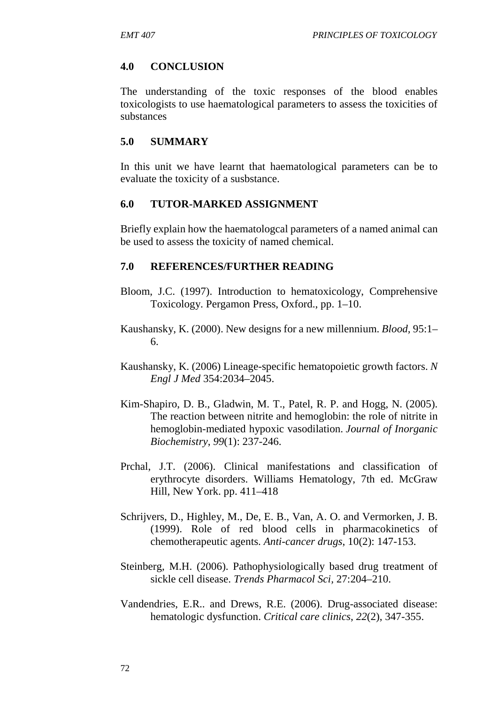### **4.0 CONCLUSION**

The understanding of the toxic responses of the blood enables toxicologists to use haematological parameters to assess the toxicities of substances

### **5.0 SUMMARY**

In this unit we have learnt that haematological parameters can be to evaluate the toxicity of a susbstance.

### **6.0 TUTOR-MARKED ASSIGNMENT**

Briefly explain how the haematologcal parameters of a named animal can be used to assess the toxicity of named chemical.

#### **7.0 REFERENCES/FURTHER READING**

- Bloom, J.C. (1997). Introduction to hematoxicology, Comprehensive Toxicology. Pergamon Press, Oxford., pp. 1–10.
- Kaushansky, K. (2000). New designs for a new millennium. *Blood,* 95:1– 6.
- Kaushansky, K. (2006) Lineage-specific hematopoietic growth factors. *N Engl J Med* 354:2034–2045.
- Kim-Shapiro, D. B., Gladwin, M. T., Patel, R. P. and Hogg, N. (2005). The reaction between nitrite and hemoglobin: the role of nitrite in hemoglobin-mediated hypoxic vasodilation. *Journal of Inorganic Biochemistry*, *99*(1): 237-246.
- Prchal, J.T. (2006). Clinical manifestations and classification of erythrocyte disorders. Williams Hematology, 7th ed. McGraw Hill, New York. pp. 411–418
- Schrijvers, D., Highley, M., De, E. B., Van, A. O. and Vermorken, J. B. (1999). Role of red blood cells in pharmacokinetics of chemotherapeutic agents. *Anti-cancer drugs*, 10(2): 147-153.
- Steinberg, M.H. (2006). Pathophysiologically based drug treatment of sickle cell disease. *Trends Pharmacol Sci,* 27:204–210.
- Vandendries, E.R.. and Drews, R.E. (2006). Drug-associated disease: hematologic dysfunction. *Critical care clinics*, *22*(2), 347-355.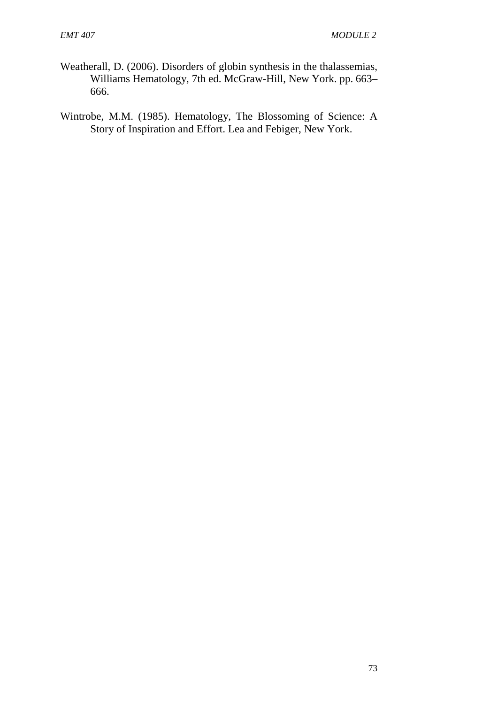- Weatherall, D. (2006). Disorders of globin synthesis in the thalassemias, Williams Hematology, 7th ed. McGraw-Hill, New York. pp. 663– 666.
- Wintrobe, M.M. (1985). Hematology, The Blossoming of Science: A Story of Inspiration and Effort. Lea and Febiger, New York.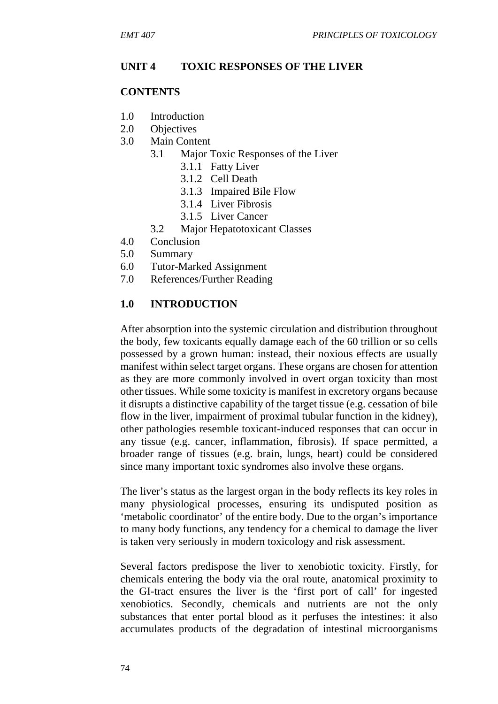#### **UNIT 4 TOXIC RESPONSES OF THE LIVER**

#### **CONTENTS**

- 1.0 Introduction
- 2.0 Objectives
- 3.0 Main Content
	- 3.1 Major Toxic Responses of the Liver
		- 3.1.1 Fatty Liver
		- 3.1.2 Cell Death
		- 3.1.3 Impaired Bile Flow
		- 3.1.4 Liver Fibrosis
		- 3.1.5 Liver Cancer
	- 3.2 Major Hepatotoxicant Classes
- 4.0 Conclusion
- 5.0 Summary
- 6.0 Tutor-Marked Assignment
- 7.0 References/Further Reading

#### **1.0 INTRODUCTION**

After absorption into the systemic circulation and distribution throughout the body, few toxicants equally damage each of the 60 trillion or so cells possessed by a grown human: instead, their noxious effects are usually manifest within select target organs. These organs are chosen for attention as they are more commonly involved in overt organ toxicity than most other tissues. While some toxicity is manifest in excretory organs because it disrupts a distinctive capability of the target tissue (e.g. cessation of bile flow in the liver, impairment of proximal tubular function in the kidney), other pathologies resemble toxicant-induced responses that can occur in any tissue (e.g. cancer, inflammation, fibrosis). If space permitted, a broader range of tissues (e.g. brain, lungs, heart) could be considered since many important toxic syndromes also involve these organs.

The liver's status as the largest organ in the body reflects its key roles in many physiological processes, ensuring its undisputed position as 'metabolic coordinator' of the entire body. Due to the organ's importance to many body functions, any tendency for a chemical to damage the liver is taken very seriously in modern toxicology and risk assessment.

Several factors predispose the liver to xenobiotic toxicity. Firstly, for chemicals entering the body via the oral route, anatomical proximity to the GI-tract ensures the liver is the 'first port of call' for ingested xenobiotics. Secondly, chemicals and nutrients are not the only substances that enter portal blood as it perfuses the intestines: it also accumulates products of the degradation of intestinal microorganisms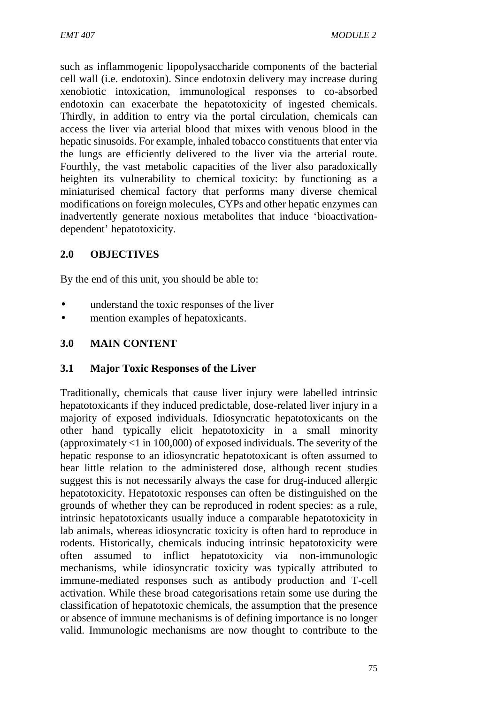such as inflammogenic lipopolysaccharide components of the bacterial cell wall (i.e. endotoxin). Since endotoxin delivery may increase during xenobiotic intoxication, immunological responses to co-absorbed endotoxin can exacerbate the hepatotoxicity of ingested chemicals. Thirdly, in addition to entry via the portal circulation, chemicals can access the liver via arterial blood that mixes with venous blood in the hepatic sinusoids. For example, inhaled tobacco constituents that enter via the lungs are efficiently delivered to the liver via the arterial route. Fourthly, the vast metabolic capacities of the liver also paradoxically heighten its vulnerability to chemical toxicity: by functioning as a miniaturised chemical factory that performs many diverse chemical modifications on foreign molecules, CYPs and other hepatic enzymes can inadvertently generate noxious metabolites that induce 'bioactivation dependent' hepatotoxicity.

### **2.0 OBJECTIVES**

By the end of this unit, you should be able to:

- understand the toxic responses of the liver
- mention examples of hepatoxicants.

### **3.0 MAIN CONTENT**

### **3.1 Major Toxic Responses of the Liver**

Traditionally, chemicals that cause liver injury were labelled intrinsic hepatotoxicants if they induced predictable, dose-related liver injury in a majority of exposed individuals. Idiosyncratic hepatotoxicants on the other hand typically elicit hepatotoxicity in a small minority (approximately <1 in 100,000) of exposed individuals. The severity of the hepatic response to an idiosyncratic hepatotoxicant is often assumed to bear little relation to the administered dose, although recent studies suggest this is not necessarily always the case for drug-induced allergic hepatotoxicity. Hepatotoxic responses can often be distinguished on the grounds of whether they can be reproduced in rodent species: as a rule, intrinsic hepatotoxicants usually induce a comparable hepatotoxicity in lab animals, whereas idiosyncratic toxicity is often hard to reproduce in rodents. Historically, chemicals inducing intrinsic hepatotoxicity were often assumed to inflict hepatotoxicity via non-immunologic mechanisms, while idiosyncratic toxicity was typically attributed to immune-mediated responses such as antibody production and T-cell activation. While these broad categorisations retain some use during the classification of hepatotoxic chemicals, the assumption that the presence or absence of immune mechanisms is of defining importance is no longer valid. Immunologic mechanisms are now thought to contribute to the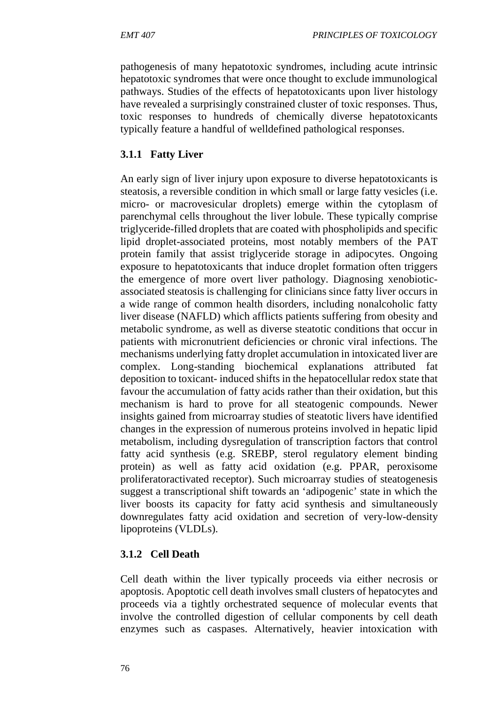pathogenesis of many hepatotoxic syndromes, including acute intrinsic hepatotoxic syndromes that were once thought to exclude immunological pathways. Studies of the effects of hepatotoxicants upon liver histology have revealed a surprisingly constrained cluster of toxic responses. Thus, toxic responses to hundreds of chemically diverse hepatotoxicants typically feature a handful of welldefined pathological responses.

# **3.1.1 Fatty Liver**

An early sign of liver injury upon exposure to diverse hepatotoxicants is steatosis, a reversible condition in which small or large fatty vesicles (i.e. micro- or macrovesicular droplets) emerge within the cytoplasm of parenchymal cells throughout the liver lobule. These typically comprise triglyceride-filled droplets that are coated with phospholipids and specific lipid droplet-associated proteins, most notably members of the PAT protein family that assist triglyceride storage in adipocytes. Ongoing exposure to hepatotoxicants that induce droplet formation often triggers the emergence of more overt liver pathology. Diagnosing xenobiotic associated steatosis is challenging for clinicians since fatty liver occurs in a wide range of common health disorders, including nonalcoholic fatty liver disease (NAFLD) which afflicts patients suffering from obesity and metabolic syndrome, as well as diverse steatotic conditions that occur in patients with micronutrient deficiencies or chronic viral infections. The mechanisms underlying fatty droplet accumulation in intoxicated liver are complex. Long-standing biochemical explanations attributed fat deposition to toxicant- induced shifts in the hepatocellular redox state that favour the accumulation of fatty acids rather than their oxidation, but this mechanism is hard to prove for all steatogenic compounds. Newer insights gained from microarray studies of steatotic livers have identified changes in the expression of numerous proteins involved in hepatic lipid metabolism, including dysregulation of transcription factors that control fatty acid synthesis (e.g. SREBP, sterol regulatory element binding protein) as well as fatty acid oxidation (e.g. PPAR, peroxisome proliferatoractivated receptor). Such microarray studies of steatogenesis suggest a transcriptional shift towards an 'adipogenic' state in which the liver boosts its capacity for fatty acid synthesis and simultaneously downregulates fatty acid oxidation and secretion of very-low-density lipoproteins (VLDLs).

# **3.1.2 Cell Death**

Cell death within the liver typically proceeds via either necrosis or apoptosis. Apoptotic cell death involves small clusters of hepatocytes and proceeds via a tightly orchestrated sequence of molecular events that involve the controlled digestion of cellular components by cell death enzymes such as caspases. Alternatively, heavier intoxication with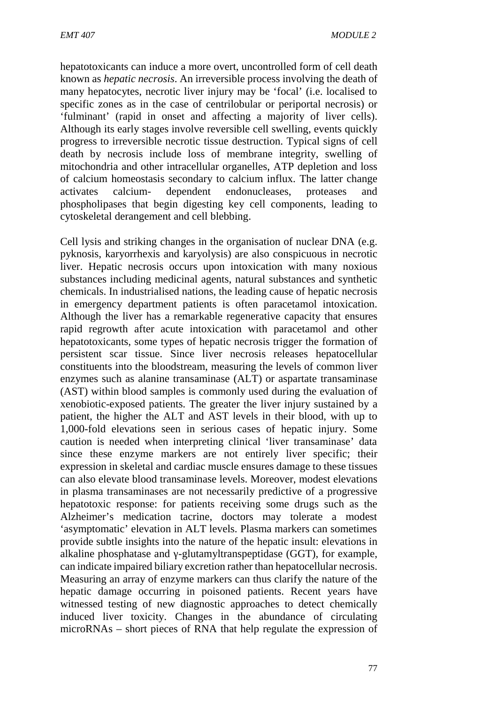hepatotoxicants can induce a more overt, uncontrolled form of cell death known as *hepatic necrosis*. An irreversible process involving the death of many hepatocytes, necrotic liver injury may be 'focal' (i.e. localised to specific zones as in the case of centrilobular or periportal necrosis) or 'fulminant' (rapid in onset and affecting a majority of liver cells). Although its early stages involve reversible cell swelling, events quickly progress to irreversible necrotic tissue destruction. Typical signs of cell death by necrosis include loss of membrane integrity, swelling of mitochondria and other intracellular organelles, ATP depletion and loss of calcium homeostasis secondary to calcium influx. The latter change activates calcium- dependent endonucleases, proteases and phospholipases that begin digesting key cell components, leading to cytoskeletal derangement and cell blebbing.

Cell lysis and striking changes in the organisation of nuclear DNA (e.g. pyknosis, karyorrhexis and karyolysis) are also conspicuous in necrotic liver. Hepatic necrosis occurs upon intoxication with many noxious substances including medicinal agents, natural substances and synthetic chemicals. In industrialised nations, the leading cause of hepatic necrosis in emergency department patients is often paracetamol intoxication. Although the liver has a remarkable regenerative capacity that ensures rapid regrowth after acute intoxication with paracetamol and other hepatotoxicants, some types of hepatic necrosis trigger the formation of persistent scar tissue. Since liver necrosis releases hepatocellular constituents into the bloodstream, measuring the levels of common liver enzymes such as alanine transaminase (ALT) or aspartate transaminase (AST) within blood samples is commonly used during the evaluation of xenobiotic-exposed patients. The greater the liver injury sustained by a patient, the higher the ALT and AST levels in their blood, with up to 1,000-fold elevations seen in serious cases of hepatic injury. Some caution is needed when interpreting clinical 'liver transaminase' data since these enzyme markers are not entirely liver specific; their expression in skeletal and cardiac muscle ensures damage to these tissues can also elevate blood transaminase levels. Moreover, modest elevations in plasma transaminases are not necessarily predictive of a progressive hepatotoxic response: for patients receiving some drugs such as the Alzheimer's medication tacrine, doctors may tolerate a modest 'asymptomatic' elevation in ALT levels. Plasma markers can sometimes provide subtle insights into the nature of the hepatic insult: elevations in alkaline phosphatase and -glutamyltranspeptidase (GGT), for example, can indicate impaired biliary excretion rather than hepatocellular necrosis. Measuring an array of enzyme markers can thus clarify the nature of the hepatic damage occurring in poisoned patients. Recent years have witnessed testing of new diagnostic approaches to detect chemically induced liver toxicity. Changes in the abundance of circulating microRNAs – short pieces of RNA that help regulate the expression of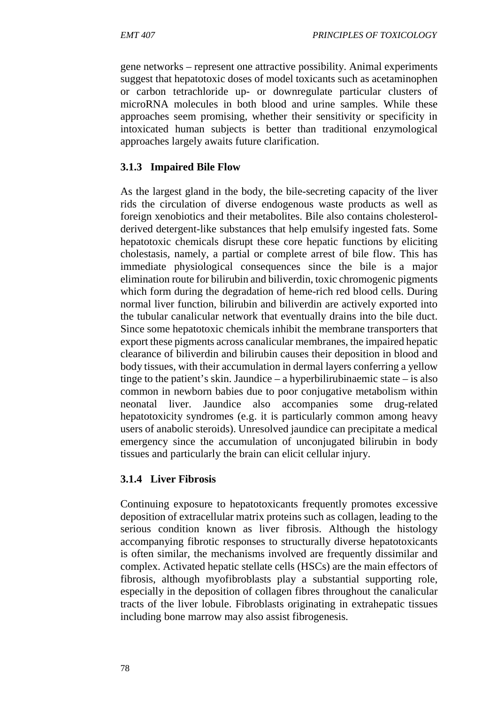gene networks – represent one attractive possibility. Animal experiments suggest that hepatotoxic doses of model toxicants such as acetaminophen or carbon tetrachloride up- or downregulate particular clusters of microRNA molecules in both blood and urine samples. While these approaches seem promising, whether their sensitivity or specificity in intoxicated human subjects is better than traditional enzymological approaches largely awaits future clarification.

### **3.1.3 Impaired Bile Flow**

As the largest gland in the body, the bile-secreting capacity of the liver rids the circulation of diverse endogenous waste products as well as foreign xenobiotics and their metabolites. Bile also contains cholesterol derived detergent-like substances that help emulsify ingested fats. Some hepatotoxic chemicals disrupt these core hepatic functions by eliciting cholestasis*,* namely, a partial or complete arrest of bile flow. This has immediate physiological consequences since the bile is a major elimination route for bilirubin and biliverdin, toxic chromogenic pigments which form during the degradation of heme-rich red blood cells. During normal liver function, bilirubin and biliverdin are actively exported into the tubular canalicular network that eventually drains into the bile duct. Since some hepatotoxic chemicals inhibit the membrane transporters that export these pigments across canalicular membranes, the impaired hepatic clearance of biliverdin and bilirubin causes their deposition in blood and body tissues, with their accumulation in dermal layers conferring a yellow tinge to the patient's skin. Jaundice – a hyperbilirubinaemic state – is also common in newborn babies due to poor conjugative metabolism within neonatal liver. Jaundice also accompanies some drug-related hepatotoxicity syndromes (e.g. it is particularly common among heavy users of anabolic steroids). Unresolved jaundice can precipitate a medical emergency since the accumulation of unconjugated bilirubin in body tissues and particularly the brain can elicit cellular injury.

### **3.1.4 Liver Fibrosis**

Continuing exposure to hepatotoxicants frequently promotes excessive deposition of extracellular matrix proteins such as collagen, leading to the serious condition known as liver fibrosis. Although the histology accompanying fibrotic responses to structurally diverse hepatotoxicants is often similar, the mechanisms involved are frequently dissimilar and complex. Activated hepatic stellate cells (HSCs) are the main effectors of fibrosis, although myofibroblasts play a substantial supporting role, especially in the deposition of collagen fibres throughout the canalicular tracts of the liver lobule. Fibroblasts originating in extrahepatic tissues including bone marrow may also assist fibrogenesis.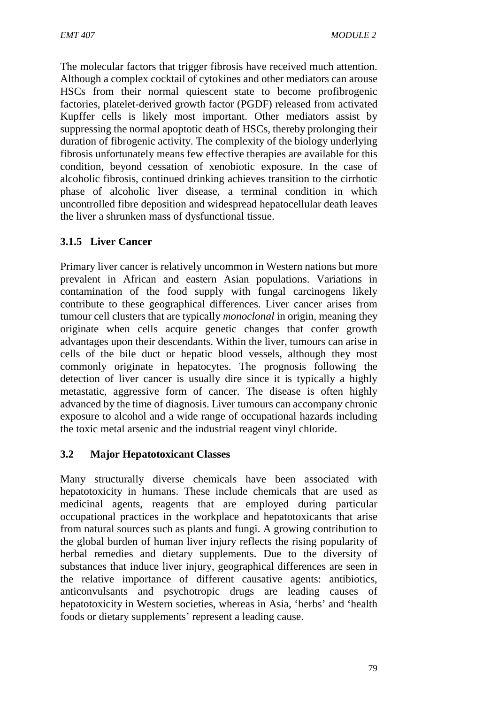The molecular factors that trigger fibrosis have received much attention. Although a complex cocktail of cytokines and other mediators can arouse HSCs from their normal quiescent state to become profibrogenic factories, platelet-derived growth factor (PGDF) released from activated Kupffer cells is likely most important. Other mediators assist by suppressing the normal apoptotic death of HSCs, thereby prolonging their duration of fibrogenic activity. The complexity of the biology underlying fibrosis unfortunately means few effective therapies are available for this condition, beyond cessation of xenobiotic exposure. In the case of alcoholic fibrosis, continued drinking achieves transition to the cirrhotic phase of alcoholic liver disease, a terminal condition in which uncontrolled fibre deposition and widespread hepatocellular death leaves the liver a shrunken mass of dysfunctional tissue.

# **3.1.5 Liver Cancer**

Primary liver cancer is relatively uncommon in Western nations but more prevalent in African and eastern Asian populations. Variations in contamination of the food supply with fungal carcinogens likely contribute to these geographical differences. Liver cancer arises from tumour cell clusters that are typically *monoclonal* in origin, meaning they originate when cells acquire genetic changes that confer growth advantages upon their descendants. Within the liver, tumours can arise in cells of the bile duct or hepatic blood vessels, although they most commonly originate in hepatocytes. The prognosis following the detection of liver cancer is usually dire since it is typically a highly metastatic, aggressive form of cancer. The disease is often highly advanced by the time of diagnosis. Liver tumours can accompany chronic exposure to alcohol and a wide range of occupational hazards including the toxic metal arsenic and the industrial reagent vinyl chloride.

# **3.2 Major Hepatotoxicant Classes**

Many structurally diverse chemicals have been associated with hepatotoxicity in humans. These include chemicals that are used as medicinal agents, reagents that are employed during particular occupational practices in the workplace and hepatotoxicants that arise from natural sources such as plants and fungi. A growing contribution to the global burden of human liver injury reflects the rising popularity of herbal remedies and dietary supplements. Due to the diversity of substances that induce liver injury, geographical differences are seen in the relative importance of different causative agents: antibiotics, anticonvulsants and psychotropic drugs are leading causes of hepatotoxicity in Western societies, whereas in Asia, 'herbs' and 'health foods or dietary supplements' represent a leading cause.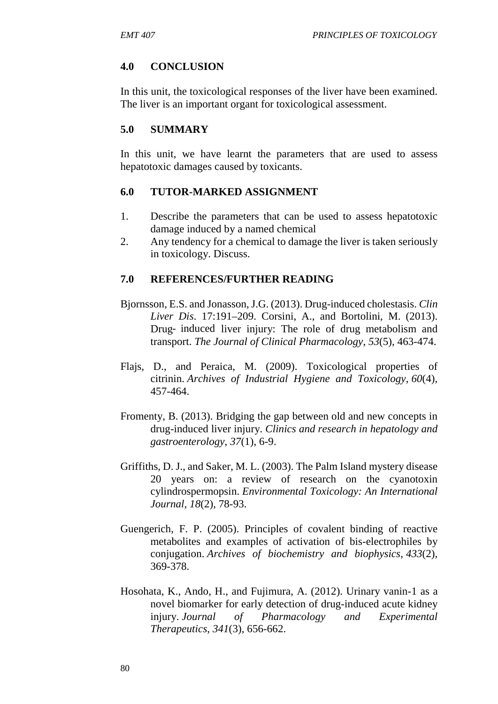### **4.0 CONCLUSION**

In this unit, the toxicological responses of the liver have been examined. The liver is an important organt for toxicological assessment.

### **5.0 SUMMARY**

In this unit, we have learnt the parameters that are used to assess hepatotoxic damages caused by toxicants.

### **6.0 TUTOR-MARKED ASSIGNMENT**

- 1. Describe the parameters that can be used to assess hepatotoxic damage induced by a named chemical
- 2. Any tendency for a chemical to damage the liver is taken seriously in toxicology. Discuss.

### **7.0 REFERENCES/FURTHER READING**

- Bjornsson, E.S. and Jonasson, J.G. (2013). Drug-induced cholestasis. *Clin Liver Dis*. 17:191–209. Corsini, A., and Bortolini, M. (2013). Drug induced liver injury: The role of drug metabolism and transport. *The Journal of Clinical Pharmacology*, *53*(5), 463-474.
- Flajs, D., and Peraica, M. (2009). Toxicological properties of citrinin. *Archives of Industrial Hygiene and Toxicology*, *60*(4), 457-464.
- Fromenty, B. (2013). Bridging the gap between old and new concepts in drug-induced liver injury. *Clinics and research in hepatology and gastroenterology*, *37*(1), 6-9.
- Griffiths, D. J., and Saker, M. L. (2003). The Palm Island mystery disease 20 years on: a review of research on the cyanotoxin cylindrospermopsin. *Environmental Toxicology: An International Journal*, *18*(2), 78-93.
- Guengerich, F. P. (2005). Principles of covalent binding of reactive metabolites and examples of activation of bis-electrophiles by conjugation. *Archives of biochemistry and biophysics*, *433*(2), 369-378.
- Hosohata, K., Ando, H., and Fujimura, A. (2012). Urinary vanin-1 as a novel biomarker for early detection of drug-induced acute kidney injury. *Journal of Pharmacology and Experimental Therapeutics*, *341*(3), 656-662.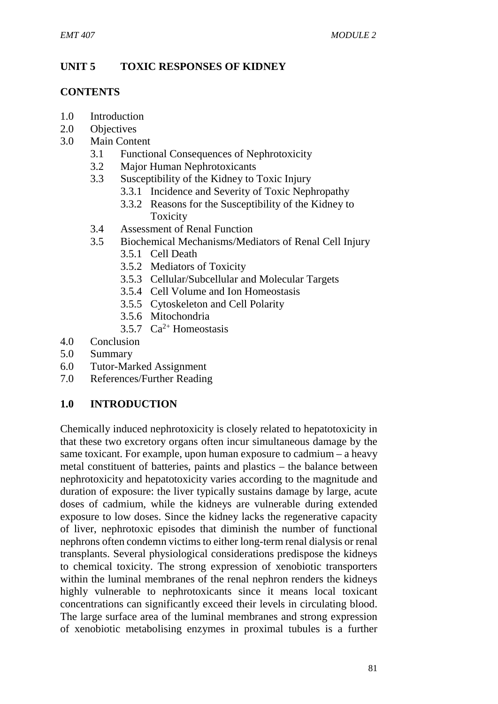# **UNIT 5 TOXIC RESPONSES OF KIDNEY**

### **CONTENTS**

- 1.0 Introduction
- 2.0 Objectives
- 3.0 Main Content
	- 3.1 Functional Consequences of Nephrotoxicity
	- 3.2 Major Human Nephrotoxicants
	- 3.3 Susceptibility of the Kidney to Toxic Injury
		- 3.3.1 Incidence and Severity of Toxic Nephropathy
		- 3.3.2 Reasons for the Susceptibility of the Kidney to Toxicity
	- 3.4 Assessment of Renal Function
	- 3.5 Biochemical Mechanisms/Mediators of Renal Cell Injury
		- 3.5.1 Cell Death
		- 3.5.2 Mediators of Toxicity
		- 3.5.3 Cellular/Subcellular and Molecular Targets
		- 3.5.4 Cell Volume and Ion Homeostasis
		- 3.5.5 Cytoskeleton and Cell Polarity
		- 3.5.6 Mitochondria
		- $3.5.7$  Ca<sup>2+</sup> Homeostasis
- 4.0 Conclusion
- 5.0 Summary
- 6.0 Tutor-Marked Assignment
- 7.0 References/Further Reading

# **1.0 INTRODUCTION**

Chemically induced nephrotoxicity is closely related to hepatotoxicity in that these two excretory organs often incur simultaneous damage by the same toxicant. For example, upon human exposure to cadmium – a heavy metal constituent of batteries, paints and plastics – the balance between nephrotoxicity and hepatotoxicity varies according to the magnitude and duration of exposure: the liver typically sustains damage by large, acute doses of cadmium, while the kidneys are vulnerable during extended exposure to low doses. Since the kidney lacks the regenerative capacity of liver, nephrotoxic episodes that diminish the number of functional nephrons often condemn victims to either long-term renal dialysis or renal transplants. Several physiological considerations predispose the kidneys to chemical toxicity. The strong expression of xenobiotic transporters within the luminal membranes of the renal nephron renders the kidneys highly vulnerable to nephrotoxicants since it means local toxicant concentrations can significantly exceed their levels in circulating blood. The large surface area of the luminal membranes and strong expression of xenobiotic metabolising enzymes in proximal tubules is a further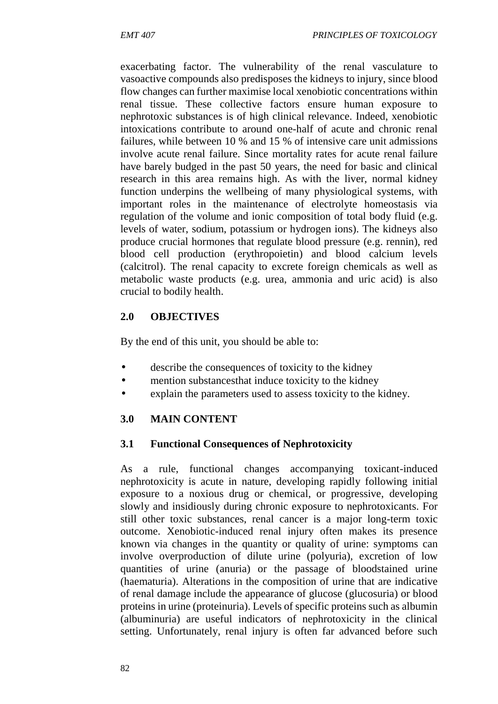exacerbating factor. The vulnerability of the renal vasculature to vasoactive compounds also predisposes the kidneys to injury, since blood flow changes can further maximise local xenobiotic concentrations within renal tissue. These collective factors ensure human exposure to nephrotoxic substances is of high clinical relevance. Indeed, xenobiotic intoxications contribute to around one-half of acute and chronic renal failures, while between 10 % and 15 % of intensive care unit admissions involve acute renal failure. Since mortality rates for acute renal failure have barely budged in the past 50 years, the need for basic and clinical research in this area remains high. As with the liver, normal kidney function underpins the wellbeing of many physiological systems, with important roles in the maintenance of electrolyte homeostasis via regulation of the volume and ionic composition of total body fluid (e.g. levels of water, sodium, potassium or hydrogen ions). The kidneys also produce crucial hormones that regulate blood pressure (e.g. rennin), red blood cell production (erythropoietin) and blood calcium levels (calcitrol). The renal capacity to excrete foreign chemicals as well as metabolic waste products (e.g. urea, ammonia and uric acid) is also crucial to bodily health.

### **2.0 OBJECTIVES**

By the end of this unit, you should be able to:

- describe the consequences of toxicity to the kidney
- mention substances that induce toxicity to the kidney
- explain the parameters used to assess toxicity to the kidney.

### **3.0 MAIN CONTENT**

### **3.1 Functional Consequences of Nephrotoxicity**

As a rule, functional changes accompanying toxicant-induced nephrotoxicity is acute in nature, developing rapidly following initial exposure to a noxious drug or chemical, or progressive, developing slowly and insidiously during chronic exposure to nephrotoxicants. For still other toxic substances, renal cancer is a major long-term toxic outcome. Xenobiotic-induced renal injury often makes its presence known via changes in the quantity or quality of urine: symptoms can involve overproduction of dilute urine (polyuria), excretion of low quantities of urine (anuria) or the passage of bloodstained urine (haematuria). Alterations in the composition of urine that are indicative of renal damage include the appearance of glucose (glucosuria) or blood proteins in urine (proteinuria). Levels of specific proteins such as albumin (albuminuria) are useful indicators of nephrotoxicity in the clinical setting. Unfortunately, renal injury is often far advanced before such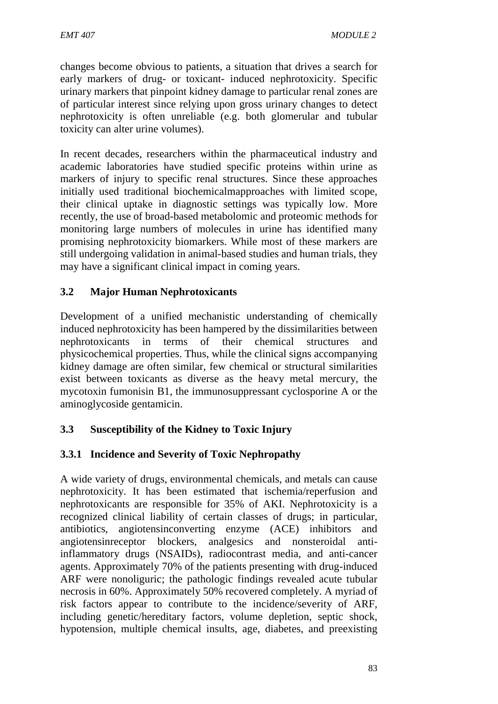changes become obvious to patients, a situation that drives a search for early markers of drug- or toxicant- induced nephrotoxicity. Specific urinary markers that pinpoint kidney damage to particular renal zones are of particular interest since relying upon gross urinary changes to detect nephrotoxicity is often unreliable (e.g. both glomerular and tubular toxicity can alter urine volumes).

In recent decades, researchers within the pharmaceutical industry and academic laboratories have studied specific proteins within urine as markers of injury to specific renal structures. Since these approaches initially used traditional biochemicalmapproaches with limited scope, their clinical uptake in diagnostic settings was typically low. More recently, the use of broad-based metabolomic and proteomic methods for monitoring large numbers of molecules in urine has identified many promising nephrotoxicity biomarkers. While most of these markers are still undergoing validation in animal-based studies and human trials, they may have a significant clinical impact in coming years.

### **3.2 Major Human Nephrotoxicants**

Development of a unified mechanistic understanding of chemically induced nephrotoxicity has been hampered by the dissimilarities between nephrotoxicants in terms of their chemical structures and physicochemical properties. Thus, while the clinical signs accompanying kidney damage are often similar, few chemical or structural similarities exist between toxicants as diverse as the heavy metal mercury, the mycotoxin fumonisin B1, the immunosuppressant cyclosporine A or the aminoglycoside gentamicin.

# **3.3 Susceptibility of the Kidney to Toxic Injury**

# **3.3.1 Incidence and Severity of Toxic Nephropathy**

A wide variety of drugs, environmental chemicals, and metals can cause nephrotoxicity. It has been estimated that ischemia/reperfusion and nephrotoxicants are responsible for 35% of AKI. Nephrotoxicity is a recognized clinical liability of certain classes of drugs; in particular, antibiotics, angiotensinconverting enzyme (ACE) inhibitors and angiotensinreceptor blockers, analgesics and nonsteroidal antiinflammatory drugs (NSAIDs), radiocontrast media, and anti-cancer agents. Approximately 70% of the patients presenting with drug-induced ARF were nonoliguric; the pathologic findings revealed acute tubular necrosis in 60%. Approximately 50% recovered completely. A myriad of risk factors appear to contribute to the incidence/severity of ARF, including genetic/hereditary factors, volume depletion, septic shock, hypotension, multiple chemical insults, age, diabetes, and preexisting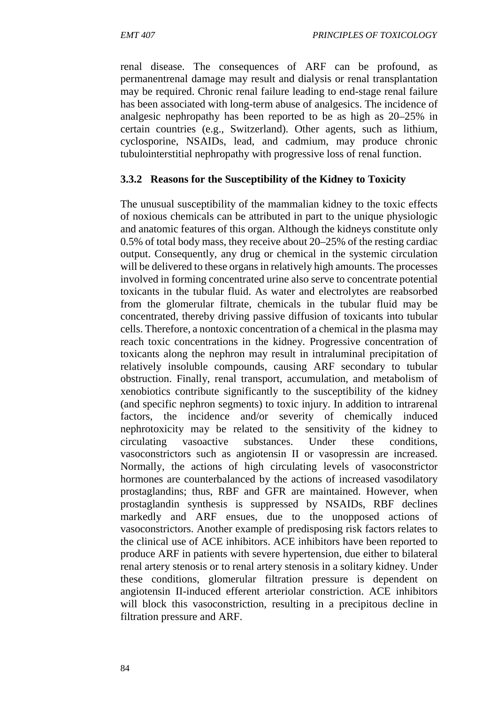renal disease. The consequences of ARF can be profound, as permanentrenal damage may result and dialysis or renal transplantation may be required. Chronic renal failure leading to end-stage renal failure has been associated with long-term abuse of analgesics. The incidence of analgesic nephropathy has been reported to be as high as 20–25% in certain countries (e.g., Switzerland). Other agents, such as lithium, cyclosporine, NSAIDs, lead, and cadmium, may produce chronic tubulointerstitial nephropathy with progressive loss of renal function.

### **3.3.2 Reasons for the Susceptibility of the Kidney to Toxicity**

The unusual susceptibility of the mammalian kidney to the toxic effects of noxious chemicals can be attributed in part to the unique physiologic and anatomic features of this organ. Although the kidneys constitute only 0.5% of total body mass, they receive about 20–25% of the resting cardiac output. Consequently, any drug or chemical in the systemic circulation will be delivered to these organs in relatively high amounts. The processes involved in forming concentrated urine also serve to concentrate potential toxicants in the tubular fluid. As water and electrolytes are reabsorbed from the glomerular filtrate, chemicals in the tubular fluid may be concentrated, thereby driving passive diffusion of toxicants into tubular cells. Therefore, a nontoxic concentration of a chemical in the plasma may reach toxic concentrations in the kidney. Progressive concentration of toxicants along the nephron may result in intraluminal precipitation of relatively insoluble compounds, causing ARF secondary to tubular obstruction. Finally, renal transport, accumulation, and metabolism of xenobiotics contribute significantly to the susceptibility of the kidney (and specific nephron segments) to toxic injury. In addition to intrarenal factors, the incidence and/or severity of chemically induced nephrotoxicity may be related to the sensitivity of the kidney to circulating vasoactive substances. Under these conditions, vasoconstrictors such as angiotensin II or vasopressin are increased. Normally, the actions of high circulating levels of vasoconstrictor hormones are counterbalanced by the actions of increased vasodilatory prostaglandins; thus, RBF and GFR are maintained. However, when prostaglandin synthesis is suppressed by NSAIDs, RBF declines markedly and ARF ensues, due to the unopposed actions of vasoconstrictors. Another example of predisposing risk factors relates to the clinical use of ACE inhibitors. ACE inhibitors have been reported to produce ARF in patients with severe hypertension, due either to bilateral renal artery stenosis or to renal artery stenosis in a solitary kidney. Under these conditions, glomerular filtration pressure is dependent on angiotensin II-induced efferent arteriolar constriction. ACE inhibitors will block this vasoconstriction, resulting in a precipitous decline in filtration pressure and ARF.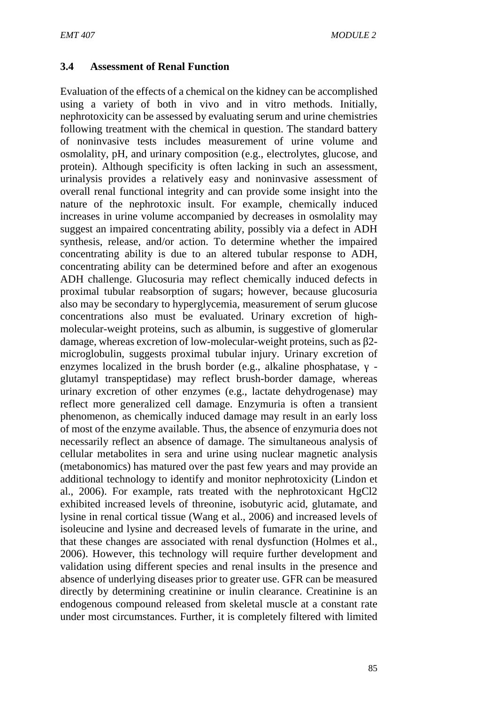#### **3.4 Assessment of Renal Function**

Evaluation of the effects of a chemical on the kidney can be accomplished using a variety of both in vivo and in vitro methods. Initially, nephrotoxicity can be assessed by evaluating serum and urine chemistries following treatment with the chemical in question. The standard battery of noninvasive tests includes measurement of urine volume and osmolality, pH, and urinary composition (e.g., electrolytes, glucose, and protein). Although specificity is often lacking in such an assessment, urinalysis provides a relatively easy and noninvasive assessment of overall renal functional integrity and can provide some insight into the nature of the nephrotoxic insult. For example, chemically induced increases in urine volume accompanied by decreases in osmolality may suggest an impaired concentrating ability, possibly via a defect in ADH synthesis, release, and/or action. To determine whether the impaired concentrating ability is due to an altered tubular response to ADH, concentrating ability can be determined before and after an exogenous ADH challenge. Glucosuria may reflect chemically induced defects in proximal tubular reabsorption of sugars; however, because glucosuria also may be secondary to hyperglycemia, measurement of serum glucose concentrations also must be evaluated. Urinary excretion of high molecular-weight proteins, such as albumin, is suggestive of glomerular damage, whereas excretion of low-molecular-weight proteins, such as 2microglobulin, suggests proximal tubular injury. Urinary excretion of enzymes localized in the brush border (e.g., alkaline phosphatase, -glutamyl transpeptidase) may reflect brush-border damage, whereas urinary excretion of other enzymes (e.g., lactate dehydrogenase) may reflect more generalized cell damage. Enzymuria is often a transient phenomenon, as chemically induced damage may result in an early loss of most of the enzyme available. Thus, the absence of enzymuria does not necessarily reflect an absence of damage. The simultaneous analysis of cellular metabolites in sera and urine using nuclear magnetic analysis (metabonomics) has matured over the past few years and may provide an additional technology to identify and monitor nephrotoxicity (Lindon et al., 2006). For example, rats treated with the nephrotoxicant HgCl2 exhibited increased levels of threonine, isobutyric acid, glutamate, and lysine in renal cortical tissue (Wang et al., 2006) and increased levels of isoleucine and lysine and decreased levels of fumarate in the urine, and that these changes are associated with renal dysfunction (Holmes et al., 2006). However, this technology will require further development and validation using different species and renal insults in the presence and absence of underlying diseases prior to greater use. GFR can be measured directly by determining creatinine or inulin clearance. Creatinine is an endogenous compound released from skeletal muscle at a constant rate under most circumstances. Further, it is completely filtered with limited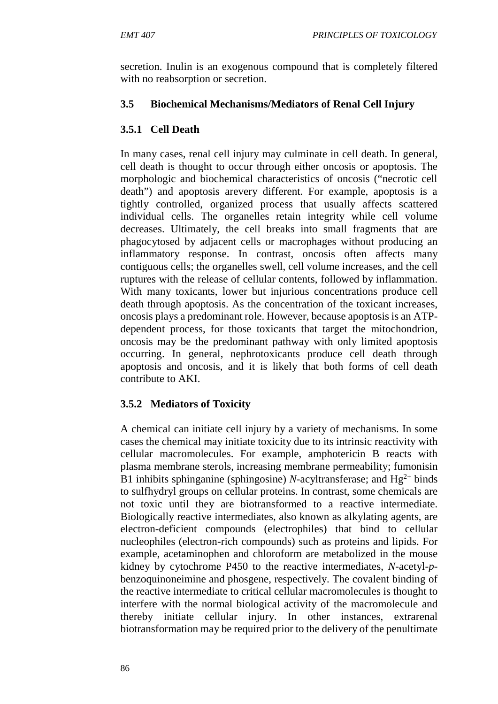secretion. Inulin is an exogenous compound that is completely filtered with no reabsorption or secretion.

# **3.5 Biochemical Mechanisms/Mediators of Renal Cell Injury**

# **3.5.1 Cell Death**

In many cases, renal cell injury may culminate in cell death. In general, cell death is thought to occur through either oncosis or apoptosis. The morphologic and biochemical characteristics of oncosis ("necrotic cell death") and apoptosis arevery different. For example, apoptosis is a tightly controlled, organized process that usually affects scattered individual cells. The organelles retain integrity while cell volume decreases. Ultimately, the cell breaks into small fragments that are phagocytosed by adjacent cells or macrophages without producing an inflammatory response. In contrast, oncosis often affects many contiguous cells; the organelles swell, cell volume increases, and the cell ruptures with the release of cellular contents, followed by inflammation. With many toxicants, lower but injurious concentrations produce cell death through apoptosis. As the concentration of the toxicant increases, oncosis plays a predominant role. However, because apoptosis is an ATP dependent process, for those toxicants that target the mitochondrion, oncosis may be the predominant pathway with only limited apoptosis occurring. In general, nephrotoxicants produce cell death through apoptosis and oncosis, and it is likely that both forms of cell death contribute to AKI.

# **3.5.2 Mediators of Toxicity**

A chemical can initiate cell injury by a variety of mechanisms. In some cases the chemical may initiate toxicity due to its intrinsic reactivity with cellular macromolecules. For example, amphotericin B reacts with plasma membrane sterols, increasing membrane permeability; fumonisin B1 inhibits sphinganine (sphingosine) *N*-acyltransferase; and  $Hg^{2+}$  binds to sulfhydryl groups on cellular proteins. In contrast, some chemicals are not toxic until they are biotransformed to a reactive intermediate. Biologically reactive intermediates, also known as alkylating agents, are electron-deficient compounds (electrophiles) that bind to cellular nucleophiles (electron-rich compounds) such as proteins and lipids. For example, acetaminophen and chloroform are metabolized in the mouse kidney by cytochrome P450 to the reactive intermediates, *N*-acetyl-*p* benzoquinoneimine and phosgene, respectively. The covalent binding of the reactive intermediate to critical cellular macromolecules is thought to interfere with the normal biological activity of the macromolecule and thereby initiate cellular injury. In other instances, extrarenal biotransformation may be required prior to the delivery of the penultimate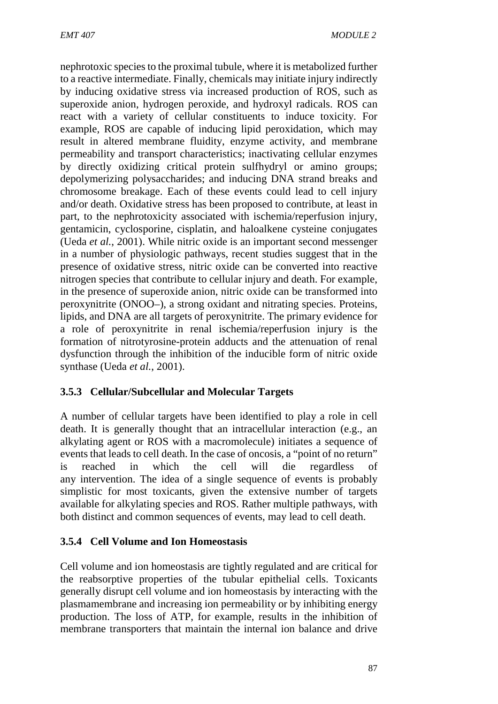nephrotoxic species to the proximal tubule, where it is metabolized further to a reactive intermediate. Finally, chemicals may initiate injury indirectly by inducing oxidative stress via increased production of ROS, such as superoxide anion, hydrogen peroxide, and hydroxyl radicals. ROS can react with a variety of cellular constituents to induce toxicity. For example, ROS are capable of inducing lipid peroxidation, which may result in altered membrane fluidity, enzyme activity, and membrane permeability and transport characteristics; inactivating cellular enzymes by directly oxidizing critical protein sulfhydryl or amino groups; depolymerizing polysaccharides; and inducing DNA strand breaks and chromosome breakage. Each of these events could lead to cell injury and/or death. Oxidative stress has been proposed to contribute, at least in part, to the nephrotoxicity associated with ischemia/reperfusion injury, gentamicin, cyclosporine, cisplatin, and haloalkene cysteine conjugates (Ueda *et al.*, 2001). While nitric oxide is an important second messenger in a number of physiologic pathways, recent studies suggest that in the presence of oxidative stress, nitric oxide can be converted into reactive nitrogen species that contribute to cellular injury and death. For example, in the presence of superoxide anion, nitric oxide can be transformed into peroxynitrite (ONOO–), a strong oxidant and nitrating species. Proteins, lipids, and DNA are all targets of peroxynitrite. The primary evidence for a role of peroxynitrite in renal ischemia/reperfusion injury is the formation of nitrotyrosine-protein adducts and the attenuation of renal dysfunction through the inhibition of the inducible form of nitric oxide synthase (Ueda *et al.*, 2001).

# **3.5.3 Cellular/Subcellular and Molecular Targets**

A number of cellular targets have been identified to play a role in cell death. It is generally thought that an intracellular interaction (e.g., an alkylating agent or ROS with a macromolecule) initiates a sequence of events that leads to cell death. In the case of oncosis, a "point of no return" is reached in which the cell will die regardless of any intervention. The idea of a single sequence of events is probably simplistic for most toxicants, given the extensive number of targets available for alkylating species and ROS. Rather multiple pathways, with both distinct and common sequences of events, may lead to cell death.

# **3.5.4 Cell Volume and Ion Homeostasis**

Cell volume and ion homeostasis are tightly regulated and are critical for the reabsorptive properties of the tubular epithelial cells. Toxicants generally disrupt cell volume and ion homeostasis by interacting with the plasmamembrane and increasing ion permeability or by inhibiting energy production. The loss of ATP, for example, results in the inhibition of membrane transporters that maintain the internal ion balance and drive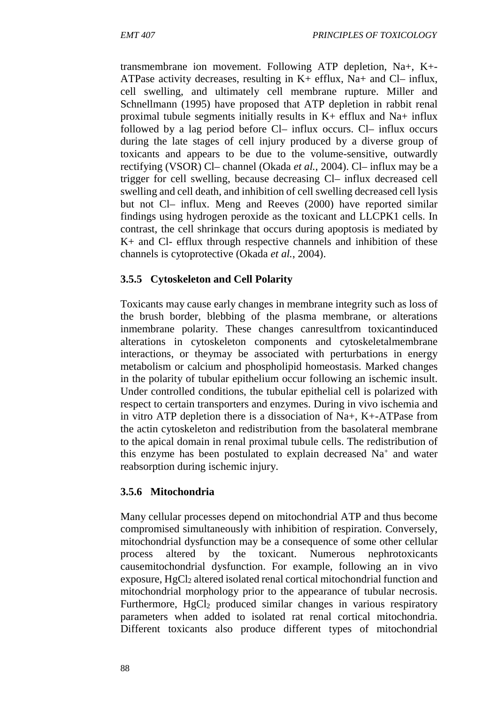transmembrane ion movement. Following ATP depletion, Na+, K+- ATPase activity decreases, resulting in K+ efflux, Na+ and Cl– influx, cell swelling, and ultimately cell membrane rupture. Miller and Schnellmann (1995) have proposed that ATP depletion in rabbit renal proximal tubule segments initially results in K+ efflux and Na+ influx followed by a lag period before Cl– influx occurs. Cl– influx occurs during the late stages of cell injury produced by a diverse group of toxicants and appears to be due to the volume-sensitive, outwardly rectifying (VSOR) Cl– channel (Okada *et al.*, 2004). Cl– influx may be a trigger for cell swelling, because decreasing Cl– influx decreased cell swelling and cell death, and inhibition of cell swelling decreased cell lysis but not Cl– influx. Meng and Reeves (2000) have reported similar findings using hydrogen peroxide as the toxicant and LLCPK1 cells. In contrast, the cell shrinkage that occurs during apoptosis is mediated by K+ and Cl- efflux through respective channels and inhibition of these channels is cytoprotective (Okada *et al.*, 2004).

### **3.5.5 Cytoskeleton and Cell Polarity**

Toxicants may cause early changes in membrane integrity such as loss of the brush border, blebbing of the plasma membrane, or alterations inmembrane polarity. These changes canresultfrom toxicantinduced alterations in cytoskeleton components and cytoskeletalmembrane interactions, or theymay be associated with perturbations in energy metabolism or calcium and phospholipid homeostasis. Marked changes in the polarity of tubular epithelium occur following an ischemic insult. Under controlled conditions, the tubular epithelial cell is polarized with respect to certain transporters and enzymes. During in vivo ischemia and in vitro ATP depletion there is a dissociation of Na+, K+-ATPase from the actin cytoskeleton and redistribution from the basolateral membrane to the apical domain in renal proximal tubule cells. The redistribution of this enzyme has been postulated to explain decreased  $Na<sup>+</sup>$  and water reabsorption during ischemic injury.

### **3.5.6 Mitochondria**

Many cellular processes depend on mitochondrial ATP and thus become compromised simultaneously with inhibition of respiration. Conversely, mitochondrial dysfunction may be a consequence of some other cellular process altered by the toxicant. Numerous nephrotoxicants causemitochondrial dysfunction. For example, following an in vivo exposure, HgCl<sub>2</sub> altered isolated renal cortical mitochondrial function and mitochondrial morphology prior to the appearance of tubular necrosis. Furthermore,  $HgCl<sub>2</sub>$  produced similar changes in various respiratory parameters when added to isolated rat renal cortical mitochondria. Different toxicants also produce different types of mitochondrial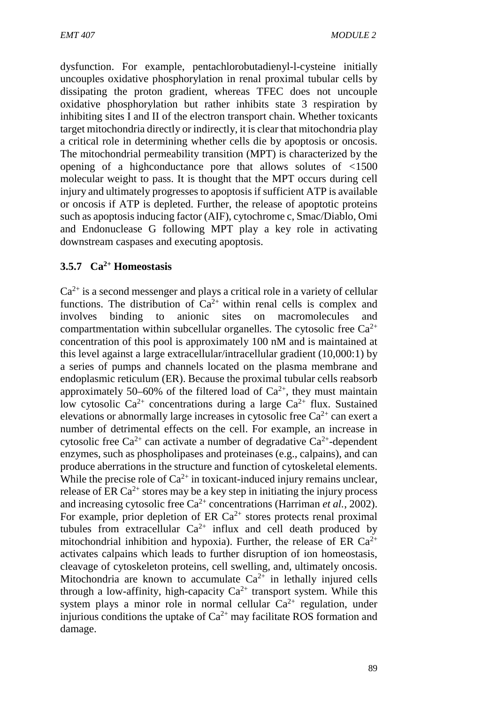dysfunction. For example, pentachlorobutadienyl-l-cysteine initially uncouples oxidative phosphorylation in renal proximal tubular cells by dissipating the proton gradient, whereas TFEC does not uncouple oxidative phosphorylation but rather inhibits state 3 respiration by inhibiting sites I and II of the electron transport chain. Whether toxicants target mitochondria directly or indirectly, it is clear that mitochondria play a critical role in determining whether cells die by apoptosis or oncosis. The mitochondrial permeability transition (MPT) is characterized by the opening of a highconductance pore that allows solutes of *<*1500 molecular weight to pass. It is thought that the MPT occurs during cell injury and ultimately progresses to apoptosis if sufficient ATP is available or oncosis if ATP is depleted. Further, the release of apoptotic proteins such as apoptosis inducing factor (AIF), cytochrome c, Smac/Diablo, Omi and Endonuclease G following MPT play a key role in activating downstream caspases and executing apoptosis.

# **3.5.7 Ca2+ Homeostasis**

 $Ca<sup>2+</sup>$  is a second messenger and plays a critical role in a variety of cellular functions. The distribution of  $Ca^{2+}$  within renal cells is complex and involves binding to anionic sites on macromolecules and compartmentation within subcellular organelles. The cytosolic free  $Ca^{2+}$ concentration of this pool is approximately 100 nM and is maintained at this level against a large extracellular/intracellular gradient (10,000:1) by a series of pumps and channels located on the plasma membrane and endoplasmic reticulum (ER). Because the proximal tubular cells reabsorb approximately 50–60% of the filtered load of  $Ca^{2+}$ , they must maintain low cytosolic  $Ca^{2+}$  concentrations during a large  $Ca^{2+}$  flux. Sustained elevations or abnormally large increases in cytosolic free  $Ca^{2+}$  can exert a number of detrimental effects on the cell. For example, an increase in cytosolic free  $Ca^{2+}$  can activate a number of degradative  $Ca^{2+}$ -dependent enzymes, such as phospholipases and proteinases (e.g., calpains), and can produce aberrations in the structure and function of cytoskeletal elements. While the precise role of  $Ca^{2+}$  in toxicant-induced injury remains unclear, release of ER  $Ca^{2+}$  stores may be a key step in initiating the injury process and increasing cytosolic free  $Ca^{2+}$  concentrations (Harriman *et al.*, 2002). For example, prior depletion of ER  $Ca^{2+}$  stores protects renal proximal tubules from extracellular  $Ca^{2+}$  influx and cell death produced by mitochondrial inhibition and hypoxia). Further, the release of ER  $Ca^{2+}$ activates calpains which leads to further disruption of ion homeostasis, cleavage of cytoskeleton proteins, cell swelling, and, ultimately oncosis. Mitochondria are known to accumulate  $Ca^{2+}$  in lethally injured cells through a low-affinity, high-capacity  $Ca^{2+}$  transport system. While this system plays a minor role in normal cellular  $Ca^{2+}$  regulation, under injurious conditions the uptake of  $Ca^{2+}$  may facilitate ROS formation and damage.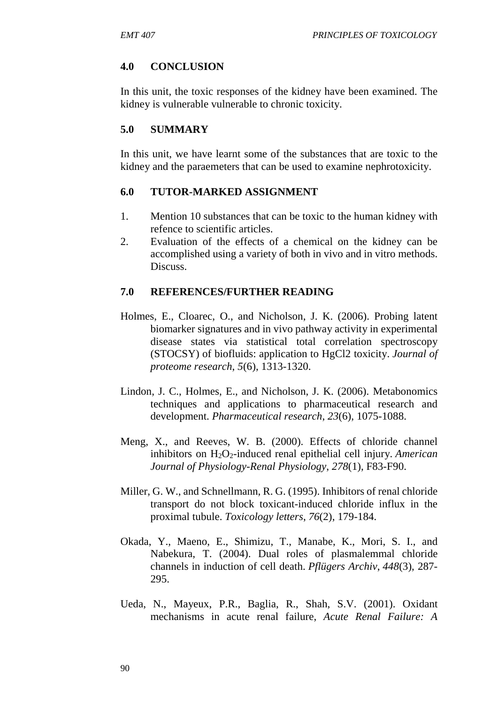### **4.0 CONCLUSION**

In this unit, the toxic responses of the kidney have been examined. The kidney is vulnerable vulnerable to chronic toxicity.

### **5.0 SUMMARY**

In this unit, we have learnt some of the substances that are toxic to the kidney and the paraemeters that can be used to examine nephrotoxicity.

### **6.0 TUTOR-MARKED ASSIGNMENT**

- 1. Mention 10 substances that can be toxic to the human kidney with refence to scientific articles.
- 2. Evaluation of the effects of a chemical on the kidney can be accomplished using a variety of both in vivo and in vitro methods. Discuss.

### **7.0 REFERENCES/FURTHER READING**

- Holmes, E., Cloarec, O., and Nicholson, J. K. (2006). Probing latent biomarker signatures and in vivo pathway activity in experimental disease states via statistical total correlation spectroscopy (STOCSY) of biofluids: application to HgCl2 toxicity. *Journal of proteome research*, *5*(6), 1313-1320.
- Lindon, J. C., Holmes, E., and Nicholson, J. K. (2006). Metabonomics techniques and applications to pharmaceutical research and development. *Pharmaceutical research*, *23*(6), 1075-1088.
- Meng, X., and Reeves, W. B. (2000). Effects of chloride channel inhibitors on H2O2-induced renal epithelial cell injury. *American Journal of Physiology-Renal Physiology*, *278*(1), F83-F90.
- Miller, G. W., and Schnellmann, R. G. (1995). Inhibitors of renal chloride transport do not block toxicant-induced chloride influx in the proximal tubule. *Toxicology letters*, *76*(2), 179-184.
- Okada, Y., Maeno, E., Shimizu, T., Manabe, K., Mori, S. I., and Nabekura, T. (2004). Dual roles of plasmalemmal chloride channels in induction of cell death. *Pflügers Archiv*, *448*(3), 287- 295.
- Ueda, N., Mayeux, P.R., Baglia, R., Shah, S.V. (2001). Oxidant mechanisms in acute renal failure, *Acute Renal Failure: A*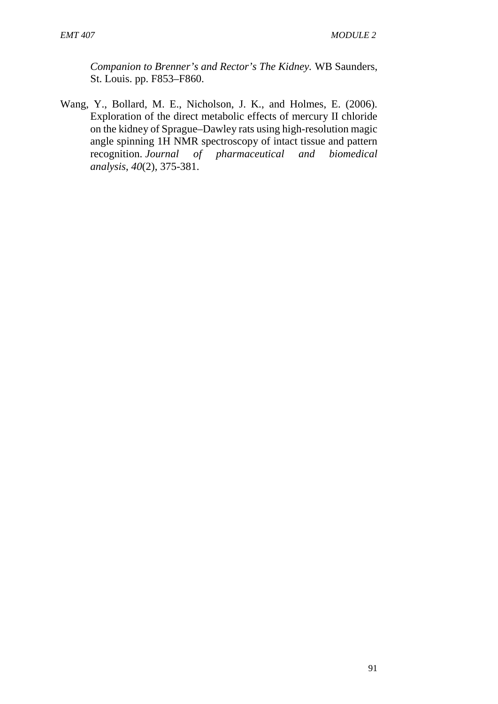*Companion to Brenner's and Rector's The Kidney.* WB Saunders, St. Louis. pp. F853–F860.

Wang, Y., Bollard, M. E., Nicholson, J. K., and Holmes, E. (2006). Exploration of the direct metabolic effects of mercury II chloride on the kidney of Sprague–Dawley rats using high-resolution magic angle spinning 1H NMR spectroscopy of intact tissue and pattern recognition. *Journal of pharmaceutical and biomedical analysis*, *40*(2), 375-381.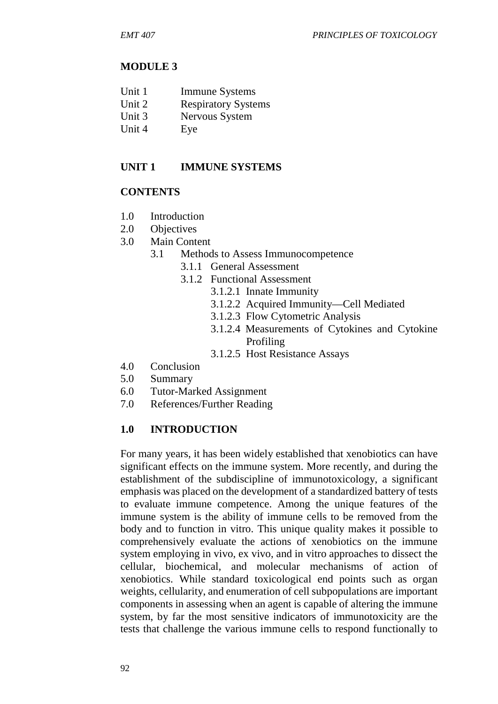### **MODULE 3**

| Unit 1<br>Immune Systems |  |
|--------------------------|--|
|--------------------------|--|

- Unit 2 Respiratory Systems
- Unit 3 Nervous System
- Unit 4 Eye

### **UNIT 1 IMMUNE SYSTEMS**

### **CONTENTS**

- 1.0 Introduction
- 2.0 Objectives
- 3.0 Main Content
	- 3.1 Methods to Assess Immunocompetence
		- 3.1.1 General Assessment
		- 3.1.2 Functional Assessment
			- 3.1.2.1 Innate Immunity
			- 3.1.2.2 Acquired Immunity—Cell Mediated
			- 3.1.2.3 Flow Cytometric Analysis
			- 3.1.2.4 Measurements of Cytokines and Cytokine Profiling
			- 3.1.2.5 Host Resistance Assays
- 4.0 Conclusion
- 5.0 Summary
- 6.0 Tutor-Marked Assignment
- 7.0 References/Further Reading

# **1.0 INTRODUCTION**

For many years, it has been widely established that xenobiotics can have significant effects on the immune system. More recently, and during the establishment of the subdiscipline of immunotoxicology, a significant emphasis was placed on the development of a standardized battery of tests to evaluate immune competence. Among the unique features of the immune system is the ability of immune cells to be removed from the body and to function in vitro. This unique quality makes it possible to comprehensively evaluate the actions of xenobiotics on the immune system employing in vivo, ex vivo, and in vitro approaches to dissect the cellular, biochemical, and molecular mechanisms of action of xenobiotics. While standard toxicological end points such as organ weights, cellularity, and enumeration of cell subpopulations are important components in assessing when an agent is capable of altering the immune system, by far the most sensitive indicators of immunotoxicity are the tests that challenge the various immune cells to respond functionally to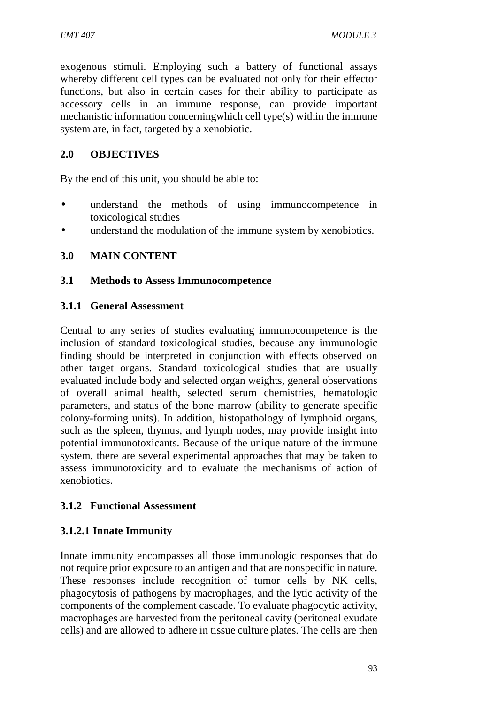exogenous stimuli. Employing such a battery of functional assays whereby different cell types can be evaluated not only for their effector functions, but also in certain cases for their ability to participate as accessory cells in an immune response, can provide important mechanistic information concerningwhich cell type(s) within the immune system are, in fact, targeted by a xenobiotic.

### **2.0 OBJECTIVES**

By the end of this unit, you should be able to:

- understand the methods of using immunocompetence in toxicological studies
- understand the modulation of the immune system by xenobiotics.

### **3.0 MAIN CONTENT**

#### **3.1 Methods to Assess Immunocompetence**

#### **3.1.1 General Assessment**

Central to any series of studies evaluating immunocompetence is the inclusion of standard toxicological studies, because any immunologic finding should be interpreted in conjunction with effects observed on other target organs. Standard toxicological studies that are usually evaluated include body and selected organ weights, general observations of overall animal health, selected serum chemistries, hematologic parameters, and status of the bone marrow (ability to generate specific colony-forming units). In addition, histopathology of lymphoid organs, such as the spleen, thymus, and lymph nodes, may provide insight into potential immunotoxicants. Because of the unique nature of the immune system, there are several experimental approaches that may be taken to assess immunotoxicity and to evaluate the mechanisms of action of xenobiotics.

### **3.1.2 Functional Assessment**

### **3.1.2.1 Innate Immunity**

Innate immunity encompasses all those immunologic responses that do not require prior exposure to an antigen and that are nonspecific in nature. These responses include recognition of tumor cells by NK cells, phagocytosis of pathogens by macrophages, and the lytic activity of the components of the complement cascade. To evaluate phagocytic activity, macrophages are harvested from the peritoneal cavity (peritoneal exudate cells) and are allowed to adhere in tissue culture plates. The cells are then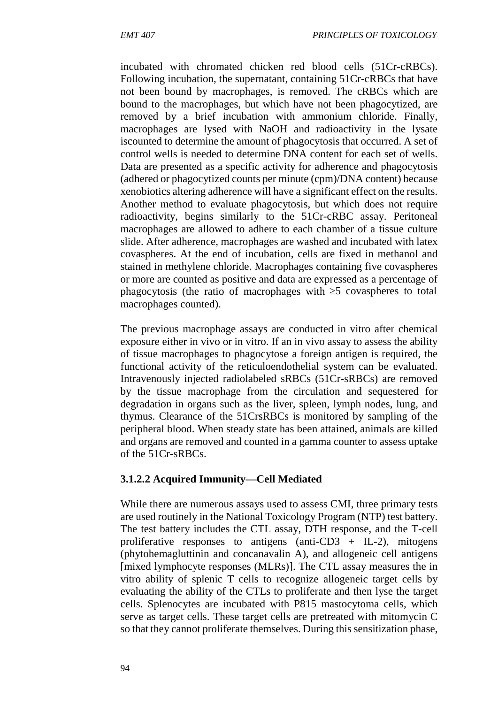incubated with chromated chicken red blood cells (51Cr-cRBCs). Following incubation, the supernatant, containing 51Cr-cRBCs that have not been bound by macrophages, is removed. The cRBCs which are bound to the macrophages, but which have not been phagocytized, are removed by a brief incubation with ammonium chloride. Finally, macrophages are lysed with NaOH and radioactivity in the lysate iscounted to determine the amount of phagocytosis that occurred. A set of control wells is needed to determine DNA content for each set of wells. Data are presented as a specific activity for adherence and phagocytosis (adhered or phagocytized counts per minute (cpm)/DNA content) because xenobiotics altering adherence will have a significant effect on the results. Another method to evaluate phagocytosis, but which does not require radioactivity, begins similarly to the 51Cr-cRBC assay. Peritoneal macrophages are allowed to adhere to each chamber of a tissue culture slide. After adherence, macrophages are washed and incubated with latex covaspheres. At the end of incubation, cells are fixed in methanol and stained in methylene chloride. Macrophages containing five covaspheres or more are counted as positive and data are expressed as a percentage of phagocytosis (the ratio of macrophages with 5 covaspheres to total macrophages counted).

The previous macrophage assays are conducted in vitro after chemical exposure either in vivo or in vitro. If an in vivo assay to assess the ability of tissue macrophages to phagocytose a foreign antigen is required, the functional activity of the reticuloendothelial system can be evaluated. Intravenously injected radiolabeled sRBCs (51Cr-sRBCs) are removed by the tissue macrophage from the circulation and sequestered for degradation in organs such as the liver, spleen, lymph nodes, lung, and thymus. Clearance of the 51CrsRBCs is monitored by sampling of the peripheral blood. When steady state has been attained, animals are killed and organs are removed and counted in a gamma counter to assess uptake of the 51Cr-sRBCs.

### **3.1.2.2 Acquired Immunity—Cell Mediated**

While there are numerous assays used to assess CMI, three primary tests are used routinely in the National Toxicology Program (NTP) test battery. The test battery includes the CTL assay, DTH response, and the T-cell proliferative responses to antigens (anti-CD3 + IL-2), mitogens (phytohemagluttinin and concanavalin A), and allogeneic cell antigens [mixed lymphocyte responses (MLRs)]. The CTL assay measures the in vitro ability of splenic T cells to recognize allogeneic target cells by evaluating the ability of the CTLs to proliferate and then lyse the target cells. Splenocytes are incubated with P815 mastocytoma cells, which serve as target cells. These target cells are pretreated with mitomycin C so that they cannot proliferate themselves. During this sensitization phase,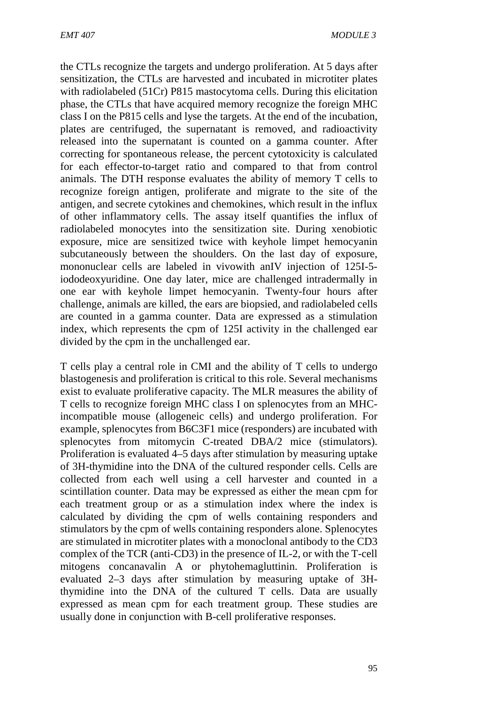the CTLs recognize the targets and undergo proliferation. At 5 days after sensitization, the CTLs are harvested and incubated in microtiter plates with radiolabeled (51Cr) P815 mastocytoma cells. During this elicitation phase, the CTLs that have acquired memory recognize the foreign MHC class I on the P815 cells and lyse the targets. At the end of the incubation, plates are centrifuged, the supernatant is removed, and radioactivity released into the supernatant is counted on a gamma counter. After correcting for spontaneous release, the percent cytotoxicity is calculated for each effector-to-target ratio and compared to that from control animals. The DTH response evaluates the ability of memory T cells to recognize foreign antigen, proliferate and migrate to the site of the antigen, and secrete cytokines and chemokines, which result in the influx of other inflammatory cells. The assay itself quantifies the influx of radiolabeled monocytes into the sensitization site. During xenobiotic exposure, mice are sensitized twice with keyhole limpet hemocyanin subcutaneously between the shoulders. On the last day of exposure, mononuclear cells are labeled in vivowith anIV injection of 125I-5 iododeoxyuridine. One day later, mice are challenged intradermally in one ear with keyhole limpet hemocyanin. Twenty-four hours after challenge, animals are killed, the ears are biopsied, and radiolabeled cells are counted in a gamma counter. Data are expressed as a stimulation index, which represents the cpm of 125I activity in the challenged ear divided by the cpm in the unchallenged ear.

T cells play a central role in CMI and the ability of T cells to undergo blastogenesis and proliferation is critical to this role. Several mechanisms exist to evaluate proliferative capacity. The MLR measures the ability of T cells to recognize foreign MHC class I on splenocytes from an MHCincompatible mouse (allogeneic cells) and undergo proliferation. For example, splenocytes from B6C3F1 mice (responders) are incubated with splenocytes from mitomycin C-treated DBA/2 mice (stimulators). Proliferation is evaluated 4–5 days after stimulation by measuring uptake of 3H-thymidine into the DNA of the cultured responder cells. Cells are collected from each well using a cell harvester and counted in a scintillation counter. Data may be expressed as either the mean cpm for each treatment group or as a stimulation index where the index is calculated by dividing the cpm of wells containing responders and stimulators by the cpm of wells containing responders alone. Splenocytes are stimulated in microtiter plates with a monoclonal antibody to the CD3 complex of the TCR (anti-CD3) in the presence of IL-2, or with the T-cell mitogens concanavalin A or phytohemagluttinin. Proliferation is evaluated 2–3 days after stimulation by measuring uptake of 3Hthymidine into the DNA of the cultured T cells. Data are usually expressed as mean cpm for each treatment group. These studies are usually done in conjunction with B-cell proliferative responses.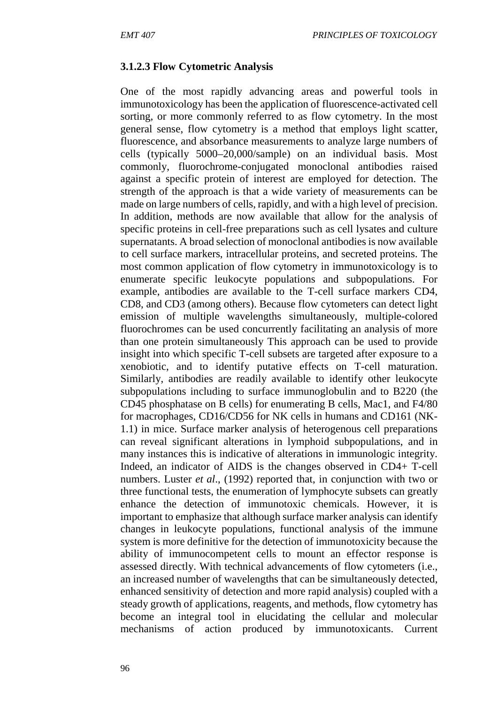#### **3.1.2.3 Flow Cytometric Analysis**

One of the most rapidly advancing areas and powerful tools in immunotoxicology has been the application of fluorescence-activated cell sorting, or more commonly referred to as flow cytometry. In the most general sense, flow cytometry is a method that employs light scatter, fluorescence, and absorbance measurements to analyze large numbers of cells (typically 5000–20,000/sample) on an individual basis. Most commonly, fluorochrome-conjugated monoclonal antibodies raised against a specific protein of interest are employed for detection. The strength of the approach is that a wide variety of measurements can be made on large numbers of cells, rapidly, and with a high level of precision. In addition, methods are now available that allow for the analysis of specific proteins in cell-free preparations such as cell lysates and culture supernatants. A broad selection of monoclonal antibodies is now available to cell surface markers, intracellular proteins, and secreted proteins. The most common application of flow cytometry in immunotoxicology is to enumerate specific leukocyte populations and subpopulations. For example, antibodies are available to the T-cell surface markers CD4, CD8, and CD3 (among others). Because flow cytometers can detect light emission of multiple wavelengths simultaneously, multiple-colored fluorochromes can be used concurrently facilitating an analysis of more than one protein simultaneously This approach can be used to provide insight into which specific T-cell subsets are targeted after exposure to a xenobiotic, and to identify putative effects on T-cell maturation. Similarly, antibodies are readily available to identify other leukocyte subpopulations including to surface immunoglobulin and to B220 (the CD45 phosphatase on B cells) for enumerating B cells, Mac1, and F4/80 for macrophages, CD16/CD56 for NK cells in humans and CD161 (NK- 1.1) in mice. Surface marker analysis of heterogenous cell preparations can reveal significant alterations in lymphoid subpopulations, and in many instances this is indicative of alterations in immunologic integrity. Indeed, an indicator of AIDS is the changes observed in CD4+ T-cell numbers. Luster *et al*., (1992) reported that, in conjunction with two or three functional tests, the enumeration of lymphocyte subsets can greatly enhance the detection of immunotoxic chemicals. However, it is important to emphasize that although surface marker analysis can identify changes in leukocyte populations, functional analysis of the immune system is more definitive for the detection of immunotoxicity because the ability of immunocompetent cells to mount an effector response is assessed directly. With technical advancements of flow cytometers (i.e., an increased number of wavelengths that can be simultaneously detected, enhanced sensitivity of detection and more rapid analysis) coupled with a steady growth of applications, reagents, and methods, flow cytometry has become an integral tool in elucidating the cellular and molecular mechanisms of action produced by immunotoxicants. Current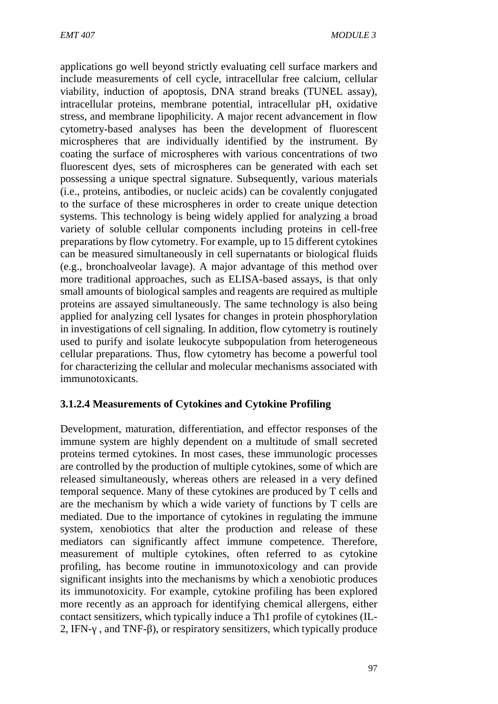applications go well beyond strictly evaluating cell surface markers and include measurements of cell cycle, intracellular free calcium, cellular viability, induction of apoptosis, DNA strand breaks (TUNEL assay), intracellular proteins, membrane potential, intracellular pH, oxidative stress, and membrane lipophilicity. A major recent advancement in flow cytometry-based analyses has been the development of fluorescent microspheres that are individually identified by the instrument. By coating the surface of microspheres with various concentrations of two fluorescent dyes, sets of microspheres can be generated with each set possessing a unique spectral signature. Subsequently, various materials (i.e., proteins, antibodies, or nucleic acids) can be covalently conjugated to the surface of these microspheres in order to create unique detection systems. This technology is being widely applied for analyzing a broad variety of soluble cellular components including proteins in cell-free preparations by flow cytometry. For example, up to 15 different cytokines can be measured simultaneously in cell supernatants or biological fluids (e.g., bronchoalveolar lavage). A major advantage of this method over more traditional approaches, such as ELISA-based assays, is that only small amounts of biological samples and reagents are required as multiple proteins are assayed simultaneously. The same technology is also being applied for analyzing cell lysates for changes in protein phosphorylation in investigations of cell signaling. In addition, flow cytometry is routinely used to purify and isolate leukocyte subpopulation from heterogeneous cellular preparations. Thus, flow cytometry has become a powerful tool for characterizing the cellular and molecular mechanisms associated with immunotoxicants.

# **3.1.2.4 Measurements of Cytokines and Cytokine Profiling**

Development, maturation, differentiation, and effector responses of the immune system are highly dependent on a multitude of small secreted proteins termed cytokines. In most cases, these immunologic processes are controlled by the production of multiple cytokines, some of which are released simultaneously, whereas others are released in a very defined temporal sequence. Many of these cytokines are produced by T cells and are the mechanism by which a wide variety of functions by T cells are mediated. Due to the importance of cytokines in regulating the immune system, xenobiotics that alter the production and release of these mediators can significantly affect immune competence. Therefore, measurement of multiple cytokines, often referred to as cytokine profiling, has become routine in immunotoxicology and can provide significant insights into the mechanisms by which a xenobiotic produces its immunotoxicity. For example, cytokine profiling has been explored more recently as an approach for identifying chemical allergens, either contact sensitizers, which typically induce a Th1 profile of cytokines (IL- 2, IFN-, and TNF-), or respiratory sensitizers, which typically produce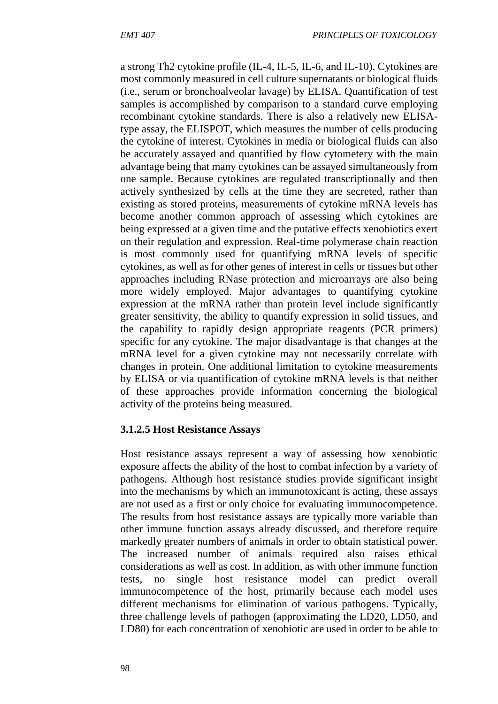a strong Th2 cytokine profile (IL-4, IL-5, IL-6, and IL-10). Cytokines are most commonly measured in cell culture supernatants or biological fluids (i.e., serum or bronchoalveolar lavage) by ELISA. Quantification of test samples is accomplished by comparison to a standard curve employing recombinant cytokine standards. There is also a relatively new ELISAtype assay, the ELISPOT, which measures the number of cells producing the cytokine of interest. Cytokines in media or biological fluids can also be accurately assayed and quantified by flow cytometery with the main advantage being that many cytokines can be assayed simultaneously from one sample. Because cytokines are regulated transcriptionally and then actively synthesized by cells at the time they are secreted, rather than existing as stored proteins, measurements of cytokine mRNA levels has become another common approach of assessing which cytokines are being expressed at a given time and the putative effects xenobiotics exert on their regulation and expression. Real-time polymerase chain reaction is most commonly used for quantifying mRNA levels of specific cytokines, as well as for other genes of interest in cells or tissues but other approaches including RNase protection and microarrays are also being more widely employed. Major advantages to quantifying cytokine expression at the mRNA rather than protein level include significantly greater sensitivity, the ability to quantify expression in solid tissues, and the capability to rapidly design appropriate reagents (PCR primers) specific for any cytokine. The major disadvantage is that changes at the mRNA level for a given cytokine may not necessarily correlate with changes in protein. One additional limitation to cytokine measurements by ELISA or via quantification of cytokine mRNA levels is that neither of these approaches provide information concerning the biological activity of the proteins being measured.

### **3.1.2.5 Host Resistance Assays**

Host resistance assays represent a way of assessing how xenobiotic exposure affects the ability of the host to combat infection by a variety of pathogens. Although host resistance studies provide significant insight into the mechanisms by which an immunotoxicant is acting, these assays are not used as a first or only choice for evaluating immunocompetence. The results from host resistance assays are typically more variable than other immune function assays already discussed, and therefore require markedly greater numbers of animals in order to obtain statistical power. The increased number of animals required also raises ethical considerations as well as cost. In addition, as with other immune function tests, no single host resistance model can predict overall immunocompetence of the host, primarily because each model uses different mechanisms for elimination of various pathogens. Typically, three challenge levels of pathogen (approximating the LD20, LD50, and LD80) for each concentration of xenobiotic are used in order to be able to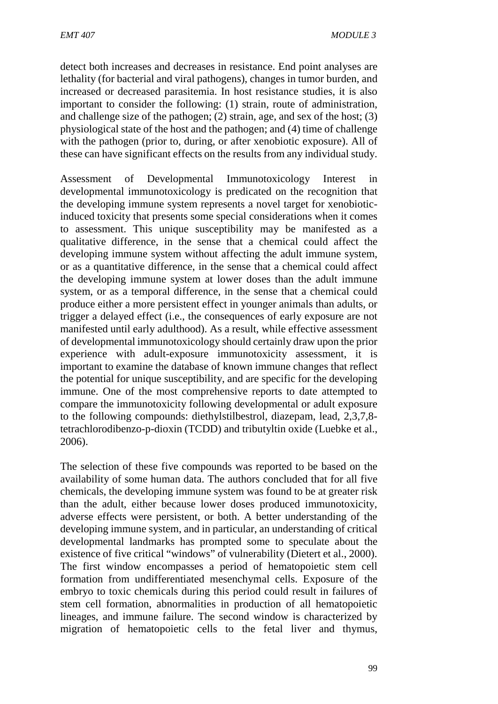detect both increases and decreases in resistance. End point analyses are lethality (for bacterial and viral pathogens), changes in tumor burden, and increased or decreased parasitemia. In host resistance studies, it is also important to consider the following: (1) strain, route of administration, and challenge size of the pathogen; (2) strain, age, and sex of the host; (3) physiological state of the host and the pathogen; and (4) time of challenge with the pathogen (prior to, during, or after xenobiotic exposure). All of these can have significant effects on the results from any individual study.

Assessment of Developmental Immunotoxicology Interest in developmental immunotoxicology is predicated on the recognition that the developing immune system represents a novel target for xenobioticinduced toxicity that presents some special considerations when it comes to assessment. This unique susceptibility may be manifested as a qualitative difference, in the sense that a chemical could affect the developing immune system without affecting the adult immune system, or as a quantitative difference, in the sense that a chemical could affect the developing immune system at lower doses than the adult immune system, or as a temporal difference, in the sense that a chemical could produce either a more persistent effect in younger animals than adults, or trigger a delayed effect (i.e., the consequences of early exposure are not manifested until early adulthood). As a result, while effective assessment of developmental immunotoxicology should certainly draw upon the prior experience with adult-exposure immunotoxicity assessment, it is important to examine the database of known immune changes that reflect the potential for unique susceptibility, and are specific for the developing immune. One of the most comprehensive reports to date attempted to compare the immunotoxicity following developmental or adult exposure to the following compounds: diethylstilbestrol, diazepam, lead, 2,3,7,8 tetrachlorodibenzo-p-dioxin (TCDD) and tributyltin oxide (Luebke et al., 2006).

The selection of these five compounds was reported to be based on the availability of some human data. The authors concluded that for all five chemicals, the developing immune system was found to be at greater risk than the adult, either because lower doses produced immunotoxicity, adverse effects were persistent, or both. A better understanding of the developing immune system, and in particular, an understanding of critical developmental landmarks has prompted some to speculate about the existence of five critical "windows" of vulnerability (Dietert et al., 2000). The first window encompasses a period of hematopoietic stem cell formation from undifferentiated mesenchymal cells. Exposure of the embryo to toxic chemicals during this period could result in failures of stem cell formation, abnormalities in production of all hematopoietic lineages, and immune failure. The second window is characterized by migration of hematopoietic cells to the fetal liver and thymus,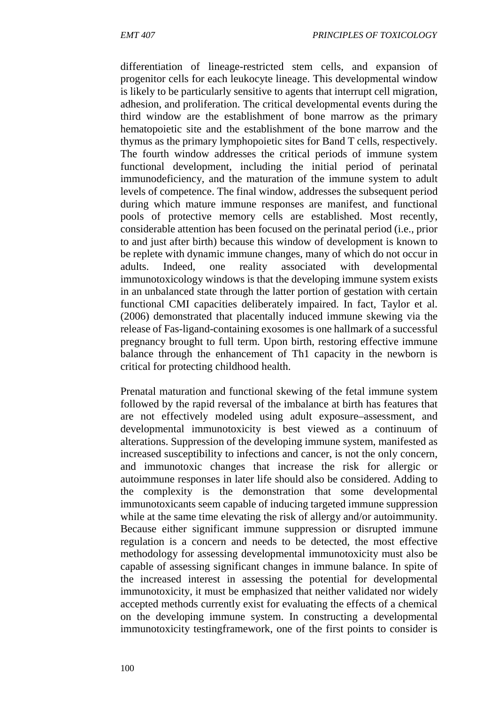differentiation of lineage-restricted stem cells, and expansion of progenitor cells for each leukocyte lineage. This developmental window is likely to be particularly sensitive to agents that interrupt cell migration, adhesion, and proliferation. The critical developmental events during the third window are the establishment of bone marrow as the primary hematopoietic site and the establishment of the bone marrow and the thymus as the primary lymphopoietic sites for Band T cells, respectively. The fourth window addresses the critical periods of immune system functional development, including the initial period of perinatal immunodeficiency, and the maturation of the immune system to adult levels of competence. The final window, addresses the subsequent period during which mature immune responses are manifest, and functional pools of protective memory cells are established. Most recently, considerable attention has been focused on the perinatal period (i.e., prior to and just after birth) because this window of development is known to be replete with dynamic immune changes, many of which do not occur in adults. Indeed, one reality associated with developmental immunotoxicology windows is that the developing immune system exists in an unbalanced state through the latter portion of gestation with certain functional CMI capacities deliberately impaired. In fact, Taylor et al. (2006) demonstrated that placentally induced immune skewing via the release of Fas-ligand-containing exosomes is one hallmark of a successful pregnancy brought to full term. Upon birth, restoring effective immune balance through the enhancement of Th1 capacity in the newborn is critical for protecting childhood health.

Prenatal maturation and functional skewing of the fetal immune system followed by the rapid reversal of the imbalance at birth has features that are not effectively modeled using adult exposure–assessment, and developmental immunotoxicity is best viewed as a continuum of alterations. Suppression of the developing immune system, manifested as increased susceptibility to infections and cancer, is not the only concern, and immunotoxic changes that increase the risk for allergic or autoimmune responses in later life should also be considered. Adding to the complexity is the demonstration that some developmental immunotoxicants seem capable of inducing targeted immune suppression while at the same time elevating the risk of allergy and/or autoimmunity. Because either significant immune suppression or disrupted immune regulation is a concern and needs to be detected, the most effective methodology for assessing developmental immunotoxicity must also be capable of assessing significant changes in immune balance. In spite of the increased interest in assessing the potential for developmental immunotoxicity, it must be emphasized that neither validated nor widely accepted methods currently exist for evaluating the effects of a chemical on the developing immune system. In constructing a developmental immunotoxicity testingframework, one of the first points to consider is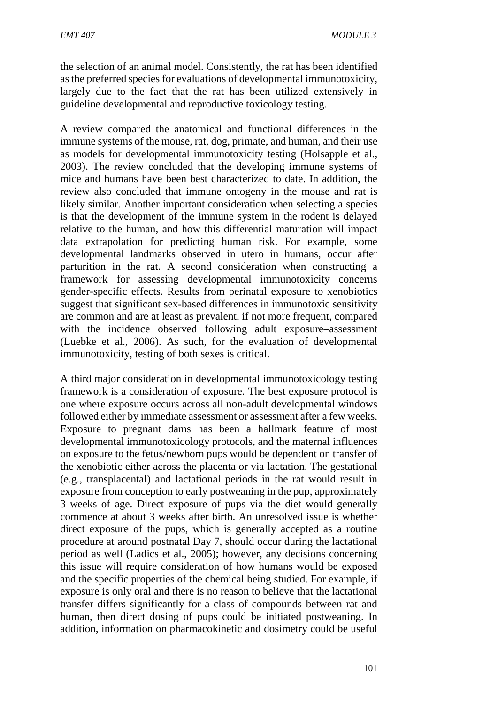the selection of an animal model. Consistently, the rat has been identified as the preferred species for evaluations of developmental immunotoxicity, largely due to the fact that the rat has been utilized extensively in guideline developmental and reproductive toxicology testing.

A review compared the anatomical and functional differences in the immune systems of the mouse, rat, dog, primate, and human, and their use as models for developmental immunotoxicity testing (Holsapple et al., 2003). The review concluded that the developing immune systems of mice and humans have been best characterized to date. In addition, the review also concluded that immune ontogeny in the mouse and rat is likely similar. Another important consideration when selecting a species is that the development of the immune system in the rodent is delayed relative to the human, and how this differential maturation will impact data extrapolation for predicting human risk. For example, some developmental landmarks observed in utero in humans, occur after parturition in the rat. A second consideration when constructing a framework for assessing developmental immunotoxicity concerns gender-specific effects. Results from perinatal exposure to xenobiotics suggest that significant sex-based differences in immunotoxic sensitivity are common and are at least as prevalent, if not more frequent, compared with the incidence observed following adult exposure–assessment (Luebke et al., 2006). As such, for the evaluation of developmental immunotoxicity, testing of both sexes is critical.

A third major consideration in developmental immunotoxicology testing framework is a consideration of exposure. The best exposure protocol is one where exposure occurs across all non-adult developmental windows followed either by immediate assessment or assessment after a few weeks. Exposure to pregnant dams has been a hallmark feature of most developmental immunotoxicology protocols, and the maternal influences on exposure to the fetus/newborn pups would be dependent on transfer of the xenobiotic either across the placenta or via lactation. The gestational (e.g., transplacental) and lactational periods in the rat would result in exposure from conception to early postweaning in the pup, approximately 3 weeks of age. Direct exposure of pups via the diet would generally commence at about 3 weeks after birth. An unresolved issue is whether direct exposure of the pups, which is generally accepted as a routine procedure at around postnatal Day 7, should occur during the lactational period as well (Ladics et al., 2005); however, any decisions concerning this issue will require consideration of how humans would be exposed and the specific properties of the chemical being studied. For example, if exposure is only oral and there is no reason to believe that the lactational transfer differs significantly for a class of compounds between rat and human, then direct dosing of pups could be initiated postweaning. In addition, information on pharmacokinetic and dosimetry could be useful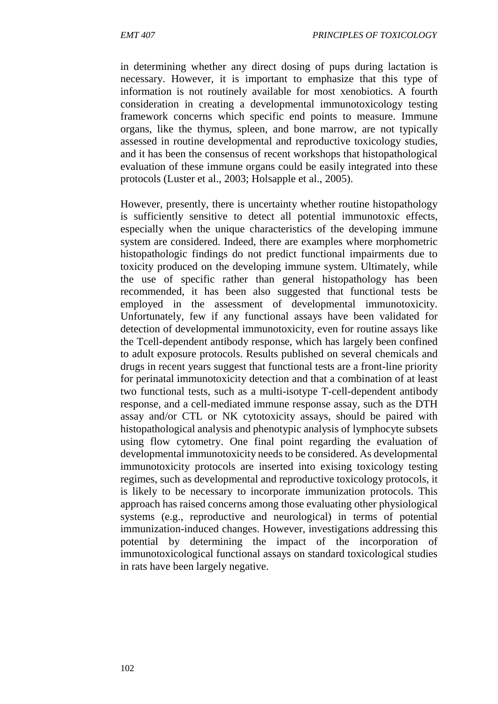in determining whether any direct dosing of pups during lactation is necessary. However, it is important to emphasize that this type of information is not routinely available for most xenobiotics. A fourth consideration in creating a developmental immunotoxicology testing framework concerns which specific end points to measure. Immune organs, like the thymus, spleen, and bone marrow, are not typically assessed in routine developmental and reproductive toxicology studies, and it has been the consensus of recent workshops that histopathological evaluation of these immune organs could be easily integrated into these protocols (Luster et al., 2003; Holsapple et al., 2005).

However, presently, there is uncertainty whether routine histopathology is sufficiently sensitive to detect all potential immunotoxic effects, especially when the unique characteristics of the developing immune system are considered. Indeed, there are examples where morphometric histopathologic findings do not predict functional impairments due to toxicity produced on the developing immune system. Ultimately, while the use of specific rather than general histopathology has been recommended, it has been also suggested that functional tests be employed in the assessment of developmental immunotoxicity. Unfortunately, few if any functional assays have been validated for detection of developmental immunotoxicity, even for routine assays like the Tcell-dependent antibody response, which has largely been confined to adult exposure protocols. Results published on several chemicals and drugs in recent years suggest that functional tests are a front-line priority for perinatal immunotoxicity detection and that a combination of at least two functional tests, such as a multi-isotype T-cell-dependent antibody response, and a cell-mediated immune response assay, such as the DTH assay and/or CTL or NK cytotoxicity assays, should be paired with histopathological analysis and phenotypic analysis of lymphocyte subsets using flow cytometry. One final point regarding the evaluation of developmental immunotoxicity needs to be considered. As developmental immunotoxicity protocols are inserted into exising toxicology testing regimes, such as developmental and reproductive toxicology protocols, it is likely to be necessary to incorporate immunization protocols. This approach has raised concerns among those evaluating other physiological systems (e.g., reproductive and neurological) in terms of potential immunization-induced changes. However, investigations addressing this potential by determining the impact of the incorporation of immunotoxicological functional assays on standard toxicological studies in rats have been largely negative.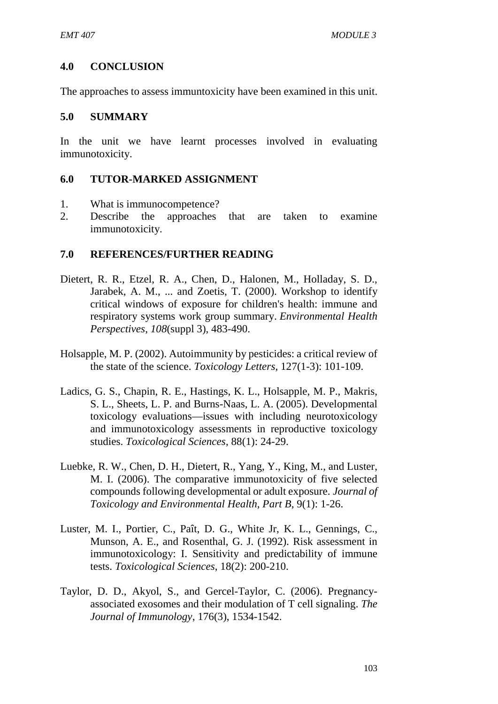### **4.0 CONCLUSION**

The approaches to assess immuntoxicity have been examined in this unit.

#### **5.0 SUMMARY**

In the unit we have learnt processes involved in evaluating immunotoxicity.

#### **6.0 TUTOR-MARKED ASSIGNMENT**

- 1. What is immunocompetence?
- 2. Describe the approaches that are taken to examine immunotoxicity.

#### **7.0 REFERENCES/FURTHER READING**

- Dietert, R. R., Etzel, R. A., Chen, D., Halonen, M., Holladay, S. D., Jarabek, A. M., ... and Zoetis, T. (2000). Workshop to identify critical windows of exposure for children's health: immune and respiratory systems work group summary. *Environmental Health Perspectives*, *108*(suppl 3), 483-490.
- Holsapple, M. P. (2002). Autoimmunity by pesticides: a critical review of the state of the science. *Toxicology Letters*, 127(1-3): 101-109.
- Ladics, G. S., Chapin, R. E., Hastings, K. L., Holsapple, M. P., Makris, S. L., Sheets, L. P. and Burns-Naas, L. A. (2005). Developmental toxicology evaluations—issues with including neurotoxicology and immunotoxicology assessments in reproductive toxicology studies. *Toxicological Sciences*, 88(1): 24-29.
- Luebke, R. W., Chen, D. H., Dietert, R., Yang, Y., King, M., and Luster, M. I. (2006). The comparative immunotoxicity of five selected compounds following developmental or adult exposure. *Journal of Toxicology and Environmental Health, Part B*, 9(1): 1-26.
- Luster, M. I., Portier, C., Paît, D. G., White Jr, K. L., Gennings, C., Munson, A. E., and Rosenthal, G. J. (1992). Risk assessment in immunotoxicology: I. Sensitivity and predictability of immune tests. *Toxicological Sciences*, 18(2): 200-210.
- Taylor, D. D., Akyol, S., and Gercel-Taylor, C. (2006). Pregnancy associated exosomes and their modulation of T cell signaling. *The Journal of Immunology*, 176(3), 1534-1542.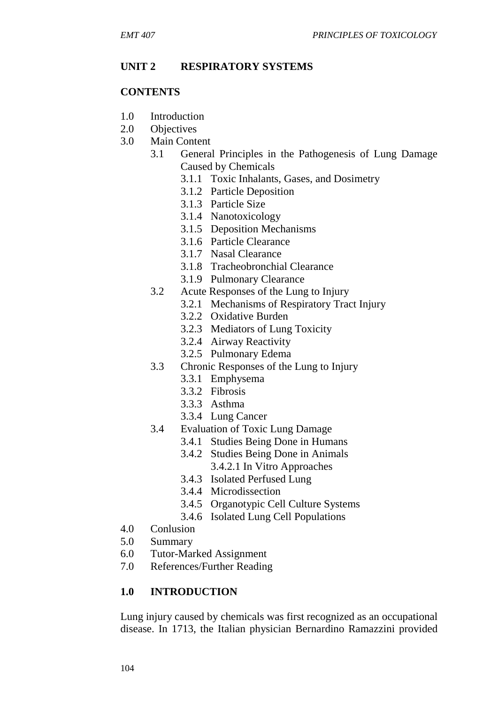### **UNIT 2 RESPIRATORY SYSTEMS**

#### **CONTENTS**

- 1.0 Introduction
- 2.0 Objectives
- 3.0 Main Content
	- 3.1 General Principles in the Pathogenesis of Lung Damage Caused by Chemicals
		- 3.1.1 Toxic Inhalants, Gases, and Dosimetry
		- 3.1.2 Particle Deposition
		- 3.1.3 Particle Size
		- 3.1.4 Nanotoxicology
		- 3.1.5 Deposition Mechanisms
		- 3.1.6 Particle Clearance
		- 3.1.7 Nasal Clearance
		- 3.1.8 Tracheobronchial Clearance
		- 3.1.9 Pulmonary Clearance
	- 3.2 Acute Responses of the Lung to Injury
		- 3.2.1 Mechanisms of Respiratory Tract Injury
		- 3.2.2 Oxidative Burden
		- 3.2.3 Mediators of Lung Toxicity
		- 3.2.4 Airway Reactivity
		- 3.2.5 Pulmonary Edema
	- 3.3 Chronic Responses of the Lung to Injury
		- 3.3.1 Emphysema
		- 3.3.2 Fibrosis
		- 3.3.3 Asthma
		- 3.3.4 Lung Cancer
	- 3.4 Evaluation of Toxic Lung Damage
		- 3.4.1 Studies Being Done in Humans
		- 3.4.2 Studies Being Done in Animals 3.4.2.1 In Vitro Approaches
		- 3.4.3 Isolated Perfused Lung
		- 3.4.4 Microdissection
		- 3.4.5 Organotypic Cell Culture Systems
		- 3.4.6 Isolated Lung Cell Populations
- 4.0 Conlusion
- 5.0 Summary
- 6.0 Tutor-Marked Assignment
- 7.0 References/Further Reading

# **1.0 INTRODUCTION**

Lung injury caused by chemicals was first recognized as an occupational disease. In 1713, the Italian physician Bernardino Ramazzini provided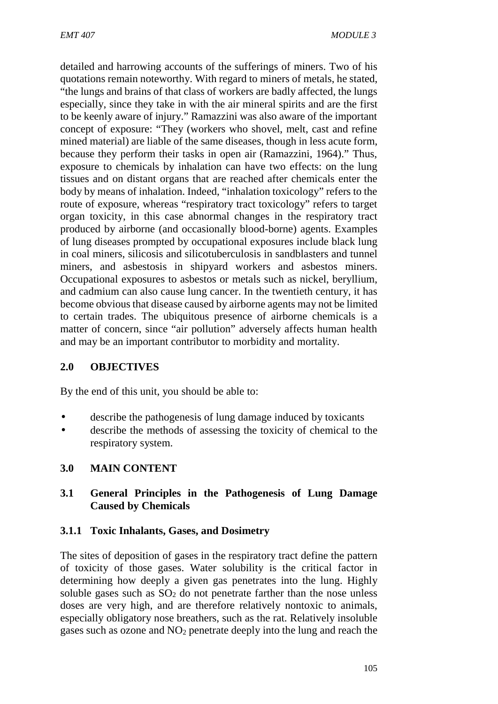detailed and harrowing accounts of the sufferings of miners. Two of his quotations remain noteworthy. With regard to miners of metals, he stated, "the lungs and brains of that class of workers are badly affected, the lungs especially, since they take in with the air mineral spirits and are the first to be keenly aware of injury." Ramazzini was also aware of the important concept of exposure: "They (workers who shovel, melt, cast and refine mined material) are liable of the same diseases, though in less acute form, because they perform their tasks in open air (Ramazzini, 1964)." Thus, exposure to chemicals by inhalation can have two effects: on the lung tissues and on distant organs that are reached after chemicals enter the body by means of inhalation. Indeed, "inhalation toxicology" refers to the route of exposure, whereas "respiratory tract toxicology" refers to target organ toxicity, in this case abnormal changes in the respiratory tract produced by airborne (and occasionally blood-borne) agents. Examples of lung diseases prompted by occupational exposures include black lung in coal miners, silicosis and silicotuberculosis in sandblasters and tunnel miners, and asbestosis in shipyard workers and asbestos miners. Occupational exposures to asbestos or metals such as nickel, beryllium, and cadmium can also cause lung cancer. In the twentieth century, it has become obvious that disease caused by airborne agents may not be limited to certain trades. The ubiquitous presence of airborne chemicals is a matter of concern, since "air pollution" adversely affects human health and may be an important contributor to morbidity and mortality.

### **2.0 OBJECTIVES**

By the end of this unit, you should be able to:

- describe the pathogenesis of lung damage induced by toxicants
- describe the methods of assessing the toxicity of chemical to the respiratory system.

### **3.0 MAIN CONTENT**

### **3.1 General Principles in the Pathogenesis of Lung Damage Caused by Chemicals**

### **3.1.1 Toxic Inhalants, Gases, and Dosimetry**

The sites of deposition of gases in the respiratory tract define the pattern of toxicity of those gases. Water solubility is the critical factor in determining how deeply a given gas penetrates into the lung. Highly soluble gases such as  $SO<sub>2</sub>$  do not penetrate farther than the nose unless doses are very high, and are therefore relatively nontoxic to animals, especially obligatory nose breathers, such as the rat. Relatively insoluble gases such as ozone and NO<sup>2</sup> penetrate deeply into the lung and reach the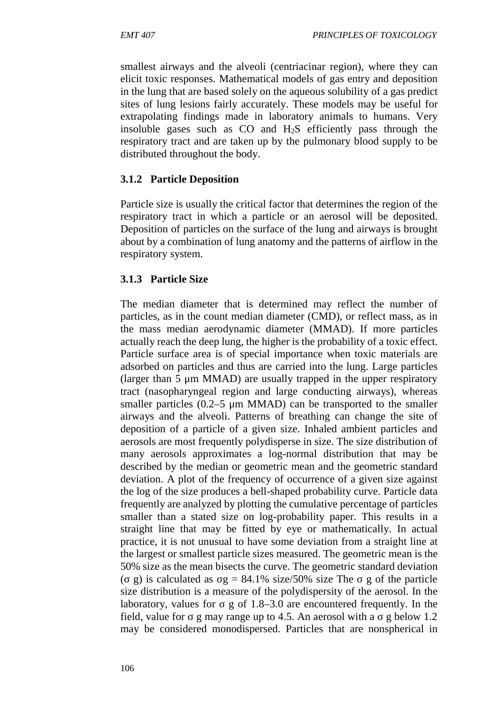smallest airways and the alveoli (centriacinar region), where they can elicit toxic responses. Mathematical models of gas entry and deposition in the lung that are based solely on the aqueous solubility of a gas predict sites of lung lesions fairly accurately. These models may be useful for extrapolating findings made in laboratory animals to humans. Very insoluble gases such as CO and H2S efficiently pass through the respiratory tract and are taken up by the pulmonary blood supply to be distributed throughout the body.

### **3.1.2 Particle Deposition**

Particle size is usually the critical factor that determines the region of the respiratory tract in which a particle or an aerosol will be deposited. Deposition of particles on the surface of the lung and airways is brought about by a combination of lung anatomy and the patterns of airflow in the respiratory system.

### **3.1.3 Particle Size**

The median diameter that is determined may reflect the number of particles, as in the count median diameter (CMD), or reflect mass, as in the mass median aerodynamic diameter (MMAD). If more particles actually reach the deep lung, the higher is the probability of a toxic effect. Particle surface area is of special importance when toxic materials are adsorbed on particles and thus are carried into the lung. Large particles (larger than 5 μm MMAD) are usually trapped in the upper respiratory tract (nasopharyngeal region and large conducting airways), whereas smaller particles  $(0.2-5 \mu m \text{ MMAD})$  can be transported to the smaller airways and the alveoli. Patterns of breathing can change the site of deposition of a particle of a given size. Inhaled ambient particles and aerosols are most frequently polydisperse in size. The size distribution of many aerosols approximates a log-normal distribution that may be described by the median or geometric mean and the geometric standard deviation. A plot of the frequency of occurrence of a given size against the log of the size produces a bell-shaped probability curve. Particle data frequently are analyzed by plotting the cumulative percentage of particles smaller than a stated size on log-probability paper. This results in a straight line that may be fitted by eye or mathematically. In actual practice, it is not unusual to have some deviation from a straight line at the largest or smallest particle sizes measured. The geometric mean is the 50% size as the mean bisects the curve. The geometric standard deviation (g) is calculated as  $g = 84.1\%$  size/50% size The g of the particle size distribution is a measure of the polydispersity of the aerosol. In the laboratory, values for g of  $1.8-3.0$  are encountered frequently. In the field, value for g may range up to 4.5. An aerosol with a g below 1.2 may be considered monodispersed. Particles that are nonspherical in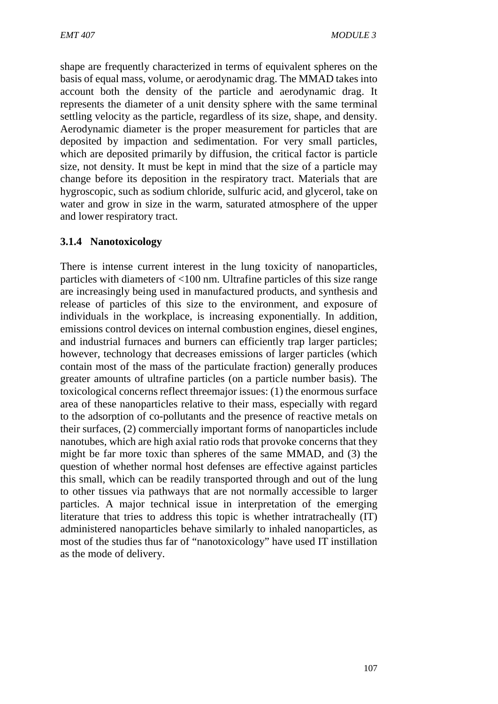shape are frequently characterized in terms of equivalent spheres on the basis of equal mass, volume, or aerodynamic drag. The MMAD takes into account both the density of the particle and aerodynamic drag. It represents the diameter of a unit density sphere with the same terminal settling velocity as the particle, regardless of its size, shape, and density. Aerodynamic diameter is the proper measurement for particles that are deposited by impaction and sedimentation. For very small particles, which are deposited primarily by diffusion, the critical factor is particle size, not density. It must be kept in mind that the size of a particle may change before its deposition in the respiratory tract. Materials that are hygroscopic, such as sodium chloride, sulfuric acid, and glycerol, take on water and grow in size in the warm, saturated atmosphere of the upper and lower respiratory tract.

# **3.1.4 Nanotoxicology**

There is intense current interest in the lung toxicity of nanoparticles, particles with diameters of <100 nm. Ultrafine particles of this size range are increasingly being used in manufactured products, and synthesis and release of particles of this size to the environment, and exposure of individuals in the workplace, is increasing exponentially. In addition, emissions control devices on internal combustion engines, diesel engines, and industrial furnaces and burners can efficiently trap larger particles; however, technology that decreases emissions of larger particles (which contain most of the mass of the particulate fraction) generally produces greater amounts of ultrafine particles (on a particle number basis). The toxicological concerns reflect threemajor issues: (1) the enormous surface area of these nanoparticles relative to their mass, especially with regard to the adsorption of co-pollutants and the presence of reactive metals on their surfaces, (2) commercially important forms of nanoparticles include nanotubes, which are high axial ratio rods that provoke concerns that they might be far more toxic than spheres of the same MMAD, and (3) the question of whether normal host defenses are effective against particles this small, which can be readily transported through and out of the lung to other tissues via pathways that are not normally accessible to larger particles. A major technical issue in interpretation of the emerging literature that tries to address this topic is whether intratracheally (IT) administered nanoparticles behave similarly to inhaled nanoparticles, as most of the studies thus far of "nanotoxicology" have used IT instillation as the mode of delivery.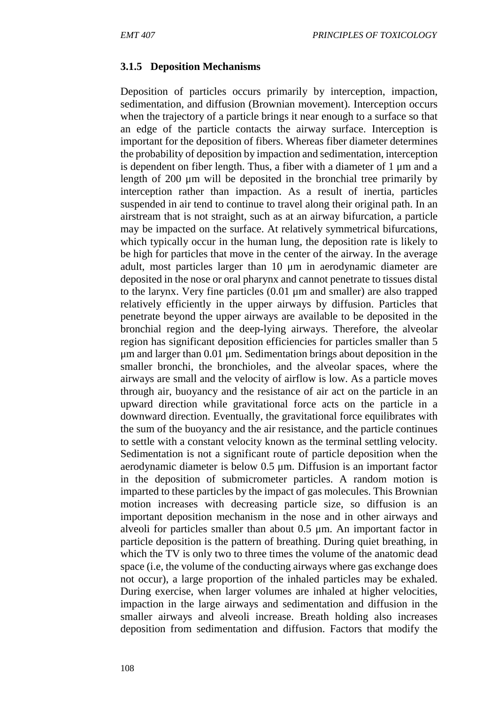### **3.1.5 Deposition Mechanisms**

Deposition of particles occurs primarily by interception, impaction, sedimentation, and diffusion (Brownian movement). Interception occurs when the trajectory of a particle brings it near enough to a surface so that an edge of the particle contacts the airway surface. Interception is important for the deposition of fibers. Whereas fiber diameter determines the probability of deposition by impaction and sedimentation, interception is dependent on fiber length. Thus, a fiber with a diameter of 1 μm and a length of 200 μm will be deposited in the bronchial tree primarily by interception rather than impaction. As a result of inertia, particles suspended in air tend to continue to travel along their original path. In an airstream that is not straight, such as at an airway bifurcation, a particle may be impacted on the surface. At relatively symmetrical bifurcations, which typically occur in the human lung, the deposition rate is likely to be high for particles that move in the center of the airway. In the average adult, most particles larger than 10 μm in aerodynamic diameter are deposited in the nose or oral pharynx and cannot penetrate to tissues distal to the larynx. Very fine particles (0.01 μm and smaller) are also trapped relatively efficiently in the upper airways by diffusion. Particles that penetrate beyond the upper airways are available to be deposited in the bronchial region and the deep-lying airways. Therefore, the alveolar region has significant deposition efficiencies for particles smaller than 5 μm and larger than 0.01 μm. Sedimentation brings about deposition in the smaller bronchi, the bronchioles, and the alveolar spaces, where the airways are small and the velocity of airflow is low. As a particle moves through air, buoyancy and the resistance of air act on the particle in an upward direction while gravitational force acts on the particle in a downward direction. Eventually, the gravitational force equilibrates with the sum of the buoyancy and the air resistance, and the particle continues to settle with a constant velocity known as the terminal settling velocity. Sedimentation is not a significant route of particle deposition when the aerodynamic diameter is below 0.5 μm. Diffusion is an important factor in the deposition of submicrometer particles. A random motion is imparted to these particles by the impact of gas molecules. This Brownian motion increases with decreasing particle size, so diffusion is an important deposition mechanism in the nose and in other airways and alveoli for particles smaller than about 0.5 μm. An important factor in particle deposition is the pattern of breathing. During quiet breathing, in which the TV is only two to three times the volume of the anatomic dead space (i.e, the volume of the conducting airways where gas exchange does not occur), a large proportion of the inhaled particles may be exhaled. During exercise, when larger volumes are inhaled at higher velocities, impaction in the large airways and sedimentation and diffusion in the smaller airways and alveoli increase. Breath holding also increases deposition from sedimentation and diffusion. Factors that modify the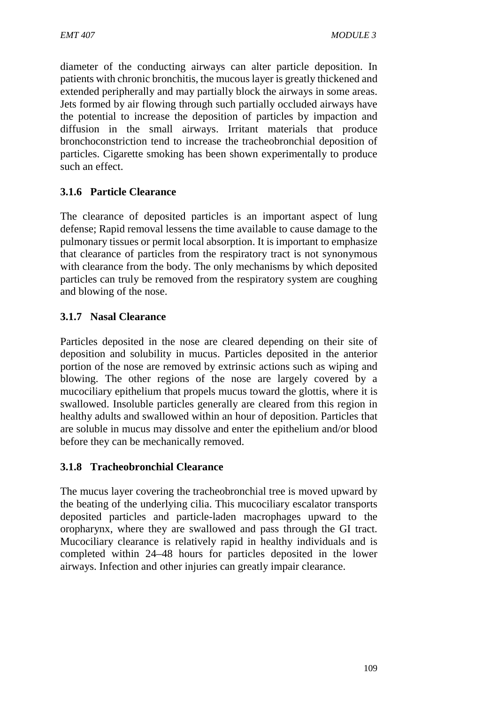diameter of the conducting airways can alter particle deposition. In patients with chronic bronchitis, the mucous layer is greatly thickened and extended peripherally and may partially block the airways in some areas. Jets formed by air flowing through such partially occluded airways have the potential to increase the deposition of particles by impaction and diffusion in the small airways. Irritant materials that produce bronchoconstriction tend to increase the tracheobronchial deposition of particles. Cigarette smoking has been shown experimentally to produce such an effect.

## **3.1.6 Particle Clearance**

The clearance of deposited particles is an important aspect of lung defense; Rapid removal lessens the time available to cause damage to the pulmonary tissues or permit local absorption. It is important to emphasize that clearance of particles from the respiratory tract is not synonymous with clearance from the body. The only mechanisms by which deposited particles can truly be removed from the respiratory system are coughing and blowing of the nose.

## **3.1.7 Nasal Clearance**

Particles deposited in the nose are cleared depending on their site of deposition and solubility in mucus. Particles deposited in the anterior portion of the nose are removed by extrinsic actions such as wiping and blowing. The other regions of the nose are largely covered by a mucociliary epithelium that propels mucus toward the glottis, where it is swallowed. Insoluble particles generally are cleared from this region in healthy adults and swallowed within an hour of deposition. Particles that are soluble in mucus may dissolve and enter the epithelium and/or blood before they can be mechanically removed.

### **3.1.8 Tracheobronchial Clearance**

The mucus layer covering the tracheobronchial tree is moved upward by the beating of the underlying cilia. This mucociliary escalator transports deposited particles and particle-laden macrophages upward to the oropharynx, where they are swallowed and pass through the GI tract. Mucociliary clearance is relatively rapid in healthy individuals and is completed within 24–48 hours for particles deposited in the lower airways. Infection and other injuries can greatly impair clearance.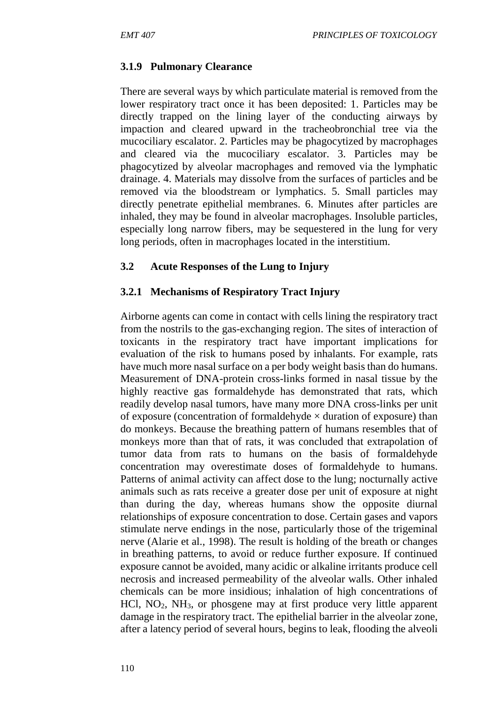## **3.1.9 Pulmonary Clearance**

There are several ways by which particulate material is removed from the lower respiratory tract once it has been deposited: 1. Particles may be directly trapped on the lining layer of the conducting airways by impaction and cleared upward in the tracheobronchial tree via the mucociliary escalator. 2. Particles may be phagocytized by macrophages and cleared via the mucociliary escalator. 3. Particles may be phagocytized by alveolar macrophages and removed via the lymphatic drainage. 4. Materials may dissolve from the surfaces of particles and be removed via the bloodstream or lymphatics. 5. Small particles may directly penetrate epithelial membranes. 6. Minutes after particles are inhaled, they may be found in alveolar macrophages. Insoluble particles, especially long narrow fibers, may be sequestered in the lung for very long periods, often in macrophages located in the interstitium.

### **3.2 Acute Responses of the Lung to Injury**

### **3.2.1 Mechanisms of Respiratory Tract Injury**

Airborne agents can come in contact with cells lining the respiratory tract from the nostrils to the gas-exchanging region. The sites of interaction of toxicants in the respiratory tract have important implications for evaluation of the risk to humans posed by inhalants. For example, rats have much more nasal surface on a per body weight basis than do humans. Measurement of DNA-protein cross-links formed in nasal tissue by the highly reactive gas formaldehyde has demonstrated that rats, which readily develop nasal tumors, have many more DNA cross-links per unit of exposure (concentration of formaldehyde  $\times$  duration of exposure) than do monkeys. Because the breathing pattern of humans resembles that of monkeys more than that of rats, it was concluded that extrapolation of tumor data from rats to humans on the basis of formaldehyde concentration may overestimate doses of formaldehyde to humans. Patterns of animal activity can affect dose to the lung; nocturnally active animals such as rats receive a greater dose per unit of exposure at night than during the day, whereas humans show the opposite diurnal relationships of exposure concentration to dose. Certain gases and vapors stimulate nerve endings in the nose, particularly those of the trigeminal nerve (Alarie et al., 1998). The result is holding of the breath or changes in breathing patterns, to avoid or reduce further exposure. If continued exposure cannot be avoided, many acidic or alkaline irritants produce cell necrosis and increased permeability of the alveolar walls. Other inhaled chemicals can be more insidious; inhalation of high concentrations of  $HC1$ ,  $NO<sub>2</sub>$ ,  $NH<sub>3</sub>$ , or phosgene may at first produce very little apparent damage in the respiratory tract. The epithelial barrier in the alveolar zone, after a latency period of several hours, begins to leak, flooding the alveoli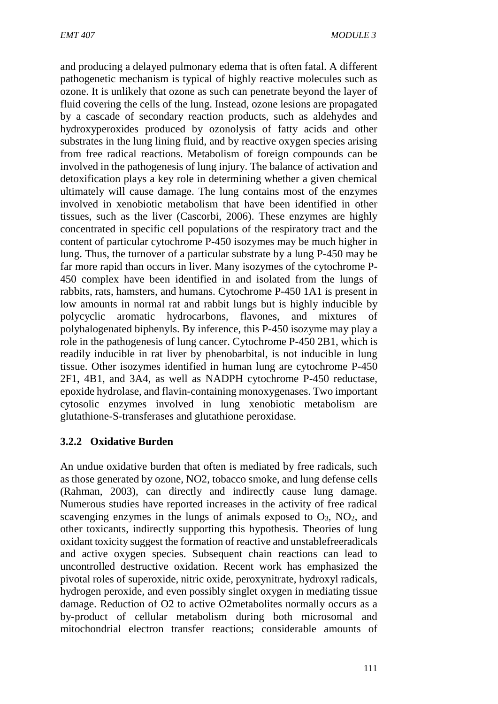and producing a delayed pulmonary edema that is often fatal. A different pathogenetic mechanism is typical of highly reactive molecules such as ozone. It is unlikely that ozone as such can penetrate beyond the layer of fluid covering the cells of the lung. Instead, ozone lesions are propagated by a cascade of secondary reaction products, such as aldehydes and hydroxyperoxides produced by ozonolysis of fatty acids and other substrates in the lung lining fluid, and by reactive oxygen species arising from free radical reactions. Metabolism of foreign compounds can be involved in the pathogenesis of lung injury. The balance of activation and detoxification plays a key role in determining whether a given chemical ultimately will cause damage. The lung contains most of the enzymes involved in xenobiotic metabolism that have been identified in other tissues, such as the liver (Cascorbi, 2006). These enzymes are highly concentrated in specific cell populations of the respiratory tract and the content of particular cytochrome P-450 isozymes may be much higher in lung. Thus, the turnover of a particular substrate by a lung P-450 may be far more rapid than occurs in liver. Many isozymes of the cytochrome P- 450 complex have been identified in and isolated from the lungs of rabbits, rats, hamsters, and humans. Cytochrome P-450 1A1 is present in low amounts in normal rat and rabbit lungs but is highly inducible by polycyclic aromatic hydrocarbons, flavones, and mixtures of polyhalogenated biphenyls. By inference, this P-450 isozyme may play a role in the pathogenesis of lung cancer. Cytochrome P-450 2B1, which is readily inducible in rat liver by phenobarbital, is not inducible in lung tissue. Other isozymes identified in human lung are cytochrome P-450 2F1, 4B1, and 3A4, as well as NADPH cytochrome P-450 reductase, epoxide hydrolase, and flavin-containing monoxygenases. Two important cytosolic enzymes involved in lung xenobiotic metabolism are glutathione-S-transferases and glutathione peroxidase.

# **3.2.2 Oxidative Burden**

An undue oxidative burden that often is mediated by free radicals, such as those generated by ozone, NO2, tobacco smoke, and lung defense cells (Rahman, 2003), can directly and indirectly cause lung damage. Numerous studies have reported increases in the activity of free radical scavenging enzymes in the lungs of animals exposed to  $O_3$ ,  $NO_2$ , and other toxicants, indirectly supporting this hypothesis. Theories of lung oxidant toxicity suggest the formation of reactive and unstablefreeradicals and active oxygen species. Subsequent chain reactions can lead to uncontrolled destructive oxidation. Recent work has emphasized the pivotal roles of superoxide, nitric oxide, peroxynitrate, hydroxyl radicals, hydrogen peroxide, and even possibly singlet oxygen in mediating tissue damage. Reduction of O2 to active O2metabolites normally occurs as a by-product of cellular metabolism during both microsomal and mitochondrial electron transfer reactions; considerable amounts of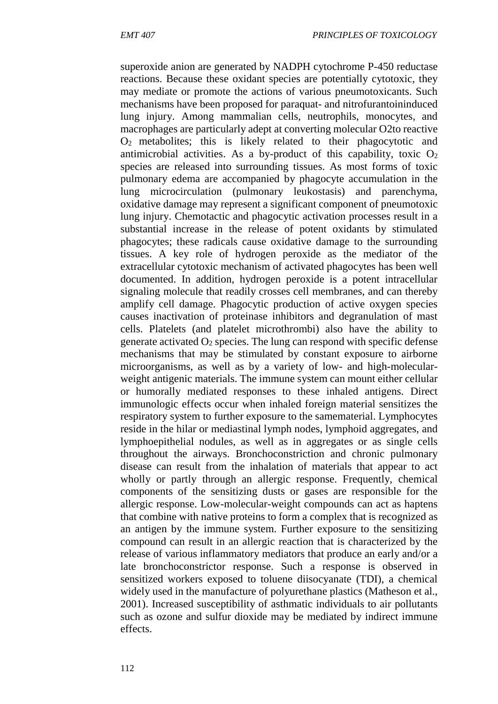superoxide anion are generated by NADPH cytochrome P-450 reductase reactions. Because these oxidant species are potentially cytotoxic, they may mediate or promote the actions of various pneumotoxicants. Such mechanisms have been proposed for paraquat- and nitrofurantoininduced lung injury. Among mammalian cells, neutrophils, monocytes, and macrophages are particularly adept at converting molecular O2to reactive O<sup>2</sup> metabolites; this is likely related to their phagocytotic and antimicrobial activities. As a by-product of this capability, toxic  $O_2$ species are released into surrounding tissues. As most forms of toxic pulmonary edema are accompanied by phagocyte accumulation in the lung microcirculation (pulmonary leukostasis) and parenchyma, oxidative damage may represent a significant component of pneumotoxic lung injury. Chemotactic and phagocytic activation processes result in a substantial increase in the release of potent oxidants by stimulated phagocytes; these radicals cause oxidative damage to the surrounding tissues. A key role of hydrogen peroxide as the mediator of the extracellular cytotoxic mechanism of activated phagocytes has been well documented. In addition, hydrogen peroxide is a potent intracellular signaling molecule that readily crosses cell membranes, and can thereby amplify cell damage. Phagocytic production of active oxygen species causes inactivation of proteinase inhibitors and degranulation of mast cells. Platelets (and platelet microthrombi) also have the ability to generate activated  $O_2$  species. The lung can respond with specific defense mechanisms that may be stimulated by constant exposure to airborne microorganisms, as well as by a variety of low- and high-molecular weight antigenic materials. The immune system can mount either cellular or humorally mediated responses to these inhaled antigens. Direct immunologic effects occur when inhaled foreign material sensitizes the respiratory system to further exposure to the samematerial. Lymphocytes reside in the hilar or mediastinal lymph nodes, lymphoid aggregates, and lymphoepithelial nodules, as well as in aggregates or as single cells throughout the airways. Bronchoconstriction and chronic pulmonary disease can result from the inhalation of materials that appear to act wholly or partly through an allergic response. Frequently, chemical components of the sensitizing dusts or gases are responsible for the allergic response. Low-molecular-weight compounds can act as haptens that combine with native proteins to form a complex that is recognized as an antigen by the immune system. Further exposure to the sensitizing compound can result in an allergic reaction that is characterized by the release of various inflammatory mediators that produce an early and/or a late bronchoconstrictor response. Such a response is observed in sensitized workers exposed to toluene diisocyanate (TDI), a chemical widely used in the manufacture of polyurethane plastics (Matheson et al., 2001). Increased susceptibility of asthmatic individuals to air pollutants such as ozone and sulfur dioxide may be mediated by indirect immune effects.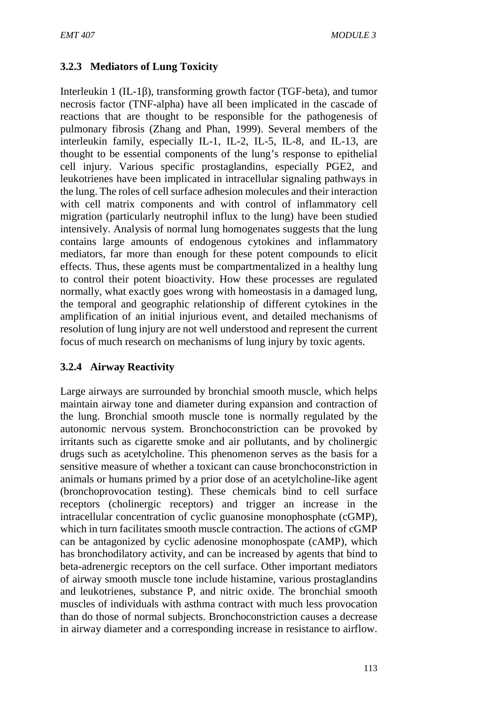# **3.2.3 Mediators of Lung Toxicity**

Interleukin 1 (IL-1), transforming growth factor (TGF-beta), and tumor necrosis factor (TNF-alpha) have all been implicated in the cascade of reactions that are thought to be responsible for the pathogenesis of pulmonary fibrosis (Zhang and Phan, 1999). Several members of the interleukin family, especially IL-1, IL-2, IL-5, IL-8, and IL-13, are thought to be essential components of the lung's response to epithelial cell injury. Various specific prostaglandins, especially PGE2, and leukotrienes have been implicated in intracellular signaling pathways in the lung. The roles of cell surface adhesion molecules and their interaction with cell matrix components and with control of inflammatory cell migration (particularly neutrophil influx to the lung) have been studied intensively. Analysis of normal lung homogenates suggests that the lung contains large amounts of endogenous cytokines and inflammatory mediators, far more than enough for these potent compounds to elicit effects. Thus, these agents must be compartmentalized in a healthy lung to control their potent bioactivity. How these processes are regulated normally, what exactly goes wrong with homeostasis in a damaged lung, the temporal and geographic relationship of different cytokines in the amplification of an initial injurious event, and detailed mechanisms of resolution of lung injury are not well understood and represent the current focus of much research on mechanisms of lung injury by toxic agents.

# **3.2.4 Airway Reactivity**

Large airways are surrounded by bronchial smooth muscle, which helps maintain airway tone and diameter during expansion and contraction of the lung. Bronchial smooth muscle tone is normally regulated by the autonomic nervous system. Bronchoconstriction can be provoked by irritants such as cigarette smoke and air pollutants, and by cholinergic drugs such as acetylcholine. This phenomenon serves as the basis for a sensitive measure of whether a toxicant can cause bronchoconstriction in animals or humans primed by a prior dose of an acetylcholine-like agent (bronchoprovocation testing). These chemicals bind to cell surface receptors (cholinergic receptors) and trigger an increase in the intracellular concentration of cyclic guanosine monophosphate (cGMP), which in turn facilitates smooth muscle contraction. The actions of cGMP can be antagonized by cyclic adenosine monophospate (cAMP), which has bronchodilatory activity, and can be increased by agents that bind to beta-adrenergic receptors on the cell surface. Other important mediators of airway smooth muscle tone include histamine, various prostaglandins and leukotrienes, substance P, and nitric oxide. The bronchial smooth muscles of individuals with asthma contract with much less provocation than do those of normal subjects. Bronchoconstriction causes a decrease in airway diameter and a corresponding increase in resistance to airflow.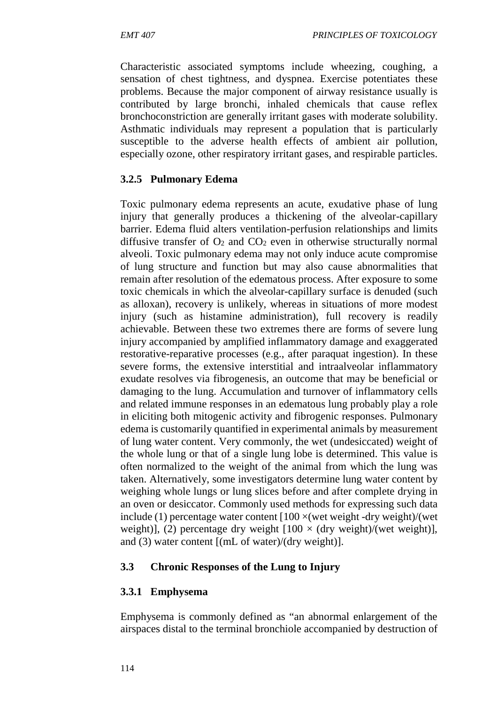Characteristic associated symptoms include wheezing, coughing, a sensation of chest tightness, and dyspnea. Exercise potentiates these problems. Because the major component of airway resistance usually is contributed by large bronchi, inhaled chemicals that cause reflex bronchoconstriction are generally irritant gases with moderate solubility. Asthmatic individuals may represent a population that is particularly susceptible to the adverse health effects of ambient air pollution, especially ozone, other respiratory irritant gases, and respirable particles.

### **3.2.5 Pulmonary Edema**

Toxic pulmonary edema represents an acute, exudative phase of lung injury that generally produces a thickening of the alveolar-capillary barrier. Edema fluid alters ventilation-perfusion relationships and limits diffusive transfer of  $O_2$  and  $CO_2$  even in otherwise structurally normal alveoli. Toxic pulmonary edema may not only induce acute compromise of lung structure and function but may also cause abnormalities that remain after resolution of the edematous process. After exposure to some toxic chemicals in which the alveolar-capillary surface is denuded (such as alloxan), recovery is unlikely, whereas in situations of more modest injury (such as histamine administration), full recovery is readily achievable. Between these two extremes there are forms of severe lung injury accompanied by amplified inflammatory damage and exaggerated restorative-reparative processes (e.g., after paraquat ingestion). In these severe forms, the extensive interstitial and intraalveolar inflammatory exudate resolves via fibrogenesis, an outcome that may be beneficial or damaging to the lung. Accumulation and turnover of inflammatory cells and related immune responses in an edematous lung probably play a role in eliciting both mitogenic activity and fibrogenic responses. Pulmonary edema is customarily quantified in experimental animals by measurement of lung water content. Very commonly, the wet (undesiccated) weight of the whole lung or that of a single lung lobe is determined. This value is often normalized to the weight of the animal from which the lung was taken. Alternatively, some investigators determine lung water content by weighing whole lungs or lung slices before and after complete drying in an oven or desiccator. Commonly used methods for expressing such data include (1) percentage water content  $100 \times$  (wet weight -dry weight)/(wet weight)], (2) percentage dry weight  $[100 \times (dry weight)/(wet weight)]$ , and (3) water content [(mL of water)/(dry weight)].

### **3.3 Chronic Responses of the Lung to Injury**

### **3.3.1 Emphysema**

Emphysema is commonly defined as "an abnormal enlargement of the airspaces distal to the terminal bronchiole accompanied by destruction of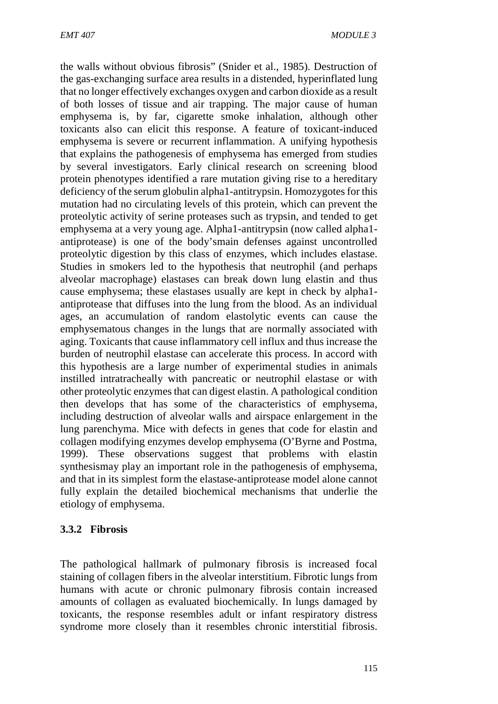the walls without obvious fibrosis" (Snider et al., 1985). Destruction of the gas-exchanging surface area results in a distended, hyperinflated lung that no longer effectively exchanges oxygen and carbon dioxide as a result of both losses of tissue and air trapping. The major cause of human emphysema is, by far, cigarette smoke inhalation, although other toxicants also can elicit this response. A feature of toxicant-induced emphysema is severe or recurrent inflammation. A unifying hypothesis that explains the pathogenesis of emphysema has emerged from studies by several investigators. Early clinical research on screening blood protein phenotypes identified a rare mutation giving rise to a hereditary deficiency of the serum globulin alpha1-antitrypsin. Homozygotes for this mutation had no circulating levels of this protein, which can prevent the proteolytic activity of serine proteases such as trypsin, and tended to get emphysema at a very young age. Alpha1-antitrypsin (now called alpha1 antiprotease) is one of the body'smain defenses against uncontrolled proteolytic digestion by this class of enzymes, which includes elastase. Studies in smokers led to the hypothesis that neutrophil (and perhaps alveolar macrophage) elastases can break down lung elastin and thus cause emphysema; these elastases usually are kept in check by alpha1 antiprotease that diffuses into the lung from the blood. As an individual ages, an accumulation of random elastolytic events can cause the emphysematous changes in the lungs that are normally associated with aging. Toxicants that cause inflammatory cell influx and thus increase the burden of neutrophil elastase can accelerate this process. In accord with this hypothesis are a large number of experimental studies in animals instilled intratracheally with pancreatic or neutrophil elastase or with other proteolytic enzymes that can digest elastin. A pathological condition then develops that has some of the characteristics of emphysema, including destruction of alveolar walls and airspace enlargement in the lung parenchyma. Mice with defects in genes that code for elastin and collagen modifying enzymes develop emphysema (O'Byrne and Postma, 1999). These observations suggest that problems with elastin synthesismay play an important role in the pathogenesis of emphysema, and that in its simplest form the elastase-antiprotease model alone cannot fully explain the detailed biochemical mechanisms that underlie the etiology of emphysema.

# **3.3.2 Fibrosis**

The pathological hallmark of pulmonary fibrosis is increased focal staining of collagen fibers in the alveolar interstitium. Fibrotic lungs from humans with acute or chronic pulmonary fibrosis contain increased amounts of collagen as evaluated biochemically. In lungs damaged by toxicants, the response resembles adult or infant respiratory distress syndrome more closely than it resembles chronic interstitial fibrosis.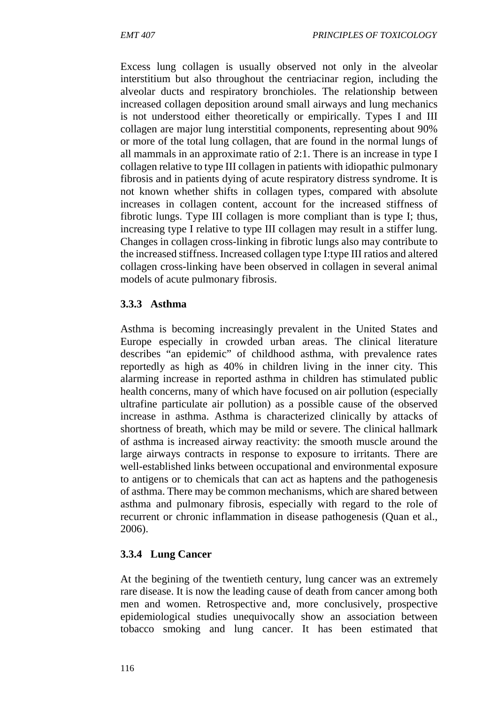Excess lung collagen is usually observed not only in the alveolar interstitium but also throughout the centriacinar region, including the alveolar ducts and respiratory bronchioles. The relationship between increased collagen deposition around small airways and lung mechanics is not understood either theoretically or empirically. Types I and III collagen are major lung interstitial components, representing about 90% or more of the total lung collagen, that are found in the normal lungs of all mammals in an approximate ratio of 2:1. There is an increase in type I collagen relative to type III collagen in patients with idiopathic pulmonary fibrosis and in patients dying of acute respiratory distress syndrome. It is not known whether shifts in collagen types, compared with absolute increases in collagen content, account for the increased stiffness of fibrotic lungs. Type III collagen is more compliant than is type I; thus, increasing type I relative to type III collagen may result in a stiffer lung. Changes in collagen cross-linking in fibrotic lungs also may contribute to the increased stiffness. Increased collagen type I:type III ratios and altered collagen cross-linking have been observed in collagen in several animal models of acute pulmonary fibrosis.

### **3.3.3 Asthma**

Asthma is becoming increasingly prevalent in the United States and Europe especially in crowded urban areas. The clinical literature describes "an epidemic" of childhood asthma, with prevalence rates reportedly as high as 40% in children living in the inner city. This alarming increase in reported asthma in children has stimulated public health concerns, many of which have focused on air pollution (especially ultrafine particulate air pollution) as a possible cause of the observed increase in asthma. Asthma is characterized clinically by attacks of shortness of breath, which may be mild or severe. The clinical hallmark of asthma is increased airway reactivity: the smooth muscle around the large airways contracts in response to exposure to irritants. There are well-established links between occupational and environmental exposure to antigens or to chemicals that can act as haptens and the pathogenesis of asthma. There may be common mechanisms, which are shared between asthma and pulmonary fibrosis, especially with regard to the role of recurrent or chronic inflammation in disease pathogenesis (Quan et al., 2006).

# **3.3.4 Lung Cancer**

At the begining of the twentieth century, lung cancer was an extremely rare disease. It is now the leading cause of death from cancer among both men and women. Retrospective and, more conclusively, prospective epidemiological studies unequivocally show an association between tobacco smoking and lung cancer. It has been estimated that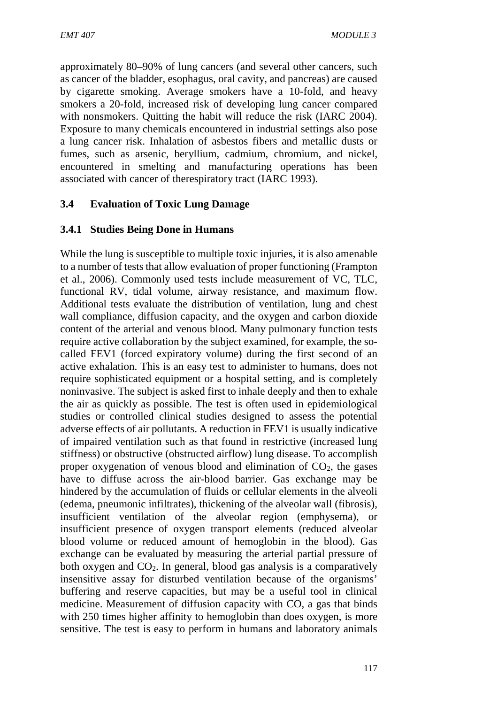approximately 80–90% of lung cancers (and several other cancers, such as cancer of the bladder, esophagus, oral cavity, and pancreas) are caused by cigarette smoking. Average smokers have a 10-fold, and heavy smokers a 20-fold, increased risk of developing lung cancer compared with nonsmokers. Quitting the habit will reduce the risk (IARC 2004). Exposure to many chemicals encountered in industrial settings also pose a lung cancer risk. Inhalation of asbestos fibers and metallic dusts or fumes, such as arsenic, beryllium, cadmium, chromium, and nickel, encountered in smelting and manufacturing operations has been associated with cancer of therespiratory tract (IARC 1993).

# **3.4 Evaluation of Toxic Lung Damage**

# **3.4.1 Studies Being Done in Humans**

While the lung is susceptible to multiple toxic injuries, it is also amenable to a number of tests that allow evaluation of proper functioning (Frampton et al., 2006). Commonly used tests include measurement of VC, TLC, functional RV, tidal volume, airway resistance, and maximum flow. Additional tests evaluate the distribution of ventilation, lung and chest wall compliance, diffusion capacity, and the oxygen and carbon dioxide content of the arterial and venous blood. Many pulmonary function tests require active collaboration by the subject examined, for example, the so called FEV1 (forced expiratory volume) during the first second of an active exhalation. This is an easy test to administer to humans, does not require sophisticated equipment or a hospital setting, and is completely noninvasive. The subject is asked first to inhale deeply and then to exhale the air as quickly as possible. The test is often used in epidemiological studies or controlled clinical studies designed to assess the potential adverse effects of air pollutants. A reduction in FEV1 is usually indicative of impaired ventilation such as that found in restrictive (increased lung stiffness) or obstructive (obstructed airflow) lung disease. To accomplish proper oxygenation of venous blood and elimination of  $CO<sub>2</sub>$ , the gases have to diffuse across the air-blood barrier. Gas exchange may be hindered by the accumulation of fluids or cellular elements in the alveoli (edema, pneumonic infiltrates), thickening of the alveolar wall (fibrosis), insufficient ventilation of the alveolar region (emphysema), or insufficient presence of oxygen transport elements (reduced alveolar blood volume or reduced amount of hemoglobin in the blood). Gas exchange can be evaluated by measuring the arterial partial pressure of both oxygen and  $CO<sub>2</sub>$ . In general, blood gas analysis is a comparatively insensitive assay for disturbed ventilation because of the organisms' buffering and reserve capacities, but may be a useful tool in clinical medicine. Measurement of diffusion capacity with CO, a gas that binds with 250 times higher affinity to hemoglobin than does oxygen, is more sensitive. The test is easy to perform in humans and laboratory animals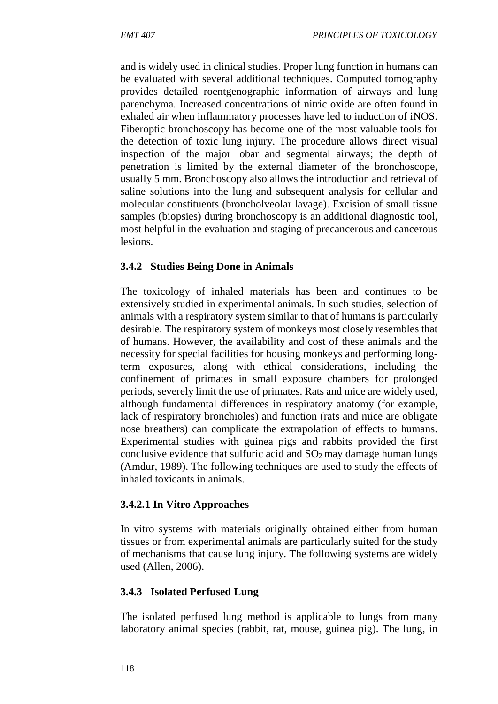and is widely used in clinical studies. Proper lung function in humans can be evaluated with several additional techniques. Computed tomography provides detailed roentgenographic information of airways and lung parenchyma. Increased concentrations of nitric oxide are often found in exhaled air when inflammatory processes have led to induction of iNOS. Fiberoptic bronchoscopy has become one of the most valuable tools for the detection of toxic lung injury. The procedure allows direct visual inspection of the major lobar and segmental airways; the depth of penetration is limited by the external diameter of the bronchoscope, usually 5 mm. Bronchoscopy also allows the introduction and retrieval of saline solutions into the lung and subsequent analysis for cellular and molecular constituents (broncholveolar lavage). Excision of small tissue samples (biopsies) during bronchoscopy is an additional diagnostic tool, most helpful in the evaluation and staging of precancerous and cancerous lesions.

## **3.4.2 Studies Being Done in Animals**

The toxicology of inhaled materials has been and continues to be extensively studied in experimental animals. In such studies, selection of animals with a respiratory system similar to that of humans is particularly desirable. The respiratory system of monkeys most closely resembles that of humans. However, the availability and cost of these animals and the necessity for special facilities for housing monkeys and performing longterm exposures, along with ethical considerations, including the confinement of primates in small exposure chambers for prolonged periods, severely limit the use of primates. Rats and mice are widely used, although fundamental differences in respiratory anatomy (for example, lack of respiratory bronchioles) and function (rats and mice are obligate nose breathers) can complicate the extrapolation of effects to humans. Experimental studies with guinea pigs and rabbits provided the first conclusive evidence that sulfuric acid and  $SO<sub>2</sub>$  may damage human lungs (Amdur, 1989). The following techniques are used to study the effects of inhaled toxicants in animals.

### **3.4.2.1 In Vitro Approaches**

In vitro systems with materials originally obtained either from human tissues or from experimental animals are particularly suited for the study of mechanisms that cause lung injury. The following systems are widely used (Allen, 2006).

### **3.4.3 Isolated Perfused Lung**

The isolated perfused lung method is applicable to lungs from many laboratory animal species (rabbit, rat, mouse, guinea pig). The lung, in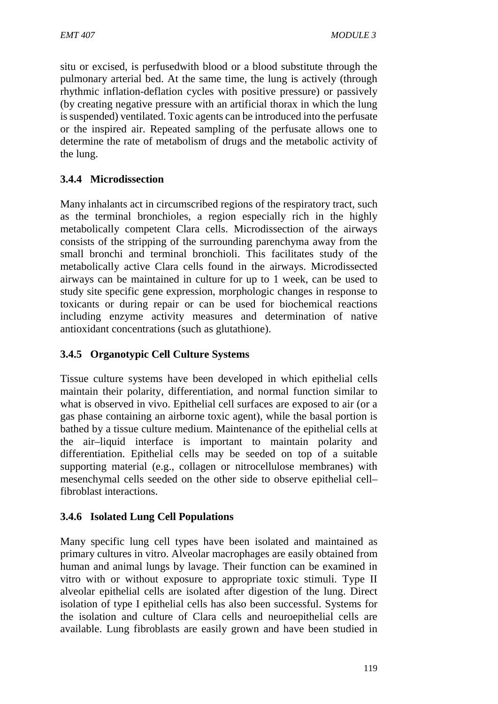situ or excised, is perfusedwith blood or a blood substitute through the pulmonary arterial bed. At the same time, the lung is actively (through rhythmic inflation-deflation cycles with positive pressure) or passively (by creating negative pressure with an artificial thorax in which the lung is suspended) ventilated. Toxic agents can be introduced into the perfusate or the inspired air. Repeated sampling of the perfusate allows one to determine the rate of metabolism of drugs and the metabolic activity of the lung.

# **3.4.4 Microdissection**

Many inhalants act in circumscribed regions of the respiratory tract, such as the terminal bronchioles, a region especially rich in the highly metabolically competent Clara cells. Microdissection of the airways consists of the stripping of the surrounding parenchyma away from the small bronchi and terminal bronchioli. This facilitates study of the metabolically active Clara cells found in the airways. Microdissected airways can be maintained in culture for up to 1 week, can be used to study site specific gene expression, morphologic changes in response to toxicants or during repair or can be used for biochemical reactions including enzyme activity measures and determination of native antioxidant concentrations (such as glutathione).

# **3.4.5 Organotypic Cell Culture Systems**

Tissue culture systems have been developed in which epithelial cells maintain their polarity, differentiation, and normal function similar to what is observed in vivo. Epithelial cell surfaces are exposed to air (or a gas phase containing an airborne toxic agent), while the basal portion is bathed by a tissue culture medium. Maintenance of the epithelial cells at the air–liquid interface is important to maintain polarity and differentiation. Epithelial cells may be seeded on top of a suitable supporting material (e.g., collagen or nitrocellulose membranes) with mesenchymal cells seeded on the other side to observe epithelial cell– fibroblast interactions.

# **3.4.6 Isolated Lung Cell Populations**

Many specific lung cell types have been isolated and maintained as primary cultures in vitro. Alveolar macrophages are easily obtained from human and animal lungs by lavage. Their function can be examined in vitro with or without exposure to appropriate toxic stimuli. Type II alveolar epithelial cells are isolated after digestion of the lung. Direct isolation of type I epithelial cells has also been successful. Systems for the isolation and culture of Clara cells and neuroepithelial cells are available. Lung fibroblasts are easily grown and have been studied in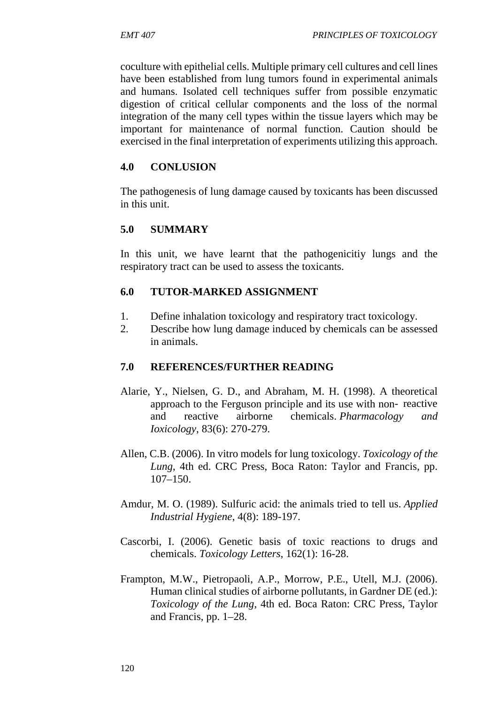coculture with epithelial cells. Multiple primary cell cultures and cell lines have been established from lung tumors found in experimental animals and humans. Isolated cell techniques suffer from possible enzymatic digestion of critical cellular components and the loss of the normal integration of the many cell types within the tissue layers which may be important for maintenance of normal function. Caution should be exercised in the final interpretation of experiments utilizing this approach.

### **4.0 CONLUSION**

The pathogenesis of lung damage caused by toxicants has been discussed in this unit.

### **5.0 SUMMARY**

In this unit, we have learnt that the pathogenicitiy lungs and the respiratory tract can be used to assess the toxicants.

### **6.0 TUTOR-MARKED ASSIGNMENT**

- 1. Define inhalation toxicology and respiratory tract toxicology.
- 2. Describe how lung damage induced by chemicals can be assessed in animals.

#### **7.0 REFERENCES/FURTHER READING**

- Alarie, Y., Nielsen, G. D., and Abraham, M. H. (1998). A theoretical approach to the Ferguson principle and its use with non‐reactive and reactive airborne chemicals. *Pharmacology and Ioxicology*, 83(6): 270-279.
- Allen, C.B. (2006). In vitro models for lung toxicology. *Toxicology of the Lung*, 4th ed. CRC Press, Boca Raton: Taylor and Francis, pp. 107–150.
- Amdur, M. O. (1989). Sulfuric acid: the animals tried to tell us. *Applied Industrial Hygiene*, 4(8): 189-197.
- Cascorbi, I. (2006). Genetic basis of toxic reactions to drugs and chemicals. *Toxicology Letters*, 162(1): 16-28.
- Frampton, M.W., Pietropaoli, A.P., Morrow, P.E., Utell, M.J. (2006). Human clinical studies of airborne pollutants, in Gardner DE (ed.): *Toxicology of the Lung*, 4th ed. Boca Raton: CRC Press, Taylor and Francis, pp. 1–28.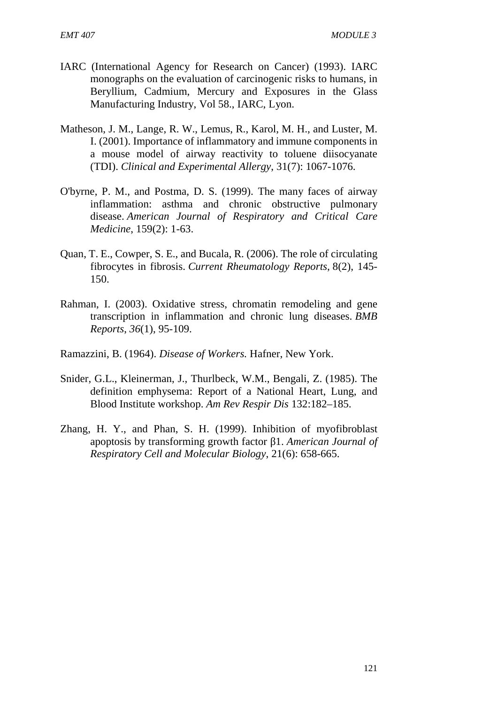- IARC (International Agency for Research on Cancer) (1993). IARC monographs on the evaluation of carcinogenic risks to humans, in Beryllium, Cadmium, Mercury and Exposures in the Glass Manufacturing Industry, Vol 58., IARC, Lyon.
- Matheson, J. M., Lange, R. W., Lemus, R., Karol, M. H., and Luster, M. I. (2001). Importance of inflammatory and immune components in a mouse model of airway reactivity to toluene diisocyanate (TDI). *Clinical and Experimental Allergy*, 31(7): 1067-1076.
- O'byrne, P. M., and Postma, D. S. (1999). The many faces of airway inflammation: asthma and chronic obstructive pulmonary disease. *American Journal of Respiratory and Critical Care Medicine*, 159(2): 1-63.
- Quan, T. E., Cowper, S. E., and Bucala, R. (2006). The role of circulating fibrocytes in fibrosis. *Current Rheumatology Reports*, 8(2), 145- 150.
- Rahman, I. (2003). Oxidative stress, chromatin remodeling and gene transcription in inflammation and chronic lung diseases. *BMB Reports*, *36*(1), 95-109.
- Ramazzini, B. (1964). *Disease of Workers.* Hafner, New York.
- Snider, G.L., Kleinerman, J., Thurlbeck, W.M., Bengali, Z. (1985). The definition emphysema: Report of a National Heart, Lung, and Blood Institute workshop. *Am Rev Respir Dis* 132:182–185.
- Zhang, H. Y., and Phan, S. H. (1999). Inhibition of myofibroblast apoptosis by transforming growth factor β1. *American Journal of Respiratory Cell and Molecular Biology*, 21(6): 658-665.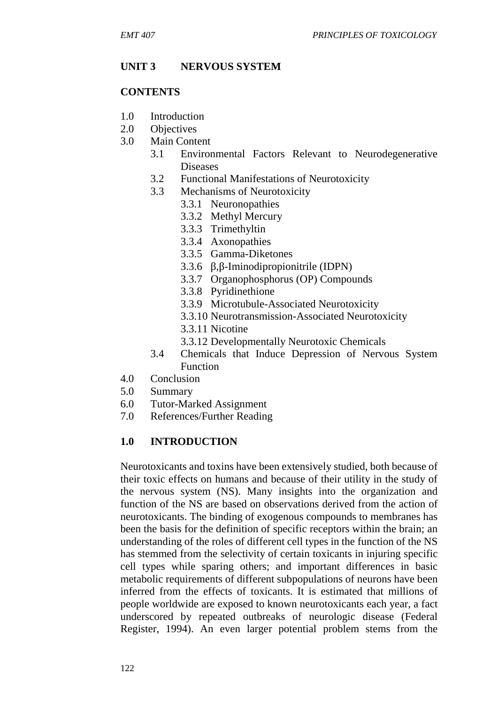### **UNIT 3 NERVOUS SYSTEM**

#### **CONTENTS**

- 1.0 Introduction
- 2.0 Objectives
- 3.0 Main Content
	- 3.1 Environmental Factors Relevant to Neurodegenerative Diseases
	- 3.2 Functional Manifestations of Neurotoxicity
	- 3.3 Mechanisms of Neurotoxicity
		- 3.3.1 Neuronopathies
		- 3.3.2 Methyl Mercury
		- 3.3.3 Trimethyltin
		- 3.3.4 Axonopathies
		- 3.3.5 Gamma-Diketones
		- 3.3.6 , -Iminodipropionitrile (IDPN)
		- 3.3.7 Organophosphorus (OP) Compounds
		- 3.3.8 Pyridinethione
		- 3.3.9 Microtubule-Associated Neurotoxicity
		- 3.3.10 Neurotransmission-Associated Neurotoxicity
		- 3.3.11 Nicotine
		- 3.3.12 Developmentally Neurotoxic Chemicals
	- 3.4 Chemicals that Induce Depression of Nervous System Function
	-
- 4.0 Conclusion<br>5.0 Summary **Summary**
- 6.0 Tutor-Marked Assignment
- 7.0 References/Further Reading

# **1.0 INTRODUCTION**

Neurotoxicants and toxins have been extensively studied, both because of their toxic effects on humans and because of their utility in the study of the nervous system (NS). Many insights into the organization and function of the NS are based on observations derived from the action of neurotoxicants. The binding of exogenous compounds to membranes has been the basis for the definition of specific receptors within the brain; an understanding of the roles of different cell types in the function of the NS has stemmed from the selectivity of certain toxicants in injuring specific cell types while sparing others; and important differences in basic metabolic requirements of different subpopulations of neurons have been inferred from the effects of toxicants. It is estimated that millions of people worldwide are exposed to known neurotoxicants each year, a fact underscored by repeated outbreaks of neurologic disease (Federal Register, 1994). An even larger potential problem stems from the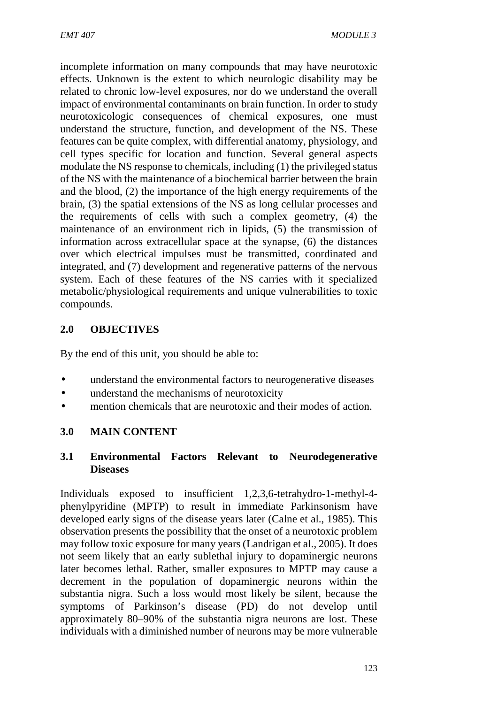incomplete information on many compounds that may have neurotoxic effects. Unknown is the extent to which neurologic disability may be related to chronic low-level exposures, nor do we understand the overall impact of environmental contaminants on brain function. In order to study neurotoxicologic consequences of chemical exposures, one must understand the structure, function, and development of the NS. These features can be quite complex, with differential anatomy, physiology, and cell types specific for location and function. Several general aspects modulate the NS response to chemicals, including (1) the privileged status of the NS with the maintenance of a biochemical barrier between the brain and the blood, (2) the importance of the high energy requirements of the brain, (3) the spatial extensions of the NS as long cellular processes and the requirements of cells with such a complex geometry, (4) the maintenance of an environment rich in lipids, (5) the transmission of information across extracellular space at the synapse, (6) the distances over which electrical impulses must be transmitted, coordinated and integrated, and (7) development and regenerative patterns of the nervous system. Each of these features of the NS carries with it specialized metabolic/physiological requirements and unique vulnerabilities to toxic compounds.

## **2.0 OBJECTIVES**

By the end of this unit, you should be able to:

- understand the environmental factors to neurogenerative diseases
- understand the mechanisms of neurotoxicity
- mention chemicals that are neurotoxic and their modes of action.

### **3.0 MAIN CONTENT**

### **3.1 Environmental Factors Relevant to Neurodegenerative Diseases**

Individuals exposed to insufficient 1,2,3,6-tetrahydro-1-methyl-4 phenylpyridine (MPTP) to result in immediate Parkinsonism have developed early signs of the disease years later (Calne et al., 1985). This observation presents the possibility that the onset of a neurotoxic problem may follow toxic exposure for many years (Landrigan et al., 2005). It does not seem likely that an early sublethal injury to dopaminergic neurons later becomes lethal. Rather, smaller exposures to MPTP may cause a decrement in the population of dopaminergic neurons within the substantia nigra. Such a loss would most likely be silent, because the symptoms of Parkinson's disease (PD) do not develop until approximately 80–90% of the substantia nigra neurons are lost. These individuals with a diminished number of neurons may be more vulnerable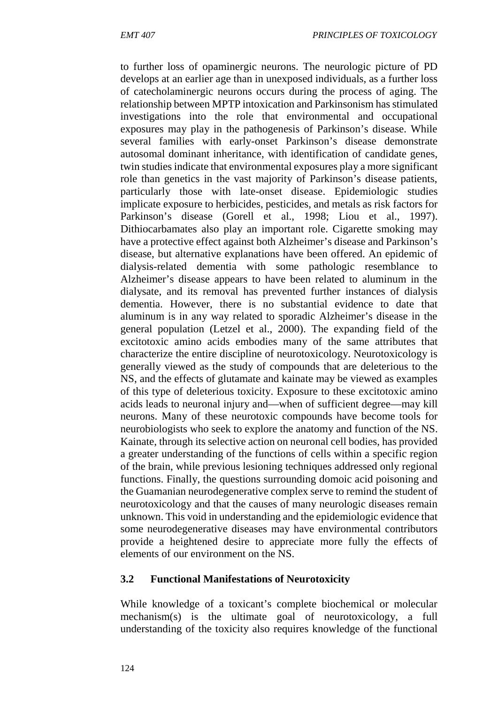to further loss of opaminergic neurons. The neurologic picture of PD develops at an earlier age than in unexposed individuals, as a further loss of catecholaminergic neurons occurs during the process of aging. The relationship between MPTP intoxication and Parkinsonism has stimulated investigations into the role that environmental and occupational exposures may play in the pathogenesis of Parkinson's disease. While several families with early-onset Parkinson's disease demonstrate autosomal dominant inheritance, with identification of candidate genes, twin studies indicate that environmental exposures play a more significant role than genetics in the vast majority of Parkinson's disease patients, particularly those with late-onset disease. Epidemiologic studies implicate exposure to herbicides, pesticides, and metals as risk factors for Parkinson's disease (Gorell et al., 1998; Liou et al., 1997). Dithiocarbamates also play an important role. Cigarette smoking may have a protective effect against both Alzheimer's disease and Parkinson's disease, but alternative explanations have been offered. An epidemic of dialysis-related dementia with some pathologic resemblance to Alzheimer's disease appears to have been related to aluminum in the dialysate, and its removal has prevented further instances of dialysis dementia. However, there is no substantial evidence to date that aluminum is in any way related to sporadic Alzheimer's disease in the general population (Letzel et al., 2000). The expanding field of the excitotoxic amino acids embodies many of the same attributes that characterize the entire discipline of neurotoxicology. Neurotoxicology is generally viewed as the study of compounds that are deleterious to the NS, and the effects of glutamate and kainate may be viewed as examples of this type of deleterious toxicity. Exposure to these excitotoxic amino acids leads to neuronal injury and—when of sufficient degree—may kill neurons. Many of these neurotoxic compounds have become tools for neurobiologists who seek to explore the anatomy and function of the NS. Kainate, through its selective action on neuronal cell bodies, has provided a greater understanding of the functions of cells within a specific region of the brain, while previous lesioning techniques addressed only regional functions. Finally, the questions surrounding domoic acid poisoning and the Guamanian neurodegenerative complex serve to remind the student of neurotoxicology and that the causes of many neurologic diseases remain unknown. This void in understanding and the epidemiologic evidence that some neurodegenerative diseases may have environmental contributors provide a heightened desire to appreciate more fully the effects of elements of our environment on the NS.

### **3.2 Functional Manifestations of Neurotoxicity**

While knowledge of a toxicant's complete biochemical or molecular mechanism(s) is the ultimate goal of neurotoxicology, a full understanding of the toxicity also requires knowledge of the functional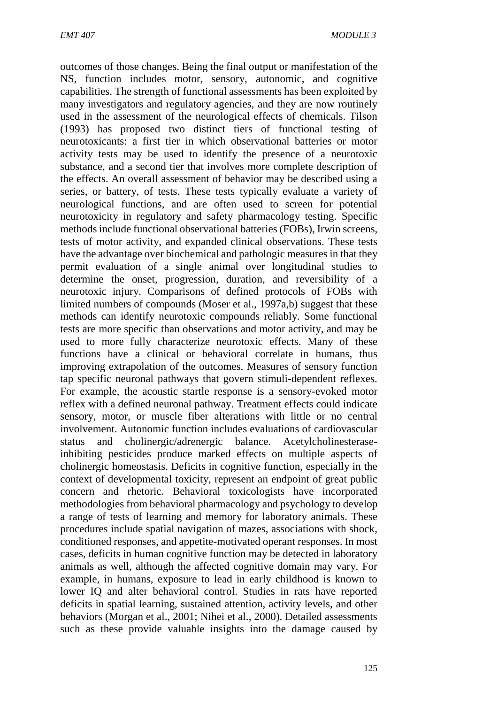outcomes of those changes. Being the final output or manifestation of the NS, function includes motor, sensory, autonomic, and cognitive capabilities. The strength of functional assessments has been exploited by many investigators and regulatory agencies, and they are now routinely used in the assessment of the neurological effects of chemicals. Tilson (1993) has proposed two distinct tiers of functional testing of neurotoxicants: a first tier in which observational batteries or motor activity tests may be used to identify the presence of a neurotoxic substance, and a second tier that involves more complete description of the effects. An overall assessment of behavior may be described using a series, or battery, of tests. These tests typically evaluate a variety of neurological functions, and are often used to screen for potential neurotoxicity in regulatory and safety pharmacology testing. Specific methods include functional observational batteries (FOBs), Irwin screens, tests of motor activity, and expanded clinical observations. These tests have the advantage over biochemical and pathologic measures in that they permit evaluation of a single animal over longitudinal studies to determine the onset, progression, duration, and reversibility of a neurotoxic injury. Comparisons of defined protocols of FOBs with limited numbers of compounds (Moser et al., 1997a,b) suggest that these methods can identify neurotoxic compounds reliably. Some functional tests are more specific than observations and motor activity, and may be used to more fully characterize neurotoxic effects. Many of these functions have a clinical or behavioral correlate in humans, thus improving extrapolation of the outcomes. Measures of sensory function tap specific neuronal pathways that govern stimuli-dependent reflexes. For example, the acoustic startle response is a sensory-evoked motor reflex with a defined neuronal pathway. Treatment effects could indicate sensory, motor, or muscle fiber alterations with little or no central involvement. Autonomic function includes evaluations of cardiovascular status and cholinergic/adrenergic balance. Acetylcholinesteraseinhibiting pesticides produce marked effects on multiple aspects of cholinergic homeostasis. Deficits in cognitive function, especially in the context of developmental toxicity, represent an endpoint of great public concern and rhetoric. Behavioral toxicologists have incorporated methodologies from behavioral pharmacology and psychology to develop a range of tests of learning and memory for laboratory animals. These procedures include spatial navigation of mazes, associations with shock, conditioned responses, and appetite-motivated operant responses. In most cases, deficits in human cognitive function may be detected in laboratory animals as well, although the affected cognitive domain may vary. For example, in humans, exposure to lead in early childhood is known to lower IQ and alter behavioral control. Studies in rats have reported deficits in spatial learning, sustained attention, activity levels, and other behaviors (Morgan et al., 2001; Nihei et al., 2000). Detailed assessments such as these provide valuable insights into the damage caused by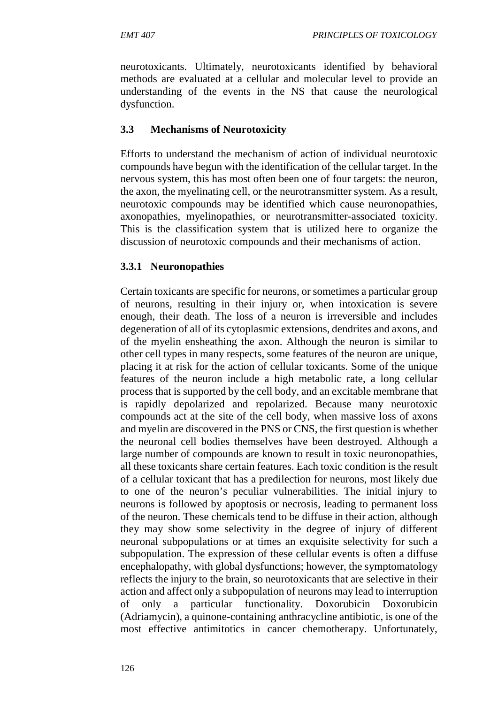neurotoxicants. Ultimately, neurotoxicants identified by behavioral methods are evaluated at a cellular and molecular level to provide an understanding of the events in the NS that cause the neurological dysfunction.

## **3.3 Mechanisms of Neurotoxicity**

Efforts to understand the mechanism of action of individual neurotoxic compounds have begun with the identification of the cellular target. In the nervous system, this has most often been one of four targets: the neuron, the axon, the myelinating cell, or the neurotransmitter system. As a result, neurotoxic compounds may be identified which cause neuronopathies, axonopathies, myelinopathies, or neurotransmitter-associated toxicity. This is the classification system that is utilized here to organize the discussion of neurotoxic compounds and their mechanisms of action.

### **3.3.1 Neuronopathies**

Certain toxicants are specific for neurons, or sometimes a particular group of neurons, resulting in their injury or, when intoxication is severe enough, their death. The loss of a neuron is irreversible and includes degeneration of all of its cytoplasmic extensions, dendrites and axons, and of the myelin ensheathing the axon. Although the neuron is similar to other cell types in many respects, some features of the neuron are unique, placing it at risk for the action of cellular toxicants. Some of the unique features of the neuron include a high metabolic rate, a long cellular process that is supported by the cell body, and an excitable membrane that is rapidly depolarized and repolarized. Because many neurotoxic compounds act at the site of the cell body, when massive loss of axons and myelin are discovered in the PNS or CNS, the first question is whether the neuronal cell bodies themselves have been destroyed. Although a large number of compounds are known to result in toxic neuronopathies, all these toxicants share certain features. Each toxic condition is the result of a cellular toxicant that has a predilection for neurons, most likely due to one of the neuron's peculiar vulnerabilities. The initial injury to neurons is followed by apoptosis or necrosis, leading to permanent loss of the neuron. These chemicals tend to be diffuse in their action, although they may show some selectivity in the degree of injury of different neuronal subpopulations or at times an exquisite selectivity for such a subpopulation. The expression of these cellular events is often a diffuse encephalopathy, with global dysfunctions; however, the symptomatology reflects the injury to the brain, so neurotoxicants that are selective in their action and affect only a subpopulation of neurons may lead to interruption of only a particular functionality. Doxorubicin Doxorubicin (Adriamycin), a quinone-containing anthracycline antibiotic, is one of the most effective antimitotics in cancer chemotherapy. Unfortunately,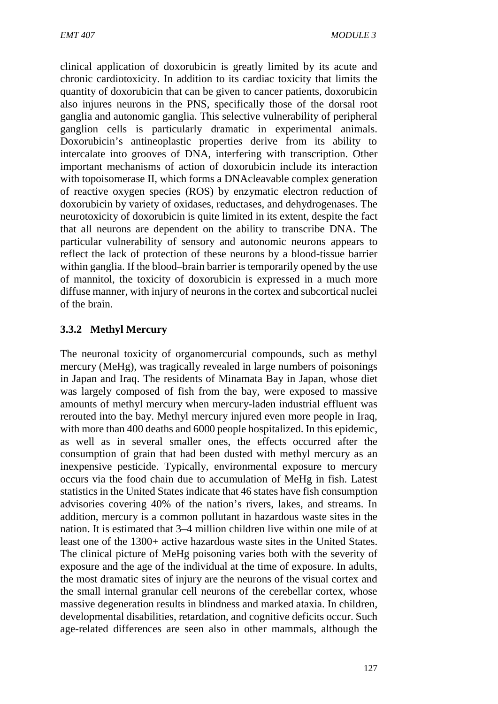clinical application of doxorubicin is greatly limited by its acute and chronic cardiotoxicity. In addition to its cardiac toxicity that limits the quantity of doxorubicin that can be given to cancer patients, doxorubicin also injures neurons in the PNS, specifically those of the dorsal root ganglia and autonomic ganglia. This selective vulnerability of peripheral ganglion cells is particularly dramatic in experimental animals. Doxorubicin's antineoplastic properties derive from its ability to intercalate into grooves of DNA, interfering with transcription. Other important mechanisms of action of doxorubicin include its interaction with topoisomerase II, which forms a DNAcleavable complex generation of reactive oxygen species (ROS) by enzymatic electron reduction of doxorubicin by variety of oxidases, reductases, and dehydrogenases. The neurotoxicity of doxorubicin is quite limited in its extent, despite the fact that all neurons are dependent on the ability to transcribe DNA. The particular vulnerability of sensory and autonomic neurons appears to reflect the lack of protection of these neurons by a blood-tissue barrier within ganglia. If the blood–brain barrier is temporarily opened by the use of mannitol, the toxicity of doxorubicin is expressed in a much more diffuse manner, with injury of neurons in the cortex and subcortical nuclei of the brain.

# **3.3.2 Methyl Mercury**

The neuronal toxicity of organomercurial compounds, such as methyl mercury (MeHg), was tragically revealed in large numbers of poisonings in Japan and Iraq. The residents of Minamata Bay in Japan, whose diet was largely composed of fish from the bay, were exposed to massive amounts of methyl mercury when mercury-laden industrial effluent was rerouted into the bay. Methyl mercury injured even more people in Iraq, with more than 400 deaths and 6000 people hospitalized. In this epidemic, as well as in several smaller ones, the effects occurred after the consumption of grain that had been dusted with methyl mercury as an inexpensive pesticide. Typically, environmental exposure to mercury occurs via the food chain due to accumulation of MeHg in fish. Latest statistics in the United States indicate that 46 states have fish consumption advisories covering 40% of the nation's rivers, lakes, and streams. In addition, mercury is a common pollutant in hazardous waste sites in the nation. It is estimated that 3–4 million children live within one mile of at least one of the 1300+ active hazardous waste sites in the United States. The clinical picture of MeHg poisoning varies both with the severity of exposure and the age of the individual at the time of exposure. In adults, the most dramatic sites of injury are the neurons of the visual cortex and the small internal granular cell neurons of the cerebellar cortex, whose massive degeneration results in blindness and marked ataxia. In children, developmental disabilities, retardation, and cognitive deficits occur. Such age-related differences are seen also in other mammals, although the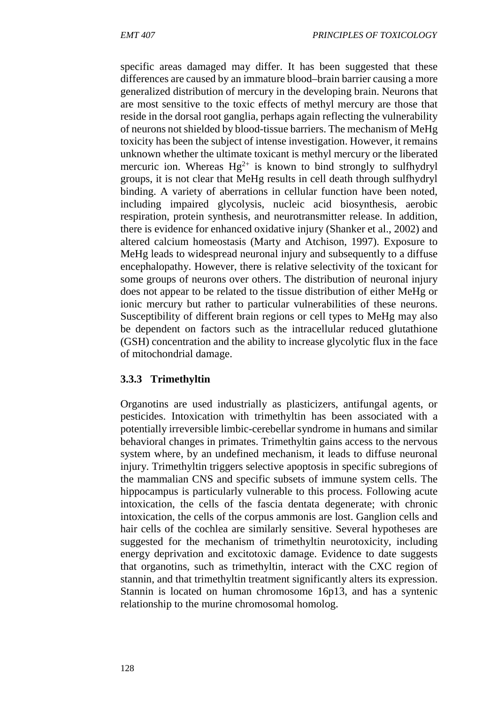specific areas damaged may differ. It has been suggested that these differences are caused by an immature blood–brain barrier causing a more generalized distribution of mercury in the developing brain. Neurons that are most sensitive to the toxic effects of methyl mercury are those that reside in the dorsal root ganglia, perhaps again reflecting the vulnerability of neurons not shielded by blood-tissue barriers. The mechanism of MeHg toxicity has been the subject of intense investigation. However, it remains unknown whether the ultimate toxicant is methyl mercury or the liberated mercuric ion. Whereas  $Hg^{2+}$  is known to bind strongly to sulfhydryl groups, it is not clear that MeHg results in cell death through sulfhydryl binding. A variety of aberrations in cellular function have been noted, including impaired glycolysis, nucleic acid biosynthesis, aerobic respiration, protein synthesis, and neurotransmitter release. In addition, there is evidence for enhanced oxidative injury (Shanker et al., 2002) and altered calcium homeostasis (Marty and Atchison, 1997). Exposure to MeHg leads to widespread neuronal injury and subsequently to a diffuse encephalopathy. However, there is relative selectivity of the toxicant for some groups of neurons over others. The distribution of neuronal injury does not appear to be related to the tissue distribution of either MeHg or ionic mercury but rather to particular vulnerabilities of these neurons. Susceptibility of different brain regions or cell types to MeHg may also be dependent on factors such as the intracellular reduced glutathione (GSH) concentration and the ability to increase glycolytic flux in the face of mitochondrial damage.

### **3.3.3 Trimethyltin**

Organotins are used industrially as plasticizers, antifungal agents, or pesticides. Intoxication with trimethyltin has been associated with a potentially irreversible limbic-cerebellar syndrome in humans and similar behavioral changes in primates. Trimethyltin gains access to the nervous system where, by an undefined mechanism, it leads to diffuse neuronal injury. Trimethyltin triggers selective apoptosis in specific subregions of the mammalian CNS and specific subsets of immune system cells. The hippocampus is particularly vulnerable to this process. Following acute intoxication, the cells of the fascia dentata degenerate; with chronic intoxication, the cells of the corpus ammonis are lost. Ganglion cells and hair cells of the cochlea are similarly sensitive. Several hypotheses are suggested for the mechanism of trimethyltin neurotoxicity, including energy deprivation and excitotoxic damage. Evidence to date suggests that organotins, such as trimethyltin, interact with the CXC region of stannin, and that trimethyltin treatment significantly alters its expression. Stannin is located on human chromosome 16p13, and has a syntenic relationship to the murine chromosomal homolog.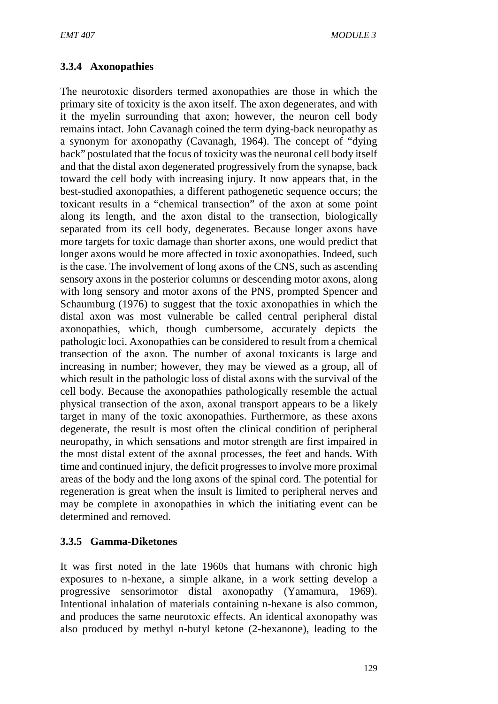# **3.3.4 Axonopathies**

The neurotoxic disorders termed axonopathies are those in which the primary site of toxicity is the axon itself. The axon degenerates, and with it the myelin surrounding that axon; however, the neuron cell body remains intact. John Cavanagh coined the term dying-back neuropathy as a synonym for axonopathy (Cavanagh, 1964). The concept of "dying back" postulated that the focus of toxicity was the neuronal cell body itself and that the distal axon degenerated progressively from the synapse, back toward the cell body with increasing injury. It now appears that, in the best-studied axonopathies, a different pathogenetic sequence occurs; the toxicant results in a "chemical transection" of the axon at some point along its length, and the axon distal to the transection, biologically separated from its cell body, degenerates. Because longer axons have more targets for toxic damage than shorter axons, one would predict that longer axons would be more affected in toxic axonopathies. Indeed, such is the case. The involvement of long axons of the CNS, such as ascending sensory axons in the posterior columns or descending motor axons, along with long sensory and motor axons of the PNS, prompted Spencer and Schaumburg (1976) to suggest that the toxic axonopathies in which the distal axon was most vulnerable be called central peripheral distal axonopathies, which, though cumbersome, accurately depicts the pathologic loci. Axonopathies can be considered to result from a chemical transection of the axon. The number of axonal toxicants is large and increasing in number; however, they may be viewed as a group, all of which result in the pathologic loss of distal axons with the survival of the cell body. Because the axonopathies pathologically resemble the actual physical transection of the axon, axonal transport appears to be a likely target in many of the toxic axonopathies. Furthermore, as these axons degenerate, the result is most often the clinical condition of peripheral neuropathy, in which sensations and motor strength are first impaired in the most distal extent of the axonal processes, the feet and hands. With time and continued injury, the deficit progresses to involve more proximal areas of the body and the long axons of the spinal cord. The potential for regeneration is great when the insult is limited to peripheral nerves and may be complete in axonopathies in which the initiating event can be determined and removed.

#### **3.3.5 Gamma-Diketones**

It was first noted in the late 1960s that humans with chronic high exposures to n-hexane, a simple alkane, in a work setting develop a progressive sensorimotor distal axonopathy (Yamamura, 1969). Intentional inhalation of materials containing n-hexane is also common, and produces the same neurotoxic effects. An identical axonopathy was also produced by methyl n-butyl ketone (2-hexanone), leading to the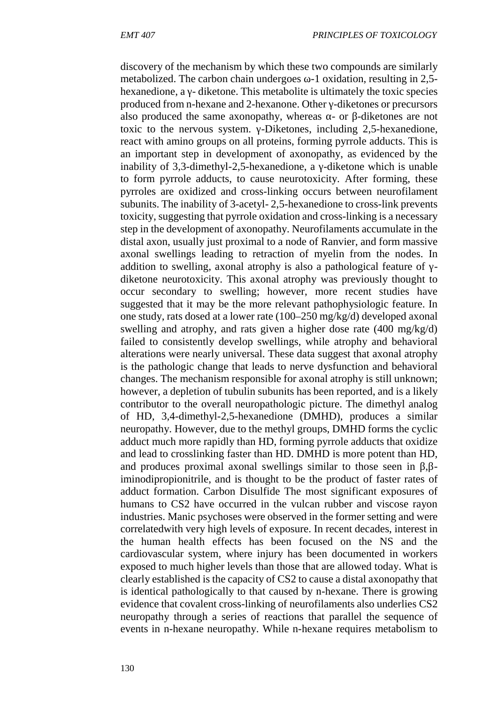discovery of the mechanism by which these two compounds are similarly metabolized. The carbon chain undergoes  $-1$  oxidation, resulting in 2,5hexanedione, a - diketone. This metabolite is ultimately the toxic species produced from n-hexane and 2-hexanone. Other -diketones or precursors also produced the same axonopathy, whereas - or -diketones are not toxic to the nervous system. -Diketones, including 2,5-hexanedione, react with amino groups on all proteins, forming pyrrole adducts. This is an important step in development of axonopathy, as evidenced by the inability of  $3,3$ -dimethyl-2,5-hexanedione, a -diketone which is unable to form pyrrole adducts, to cause neurotoxicity. After forming, these pyrroles are oxidized and cross-linking occurs between neurofilament subunits. The inability of 3-acetyl- 2,5-hexanedione to cross-link prevents toxicity, suggesting that pyrrole oxidation and cross-linking is a necessary step in the development of axonopathy. Neurofilaments accumulate in the distal axon, usually just proximal to a node of Ranvier, and form massive axonal swellings leading to retraction of myelin from the nodes. In addition to swelling, axonal atrophy is also a pathological feature of diketone neurotoxicity. This axonal atrophy was previously thought to occur secondary to swelling; however, more recent studies have suggested that it may be the more relevant pathophysiologic feature. In one study, rats dosed at a lower rate (100–250 mg/kg/d) developed axonal swelling and atrophy, and rats given a higher dose rate (400 mg/kg/d) failed to consistently develop swellings, while atrophy and behavioral alterations were nearly universal. These data suggest that axonal atrophy is the pathologic change that leads to nerve dysfunction and behavioral changes. The mechanism responsible for axonal atrophy is still unknown; however, a depletion of tubulin subunits has been reported, and is a likely contributor to the overall neuropathologic picture. The dimethyl analog of HD, 3,4-dimethyl-2,5-hexanedione (DMHD), produces a similar neuropathy. However, due to the methyl groups, DMHD forms the cyclic adduct much more rapidly than HD, forming pyrrole adducts that oxidize and lead to crosslinking faster than HD. DMHD is more potent than HD, and produces proximal axonal swellings similar to those seen in, iminodipropionitrile, and is thought to be the product of faster rates of adduct formation. Carbon Disulfide The most significant exposures of humans to CS2 have occurred in the vulcan rubber and viscose rayon industries. Manic psychoses were observed in the former setting and were correlatedwith very high levels of exposure. In recent decades, interest in the human health effects has been focused on the NS and the cardiovascular system, where injury has been documented in workers exposed to much higher levels than those that are allowed today. What is clearly established is the capacity of CS2 to cause a distal axonopathy that is identical pathologically to that caused by n-hexane. There is growing evidence that covalent cross-linking of neurofilaments also underlies CS2 neuropathy through a series of reactions that parallel the sequence of events in n-hexane neuropathy. While n-hexane requires metabolism to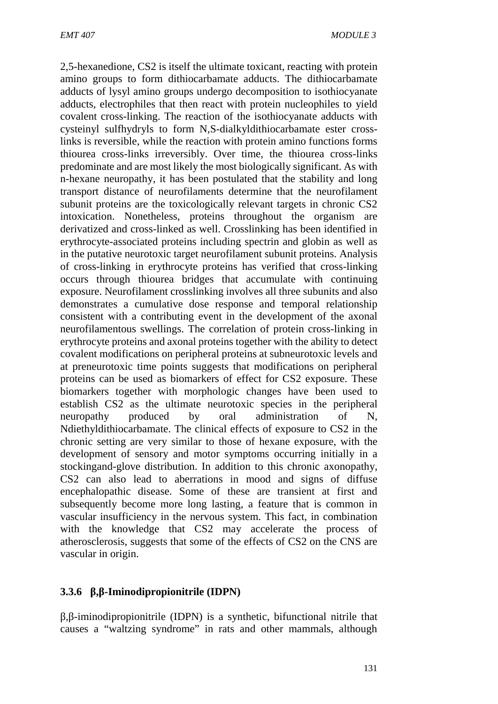2,5-hexanedione, CS2 is itself the ultimate toxicant, reacting with protein amino groups to form dithiocarbamate adducts. The dithiocarbamate adducts of lysyl amino groups undergo decomposition to isothiocyanate adducts, electrophiles that then react with protein nucleophiles to yield covalent cross-linking. The reaction of the isothiocyanate adducts with cysteinyl sulfhydryls to form N,S-dialkyldithiocarbamate ester crosslinks is reversible, while the reaction with protein amino functions forms thiourea cross-links irreversibly. Over time, the thiourea cross-links predominate and are most likely the most biologically significant. As with n-hexane neuropathy, it has been postulated that the stability and long transport distance of neurofilaments determine that the neurofilament subunit proteins are the toxicologically relevant targets in chronic CS2 intoxication. Nonetheless, proteins throughout the organism are derivatized and cross-linked as well. Crosslinking has been identified in erythrocyte-associated proteins including spectrin and globin as well as in the putative neurotoxic target neurofilament subunit proteins. Analysis of cross-linking in erythrocyte proteins has verified that cross-linking occurs through thiourea bridges that accumulate with continuing exposure. Neurofilament crosslinking involves all three subunits and also demonstrates a cumulative dose response and temporal relationship consistent with a contributing event in the development of the axonal neurofilamentous swellings. The correlation of protein cross-linking in erythrocyte proteins and axonal proteins together with the ability to detect covalent modifications on peripheral proteins at subneurotoxic levels and at preneurotoxic time points suggests that modifications on peripheral proteins can be used as biomarkers of effect for CS2 exposure. These biomarkers together with morphologic changes have been used to establish CS2 as the ultimate neurotoxic species in the peripheral neuropathy produced by oral administration of N, Ndiethyldithiocarbamate. The clinical effects of exposure to CS2 in the chronic setting are very similar to those of hexane exposure, with the development of sensory and motor symptoms occurring initially in a stockingand-glove distribution. In addition to this chronic axonopathy, CS2 can also lead to aberrations in mood and signs of diffuse encephalopathic disease. Some of these are transient at first and subsequently become more long lasting, a feature that is common in vascular insufficiency in the nervous system. This fact, in combination with the knowledge that CS2 may accelerate the process of atherosclerosis, suggests that some of the effects of CS2 on the CNS are vascular in origin.

### **3.3.6 , -Iminodipropionitrile (IDPN)**

β,β-iminodipropionitrile (IDPN) is a synthetic, bifunctional nitrile that causes a "waltzing syndrome" in rats and other mammals, although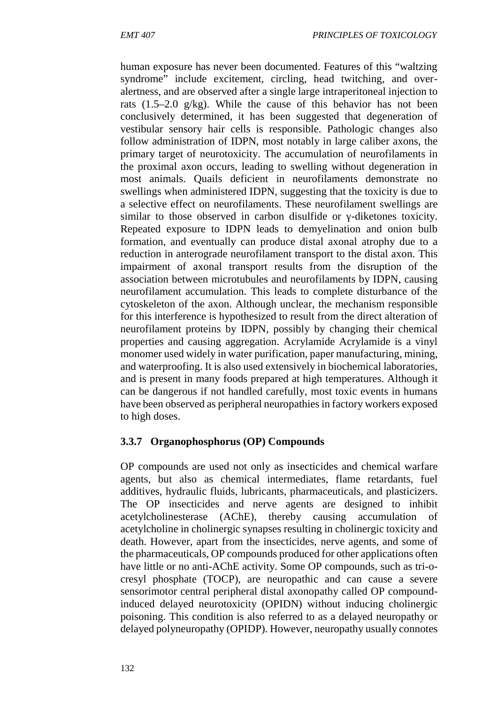human exposure has never been documented. Features of this "waltzing syndrome" include excitement, circling, head twitching, and over alertness, and are observed after a single large intraperitoneal injection to rats (1.5–2.0 g/kg). While the cause of this behavior has not been conclusively determined, it has been suggested that degeneration of vestibular sensory hair cells is responsible. Pathologic changes also follow administration of IDPN, most notably in large caliber axons, the primary target of neurotoxicity. The accumulation of neurofilaments in the proximal axon occurs, leading to swelling without degeneration in most animals. Quails deficient in neurofilaments demonstrate no swellings when administered IDPN, suggesting that the toxicity is due to a selective effect on neurofilaments. These neurofilament swellings are similar to those observed in carbon disulfide or -diketones toxicity. Repeated exposure to IDPN leads to demyelination and onion bulb formation, and eventually can produce distal axonal atrophy due to a reduction in anterograde neurofilament transport to the distal axon. This impairment of axonal transport results from the disruption of the association between microtubules and neurofilaments by IDPN, causing neurofilament accumulation. This leads to complete disturbance of the cytoskeleton of the axon. Although unclear, the mechanism responsible for this interference is hypothesized to result from the direct alteration of neurofilament proteins by IDPN, possibly by changing their chemical properties and causing aggregation. Acrylamide Acrylamide is a vinyl monomer used widely in water purification, paper manufacturing, mining, and waterproofing. It is also used extensively in biochemical laboratories, and is present in many foods prepared at high temperatures. Although it can be dangerous if not handled carefully, most toxic events in humans have been observed as peripheral neuropathies in factory workers exposed to high doses.

### **3.3.7 Organophosphorus (OP) Compounds**

OP compounds are used not only as insecticides and chemical warfare agents, but also as chemical intermediates, flame retardants, fuel additives, hydraulic fluids, lubricants, pharmaceuticals, and plasticizers. The OP insecticides and nerve agents are designed to inhibit acetylcholinesterase (AChE), thereby causing accumulation of acetylcholine in cholinergic synapses resulting in cholinergic toxicity and death. However, apart from the insecticides, nerve agents, and some of the pharmaceuticals, OP compounds produced for other applications often have little or no anti-AChE activity. Some OP compounds, such as tri-o cresyl phosphate (TOCP), are neuropathic and can cause a severe sensorimotor central peripheral distal axonopathy called OP compoundinduced delayed neurotoxicity (OPIDN) without inducing cholinergic poisoning. This condition is also referred to as a delayed neuropathy or delayed polyneuropathy (OPIDP). However, neuropathy usually connotes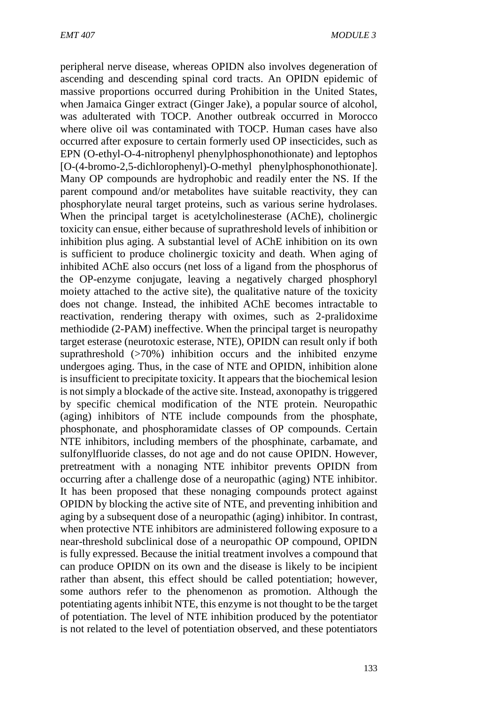peripheral nerve disease, whereas OPIDN also involves degeneration of ascending and descending spinal cord tracts. An OPIDN epidemic of massive proportions occurred during Prohibition in the United States, when Jamaica Ginger extract (Ginger Jake), a popular source of alcohol, was adulterated with TOCP. Another outbreak occurred in Morocco where olive oil was contaminated with TOCP. Human cases have also occurred after exposure to certain formerly used OP insecticides, such as EPN (O-ethyl-O-4-nitrophenyl phenylphosphonothionate) and leptophos [O-(4-bromo-2,5-dichlorophenyl)-O-methyl phenylphosphonothionate]. Many OP compounds are hydrophobic and readily enter the NS. If the parent compound and/or metabolites have suitable reactivity, they can phosphorylate neural target proteins, such as various serine hydrolases. When the principal target is acetylcholinesterase (AChE), cholinergic toxicity can ensue, either because of suprathreshold levels of inhibition or inhibition plus aging. A substantial level of AChE inhibition on its own is sufficient to produce cholinergic toxicity and death. When aging of inhibited AChE also occurs (net loss of a ligand from the phosphorus of the OP-enzyme conjugate, leaving a negatively charged phosphoryl moiety attached to the active site), the qualitative nature of the toxicity does not change. Instead, the inhibited AChE becomes intractable to reactivation, rendering therapy with oximes, such as 2-pralidoxime methiodide (2-PAM) ineffective. When the principal target is neuropathy target esterase (neurotoxic esterase, NTE), OPIDN can result only if both suprathreshold (>70%) inhibition occurs and the inhibited enzyme undergoes aging. Thus, in the case of NTE and OPIDN, inhibition alone is insufficient to precipitate toxicity. It appears that the biochemical lesion is not simply a blockade of the active site. Instead, axonopathy is triggered by specific chemical modification of the NTE protein. Neuropathic (aging) inhibitors of NTE include compounds from the phosphate, phosphonate, and phosphoramidate classes of OP compounds. Certain NTE inhibitors, including members of the phosphinate, carbamate, and sulfonylfluoride classes, do not age and do not cause OPIDN. However, pretreatment with a nonaging NTE inhibitor prevents OPIDN from occurring after a challenge dose of a neuropathic (aging) NTE inhibitor. It has been proposed that these nonaging compounds protect against OPIDN by blocking the active site of NTE, and preventing inhibition and aging by a subsequent dose of a neuropathic (aging) inhibitor. In contrast, when protective NTE inhibitors are administered following exposure to a near-threshold subclinical dose of a neuropathic OP compound, OPIDN is fully expressed. Because the initial treatment involves a compound that can produce OPIDN on its own and the disease is likely to be incipient rather than absent, this effect should be called potentiation; however, some authors refer to the phenomenon as promotion. Although the potentiating agents inhibit NTE, this enzyme is not thought to be the target of potentiation. The level of NTE inhibition produced by the potentiator is not related to the level of potentiation observed, and these potentiators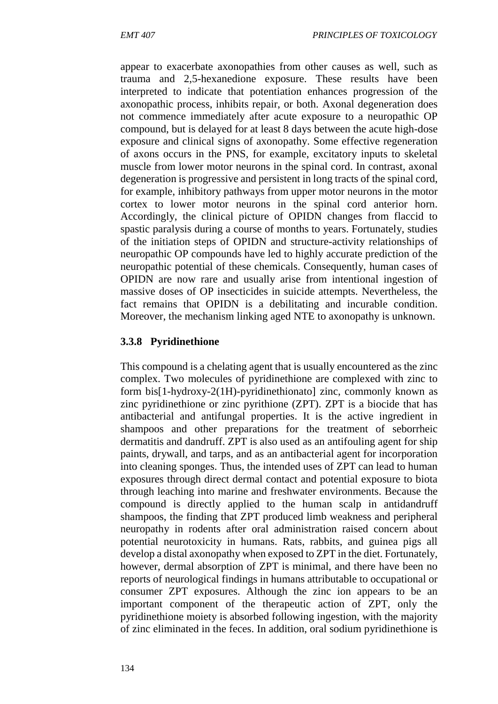appear to exacerbate axonopathies from other causes as well, such as trauma and 2,5-hexanedione exposure. These results have been interpreted to indicate that potentiation enhances progression of the axonopathic process, inhibits repair, or both. Axonal degeneration does not commence immediately after acute exposure to a neuropathic OP compound, but is delayed for at least 8 days between the acute high-dose exposure and clinical signs of axonopathy. Some effective regeneration of axons occurs in the PNS, for example, excitatory inputs to skeletal muscle from lower motor neurons in the spinal cord. In contrast, axonal degeneration is progressive and persistent in long tracts of the spinal cord, for example, inhibitory pathways from upper motor neurons in the motor cortex to lower motor neurons in the spinal cord anterior horn. Accordingly, the clinical picture of OPIDN changes from flaccid to spastic paralysis during a course of months to years. Fortunately, studies of the initiation steps of OPIDN and structure-activity relationships of neuropathic OP compounds have led to highly accurate prediction of the neuropathic potential of these chemicals. Consequently, human cases of OPIDN are now rare and usually arise from intentional ingestion of massive doses of OP insecticides in suicide attempts. Nevertheless, the fact remains that OPIDN is a debilitating and incurable condition. Moreover, the mechanism linking aged NTE to axonopathy is unknown.

### **3.3.8 Pyridinethione**

This compound is a chelating agent that is usually encountered as the zinc complex. Two molecules of pyridinethione are complexed with zinc to form bis[1-hydroxy-2(1H)-pyridinethionato] zinc, commonly known as zinc pyridinethione or zinc pyrithione (ZPT). ZPT is a biocide that has antibacterial and antifungal properties. It is the active ingredient in shampoos and other preparations for the treatment of seborrheic dermatitis and dandruff. ZPT is also used as an antifouling agent for ship paints, drywall, and tarps, and as an antibacterial agent for incorporation into cleaning sponges. Thus, the intended uses of ZPT can lead to human exposures through direct dermal contact and potential exposure to biota through leaching into marine and freshwater environments. Because the compound is directly applied to the human scalp in antidandruff shampoos, the finding that ZPT produced limb weakness and peripheral neuropathy in rodents after oral administration raised concern about potential neurotoxicity in humans. Rats, rabbits, and guinea pigs all develop a distal axonopathy when exposed to ZPT in the diet. Fortunately, however, dermal absorption of ZPT is minimal, and there have been no reports of neurological findings in humans attributable to occupational or consumer ZPT exposures. Although the zinc ion appears to be an important component of the therapeutic action of ZPT, only the pyridinethione moiety is absorbed following ingestion, with the majority of zinc eliminated in the feces. In addition, oral sodium pyridinethione is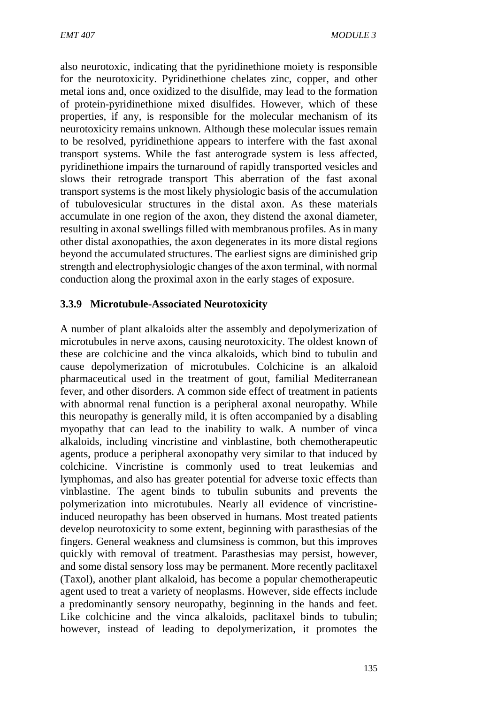also neurotoxic, indicating that the pyridinethione moiety is responsible for the neurotoxicity. Pyridinethione chelates zinc, copper, and other metal ions and, once oxidized to the disulfide, may lead to the formation of protein-pyridinethione mixed disulfides. However, which of these properties, if any, is responsible for the molecular mechanism of its neurotoxicity remains unknown. Although these molecular issues remain to be resolved, pyridinethione appears to interfere with the fast axonal transport systems. While the fast anterograde system is less affected, pyridinethione impairs the turnaround of rapidly transported vesicles and slows their retrograde transport This aberration of the fast axonal transport systems is the most likely physiologic basis of the accumulation of tubulovesicular structures in the distal axon. As these materials accumulate in one region of the axon, they distend the axonal diameter, resulting in axonal swellings filled with membranous profiles. As in many other distal axonopathies, the axon degenerates in its more distal regions beyond the accumulated structures. The earliest signs are diminished grip strength and electrophysiologic changes of the axon terminal, with normal conduction along the proximal axon in the early stages of exposure.

# **3.3.9 Microtubule-Associated Neurotoxicity**

A number of plant alkaloids alter the assembly and depolymerization of microtubules in nerve axons, causing neurotoxicity. The oldest known of these are colchicine and the vinca alkaloids, which bind to tubulin and cause depolymerization of microtubules. Colchicine is an alkaloid pharmaceutical used in the treatment of gout, familial Mediterranean fever, and other disorders. A common side effect of treatment in patients with abnormal renal function is a peripheral axonal neuropathy. While this neuropathy is generally mild, it is often accompanied by a disabling myopathy that can lead to the inability to walk. A number of vinca alkaloids, including vincristine and vinblastine, both chemotherapeutic agents, produce a peripheral axonopathy very similar to that induced by colchicine. Vincristine is commonly used to treat leukemias and lymphomas, and also has greater potential for adverse toxic effects than vinblastine. The agent binds to tubulin subunits and prevents the polymerization into microtubules. Nearly all evidence of vincristineinduced neuropathy has been observed in humans. Most treated patients develop neurotoxicity to some extent, beginning with parasthesias of the fingers. General weakness and clumsiness is common, but this improves quickly with removal of treatment. Parasthesias may persist, however, and some distal sensory loss may be permanent. More recently paclitaxel (Taxol), another plant alkaloid, has become a popular chemotherapeutic agent used to treat a variety of neoplasms. However, side effects include a predominantly sensory neuropathy, beginning in the hands and feet. Like colchicine and the vinca alkaloids, paclitaxel binds to tubulin; however, instead of leading to depolymerization, it promotes the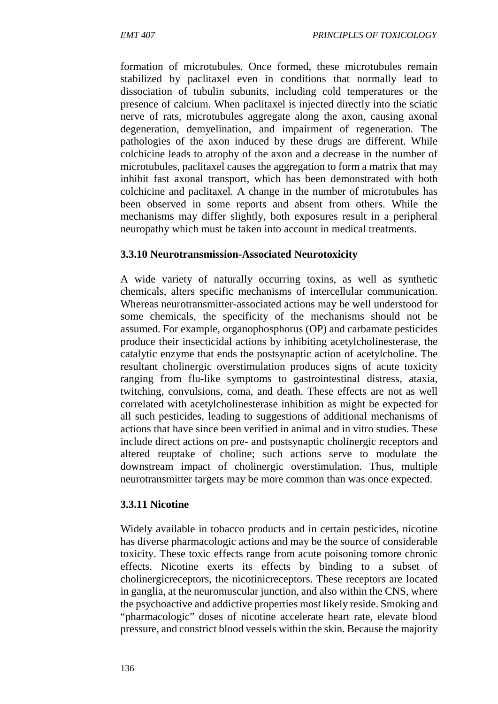formation of microtubules. Once formed, these microtubules remain stabilized by paclitaxel even in conditions that normally lead to dissociation of tubulin subunits, including cold temperatures or the presence of calcium. When paclitaxel is injected directly into the sciatic nerve of rats, microtubules aggregate along the axon, causing axonal degeneration, demyelination, and impairment of regeneration. The pathologies of the axon induced by these drugs are different. While colchicine leads to atrophy of the axon and a decrease in the number of microtubules, paclitaxel causes the aggregation to form a matrix that may inhibit fast axonal transport, which has been demonstrated with both colchicine and paclitaxel. A change in the number of microtubules has been observed in some reports and absent from others. While the mechanisms may differ slightly, both exposures result in a peripheral neuropathy which must be taken into account in medical treatments.

#### **3.3.10 Neurotransmission-Associated Neurotoxicity**

A wide variety of naturally occurring toxins, as well as synthetic chemicals, alters specific mechanisms of intercellular communication. Whereas neurotransmitter-associated actions may be well understood for some chemicals, the specificity of the mechanisms should not be assumed. For example, organophosphorus (OP) and carbamate pesticides produce their insecticidal actions by inhibiting acetylcholinesterase, the catalytic enzyme that ends the postsynaptic action of acetylcholine. The resultant cholinergic overstimulation produces signs of acute toxicity ranging from flu-like symptoms to gastrointestinal distress, ataxia, twitching, convulsions, coma, and death. These effects are not as well correlated with acetylcholinesterase inhibition as might be expected for all such pesticides, leading to suggestions of additional mechanisms of actions that have since been verified in animal and in vitro studies. These include direct actions on pre- and postsynaptic cholinergic receptors and altered reuptake of choline; such actions serve to modulate the downstream impact of cholinergic overstimulation. Thus, multiple neurotransmitter targets may be more common than was once expected.

#### **3.3.11 Nicotine**

Widely available in tobacco products and in certain pesticides, nicotine has diverse pharmacologic actions and may be the source of considerable toxicity. These toxic effects range from acute poisoning tomore chronic effects. Nicotine exerts its effects by binding to a subset of cholinergicreceptors, the nicotinicreceptors. These receptors are located in ganglia, at the neuromuscular junction, and also within the CNS, where the psychoactive and addictive properties most likely reside. Smoking and "pharmacologic" doses of nicotine accelerate heart rate, elevate blood pressure, and constrict blood vessels within the skin. Because the majority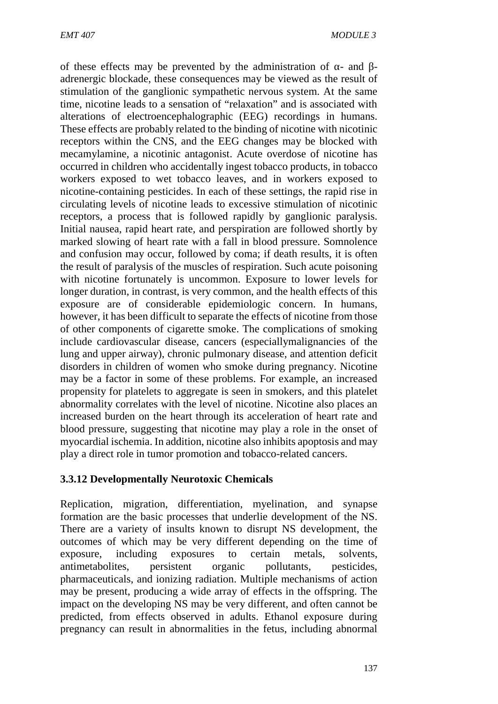of these effects may be prevented by the administration of - and adrenergic blockade, these consequences may be viewed as the result of stimulation of the ganglionic sympathetic nervous system. At the same time, nicotine leads to a sensation of "relaxation" and is associated with alterations of electroencephalographic (EEG) recordings in humans. These effects are probably related to the binding of nicotine with nicotinic receptors within the CNS, and the EEG changes may be blocked with mecamylamine, a nicotinic antagonist. Acute overdose of nicotine has occurred in children who accidentally ingest tobacco products, in tobacco workers exposed to wet tobacco leaves, and in workers exposed to nicotine-containing pesticides. In each of these settings, the rapid rise in circulating levels of nicotine leads to excessive stimulation of nicotinic receptors, a process that is followed rapidly by ganglionic paralysis. Initial nausea, rapid heart rate, and perspiration are followed shortly by marked slowing of heart rate with a fall in blood pressure. Somnolence and confusion may occur, followed by coma; if death results, it is often the result of paralysis of the muscles of respiration. Such acute poisoning with nicotine fortunately is uncommon. Exposure to lower levels for longer duration, in contrast, is very common, and the health effects of this exposure are of considerable epidemiologic concern. In humans, however, it has been difficult to separate the effects of nicotine from those of other components of cigarette smoke. The complications of smoking include cardiovascular disease, cancers (especiallymalignancies of the lung and upper airway), chronic pulmonary disease, and attention deficit disorders in children of women who smoke during pregnancy. Nicotine may be a factor in some of these problems. For example, an increased propensity for platelets to aggregate is seen in smokers, and this platelet abnormality correlates with the level of nicotine. Nicotine also places an increased burden on the heart through its acceleration of heart rate and blood pressure, suggesting that nicotine may play a role in the onset of myocardial ischemia. In addition, nicotine also inhibits apoptosis and may play a direct role in tumor promotion and tobacco-related cancers.

# **3.3.12 Developmentally Neurotoxic Chemicals**

Replication, migration, differentiation, myelination, and synapse formation are the basic processes that underlie development of the NS. There are a variety of insults known to disrupt NS development, the outcomes of which may be very different depending on the time of exposure, including exposures to certain metals, solvents, antimetabolites, persistent organic pollutants, pesticides, pharmaceuticals, and ionizing radiation. Multiple mechanisms of action may be present, producing a wide array of effects in the offspring. The impact on the developing NS may be very different, and often cannot be predicted, from effects observed in adults. Ethanol exposure during pregnancy can result in abnormalities in the fetus, including abnormal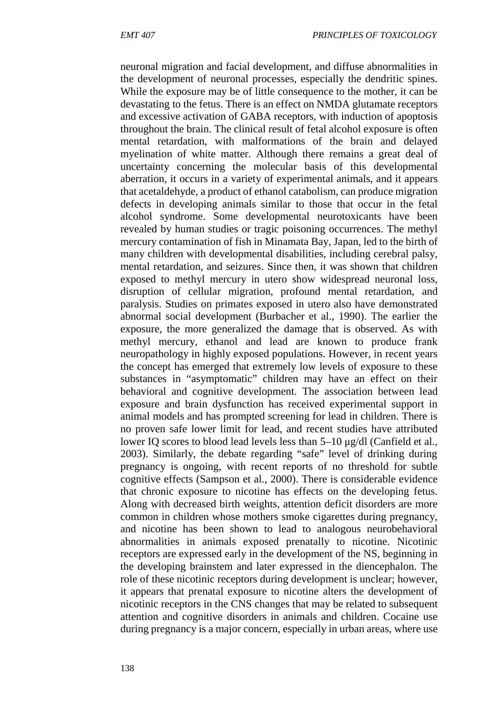neuronal migration and facial development, and diffuse abnormalities in the development of neuronal processes, especially the dendritic spines. While the exposure may be of little consequence to the mother, it can be devastating to the fetus. There is an effect on NMDA glutamate receptors and excessive activation of GABA receptors, with induction of apoptosis throughout the brain. The clinical result of fetal alcohol exposure is often mental retardation, with malformations of the brain and delayed myelination of white matter. Although there remains a great deal of uncertainty concerning the molecular basis of this developmental aberration, it occurs in a variety of experimental animals, and it appears that acetaldehyde, a product of ethanol catabolism, can produce migration defects in developing animals similar to those that occur in the fetal alcohol syndrome. Some developmental neurotoxicants have been revealed by human studies or tragic poisoning occurrences. The methyl mercury contamination of fish in Minamata Bay, Japan, led to the birth of many children with developmental disabilities, including cerebral palsy, mental retardation, and seizures. Since then, it was shown that children exposed to methyl mercury in utero show widespread neuronal loss, disruption of cellular migration, profound mental retardation, and paralysis. Studies on primates exposed in utero also have demonstrated abnormal social development (Burbacher et al., 1990). The earlier the exposure, the more generalized the damage that is observed. As with methyl mercury, ethanol and lead are known to produce frank neuropathology in highly exposed populations. However, in recent years the concept has emerged that extremely low levels of exposure to these substances in "asymptomatic" children may have an effect on their behavioral and cognitive development. The association between lead exposure and brain dysfunction has received experimental support in animal models and has prompted screening for lead in children. There is no proven safe lower limit for lead, and recent studies have attributed lower IQ scores to blood lead levels less than 5–10 μg/dl (Canfield et al., 2003). Similarly, the debate regarding "safe" level of drinking during pregnancy is ongoing, with recent reports of no threshold for subtle cognitive effects (Sampson et al., 2000). There is considerable evidence that chronic exposure to nicotine has effects on the developing fetus. Along with decreased birth weights, attention deficit disorders are more common in children whose mothers smoke cigarettes during pregnancy, and nicotine has been shown to lead to analogous neurobehavioral abnormalities in animals exposed prenatally to nicotine. Nicotinic receptors are expressed early in the development of the NS, beginning in the developing brainstem and later expressed in the diencephalon. The role of these nicotinic receptors during development is unclear; however, it appears that prenatal exposure to nicotine alters the development of nicotinic receptors in the CNS changes that may be related to subsequent attention and cognitive disorders in animals and children. Cocaine use during pregnancy is a major concern, especially in urban areas, where use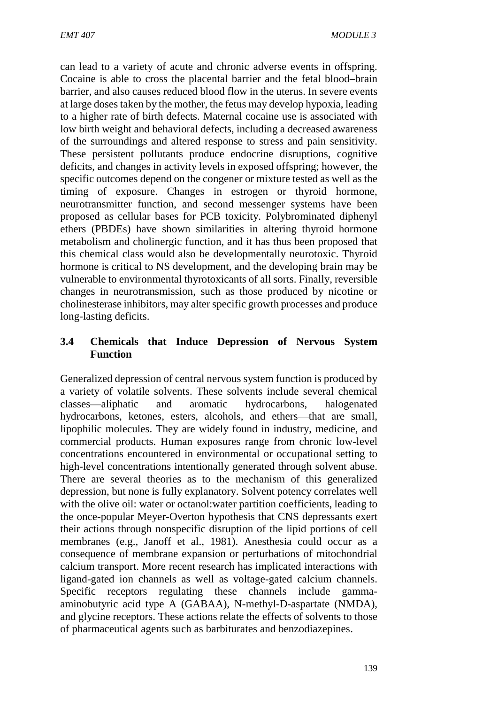can lead to a variety of acute and chronic adverse events in offspring. Cocaine is able to cross the placental barrier and the fetal blood–brain barrier, and also causes reduced blood flow in the uterus. In severe events at large doses taken by the mother, the fetus may develop hypoxia, leading to a higher rate of birth defects. Maternal cocaine use is associated with low birth weight and behavioral defects, including a decreased awareness of the surroundings and altered response to stress and pain sensitivity. These persistent pollutants produce endocrine disruptions, cognitive deficits, and changes in activity levels in exposed offspring; however, the specific outcomes depend on the congener or mixture tested as well as the timing of exposure. Changes in estrogen or thyroid hormone, neurotransmitter function, and second messenger systems have been proposed as cellular bases for PCB toxicity. Polybrominated diphenyl ethers (PBDEs) have shown similarities in altering thyroid hormone metabolism and cholinergic function, and it has thus been proposed that this chemical class would also be developmentally neurotoxic. Thyroid hormone is critical to NS development, and the developing brain may be vulnerable to environmental thyrotoxicants of all sorts. Finally, reversible changes in neurotransmission, such as those produced by nicotine or cholinesterase inhibitors, may alter specific growth processes and produce long-lasting deficits.

## **3.4 Chemicals that Induce Depression of Nervous System Function**

Generalized depression of central nervous system function is produced by a variety of volatile solvents. These solvents include several chemical classes—aliphatic and aromatic hydrocarbons, halogenated hydrocarbons, ketones, esters, alcohols, and ethers—that are small, lipophilic molecules. They are widely found in industry, medicine, and commercial products. Human exposures range from chronic low-level concentrations encountered in environmental or occupational setting to high-level concentrations intentionally generated through solvent abuse. There are several theories as to the mechanism of this generalized depression, but none is fully explanatory. Solvent potency correlates well with the olive oil: water or octanol: water partition coefficients, leading to the once-popular Meyer-Overton hypothesis that CNS depressants exert their actions through nonspecific disruption of the lipid portions of cell membranes (e.g., Janoff et al., 1981). Anesthesia could occur as a consequence of membrane expansion or perturbations of mitochondrial calcium transport. More recent research has implicated interactions with ligand-gated ion channels as well as voltage-gated calcium channels. Specific receptors regulating these channels include gamma aminobutyric acid type A (GABAA), N-methyl-D-aspartate (NMDA), and glycine receptors. These actions relate the effects of solvents to those of pharmaceutical agents such as barbiturates and benzodiazepines.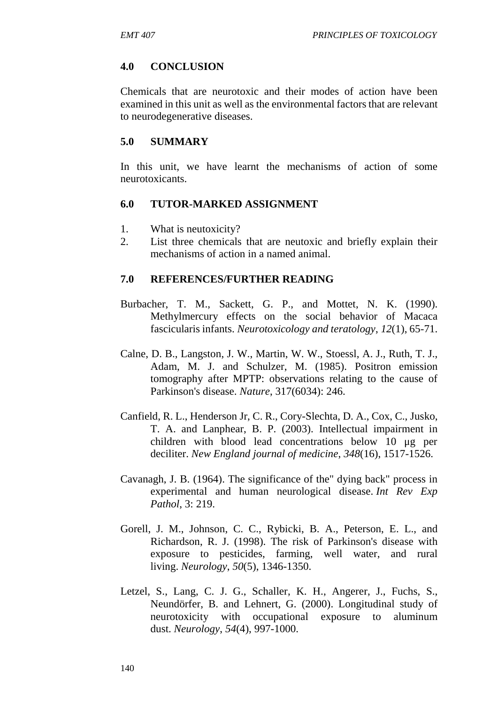### **4.0 CONCLUSION**

Chemicals that are neurotoxic and their modes of action have been examined in this unit as well as the environmental factors that are relevant to neurodegenerative diseases.

### **5.0 SUMMARY**

In this unit, we have learnt the mechanisms of action of some neurotoxicants.

### **6.0 TUTOR-MARKED ASSIGNMENT**

- 1. What is neutoxicity?
- 2. List three chemicals that are neutoxic and briefly explain their mechanisms of action in a named animal.

### **7.0 REFERENCES/FURTHER READING**

- Burbacher, T. M., Sackett, G. P., and Mottet, N. K. (1990). Methylmercury effects on the social behavior of Macaca fascicularis infants. *Neurotoxicology and teratology*, *12*(1), 65-71.
- Calne, D. B., Langston, J. W., Martin, W. W., Stoessl, A. J., Ruth, T. J., Adam, M. J. and Schulzer, M. (1985). Positron emission tomography after MPTP: observations relating to the cause of Parkinson's disease. *Nature*, 317(6034): 246.
- Canfield, R. L., Henderson Jr, C. R., Cory-Slechta, D. A., Cox, C., Jusko, T. A. and Lanphear, B. P. (2003). Intellectual impairment in children with blood lead concentrations below 10 μg per deciliter. *New England journal of medicine*, *348*(16), 1517-1526.
- Cavanagh, J. B. (1964). The significance of the" dying back" process in experimental and human neurological disease. *Int Rev Exp Pathol*, 3: 219.
- Gorell, J. M., Johnson, C. C., Rybicki, B. A., Peterson, E. L., and Richardson, R. J. (1998). The risk of Parkinson's disease with exposure to pesticides, farming, well water, and rural living. *Neurology*, *50*(5), 1346-1350.
- Letzel, S., Lang, C. J. G., Schaller, K. H., Angerer, J., Fuchs, S., Neundörfer, B. and Lehnert, G. (2000). Longitudinal study of neurotoxicity with occupational exposure to aluminum dust. *Neurology*, *54*(4), 997-1000.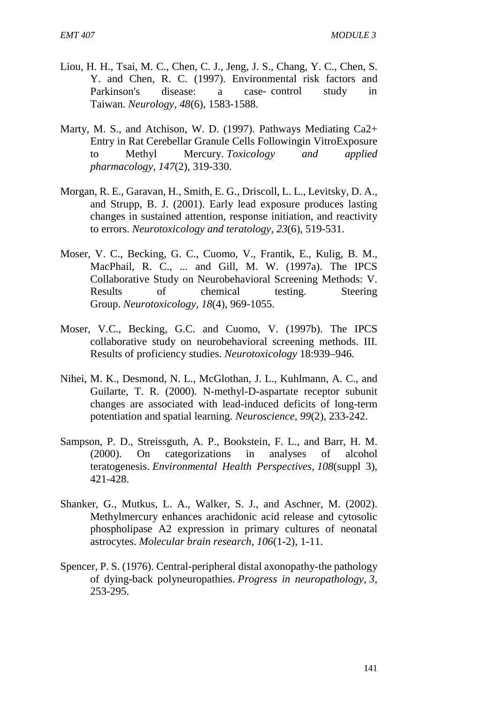- Liou, H. H., Tsai, M. C., Chen, C. J., Jeng, J. S., Chang, Y. C., Chen, S. Y. and Chen, R. C. (1997). Environmental risk factors and Parkinson's disease: a case control study in Taiwan. *Neurology*, *48*(6), 1583-1588.
- Marty, M. S., and Atchison, W. D. (1997). Pathways Mediating Ca2+ Entry in Rat Cerebellar Granule Cells Followingin VitroExposure to Methyl Mercury. *Toxicology and applied pharmacology*, *147*(2), 319-330.
- Morgan, R. E., Garavan, H., Smith, E. G., Driscoll, L. L., Levitsky, D. A., and Strupp, B. J. (2001). Early lead exposure produces lasting changes in sustained attention, response initiation, and reactivity to errors. *Neurotoxicology and teratology*, *23*(6), 519-531.
- Moser, V. C., Becking, G. C., Cuomo, V., Frantik, E., Kulig, B. M., MacPhail, R. C., ... and Gill, M. W. (1997a). The IPCS Collaborative Study on Neurobehavioral Screening Methods: V. Results of chemical testing. Steering Group. *Neurotoxicology*, *18*(4), 969-1055.
- Moser, V.C., Becking, G.C. and Cuomo, V. (1997b). The IPCS collaborative study on neurobehavioral screening methods. III. Results of proficiency studies. *Neurotoxicology* 18:939–946.
- Nihei, M. K., Desmond, N. L., McGlothan, J. L., Kuhlmann, A. C., and Guilarte, T. R. (2000). N-methyl-D-aspartate receptor subunit changes are associated with lead-induced deficits of long-term potentiation and spatial learning. *Neuroscience*, *99*(2), 233-242.
- Sampson, P. D., Streissguth, A. P., Bookstein, F. L., and Barr, H. M. (2000). On categorizations in analyses of alcohol teratogenesis. *Environmental Health Perspectives*, *108*(suppl 3), 421-428.
- Shanker, G., Mutkus, L. A., Walker, S. J., and Aschner, M. (2002). Methylmercury enhances arachidonic acid release and cytosolic phospholipase A2 expression in primary cultures of neonatal astrocytes. *Molecular brain research*, *106*(1-2), 1-11.
- Spencer, P. S. (1976). Central-peripheral distal axonopathy-the pathology of dying-back polyneuropathies. *Progress in neuropathology*, *3*, 253-295.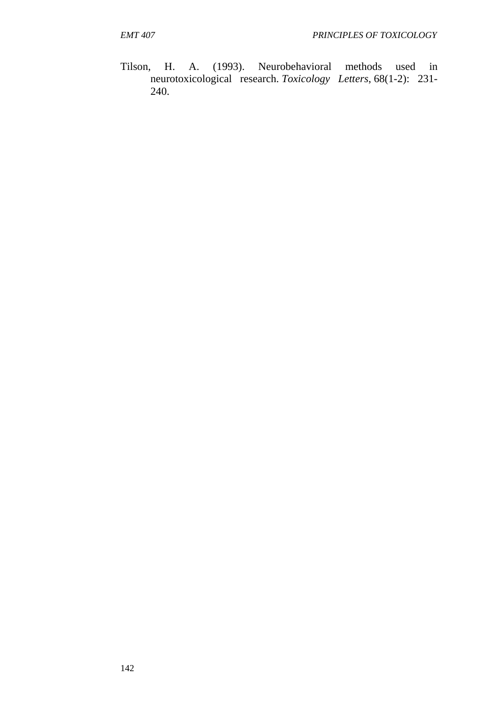Tilson, H. A. (1993). Neurobehavioral methods used in neurotoxicological research. *Toxicology Letters*, 68(1-2): 231- 240.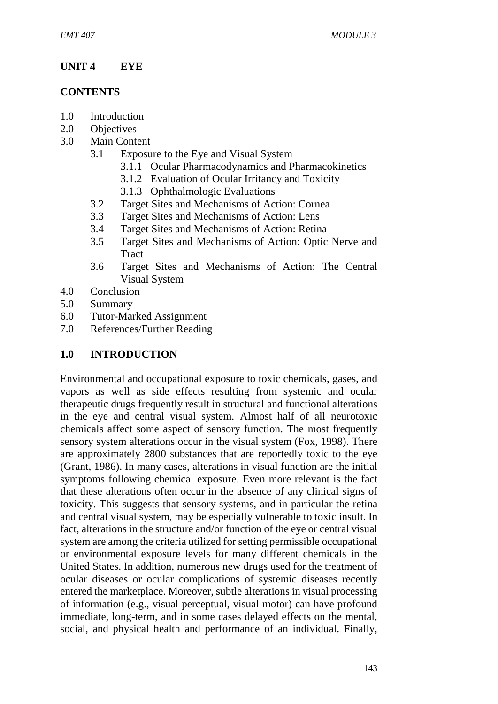# **UNIT 4 EYE**

## **CONTENTS**

- 1.0 Introduction
- 2.0 Objectives
- 3.0 Main Content
	- 3.1 Exposure to the Eye and Visual System
		- 3.1.1 Ocular Pharmacodynamics and Pharmacokinetics
		- 3.1.2 Evaluation of Ocular Irritancy and Toxicity
		- 3.1.3 Ophthalmologic Evaluations
	- 3.2 Target Sites and Mechanisms of Action: Cornea
	- 3.3 Target Sites and Mechanisms of Action: Lens
	- 3.4 Target Sites and Mechanisms of Action: Retina
	- 3.5 Target Sites and Mechanisms of Action: Optic Nerve and **Tract**
	- 3.6 Target Sites and Mechanisms of Action: The Central Visual System
- 4.0 Conclusion
- 5.0 Summary
- 6.0 Tutor-Marked Assignment
- 7.0 References/Further Reading

# **1.0 INTRODUCTION**

Environmental and occupational exposure to toxic chemicals, gases, and vapors as well as side effects resulting from systemic and ocular therapeutic drugs frequently result in structural and functional alterations in the eye and central visual system. Almost half of all neurotoxic chemicals affect some aspect of sensory function. The most frequently sensory system alterations occur in the visual system (Fox, 1998). There are approximately 2800 substances that are reportedly toxic to the eye (Grant, 1986). In many cases, alterations in visual function are the initial symptoms following chemical exposure. Even more relevant is the fact that these alterations often occur in the absence of any clinical signs of toxicity. This suggests that sensory systems, and in particular the retina and central visual system, may be especially vulnerable to toxic insult. In fact, alterations in the structure and/or function of the eye or central visual system are among the criteria utilized for setting permissible occupational or environmental exposure levels for many different chemicals in the United States. In addition, numerous new drugs used for the treatment of ocular diseases or ocular complications of systemic diseases recently entered the marketplace. Moreover, subtle alterations in visual processing of information (e.g., visual perceptual, visual motor) can have profound immediate, long-term, and in some cases delayed effects on the mental, social, and physical health and performance of an individual. Finally,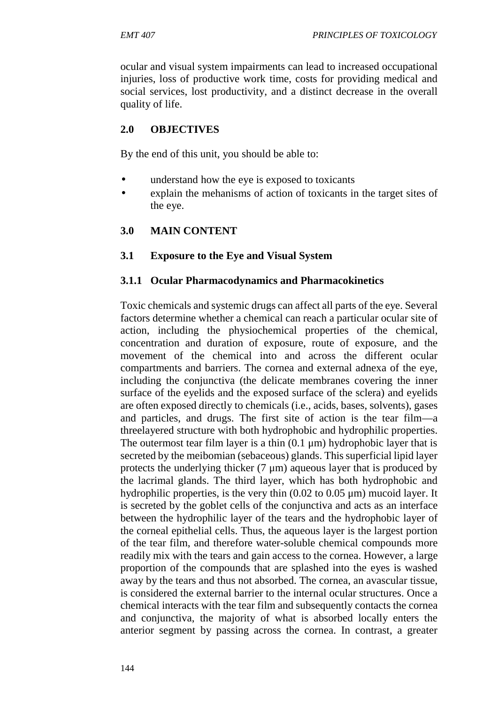ocular and visual system impairments can lead to increased occupational injuries, loss of productive work time, costs for providing medical and social services, lost productivity, and a distinct decrease in the overall quality of life.

## **2.0 OBJECTIVES**

By the end of this unit, you should be able to:

- understand how the eye is exposed to toxicants
- explain the mehanisms of action of toxicants in the target sites of the eye.

## **3.0 MAIN CONTENT**

## **3.1 Exposure to the Eye and Visual System**

#### **3.1.1 Ocular Pharmacodynamics and Pharmacokinetics**

Toxic chemicals and systemic drugs can affect all parts of the eye. Several factors determine whether a chemical can reach a particular ocular site of action, including the physiochemical properties of the chemical, concentration and duration of exposure, route of exposure, and the movement of the chemical into and across the different ocular compartments and barriers. The cornea and external adnexa of the eye, including the conjunctiva (the delicate membranes covering the inner surface of the eyelids and the exposed surface of the sclera) and eyelids are often exposed directly to chemicals (i.e., acids, bases, solvents), gases and particles, and drugs. The first site of action is the tear film—a threelayered structure with both hydrophobic and hydrophilic properties. The outermost tear film layer is a thin (0.1 μm) hydrophobic layer that is secreted by the meibomian (sebaceous) glands. This superficial lipid layer protects the underlying thicker (7 μm) aqueous layer that is produced by the lacrimal glands. The third layer, which has both hydrophobic and hydrophilic properties, is the very thin (0.02 to 0.05 μm) mucoid layer. It is secreted by the goblet cells of the conjunctiva and acts as an interface between the hydrophilic layer of the tears and the hydrophobic layer of the corneal epithelial cells. Thus, the aqueous layer is the largest portion of the tear film, and therefore water-soluble chemical compounds more readily mix with the tears and gain access to the cornea. However, a large proportion of the compounds that are splashed into the eyes is washed away by the tears and thus not absorbed. The cornea, an avascular tissue, is considered the external barrier to the internal ocular structures. Once a chemical interacts with the tear film and subsequently contacts the cornea and conjunctiva, the majority of what is absorbed locally enters the anterior segment by passing across the cornea. In contrast, a greater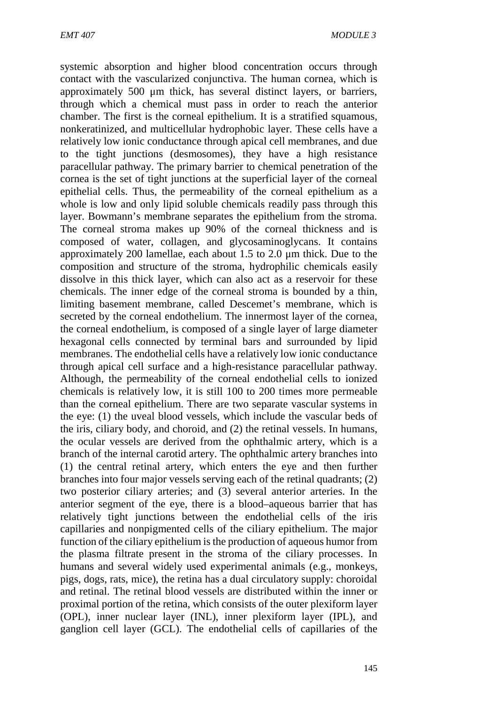systemic absorption and higher blood concentration occurs through contact with the vascularized conjunctiva. The human cornea, which is approximately 500 μm thick, has several distinct layers, or barriers, through which a chemical must pass in order to reach the anterior chamber. The first is the corneal epithelium. It is a stratified squamous, nonkeratinized, and multicellular hydrophobic layer. These cells have a relatively low ionic conductance through apical cell membranes, and due to the tight junctions (desmosomes), they have a high resistance paracellular pathway. The primary barrier to chemical penetration of the cornea is the set of tight junctions at the superficial layer of the corneal epithelial cells. Thus, the permeability of the corneal epithelium as a whole is low and only lipid soluble chemicals readily pass through this layer. Bowmann's membrane separates the epithelium from the stroma. The corneal stroma makes up 90% of the corneal thickness and is composed of water, collagen, and glycosaminoglycans. It contains approximately 200 lamellae, each about 1.5 to 2.0 μm thick. Due to the composition and structure of the stroma, hydrophilic chemicals easily dissolve in this thick layer, which can also act as a reservoir for these chemicals. The inner edge of the corneal stroma is bounded by a thin, limiting basement membrane, called Descemet's membrane, which is secreted by the corneal endothelium. The innermost layer of the cornea, the corneal endothelium, is composed of a single layer of large diameter hexagonal cells connected by terminal bars and surrounded by lipid membranes. The endothelial cells have a relatively low ionic conductance through apical cell surface and a high-resistance paracellular pathway. Although, the permeability of the corneal endothelial cells to ionized chemicals is relatively low, it is still 100 to 200 times more permeable than the corneal epithelium. There are two separate vascular systems in the eye: (1) the uveal blood vessels, which include the vascular beds of the iris, ciliary body, and choroid, and (2) the retinal vessels. In humans, the ocular vessels are derived from the ophthalmic artery, which is a branch of the internal carotid artery. The ophthalmic artery branches into (1) the central retinal artery, which enters the eye and then further branches into four major vessels serving each of the retinal quadrants; (2) two posterior ciliary arteries; and (3) several anterior arteries. In the anterior segment of the eye, there is a blood–aqueous barrier that has relatively tight junctions between the endothelial cells of the iris capillaries and nonpigmented cells of the ciliary epithelium. The major function of the ciliary epithelium is the production of aqueous humor from the plasma filtrate present in the stroma of the ciliary processes. In humans and several widely used experimental animals (e.g., monkeys, pigs, dogs, rats, mice), the retina has a dual circulatory supply: choroidal and retinal. The retinal blood vessels are distributed within the inner or proximal portion of the retina, which consists of the outer plexiform layer (OPL), inner nuclear layer (INL), inner plexiform layer (IPL), and ganglion cell layer (GCL). The endothelial cells of capillaries of the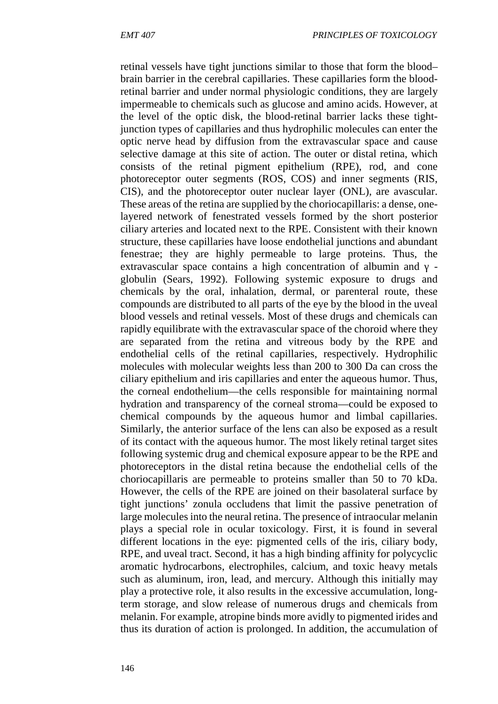retinal vessels have tight junctions similar to those that form the blood– brain barrier in the cerebral capillaries. These capillaries form the bloodretinal barrier and under normal physiologic conditions, they are largely impermeable to chemicals such as glucose and amino acids. However, at the level of the optic disk, the blood-retinal barrier lacks these tightjunction types of capillaries and thus hydrophilic molecules can enter the optic nerve head by diffusion from the extravascular space and cause selective damage at this site of action. The outer or distal retina, which consists of the retinal pigment epithelium (RPE), rod, and cone photoreceptor outer segments (ROS, COS) and inner segments (RIS, CIS), and the photoreceptor outer nuclear layer (ONL), are avascular. These areas of the retina are supplied by the choriocapillaris: a dense, onelayered network of fenestrated vessels formed by the short posterior ciliary arteries and located next to the RPE. Consistent with their known structure, these capillaries have loose endothelial junctions and abundant fenestrae; they are highly permeable to large proteins. Thus, the extravascular space contains a high concentration of albumin and -globulin (Sears, 1992). Following systemic exposure to drugs and chemicals by the oral, inhalation, dermal, or parenteral route, these compounds are distributed to all parts of the eye by the blood in the uveal blood vessels and retinal vessels. Most of these drugs and chemicals can rapidly equilibrate with the extravascular space of the choroid where they are separated from the retina and vitreous body by the RPE and endothelial cells of the retinal capillaries, respectively. Hydrophilic molecules with molecular weights less than 200 to 300 Da can cross the ciliary epithelium and iris capillaries and enter the aqueous humor. Thus, the corneal endothelium—the cells responsible for maintaining normal hydration and transparency of the corneal stroma—could be exposed to chemical compounds by the aqueous humor and limbal capillaries. Similarly, the anterior surface of the lens can also be exposed as a result of its contact with the aqueous humor. The most likely retinal target sites following systemic drug and chemical exposure appear to be the RPE and photoreceptors in the distal retina because the endothelial cells of the choriocapillaris are permeable to proteins smaller than 50 to 70 kDa. However, the cells of the RPE are joined on their basolateral surface by tight junctions' zonula occludens that limit the passive penetration of large molecules into the neural retina. The presence of intraocular melanin plays a special role in ocular toxicology. First, it is found in several different locations in the eye: pigmented cells of the iris, ciliary body, RPE, and uveal tract. Second, it has a high binding affinity for polycyclic aromatic hydrocarbons, electrophiles, calcium, and toxic heavy metals such as aluminum, iron, lead, and mercury. Although this initially may play a protective role, it also results in the excessive accumulation, longterm storage, and slow release of numerous drugs and chemicals from melanin. For example, atropine binds more avidly to pigmented irides and thus its duration of action is prolonged. In addition, the accumulation of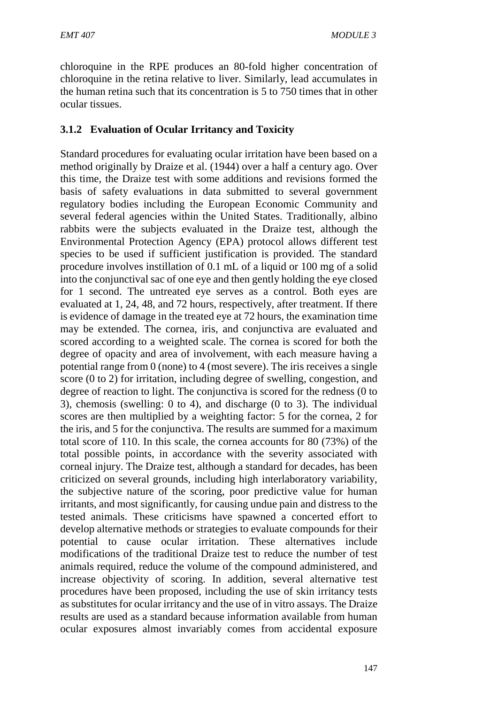chloroquine in the RPE produces an 80-fold higher concentration of chloroquine in the retina relative to liver. Similarly, lead accumulates in the human retina such that its concentration is 5 to 750 times that in other ocular tissues.

## **3.1.2 Evaluation of Ocular Irritancy and Toxicity**

Standard procedures for evaluating ocular irritation have been based on a method originally by Draize et al. (1944) over a half a century ago. Over this time, the Draize test with some additions and revisions formed the basis of safety evaluations in data submitted to several government regulatory bodies including the European Economic Community and several federal agencies within the United States. Traditionally, albino rabbits were the subjects evaluated in the Draize test, although the Environmental Protection Agency (EPA) protocol allows different test species to be used if sufficient justification is provided. The standard procedure involves instillation of 0.1 mL of a liquid or 100 mg of a solid into the conjunctival sac of one eye and then gently holding the eye closed for 1 second. The untreated eye serves as a control. Both eyes are evaluated at 1, 24, 48, and 72 hours, respectively, after treatment. If there is evidence of damage in the treated eye at 72 hours, the examination time may be extended. The cornea, iris, and conjunctiva are evaluated and scored according to a weighted scale. The cornea is scored for both the degree of opacity and area of involvement, with each measure having a potential range from 0 (none) to 4 (most severe). The iris receives a single score (0 to 2) for irritation, including degree of swelling, congestion, and degree of reaction to light. The conjunctiva is scored for the redness (0 to 3), chemosis (swelling: 0 to 4), and discharge (0 to 3). The individual scores are then multiplied by a weighting factor: 5 for the cornea, 2 for the iris, and 5 for the conjunctiva. The results are summed for a maximum total score of 110. In this scale, the cornea accounts for 80 (73%) of the total possible points, in accordance with the severity associated with corneal injury. The Draize test, although a standard for decades, has been criticized on several grounds, including high interlaboratory variability, the subjective nature of the scoring, poor predictive value for human irritants, and most significantly, for causing undue pain and distress to the tested animals. These criticisms have spawned a concerted effort to develop alternative methods or strategies to evaluate compounds for their potential to cause ocular irritation. These alternatives include modifications of the traditional Draize test to reduce the number of test animals required, reduce the volume of the compound administered, and increase objectivity of scoring. In addition, several alternative test procedures have been proposed, including the use of skin irritancy tests as substitutes for ocular irritancy and the use of in vitro assays. The Draize results are used as a standard because information available from human ocular exposures almost invariably comes from accidental exposure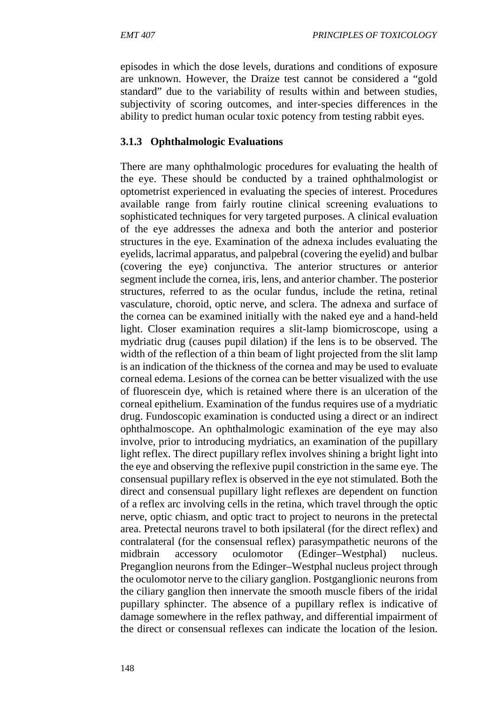episodes in which the dose levels, durations and conditions of exposure are unknown. However, the Draize test cannot be considered a "gold standard" due to the variability of results within and between studies, subjectivity of scoring outcomes, and inter-species differences in the ability to predict human ocular toxic potency from testing rabbit eyes.

## **3.1.3 Ophthalmologic Evaluations**

There are many ophthalmologic procedures for evaluating the health of the eye. These should be conducted by a trained ophthalmologist or optometrist experienced in evaluating the species of interest. Procedures available range from fairly routine clinical screening evaluations to sophisticated techniques for very targeted purposes. A clinical evaluation of the eye addresses the adnexa and both the anterior and posterior structures in the eye. Examination of the adnexa includes evaluating the eyelids, lacrimal apparatus, and palpebral (covering the eyelid) and bulbar (covering the eye) conjunctiva. The anterior structures or anterior segment include the cornea, iris, lens, and anterior chamber. The posterior structures, referred to as the ocular fundus, include the retina, retinal vasculature, choroid, optic nerve, and sclera. The adnexa and surface of the cornea can be examined initially with the naked eye and a hand-held light. Closer examination requires a slit-lamp biomicroscope, using a mydriatic drug (causes pupil dilation) if the lens is to be observed. The width of the reflection of a thin beam of light projected from the slit lamp is an indication of the thickness of the cornea and may be used to evaluate corneal edema. Lesions of the cornea can be better visualized with the use of fluorescein dye, which is retained where there is an ulceration of the corneal epithelium. Examination of the fundus requires use of a mydriatic drug. Fundoscopic examination is conducted using a direct or an indirect ophthalmoscope. An ophthalmologic examination of the eye may also involve, prior to introducing mydriatics, an examination of the pupillary light reflex. The direct pupillary reflex involves shining a bright light into the eye and observing the reflexive pupil constriction in the same eye. The consensual pupillary reflex is observed in the eye not stimulated. Both the direct and consensual pupillary light reflexes are dependent on function of a reflex arc involving cells in the retina, which travel through the optic nerve, optic chiasm, and optic tract to project to neurons in the pretectal area. Pretectal neurons travel to both ipsilateral (for the direct reflex) and contralateral (for the consensual reflex) parasympathetic neurons of the midbrain accessory oculomotor (Edinger–Westphal) nucleus. Preganglion neurons from the Edinger–Westphal nucleus project through the oculomotor nerve to the ciliary ganglion. Postganglionic neurons from the ciliary ganglion then innervate the smooth muscle fibers of the iridal pupillary sphincter. The absence of a pupillary reflex is indicative of damage somewhere in the reflex pathway, and differential impairment of the direct or consensual reflexes can indicate the location of the lesion.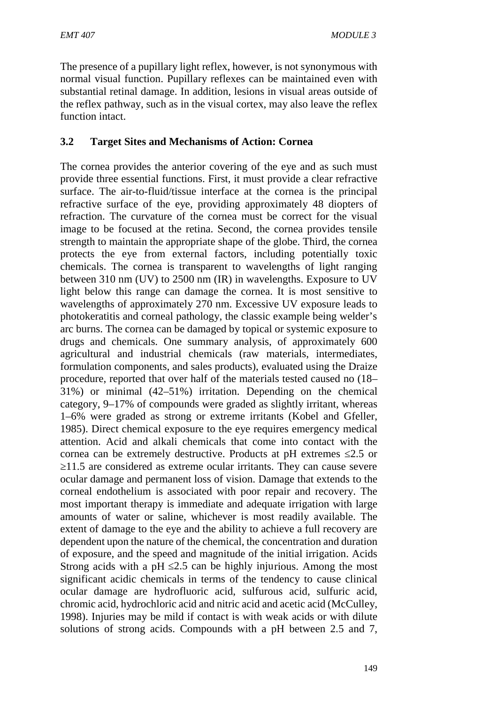The presence of a pupillary light reflex, however, is not synonymous with normal visual function. Pupillary reflexes can be maintained even with substantial retinal damage. In addition, lesions in visual areas outside of the reflex pathway, such as in the visual cortex, may also leave the reflex function intact.

# **3.2 Target Sites and Mechanisms of Action: Cornea**

The cornea provides the anterior covering of the eye and as such must provide three essential functions. First, it must provide a clear refractive surface. The air-to-fluid/tissue interface at the cornea is the principal refractive surface of the eye, providing approximately 48 diopters of refraction. The curvature of the cornea must be correct for the visual image to be focused at the retina. Second, the cornea provides tensile strength to maintain the appropriate shape of the globe. Third, the cornea protects the eye from external factors, including potentially toxic chemicals. The cornea is transparent to wavelengths of light ranging between 310 nm (UV) to 2500 nm (IR) in wavelengths. Exposure to UV light below this range can damage the cornea. It is most sensitive to wavelengths of approximately 270 nm. Excessive UV exposure leads to photokeratitis and corneal pathology, the classic example being welder's arc burns. The cornea can be damaged by topical or systemic exposure to drugs and chemicals. One summary analysis, of approximately 600 agricultural and industrial chemicals (raw materials, intermediates, formulation components, and sales products), evaluated using the Draize procedure, reported that over half of the materials tested caused no (18– 31%) or minimal (42–51%) irritation. Depending on the chemical category, 9–17% of compounds were graded as slightly irritant, whereas 1–6% were graded as strong or extreme irritants (Kobel and Gfeller, 1985). Direct chemical exposure to the eye requires emergency medical attention. Acid and alkali chemicals that come into contact with the cornea can be extremely destructive. Products at pH extremes 2.5 or

≥11.5 are considered as extreme ocular irritants. They can cause severe ocular damage and permanent loss of vision. Damage that extends to the corneal endothelium is associated with poor repair and recovery. The most important therapy is immediate and adequate irrigation with large amounts of water or saline, whichever is most readily available. The extent of damage to the eye and the ability to achieve a full recovery are dependent upon the nature of the chemical, the concentration and duration of exposure, and the speed and magnitude of the initial irrigation. Acids Strong acids with a pH  $2.5$  can be highly injurious. Among the most significant acidic chemicals in terms of the tendency to cause clinical ocular damage are hydrofluoric acid, sulfurous acid, sulfuric acid, chromic acid, hydrochloric acid and nitric acid and acetic acid (McCulley, 1998). Injuries may be mild if contact is with weak acids or with dilute solutions of strong acids. Compounds with a pH between 2.5 and 7,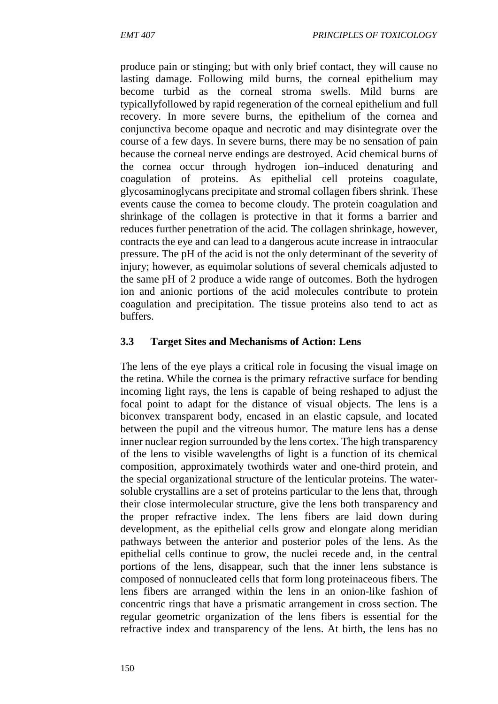produce pain or stinging; but with only brief contact, they will cause no lasting damage. Following mild burns, the corneal epithelium may become turbid as the corneal stroma swells. Mild burns are typicallyfollowed by rapid regeneration of the corneal epithelium and full recovery. In more severe burns, the epithelium of the cornea and conjunctiva become opaque and necrotic and may disintegrate over the course of a few days. In severe burns, there may be no sensation of pain because the corneal nerve endings are destroyed. Acid chemical burns of the cornea occur through hydrogen ion–induced denaturing and coagulation of proteins. As epithelial cell proteins coagulate, glycosaminoglycans precipitate and stromal collagen fibers shrink. These events cause the cornea to become cloudy. The protein coagulation and shrinkage of the collagen is protective in that it forms a barrier and reduces further penetration of the acid. The collagen shrinkage, however, contracts the eye and can lead to a dangerous acute increase in intraocular pressure. The pH of the acid is not the only determinant of the severity of injury; however, as equimolar solutions of several chemicals adjusted to the same pH of 2 produce a wide range of outcomes. Both the hydrogen ion and anionic portions of the acid molecules contribute to protein coagulation and precipitation. The tissue proteins also tend to act as buffers.

## **3.3 Target Sites and Mechanisms of Action: Lens**

The lens of the eye plays a critical role in focusing the visual image on the retina. While the cornea is the primary refractive surface for bending incoming light rays, the lens is capable of being reshaped to adjust the focal point to adapt for the distance of visual objects. The lens is a biconvex transparent body, encased in an elastic capsule, and located between the pupil and the vitreous humor. The mature lens has a dense inner nuclear region surrounded by the lens cortex. The high transparency of the lens to visible wavelengths of light is a function of its chemical composition, approximately twothirds water and one-third protein, and the special organizational structure of the lenticular proteins. The water soluble crystallins are a set of proteins particular to the lens that, through their close intermolecular structure, give the lens both transparency and the proper refractive index. The lens fibers are laid down during development, as the epithelial cells grow and elongate along meridian pathways between the anterior and posterior poles of the lens. As the epithelial cells continue to grow, the nuclei recede and, in the central portions of the lens, disappear, such that the inner lens substance is composed of nonnucleated cells that form long proteinaceous fibers. The lens fibers are arranged within the lens in an onion-like fashion of concentric rings that have a prismatic arrangement in cross section. The regular geometric organization of the lens fibers is essential for the refractive index and transparency of the lens. At birth, the lens has no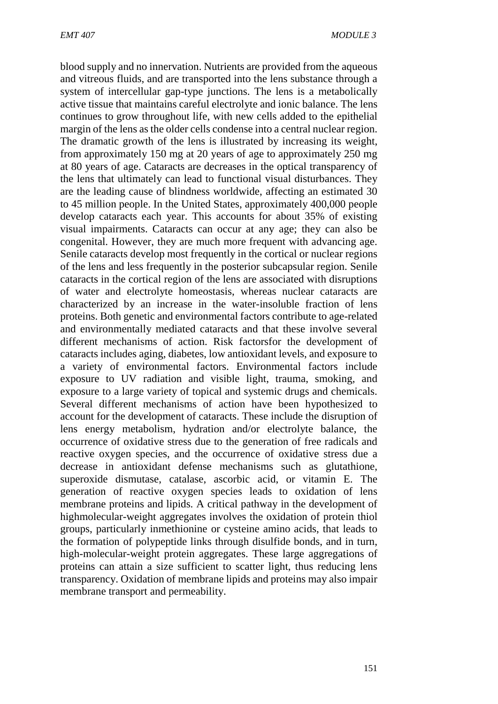blood supply and no innervation. Nutrients are provided from the aqueous and vitreous fluids, and are transported into the lens substance through a system of intercellular gap-type junctions. The lens is a metabolically active tissue that maintains careful electrolyte and ionic balance. The lens continues to grow throughout life, with new cells added to the epithelial margin of the lens as the older cells condense into a central nuclear region. The dramatic growth of the lens is illustrated by increasing its weight, from approximately 150 mg at 20 years of age to approximately 250 mg at 80 years of age. Cataracts are decreases in the optical transparency of the lens that ultimately can lead to functional visual disturbances. They are the leading cause of blindness worldwide, affecting an estimated 30 to 45 million people. In the United States, approximately 400,000 people develop cataracts each year. This accounts for about 35% of existing visual impairments. Cataracts can occur at any age; they can also be congenital. However, they are much more frequent with advancing age. Senile cataracts develop most frequently in the cortical or nuclear regions of the lens and less frequently in the posterior subcapsular region. Senile cataracts in the cortical region of the lens are associated with disruptions of water and electrolyte homeostasis, whereas nuclear cataracts are characterized by an increase in the water-insoluble fraction of lens proteins. Both genetic and environmental factors contribute to age-related and environmentally mediated cataracts and that these involve several different mechanisms of action. Risk factorsfor the development of cataracts includes aging, diabetes, low antioxidant levels, and exposure to a variety of environmental factors. Environmental factors include exposure to UV radiation and visible light, trauma, smoking, and exposure to a large variety of topical and systemic drugs and chemicals. Several different mechanisms of action have been hypothesized to account for the development of cataracts. These include the disruption of lens energy metabolism, hydration and/or electrolyte balance, the occurrence of oxidative stress due to the generation of free radicals and reactive oxygen species, and the occurrence of oxidative stress due a decrease in antioxidant defense mechanisms such as glutathione, superoxide dismutase, catalase, ascorbic acid, or vitamin E. The generation of reactive oxygen species leads to oxidation of lens membrane proteins and lipids. A critical pathway in the development of highmolecular-weight aggregates involves the oxidation of protein thiol groups, particularly inmethionine or cysteine amino acids, that leads to the formation of polypeptide links through disulfide bonds, and in turn, high-molecular-weight protein aggregates. These large aggregations of proteins can attain a size sufficient to scatter light, thus reducing lens transparency. Oxidation of membrane lipids and proteins may also impair membrane transport and permeability.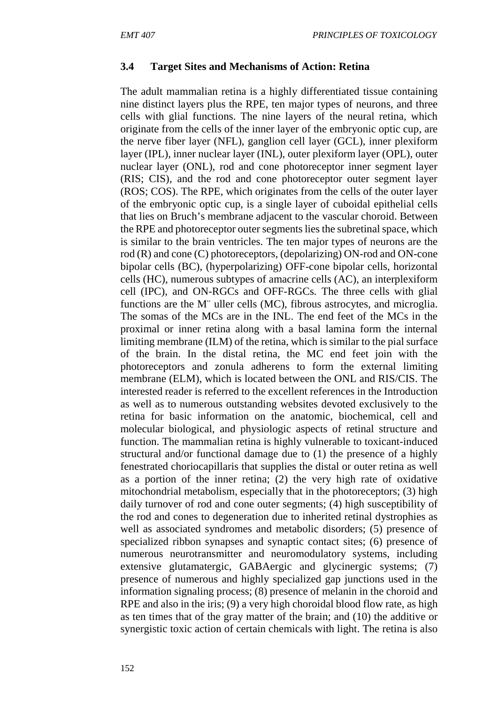#### **3.4 Target Sites and Mechanisms of Action: Retina**

The adult mammalian retina is a highly differentiated tissue containing nine distinct layers plus the RPE, ten major types of neurons, and three cells with glial functions. The nine layers of the neural retina, which originate from the cells of the inner layer of the embryonic optic cup, are the nerve fiber layer (NFL), ganglion cell layer (GCL), inner plexiform layer (IPL), inner nuclear layer (INL), outer plexiform layer (OPL), outer nuclear layer (ONL), rod and cone photoreceptor inner segment layer (RIS; CIS), and the rod and cone photoreceptor outer segment layer (ROS; COS). The RPE, which originates from the cells of the outer layer of the embryonic optic cup, is a single layer of cuboidal epithelial cells that lies on Bruch's membrane adjacent to the vascular choroid. Between the RPE and photoreceptor outer segments lies the subretinal space, which is similar to the brain ventricles. The ten major types of neurons are the rod (R) and cone (C) photoreceptors, (depolarizing) ON-rod and ON-cone bipolar cells (BC), (hyperpolarizing) OFF-cone bipolar cells, horizontal cells (HC), numerous subtypes of amacrine cells (AC), an interplexiform cell (IPC), and ON-RGCs and OFF-RGCs. The three cells with glial functions are the M¨ uller cells (MC), fibrous astrocytes, and microglia. The somas of the MCs are in the INL. The end feet of the MCs in the proximal or inner retina along with a basal lamina form the internal limiting membrane (ILM) of the retina, which is similar to the pial surface of the brain. In the distal retina, the MC end feet join with the photoreceptors and zonula adherens to form the external limiting membrane (ELM), which is located between the ONL and RIS/CIS. The interested reader is referred to the excellent references in the Introduction as well as to numerous outstanding websites devoted exclusively to the retina for basic information on the anatomic, biochemical, cell and molecular biological, and physiologic aspects of retinal structure and function. The mammalian retina is highly vulnerable to toxicant-induced structural and/or functional damage due to (1) the presence of a highly fenestrated choriocapillaris that supplies the distal or outer retina as well as a portion of the inner retina; (2) the very high rate of oxidative mitochondrial metabolism, especially that in the photoreceptors; (3) high daily turnover of rod and cone outer segments; (4) high susceptibility of the rod and cones to degeneration due to inherited retinal dystrophies as well as associated syndromes and metabolic disorders; (5) presence of specialized ribbon synapses and synaptic contact sites; (6) presence of numerous neurotransmitter and neuromodulatory systems, including extensive glutamatergic, GABAergic and glycinergic systems; (7) presence of numerous and highly specialized gap junctions used in the information signaling process; (8) presence of melanin in the choroid and RPE and also in the iris; (9) a very high choroidal blood flow rate, as high as ten times that of the gray matter of the brain; and (10) the additive or synergistic toxic action of certain chemicals with light. The retina is also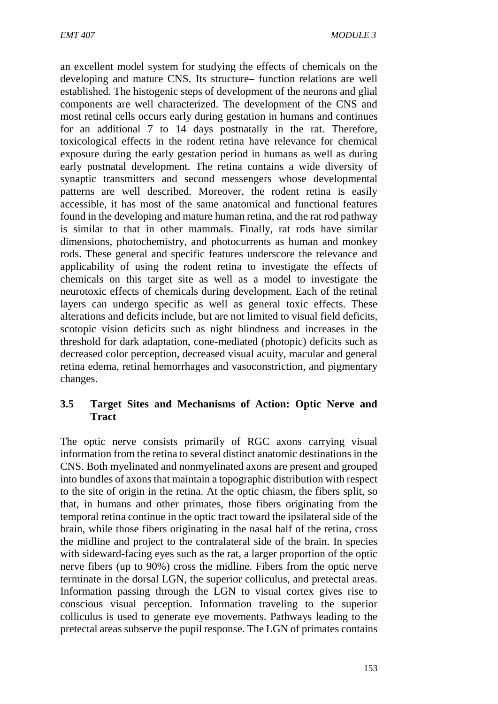an excellent model system for studying the effects of chemicals on the developing and mature CNS. Its structure– function relations are well established. The histogenic steps of development of the neurons and glial components are well characterized. The development of the CNS and most retinal cells occurs early during gestation in humans and continues for an additional 7 to 14 days postnatally in the rat. Therefore, toxicological effects in the rodent retina have relevance for chemical exposure during the early gestation period in humans as well as during early postnatal development. The retina contains a wide diversity of synaptic transmitters and second messengers whose developmental patterns are well described. Moreover, the rodent retina is easily accessible, it has most of the same anatomical and functional features found in the developing and mature human retina, and the rat rod pathway is similar to that in other mammals. Finally, rat rods have similar dimensions, photochemistry, and photocurrents as human and monkey rods. These general and specific features underscore the relevance and applicability of using the rodent retina to investigate the effects of chemicals on this target site as well as a model to investigate the neurotoxic effects of chemicals during development. Each of the retinal layers can undergo specific as well as general toxic effects. These alterations and deficits include, but are not limited to visual field deficits, scotopic vision deficits such as night blindness and increases in the threshold for dark adaptation, cone-mediated (photopic) deficits such as decreased color perception, decreased visual acuity, macular and general retina edema, retinal hemorrhages and vasoconstriction, and pigmentary changes.

# **3.5 Target Sites and Mechanisms of Action: Optic Nerve and Tract**

The optic nerve consists primarily of RGC axons carrying visual information from the retina to several distinct anatomic destinations in the CNS. Both myelinated and nonmyelinated axons are present and grouped into bundles of axons that maintain a topographic distribution with respect to the site of origin in the retina. At the optic chiasm, the fibers split, so that, in humans and other primates, those fibers originating from the temporal retina continue in the optic tract toward the ipsilateral side of the brain, while those fibers originating in the nasal half of the retina, cross the midline and project to the contralateral side of the brain. In species with sideward-facing eyes such as the rat, a larger proportion of the optic nerve fibers (up to 90%) cross the midline. Fibers from the optic nerve terminate in the dorsal LGN, the superior colliculus, and pretectal areas. Information passing through the LGN to visual cortex gives rise to conscious visual perception. Information traveling to the superior colliculus is used to generate eye movements. Pathways leading to the pretectal areas subserve the pupil response. The LGN of primates contains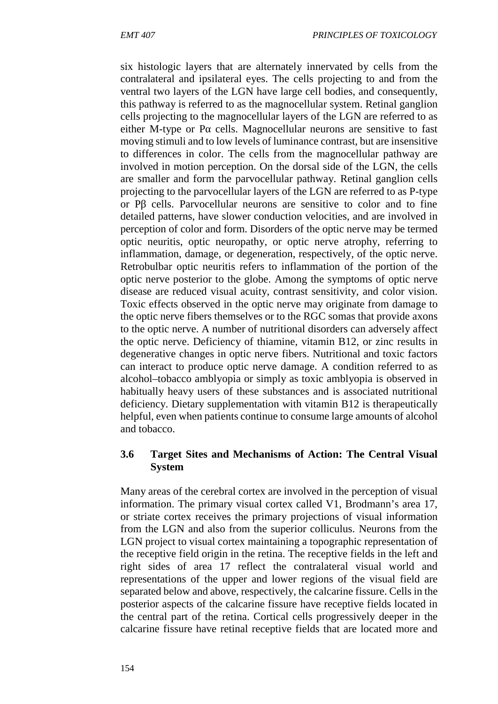six histologic layers that are alternately innervated by cells from the contralateral and ipsilateral eyes. The cells projecting to and from the ventral two layers of the LGN have large cell bodies, and consequently, this pathway is referred to as the magnocellular system. Retinal ganglion cells projecting to the magnocellular layers of the LGN are referred to as either M-type or P cells. Magnocellular neurons are sensitive to fast moving stimuli and to low levels of luminance contrast, but are insensitive to differences in color. The cells from the magnocellular pathway are involved in motion perception. On the dorsal side of the LGN, the cells are smaller and form the parvocellular pathway. Retinal ganglion cells projecting to the parvocellular layers of the LGN are referred to as P-type or P cells. Parvocellular neurons are sensitive to color and to fine detailed patterns, have slower conduction velocities, and are involved in perception of color and form. Disorders of the optic nerve may be termed optic neuritis, optic neuropathy, or optic nerve atrophy, referring to inflammation, damage, or degeneration, respectively, of the optic nerve. Retrobulbar optic neuritis refers to inflammation of the portion of the optic nerve posterior to the globe. Among the symptoms of optic nerve disease are reduced visual acuity, contrast sensitivity, and color vision. Toxic effects observed in the optic nerve may originate from damage to the optic nerve fibers themselves or to the RGC somas that provide axons to the optic nerve. A number of nutritional disorders can adversely affect the optic nerve. Deficiency of thiamine, vitamin B12, or zinc results in degenerative changes in optic nerve fibers. Nutritional and toxic factors can interact to produce optic nerve damage. A condition referred to as alcohol–tobacco amblyopia or simply as toxic amblyopia is observed in habitually heavy users of these substances and is associated nutritional deficiency. Dietary supplementation with vitamin B12 is therapeutically helpful, even when patients continue to consume large amounts of alcohol and tobacco.

## **3.6 Target Sites and Mechanisms of Action: The Central Visual System**

Many areas of the cerebral cortex are involved in the perception of visual information. The primary visual cortex called V1, Brodmann's area 17, or striate cortex receives the primary projections of visual information from the LGN and also from the superior colliculus. Neurons from the LGN project to visual cortex maintaining a topographic representation of the receptive field origin in the retina. The receptive fields in the left and right sides of area 17 reflect the contralateral visual world and representations of the upper and lower regions of the visual field are separated below and above, respectively, the calcarine fissure. Cells in the posterior aspects of the calcarine fissure have receptive fields located in the central part of the retina. Cortical cells progressively deeper in the calcarine fissure have retinal receptive fields that are located more and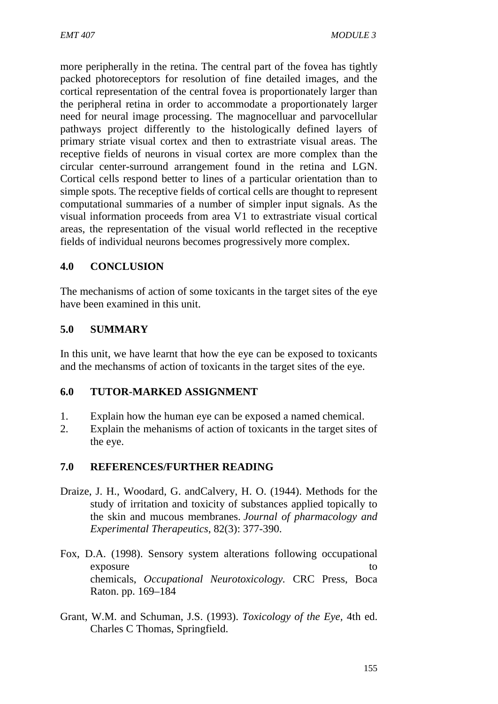more peripherally in the retina. The central part of the fovea has tightly packed photoreceptors for resolution of fine detailed images, and the cortical representation of the central fovea is proportionately larger than the peripheral retina in order to accommodate a proportionately larger need for neural image processing. The magnocelluar and parvocellular pathways project differently to the histologically defined layers of primary striate visual cortex and then to extrastriate visual areas. The receptive fields of neurons in visual cortex are more complex than the circular center-surround arrangement found in the retina and LGN. Cortical cells respond better to lines of a particular orientation than to simple spots. The receptive fields of cortical cells are thought to represent computational summaries of a number of simpler input signals. As the visual information proceeds from area V1 to extrastriate visual cortical areas, the representation of the visual world reflected in the receptive fields of individual neurons becomes progressively more complex.

# **4.0 CONCLUSION**

The mechanisms of action of some toxicants in the target sites of the eye have been examined in this unit.

## **5.0 SUMMARY**

In this unit, we have learnt that how the eye can be exposed to toxicants and the mechansms of action of toxicants in the target sites of the eye.

## **6.0 TUTOR-MARKED ASSIGNMENT**

- 1. Explain how the human eye can be exposed a named chemical.
- 2. Explain the mehanisms of action of toxicants in the target sites of the eye.

## **7.0 REFERENCES/FURTHER READING**

- Draize, J. H., Woodard, G. andCalvery, H. O. (1944). Methods for the study of irritation and toxicity of substances applied topically to the skin and mucous membranes. *Journal of pharmacology and Experimental Therapeutics*, 82(3): 377-390.
- Fox, D.A. (1998). Sensory system alterations following occupational exposure to the second series of the series of the series of the series of the series of the series of the series of the series of the series of the series of the series of the series of the series of the series of the ser chemicals, *Occupational Neurotoxicology.* CRC Press, Boca Raton. pp. 169–184
- Grant, W.M. and Schuman, J.S. (1993). *Toxicology of the Eye,* 4th ed. Charles C Thomas, Springfield.